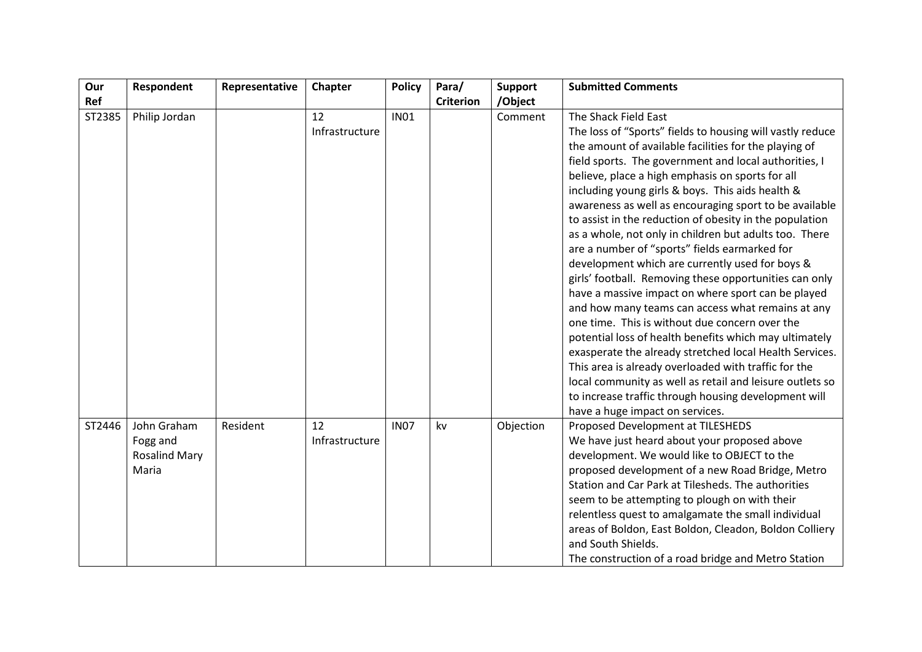| Our    | Respondent                                               | Representative | Chapter              | <b>Policy</b> | Para/            | <b>Support</b> | <b>Submitted Comments</b>                                                                                                                                                                                                                                                                                                                                                                                                                                                                                                                                                                                                                                                                                                                                                                                                                                                                                                                                                                                                                                                                                                                                 |
|--------|----------------------------------------------------------|----------------|----------------------|---------------|------------------|----------------|-----------------------------------------------------------------------------------------------------------------------------------------------------------------------------------------------------------------------------------------------------------------------------------------------------------------------------------------------------------------------------------------------------------------------------------------------------------------------------------------------------------------------------------------------------------------------------------------------------------------------------------------------------------------------------------------------------------------------------------------------------------------------------------------------------------------------------------------------------------------------------------------------------------------------------------------------------------------------------------------------------------------------------------------------------------------------------------------------------------------------------------------------------------|
| Ref    |                                                          |                |                      |               | <b>Criterion</b> | /Object        |                                                                                                                                                                                                                                                                                                                                                                                                                                                                                                                                                                                                                                                                                                                                                                                                                                                                                                                                                                                                                                                                                                                                                           |
| ST2385 | Philip Jordan                                            |                | 12<br>Infrastructure | <b>IN01</b>   |                  | Comment        | The Shack Field East<br>The loss of "Sports" fields to housing will vastly reduce<br>the amount of available facilities for the playing of<br>field sports. The government and local authorities, I<br>believe, place a high emphasis on sports for all<br>including young girls & boys. This aids health &<br>awareness as well as encouraging sport to be available<br>to assist in the reduction of obesity in the population<br>as a whole, not only in children but adults too. There<br>are a number of "sports" fields earmarked for<br>development which are currently used for boys &<br>girls' football. Removing these opportunities can only<br>have a massive impact on where sport can be played<br>and how many teams can access what remains at any<br>one time. This is without due concern over the<br>potential loss of health benefits which may ultimately<br>exasperate the already stretched local Health Services.<br>This area is already overloaded with traffic for the<br>local community as well as retail and leisure outlets so<br>to increase traffic through housing development will<br>have a huge impact on services. |
| ST2446 | John Graham<br>Fogg and<br><b>Rosalind Mary</b><br>Maria | Resident       | 12<br>Infrastructure | <b>IN07</b>   | kv               | Objection      | Proposed Development at TILESHEDS<br>We have just heard about your proposed above<br>development. We would like to OBJECT to the<br>proposed development of a new Road Bridge, Metro<br>Station and Car Park at Tilesheds. The authorities<br>seem to be attempting to plough on with their<br>relentless quest to amalgamate the small individual<br>areas of Boldon, East Boldon, Cleadon, Boldon Colliery<br>and South Shields.<br>The construction of a road bridge and Metro Station                                                                                                                                                                                                                                                                                                                                                                                                                                                                                                                                                                                                                                                                 |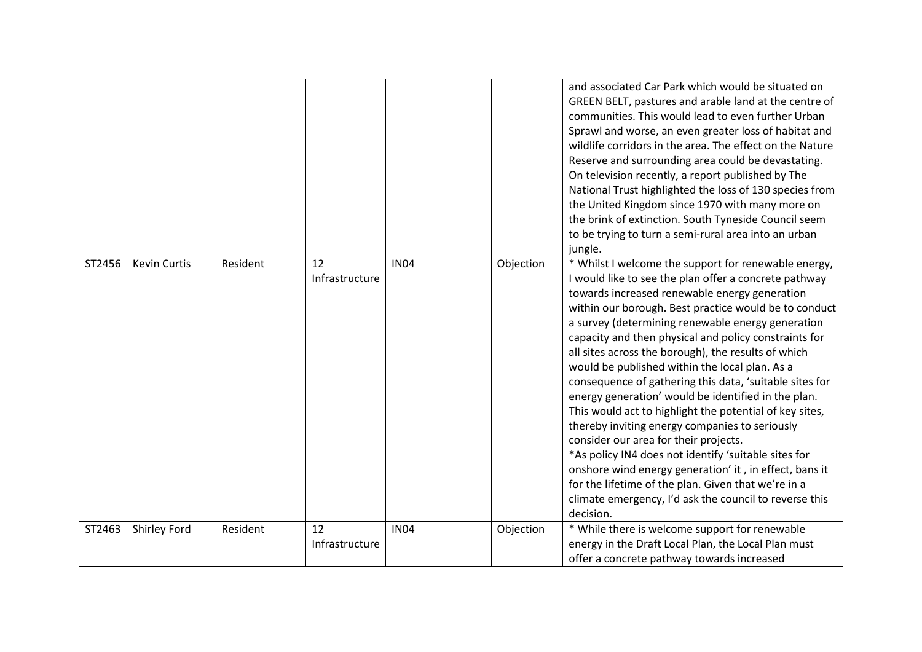|        |                     |          |                      |             |           | and associated Car Park which would be situated on<br>GREEN BELT, pastures and arable land at the centre of<br>communities. This would lead to even further Urban<br>Sprawl and worse, an even greater loss of habitat and<br>wildlife corridors in the area. The effect on the Nature<br>Reserve and surrounding area could be devastating.<br>On television recently, a report published by The<br>National Trust highlighted the loss of 130 species from<br>the United Kingdom since 1970 with many more on<br>the brink of extinction. South Tyneside Council seem<br>to be trying to turn a semi-rural area into an urban<br>jungle.                                                                                                                                                                                                                                                                                                                             |
|--------|---------------------|----------|----------------------|-------------|-----------|------------------------------------------------------------------------------------------------------------------------------------------------------------------------------------------------------------------------------------------------------------------------------------------------------------------------------------------------------------------------------------------------------------------------------------------------------------------------------------------------------------------------------------------------------------------------------------------------------------------------------------------------------------------------------------------------------------------------------------------------------------------------------------------------------------------------------------------------------------------------------------------------------------------------------------------------------------------------|
| ST2456 | <b>Kevin Curtis</b> | Resident | 12<br>Infrastructure | <b>IN04</b> | Objection | * Whilst I welcome the support for renewable energy,<br>I would like to see the plan offer a concrete pathway<br>towards increased renewable energy generation<br>within our borough. Best practice would be to conduct<br>a survey (determining renewable energy generation<br>capacity and then physical and policy constraints for<br>all sites across the borough), the results of which<br>would be published within the local plan. As a<br>consequence of gathering this data, 'suitable sites for<br>energy generation' would be identified in the plan.<br>This would act to highlight the potential of key sites,<br>thereby inviting energy companies to seriously<br>consider our area for their projects.<br>*As policy IN4 does not identify 'suitable sites for<br>onshore wind energy generation' it, in effect, bans it<br>for the lifetime of the plan. Given that we're in a<br>climate emergency, I'd ask the council to reverse this<br>decision. |
| ST2463 | Shirley Ford        | Resident | 12<br>Infrastructure | <b>IN04</b> | Objection | * While there is welcome support for renewable<br>energy in the Draft Local Plan, the Local Plan must<br>offer a concrete pathway towards increased                                                                                                                                                                                                                                                                                                                                                                                                                                                                                                                                                                                                                                                                                                                                                                                                                    |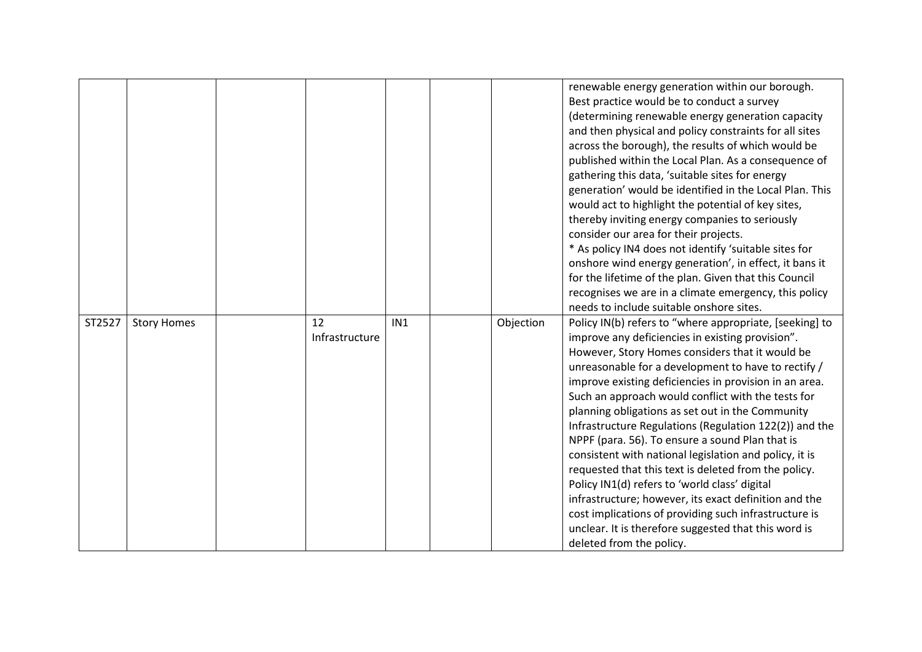|        |                    |                |     |           | renewable energy generation within our borough.         |
|--------|--------------------|----------------|-----|-----------|---------------------------------------------------------|
|        |                    |                |     |           | Best practice would be to conduct a survey              |
|        |                    |                |     |           | (determining renewable energy generation capacity       |
|        |                    |                |     |           | and then physical and policy constraints for all sites  |
|        |                    |                |     |           | across the borough), the results of which would be      |
|        |                    |                |     |           | published within the Local Plan. As a consequence of    |
|        |                    |                |     |           | gathering this data, 'suitable sites for energy         |
|        |                    |                |     |           | generation' would be identified in the Local Plan. This |
|        |                    |                |     |           | would act to highlight the potential of key sites,      |
|        |                    |                |     |           | thereby inviting energy companies to seriously          |
|        |                    |                |     |           | consider our area for their projects.                   |
|        |                    |                |     |           | * As policy IN4 does not identify 'suitable sites for   |
|        |                    |                |     |           | onshore wind energy generation', in effect, it bans it  |
|        |                    |                |     |           | for the lifetime of the plan. Given that this Council   |
|        |                    |                |     |           | recognises we are in a climate emergency, this policy   |
|        |                    |                |     |           | needs to include suitable onshore sites.                |
|        |                    | 12             | IN1 |           |                                                         |
| ST2527 | <b>Story Homes</b> |                |     | Objection | Policy IN(b) refers to "where appropriate, [seeking] to |
|        |                    | Infrastructure |     |           | improve any deficiencies in existing provision".        |
|        |                    |                |     |           | However, Story Homes considers that it would be         |
|        |                    |                |     |           | unreasonable for a development to have to rectify /     |
|        |                    |                |     |           | improve existing deficiencies in provision in an area.  |
|        |                    |                |     |           | Such an approach would conflict with the tests for      |
|        |                    |                |     |           | planning obligations as set out in the Community        |
|        |                    |                |     |           | Infrastructure Regulations (Regulation 122(2)) and the  |
|        |                    |                |     |           | NPPF (para. 56). To ensure a sound Plan that is         |
|        |                    |                |     |           | consistent with national legislation and policy, it is  |
|        |                    |                |     |           | requested that this text is deleted from the policy.    |
|        |                    |                |     |           | Policy IN1(d) refers to 'world class' digital           |
|        |                    |                |     |           | infrastructure; however, its exact definition and the   |
|        |                    |                |     |           | cost implications of providing such infrastructure is   |
|        |                    |                |     |           | unclear. It is therefore suggested that this word is    |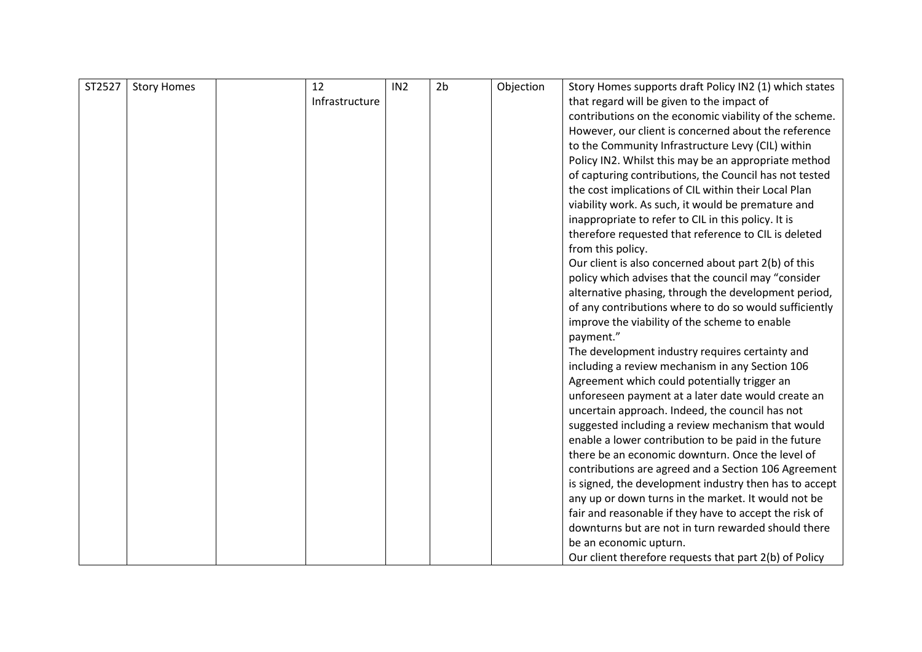| ST2527 | <b>Story Homes</b> | 12             | IN <sub>2</sub> | 2 <sub>b</sub> | Objection | Story Homes supports draft Policy IN2 (1) which states |
|--------|--------------------|----------------|-----------------|----------------|-----------|--------------------------------------------------------|
|        |                    | Infrastructure |                 |                |           | that regard will be given to the impact of             |
|        |                    |                |                 |                |           | contributions on the economic viability of the scheme. |
|        |                    |                |                 |                |           | However, our client is concerned about the reference   |
|        |                    |                |                 |                |           | to the Community Infrastructure Levy (CIL) within      |
|        |                    |                |                 |                |           | Policy IN2. Whilst this may be an appropriate method   |
|        |                    |                |                 |                |           | of capturing contributions, the Council has not tested |
|        |                    |                |                 |                |           | the cost implications of CIL within their Local Plan   |
|        |                    |                |                 |                |           | viability work. As such, it would be premature and     |
|        |                    |                |                 |                |           | inappropriate to refer to CIL in this policy. It is    |
|        |                    |                |                 |                |           | therefore requested that reference to CIL is deleted   |
|        |                    |                |                 |                |           | from this policy.                                      |
|        |                    |                |                 |                |           | Our client is also concerned about part 2(b) of this   |
|        |                    |                |                 |                |           | policy which advises that the council may "consider    |
|        |                    |                |                 |                |           | alternative phasing, through the development period,   |
|        |                    |                |                 |                |           | of any contributions where to do so would sufficiently |
|        |                    |                |                 |                |           | improve the viability of the scheme to enable          |
|        |                    |                |                 |                |           | payment."                                              |
|        |                    |                |                 |                |           | The development industry requires certainty and        |
|        |                    |                |                 |                |           | including a review mechanism in any Section 106        |
|        |                    |                |                 |                |           | Agreement which could potentially trigger an           |
|        |                    |                |                 |                |           | unforeseen payment at a later date would create an     |
|        |                    |                |                 |                |           | uncertain approach. Indeed, the council has not        |
|        |                    |                |                 |                |           | suggested including a review mechanism that would      |
|        |                    |                |                 |                |           | enable a lower contribution to be paid in the future   |
|        |                    |                |                 |                |           | there be an economic downturn. Once the level of       |
|        |                    |                |                 |                |           | contributions are agreed and a Section 106 Agreement   |
|        |                    |                |                 |                |           | is signed, the development industry then has to accept |
|        |                    |                |                 |                |           | any up or down turns in the market. It would not be    |
|        |                    |                |                 |                |           | fair and reasonable if they have to accept the risk of |
|        |                    |                |                 |                |           | downturns but are not in turn rewarded should there    |
|        |                    |                |                 |                |           | be an economic upturn.                                 |
|        |                    |                |                 |                |           | Our client therefore requests that part 2(b) of Policy |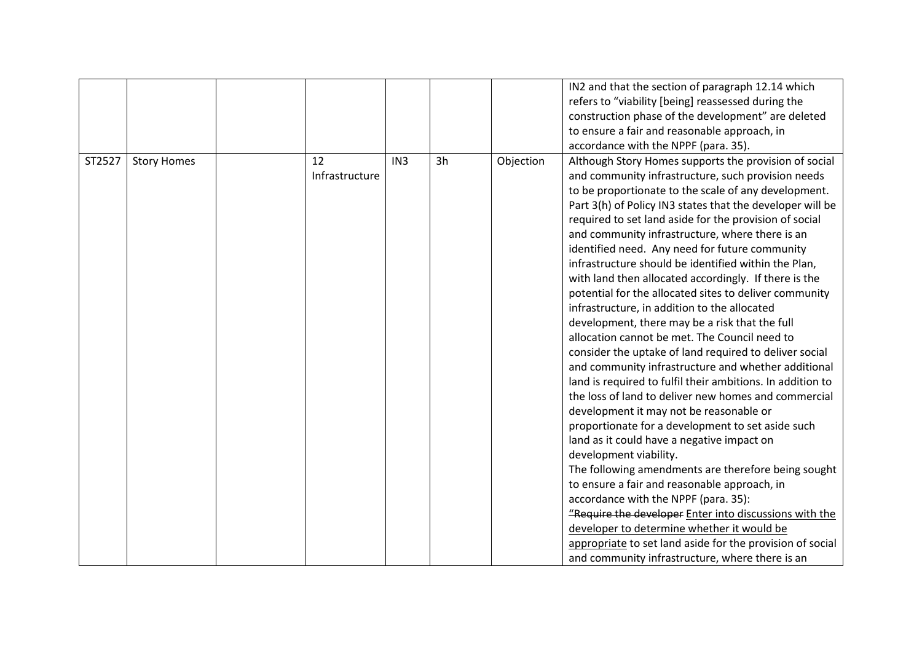|        |                    |                      |                 |    |           | IN2 and that the section of paragraph 12.14 which<br>refers to "viability [being] reassessed during the<br>construction phase of the development" are deleted                                                                                                                                                                                                                                                                                                                                                                                                                                                                                                                                                                                                                                                                                                                                                                                                                                                                                                                                                                                                                                                                                                                                                                                                                                                                                                                                                       |
|--------|--------------------|----------------------|-----------------|----|-----------|---------------------------------------------------------------------------------------------------------------------------------------------------------------------------------------------------------------------------------------------------------------------------------------------------------------------------------------------------------------------------------------------------------------------------------------------------------------------------------------------------------------------------------------------------------------------------------------------------------------------------------------------------------------------------------------------------------------------------------------------------------------------------------------------------------------------------------------------------------------------------------------------------------------------------------------------------------------------------------------------------------------------------------------------------------------------------------------------------------------------------------------------------------------------------------------------------------------------------------------------------------------------------------------------------------------------------------------------------------------------------------------------------------------------------------------------------------------------------------------------------------------------|
|        |                    |                      |                 |    |           | to ensure a fair and reasonable approach, in                                                                                                                                                                                                                                                                                                                                                                                                                                                                                                                                                                                                                                                                                                                                                                                                                                                                                                                                                                                                                                                                                                                                                                                                                                                                                                                                                                                                                                                                        |
|        |                    |                      |                 |    |           | accordance with the NPPF (para. 35).                                                                                                                                                                                                                                                                                                                                                                                                                                                                                                                                                                                                                                                                                                                                                                                                                                                                                                                                                                                                                                                                                                                                                                                                                                                                                                                                                                                                                                                                                |
| ST2527 | <b>Story Homes</b> | 12<br>Infrastructure | IN <sub>3</sub> | 3h | Objection | Although Story Homes supports the provision of social<br>and community infrastructure, such provision needs<br>to be proportionate to the scale of any development.<br>Part 3(h) of Policy IN3 states that the developer will be<br>required to set land aside for the provision of social<br>and community infrastructure, where there is an<br>identified need. Any need for future community<br>infrastructure should be identified within the Plan,<br>with land then allocated accordingly. If there is the<br>potential for the allocated sites to deliver community<br>infrastructure, in addition to the allocated<br>development, there may be a risk that the full<br>allocation cannot be met. The Council need to<br>consider the uptake of land required to deliver social<br>and community infrastructure and whether additional<br>land is required to fulfil their ambitions. In addition to<br>the loss of land to deliver new homes and commercial<br>development it may not be reasonable or<br>proportionate for a development to set aside such<br>land as it could have a negative impact on<br>development viability.<br>The following amendments are therefore being sought<br>to ensure a fair and reasonable approach, in<br>accordance with the NPPF (para. 35):<br>"Require the developer Enter into discussions with the<br>developer to determine whether it would be<br>appropriate to set land aside for the provision of social<br>and community infrastructure, where there is an |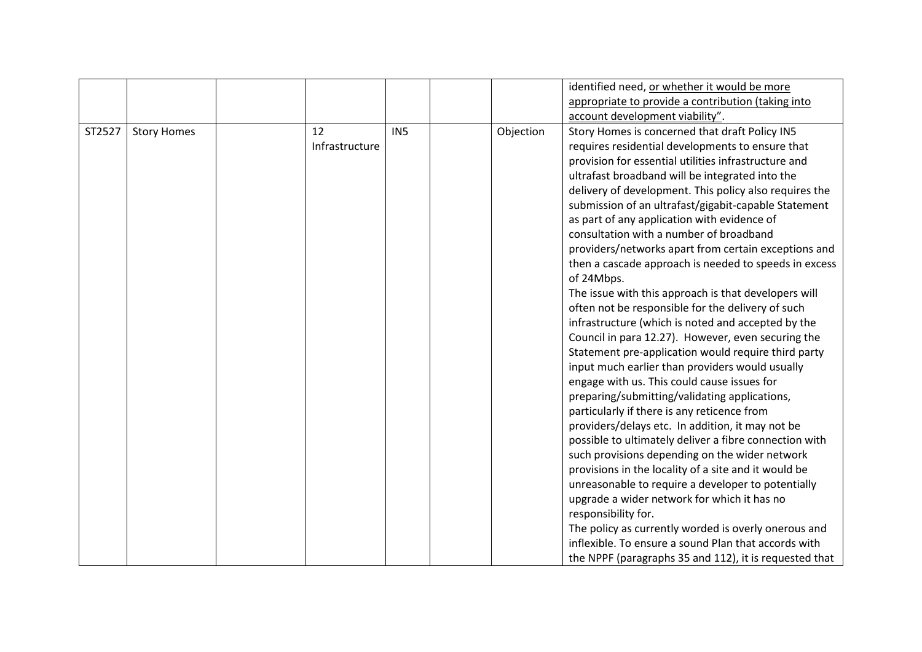|        |                    |                      |                 |           | identified need, or whether it would be more                                                                                                                                                                                                                                                                                                                                                                                                                                                                                                                                                                                                                                                                                                                                                                                                                                                                                                                                                                                                                                                                                                                                                                                                                                                                                                                                                                                                                                                                                                                             |
|--------|--------------------|----------------------|-----------------|-----------|--------------------------------------------------------------------------------------------------------------------------------------------------------------------------------------------------------------------------------------------------------------------------------------------------------------------------------------------------------------------------------------------------------------------------------------------------------------------------------------------------------------------------------------------------------------------------------------------------------------------------------------------------------------------------------------------------------------------------------------------------------------------------------------------------------------------------------------------------------------------------------------------------------------------------------------------------------------------------------------------------------------------------------------------------------------------------------------------------------------------------------------------------------------------------------------------------------------------------------------------------------------------------------------------------------------------------------------------------------------------------------------------------------------------------------------------------------------------------------------------------------------------------------------------------------------------------|
|        |                    |                      |                 |           | appropriate to provide a contribution (taking into                                                                                                                                                                                                                                                                                                                                                                                                                                                                                                                                                                                                                                                                                                                                                                                                                                                                                                                                                                                                                                                                                                                                                                                                                                                                                                                                                                                                                                                                                                                       |
|        |                    |                      |                 |           | account development viability".                                                                                                                                                                                                                                                                                                                                                                                                                                                                                                                                                                                                                                                                                                                                                                                                                                                                                                                                                                                                                                                                                                                                                                                                                                                                                                                                                                                                                                                                                                                                          |
| ST2527 | <b>Story Homes</b> | 12<br>Infrastructure | IN <sub>5</sub> | Objection | Story Homes is concerned that draft Policy IN5<br>requires residential developments to ensure that<br>provision for essential utilities infrastructure and<br>ultrafast broadband will be integrated into the<br>delivery of development. This policy also requires the<br>submission of an ultrafast/gigabit-capable Statement<br>as part of any application with evidence of<br>consultation with a number of broadband<br>providers/networks apart from certain exceptions and<br>then a cascade approach is needed to speeds in excess<br>of 24Mbps.<br>The issue with this approach is that developers will<br>often not be responsible for the delivery of such<br>infrastructure (which is noted and accepted by the<br>Council in para 12.27). However, even securing the<br>Statement pre-application would require third party<br>input much earlier than providers would usually<br>engage with us. This could cause issues for<br>preparing/submitting/validating applications,<br>particularly if there is any reticence from<br>providers/delays etc. In addition, it may not be<br>possible to ultimately deliver a fibre connection with<br>such provisions depending on the wider network<br>provisions in the locality of a site and it would be<br>unreasonable to require a developer to potentially<br>upgrade a wider network for which it has no<br>responsibility for.<br>The policy as currently worded is overly onerous and<br>inflexible. To ensure a sound Plan that accords with<br>the NPPF (paragraphs 35 and 112), it is requested that |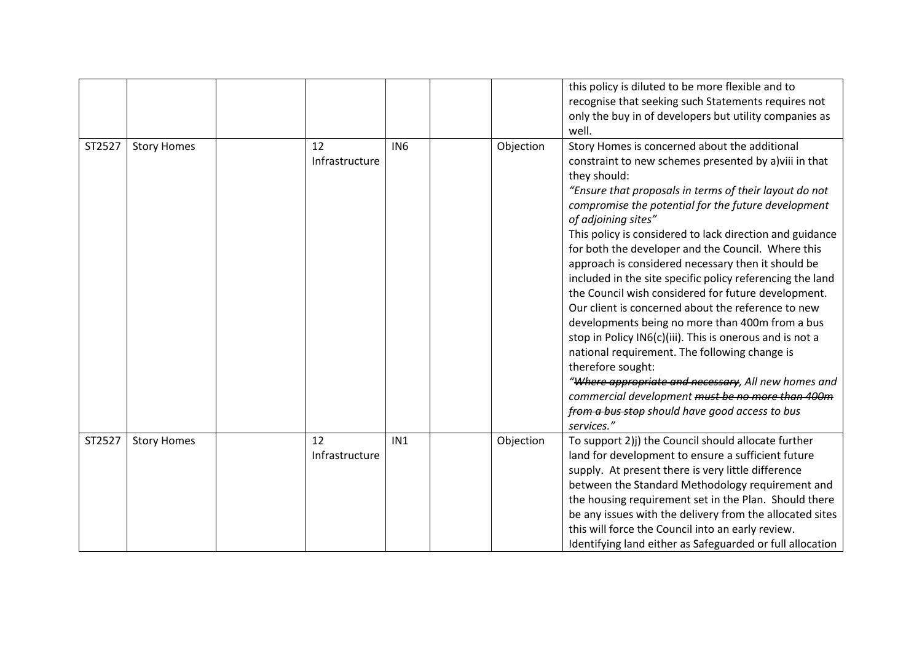|        |                    |                      |                 |           | this policy is diluted to be more flexible and to<br>recognise that seeking such Statements requires not<br>only the buy in of developers but utility companies as<br>well.                                                                                                                                                                                                                                                                                                                                                                                                                                                                                                                                                                                                                                                                                                                                                                                                       |
|--------|--------------------|----------------------|-----------------|-----------|-----------------------------------------------------------------------------------------------------------------------------------------------------------------------------------------------------------------------------------------------------------------------------------------------------------------------------------------------------------------------------------------------------------------------------------------------------------------------------------------------------------------------------------------------------------------------------------------------------------------------------------------------------------------------------------------------------------------------------------------------------------------------------------------------------------------------------------------------------------------------------------------------------------------------------------------------------------------------------------|
| ST2527 | <b>Story Homes</b> | 12<br>Infrastructure | IN <sub>6</sub> | Objection | Story Homes is concerned about the additional<br>constraint to new schemes presented by a) viii in that<br>they should:<br>"Ensure that proposals in terms of their layout do not<br>compromise the potential for the future development<br>of adjoining sites"<br>This policy is considered to lack direction and guidance<br>for both the developer and the Council. Where this<br>approach is considered necessary then it should be<br>included in the site specific policy referencing the land<br>the Council wish considered for future development.<br>Our client is concerned about the reference to new<br>developments being no more than 400m from a bus<br>stop in Policy IN6(c)(iii). This is onerous and is not a<br>national requirement. The following change is<br>therefore sought:<br>"Where appropriate and necessary, All new homes and<br>commercial development must be no more than 400m<br>from a bus stop should have good access to bus<br>services." |
| ST2527 | <b>Story Homes</b> | 12<br>Infrastructure | IN1             | Objection | To support 2)j) the Council should allocate further<br>land for development to ensure a sufficient future<br>supply. At present there is very little difference<br>between the Standard Methodology requirement and<br>the housing requirement set in the Plan. Should there<br>be any issues with the delivery from the allocated sites<br>this will force the Council into an early review.<br>Identifying land either as Safeguarded or full allocation                                                                                                                                                                                                                                                                                                                                                                                                                                                                                                                        |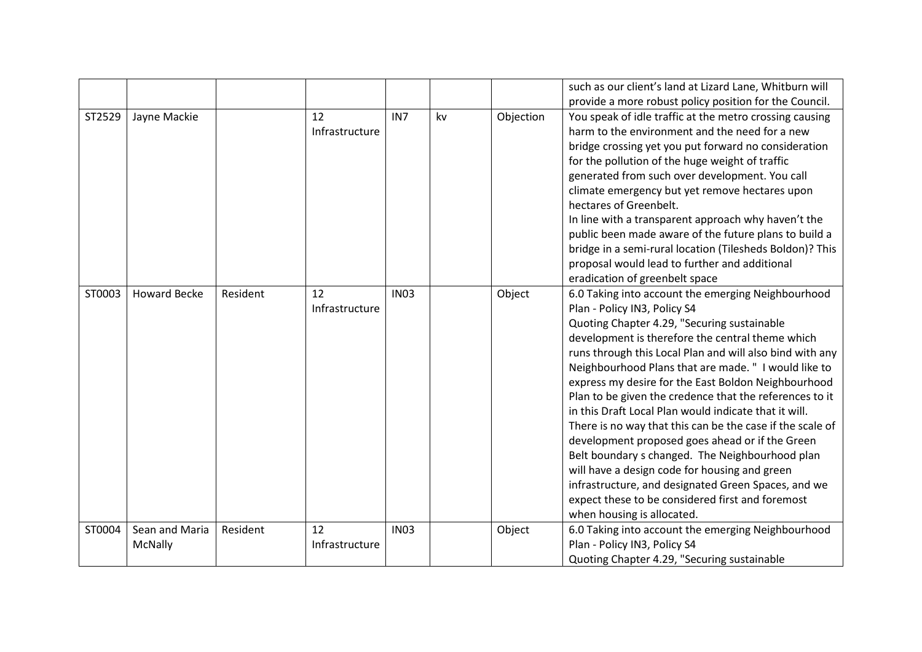|        |                           |          |                      |                 |    |           | such as our client's land at Lizard Lane, Whitburn will                                                                                                                                                                                                                                                                                                                                                                                                                                                                                                                                                                                                                                                                                                                                                                                           |
|--------|---------------------------|----------|----------------------|-----------------|----|-----------|---------------------------------------------------------------------------------------------------------------------------------------------------------------------------------------------------------------------------------------------------------------------------------------------------------------------------------------------------------------------------------------------------------------------------------------------------------------------------------------------------------------------------------------------------------------------------------------------------------------------------------------------------------------------------------------------------------------------------------------------------------------------------------------------------------------------------------------------------|
|        |                           |          |                      |                 |    |           | provide a more robust policy position for the Council.                                                                                                                                                                                                                                                                                                                                                                                                                                                                                                                                                                                                                                                                                                                                                                                            |
| ST2529 | Jayne Mackie              |          | 12<br>Infrastructure | IN <sub>7</sub> | kv | Objection | You speak of idle traffic at the metro crossing causing<br>harm to the environment and the need for a new<br>bridge crossing yet you put forward no consideration<br>for the pollution of the huge weight of traffic<br>generated from such over development. You call<br>climate emergency but yet remove hectares upon<br>hectares of Greenbelt.<br>In line with a transparent approach why haven't the<br>public been made aware of the future plans to build a<br>bridge in a semi-rural location (Tilesheds Boldon)? This<br>proposal would lead to further and additional<br>eradication of greenbelt space                                                                                                                                                                                                                                 |
| ST0003 | <b>Howard Becke</b>       | Resident | 12<br>Infrastructure | <b>IN03</b>     |    | Object    | 6.0 Taking into account the emerging Neighbourhood<br>Plan - Policy IN3, Policy S4<br>Quoting Chapter 4.29, "Securing sustainable<br>development is therefore the central theme which<br>runs through this Local Plan and will also bind with any<br>Neighbourhood Plans that are made. " I would like to<br>express my desire for the East Boldon Neighbourhood<br>Plan to be given the credence that the references to it<br>in this Draft Local Plan would indicate that it will.<br>There is no way that this can be the case if the scale of<br>development proposed goes ahead or if the Green<br>Belt boundary s changed. The Neighbourhood plan<br>will have a design code for housing and green<br>infrastructure, and designated Green Spaces, and we<br>expect these to be considered first and foremost<br>when housing is allocated. |
| ST0004 | Sean and Maria<br>McNally | Resident | 12<br>Infrastructure | <b>IN03</b>     |    | Object    | 6.0 Taking into account the emerging Neighbourhood<br>Plan - Policy IN3, Policy S4<br>Quoting Chapter 4.29, "Securing sustainable                                                                                                                                                                                                                                                                                                                                                                                                                                                                                                                                                                                                                                                                                                                 |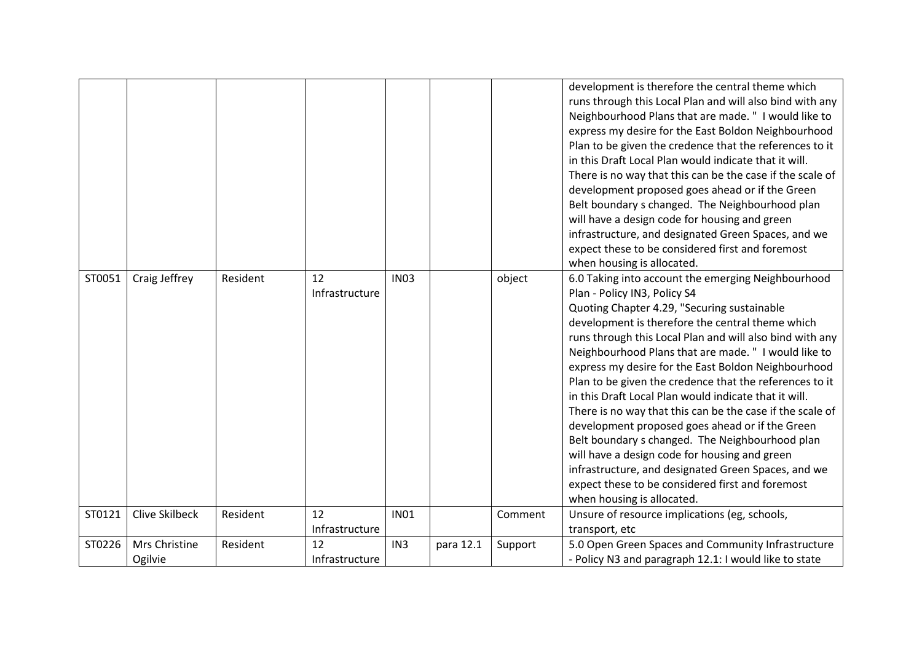|        |                       |          |                |                 |           |         | development is therefore the central theme which          |
|--------|-----------------------|----------|----------------|-----------------|-----------|---------|-----------------------------------------------------------|
|        |                       |          |                |                 |           |         | runs through this Local Plan and will also bind with any  |
|        |                       |          |                |                 |           |         | Neighbourhood Plans that are made. " I would like to      |
|        |                       |          |                |                 |           |         | express my desire for the East Boldon Neighbourhood       |
|        |                       |          |                |                 |           |         | Plan to be given the credence that the references to it   |
|        |                       |          |                |                 |           |         | in this Draft Local Plan would indicate that it will.     |
|        |                       |          |                |                 |           |         | There is no way that this can be the case if the scale of |
|        |                       |          |                |                 |           |         | development proposed goes ahead or if the Green           |
|        |                       |          |                |                 |           |         | Belt boundary s changed. The Neighbourhood plan           |
|        |                       |          |                |                 |           |         | will have a design code for housing and green             |
|        |                       |          |                |                 |           |         | infrastructure, and designated Green Spaces, and we       |
|        |                       |          |                |                 |           |         | expect these to be considered first and foremost          |
|        |                       |          |                |                 |           |         | when housing is allocated.                                |
| ST0051 | Craig Jeffrey         | Resident | 12             | <b>IN03</b>     |           | object  | 6.0 Taking into account the emerging Neighbourhood        |
|        |                       |          | Infrastructure |                 |           |         | Plan - Policy IN3, Policy S4                              |
|        |                       |          |                |                 |           |         | Quoting Chapter 4.29, "Securing sustainable               |
|        |                       |          |                |                 |           |         | development is therefore the central theme which          |
|        |                       |          |                |                 |           |         | runs through this Local Plan and will also bind with any  |
|        |                       |          |                |                 |           |         | Neighbourhood Plans that are made. " I would like to      |
|        |                       |          |                |                 |           |         | express my desire for the East Boldon Neighbourhood       |
|        |                       |          |                |                 |           |         | Plan to be given the credence that the references to it   |
|        |                       |          |                |                 |           |         | in this Draft Local Plan would indicate that it will.     |
|        |                       |          |                |                 |           |         | There is no way that this can be the case if the scale of |
|        |                       |          |                |                 |           |         | development proposed goes ahead or if the Green           |
|        |                       |          |                |                 |           |         | Belt boundary s changed. The Neighbourhood plan           |
|        |                       |          |                |                 |           |         | will have a design code for housing and green             |
|        |                       |          |                |                 |           |         | infrastructure, and designated Green Spaces, and we       |
|        |                       |          |                |                 |           |         | expect these to be considered first and foremost          |
|        |                       |          |                |                 |           |         | when housing is allocated.                                |
| ST0121 | <b>Clive Skilbeck</b> | Resident | 12             | <b>IN01</b>     |           | Comment | Unsure of resource implications (eg, schools,             |
|        |                       |          | Infrastructure |                 |           |         | transport, etc                                            |
| ST0226 | Mrs Christine         | Resident | 12             | IN <sub>3</sub> | para 12.1 | Support | 5.0 Open Green Spaces and Community Infrastructure        |
|        | Ogilvie               |          | Infrastructure |                 |           |         | - Policy N3 and paragraph 12.1: I would like to state     |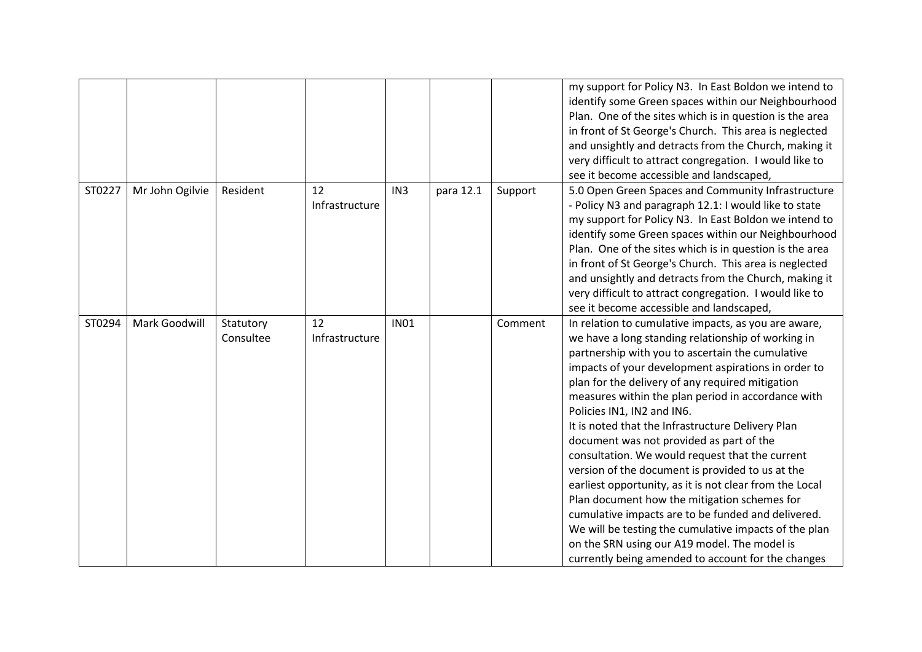|        |                 |                        |                      |                 |           |         | my support for Policy N3. In East Boldon we intend to<br>identify some Green spaces within our Neighbourhood<br>Plan. One of the sites which is in question is the area<br>in front of St George's Church. This area is neglected<br>and unsightly and detracts from the Church, making it<br>very difficult to attract congregation. I would like to<br>see it become accessible and landscaped,                                                                                                                                                                                                                                                                                                                                                                                                                                                                                                     |
|--------|-----------------|------------------------|----------------------|-----------------|-----------|---------|-------------------------------------------------------------------------------------------------------------------------------------------------------------------------------------------------------------------------------------------------------------------------------------------------------------------------------------------------------------------------------------------------------------------------------------------------------------------------------------------------------------------------------------------------------------------------------------------------------------------------------------------------------------------------------------------------------------------------------------------------------------------------------------------------------------------------------------------------------------------------------------------------------|
| ST0227 | Mr John Ogilvie | Resident               | 12<br>Infrastructure | IN <sub>3</sub> | para 12.1 | Support | 5.0 Open Green Spaces and Community Infrastructure<br>- Policy N3 and paragraph 12.1: I would like to state<br>my support for Policy N3. In East Boldon we intend to<br>identify some Green spaces within our Neighbourhood<br>Plan. One of the sites which is in question is the area<br>in front of St George's Church. This area is neglected<br>and unsightly and detracts from the Church, making it<br>very difficult to attract congregation. I would like to<br>see it become accessible and landscaped,                                                                                                                                                                                                                                                                                                                                                                                      |
| ST0294 | Mark Goodwill   | Statutory<br>Consultee | 12<br>Infrastructure | <b>IN01</b>     |           | Comment | In relation to cumulative impacts, as you are aware,<br>we have a long standing relationship of working in<br>partnership with you to ascertain the cumulative<br>impacts of your development aspirations in order to<br>plan for the delivery of any required mitigation<br>measures within the plan period in accordance with<br>Policies IN1, IN2 and IN6.<br>It is noted that the Infrastructure Delivery Plan<br>document was not provided as part of the<br>consultation. We would request that the current<br>version of the document is provided to us at the<br>earliest opportunity, as it is not clear from the Local<br>Plan document how the mitigation schemes for<br>cumulative impacts are to be funded and delivered.<br>We will be testing the cumulative impacts of the plan<br>on the SRN using our A19 model. The model is<br>currently being amended to account for the changes |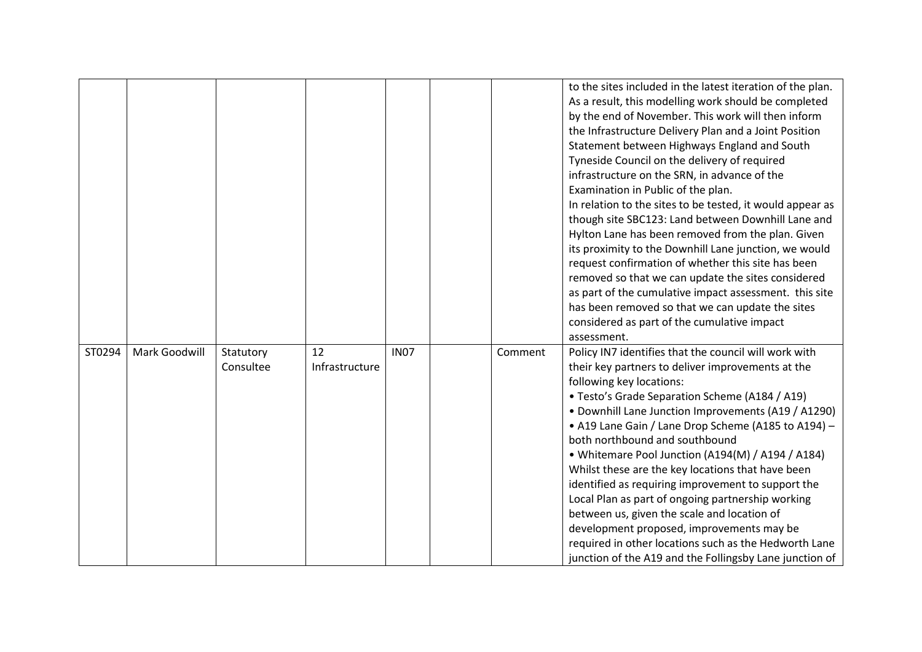|        |               |                        |                      |             |         | to the sites included in the latest iteration of the plan.<br>As a result, this modelling work should be completed<br>by the end of November. This work will then inform<br>the Infrastructure Delivery Plan and a Joint Position<br>Statement between Highways England and South<br>Tyneside Council on the delivery of required<br>infrastructure on the SRN, in advance of the<br>Examination in Public of the plan.<br>In relation to the sites to be tested, it would appear as<br>though site SBC123: Land between Downhill Lane and<br>Hylton Lane has been removed from the plan. Given<br>its proximity to the Downhill Lane junction, we would<br>request confirmation of whether this site has been<br>removed so that we can update the sites considered<br>as part of the cumulative impact assessment. this site<br>has been removed so that we can update the sites<br>considered as part of the cumulative impact<br>assessment. |
|--------|---------------|------------------------|----------------------|-------------|---------|--------------------------------------------------------------------------------------------------------------------------------------------------------------------------------------------------------------------------------------------------------------------------------------------------------------------------------------------------------------------------------------------------------------------------------------------------------------------------------------------------------------------------------------------------------------------------------------------------------------------------------------------------------------------------------------------------------------------------------------------------------------------------------------------------------------------------------------------------------------------------------------------------------------------------------------------------|
| ST0294 | Mark Goodwill | Statutory<br>Consultee | 12<br>Infrastructure | <b>IN07</b> | Comment | Policy IN7 identifies that the council will work with<br>their key partners to deliver improvements at the<br>following key locations:<br>• Testo's Grade Separation Scheme (A184 / A19)<br>• Downhill Lane Junction Improvements (A19 / A1290)<br>• A19 Lane Gain / Lane Drop Scheme (A185 to A194) -<br>both northbound and southbound<br>• Whitemare Pool Junction (A194(M) / A194 / A184)<br>Whilst these are the key locations that have been<br>identified as requiring improvement to support the<br>Local Plan as part of ongoing partnership working<br>between us, given the scale and location of<br>development proposed, improvements may be<br>required in other locations such as the Hedworth Lane<br>junction of the A19 and the Follingsby Lane junction of                                                                                                                                                                    |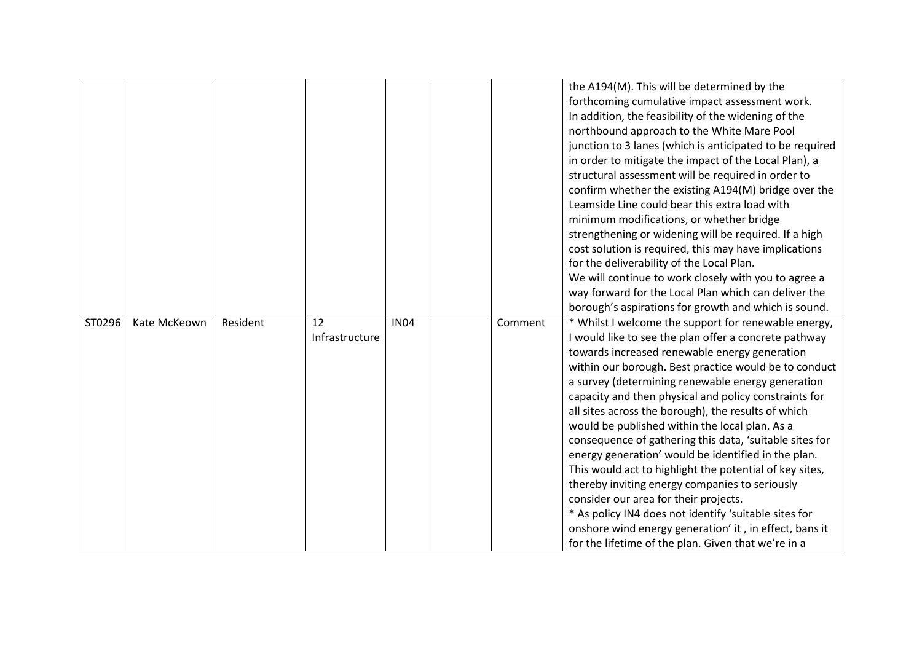|        |              |          |                |             |         | the A194(M). This will be determined by the                                                                   |
|--------|--------------|----------|----------------|-------------|---------|---------------------------------------------------------------------------------------------------------------|
|        |              |          |                |             |         | forthcoming cumulative impact assessment work.                                                                |
|        |              |          |                |             |         | In addition, the feasibility of the widening of the                                                           |
|        |              |          |                |             |         | northbound approach to the White Mare Pool                                                                    |
|        |              |          |                |             |         | junction to 3 lanes (which is anticipated to be required                                                      |
|        |              |          |                |             |         | in order to mitigate the impact of the Local Plan), a                                                         |
|        |              |          |                |             |         | structural assessment will be required in order to                                                            |
|        |              |          |                |             |         | confirm whether the existing A194(M) bridge over the                                                          |
|        |              |          |                |             |         | Leamside Line could bear this extra load with                                                                 |
|        |              |          |                |             |         | minimum modifications, or whether bridge                                                                      |
|        |              |          |                |             |         | strengthening or widening will be required. If a high                                                         |
|        |              |          |                |             |         | cost solution is required, this may have implications                                                         |
|        |              |          |                |             |         | for the deliverability of the Local Plan.                                                                     |
|        |              |          |                |             |         | We will continue to work closely with you to agree a                                                          |
|        |              |          |                |             |         | way forward for the Local Plan which can deliver the                                                          |
|        |              |          |                |             |         | borough's aspirations for growth and which is sound.                                                          |
|        |              |          |                |             |         |                                                                                                               |
| ST0296 | Kate McKeown | Resident | 12             | <b>IN04</b> | Comment | * Whilst I welcome the support for renewable energy,                                                          |
|        |              |          | Infrastructure |             |         | I would like to see the plan offer a concrete pathway                                                         |
|        |              |          |                |             |         | towards increased renewable energy generation                                                                 |
|        |              |          |                |             |         | within our borough. Best practice would be to conduct                                                         |
|        |              |          |                |             |         | a survey (determining renewable energy generation                                                             |
|        |              |          |                |             |         | capacity and then physical and policy constraints for                                                         |
|        |              |          |                |             |         | all sites across the borough), the results of which                                                           |
|        |              |          |                |             |         | would be published within the local plan. As a                                                                |
|        |              |          |                |             |         | consequence of gathering this data, 'suitable sites for                                                       |
|        |              |          |                |             |         | energy generation' would be identified in the plan.                                                           |
|        |              |          |                |             |         | This would act to highlight the potential of key sites,                                                       |
|        |              |          |                |             |         | thereby inviting energy companies to seriously                                                                |
|        |              |          |                |             |         | consider our area for their projects.                                                                         |
|        |              |          |                |             |         | * As policy IN4 does not identify 'suitable sites for                                                         |
|        |              |          |                |             |         | onshore wind energy generation' it, in effect, bans it<br>for the lifetime of the plan. Given that we're in a |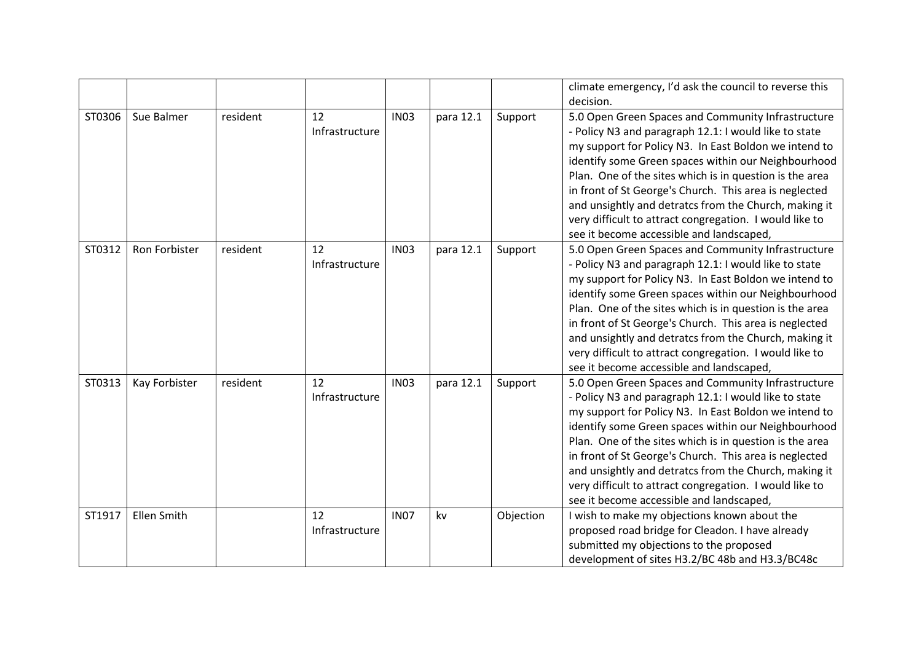|        |               |          |                |             |           |           | climate emergency, I'd ask the council to reverse this                                                           |
|--------|---------------|----------|----------------|-------------|-----------|-----------|------------------------------------------------------------------------------------------------------------------|
|        |               |          |                |             |           |           | decision.                                                                                                        |
| ST0306 | Sue Balmer    | resident | 12             | <b>IN03</b> | para 12.1 | Support   | 5.0 Open Green Spaces and Community Infrastructure                                                               |
|        |               |          | Infrastructure |             |           |           | - Policy N3 and paragraph 12.1: I would like to state                                                            |
|        |               |          |                |             |           |           | my support for Policy N3. In East Boldon we intend to                                                            |
|        |               |          |                |             |           |           | identify some Green spaces within our Neighbourhood                                                              |
|        |               |          |                |             |           |           | Plan. One of the sites which is in question is the area                                                          |
|        |               |          |                |             |           |           | in front of St George's Church. This area is neglected                                                           |
|        |               |          |                |             |           |           | and unsightly and detratcs from the Church, making it<br>very difficult to attract congregation. I would like to |
|        |               |          |                |             |           |           | see it become accessible and landscaped,                                                                         |
| ST0312 | Ron Forbister | resident | 12             | <b>IN03</b> | para 12.1 | Support   | 5.0 Open Green Spaces and Community Infrastructure                                                               |
|        |               |          | Infrastructure |             |           |           | - Policy N3 and paragraph 12.1: I would like to state                                                            |
|        |               |          |                |             |           |           | my support for Policy N3. In East Boldon we intend to                                                            |
|        |               |          |                |             |           |           | identify some Green spaces within our Neighbourhood                                                              |
|        |               |          |                |             |           |           | Plan. One of the sites which is in question is the area                                                          |
|        |               |          |                |             |           |           | in front of St George's Church. This area is neglected                                                           |
|        |               |          |                |             |           |           | and unsightly and detratcs from the Church, making it                                                            |
|        |               |          |                |             |           |           | very difficult to attract congregation. I would like to                                                          |
|        |               |          |                |             |           |           | see it become accessible and landscaped,                                                                         |
| ST0313 | Kay Forbister | resident | 12             | <b>IN03</b> | para 12.1 | Support   | 5.0 Open Green Spaces and Community Infrastructure                                                               |
|        |               |          | Infrastructure |             |           |           | - Policy N3 and paragraph 12.1: I would like to state                                                            |
|        |               |          |                |             |           |           | my support for Policy N3. In East Boldon we intend to                                                            |
|        |               |          |                |             |           |           | identify some Green spaces within our Neighbourhood                                                              |
|        |               |          |                |             |           |           | Plan. One of the sites which is in question is the area                                                          |
|        |               |          |                |             |           |           | in front of St George's Church. This area is neglected                                                           |
|        |               |          |                |             |           |           | and unsightly and detratcs from the Church, making it                                                            |
|        |               |          |                |             |           |           | very difficult to attract congregation. I would like to                                                          |
|        |               |          |                |             |           |           | see it become accessible and landscaped,                                                                         |
| ST1917 | Ellen Smith   |          | 12             | <b>IN07</b> | kv        | Objection | I wish to make my objections known about the                                                                     |
|        |               |          | Infrastructure |             |           |           | proposed road bridge for Cleadon. I have already                                                                 |
|        |               |          |                |             |           |           | submitted my objections to the proposed                                                                          |
|        |               |          |                |             |           |           | development of sites H3.2/BC 48b and H3.3/BC48c                                                                  |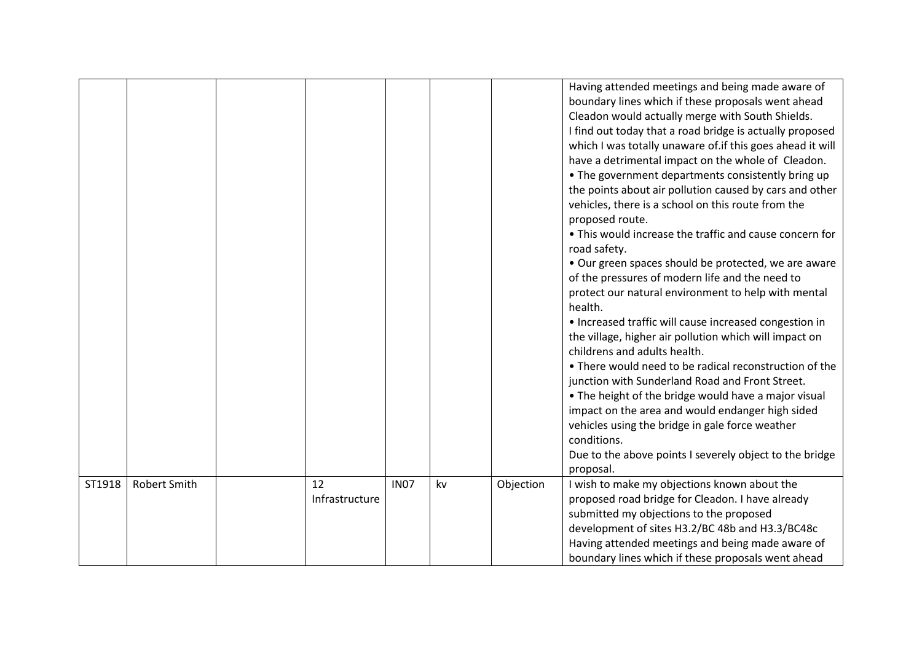|        |                     |                      |             |    |           | Having attended meetings and being made aware of<br>boundary lines which if these proposals went ahead<br>Cleadon would actually merge with South Shields.<br>I find out today that a road bridge is actually proposed<br>which I was totally unaware of if this goes ahead it will<br>have a detrimental impact on the whole of Cleadon.<br>• The government departments consistently bring up<br>the points about air pollution caused by cars and other<br>vehicles, there is a school on this route from the<br>proposed route.<br>• This would increase the traffic and cause concern for<br>road safety.<br>• Our green spaces should be protected, we are aware<br>of the pressures of modern life and the need to<br>protect our natural environment to help with mental<br>health.<br>• Increased traffic will cause increased congestion in<br>the village, higher air pollution which will impact on<br>childrens and adults health.<br>• There would need to be radical reconstruction of the<br>junction with Sunderland Road and Front Street.<br>. The height of the bridge would have a major visual<br>impact on the area and would endanger high sided<br>vehicles using the bridge in gale force weather<br>conditions.<br>Due to the above points I severely object to the bridge<br>proposal. |
|--------|---------------------|----------------------|-------------|----|-----------|--------------------------------------------------------------------------------------------------------------------------------------------------------------------------------------------------------------------------------------------------------------------------------------------------------------------------------------------------------------------------------------------------------------------------------------------------------------------------------------------------------------------------------------------------------------------------------------------------------------------------------------------------------------------------------------------------------------------------------------------------------------------------------------------------------------------------------------------------------------------------------------------------------------------------------------------------------------------------------------------------------------------------------------------------------------------------------------------------------------------------------------------------------------------------------------------------------------------------------------------------------------------------------------------------------------------|
| ST1918 | <b>Robert Smith</b> | 12<br>Infrastructure | <b>IN07</b> | kv | Objection | I wish to make my objections known about the<br>proposed road bridge for Cleadon. I have already<br>submitted my objections to the proposed<br>development of sites H3.2/BC 48b and H3.3/BC48c<br>Having attended meetings and being made aware of<br>boundary lines which if these proposals went ahead                                                                                                                                                                                                                                                                                                                                                                                                                                                                                                                                                                                                                                                                                                                                                                                                                                                                                                                                                                                                           |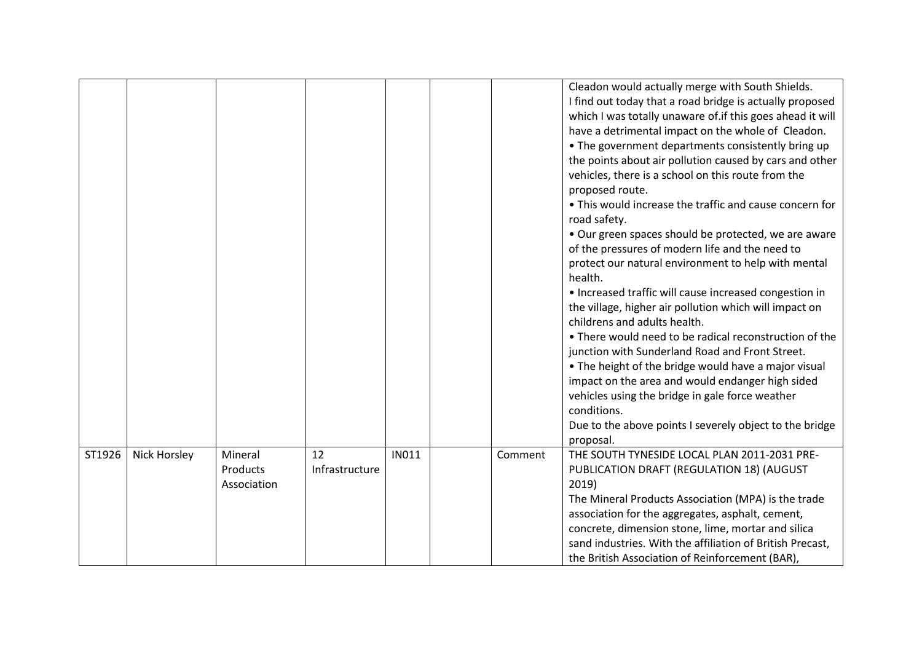|        |                     |                                    |                      |              |         | Cleadon would actually merge with South Shields.<br>I find out today that a road bridge is actually proposed<br>which I was totally unaware of if this goes ahead it will<br>have a detrimental impact on the whole of Cleadon.<br>• The government departments consistently bring up<br>the points about air pollution caused by cars and other<br>vehicles, there is a school on this route from the<br>proposed route.<br>• This would increase the traffic and cause concern for<br>road safety.<br>• Our green spaces should be protected, we are aware<br>of the pressures of modern life and the need to<br>protect our natural environment to help with mental<br>health.<br>• Increased traffic will cause increased congestion in<br>the village, higher air pollution which will impact on<br>childrens and adults health.<br>• There would need to be radical reconstruction of the<br>junction with Sunderland Road and Front Street.<br>• The height of the bridge would have a major visual<br>impact on the area and would endanger high sided<br>vehicles using the bridge in gale force weather<br>conditions. |
|--------|---------------------|------------------------------------|----------------------|--------------|---------|----------------------------------------------------------------------------------------------------------------------------------------------------------------------------------------------------------------------------------------------------------------------------------------------------------------------------------------------------------------------------------------------------------------------------------------------------------------------------------------------------------------------------------------------------------------------------------------------------------------------------------------------------------------------------------------------------------------------------------------------------------------------------------------------------------------------------------------------------------------------------------------------------------------------------------------------------------------------------------------------------------------------------------------------------------------------------------------------------------------------------------|
|        |                     |                                    |                      |              |         | Due to the above points I severely object to the bridge                                                                                                                                                                                                                                                                                                                                                                                                                                                                                                                                                                                                                                                                                                                                                                                                                                                                                                                                                                                                                                                                          |
|        |                     |                                    |                      |              |         | proposal.                                                                                                                                                                                                                                                                                                                                                                                                                                                                                                                                                                                                                                                                                                                                                                                                                                                                                                                                                                                                                                                                                                                        |
| ST1926 | <b>Nick Horsley</b> | Mineral<br>Products<br>Association | 12<br>Infrastructure | <b>IN011</b> | Comment | THE SOUTH TYNESIDE LOCAL PLAN 2011-2031 PRE-<br>PUBLICATION DRAFT (REGULATION 18) (AUGUST<br>2019)<br>The Mineral Products Association (MPA) is the trade<br>association for the aggregates, asphalt, cement,<br>concrete, dimension stone, lime, mortar and silica<br>sand industries. With the affiliation of British Precast,                                                                                                                                                                                                                                                                                                                                                                                                                                                                                                                                                                                                                                                                                                                                                                                                 |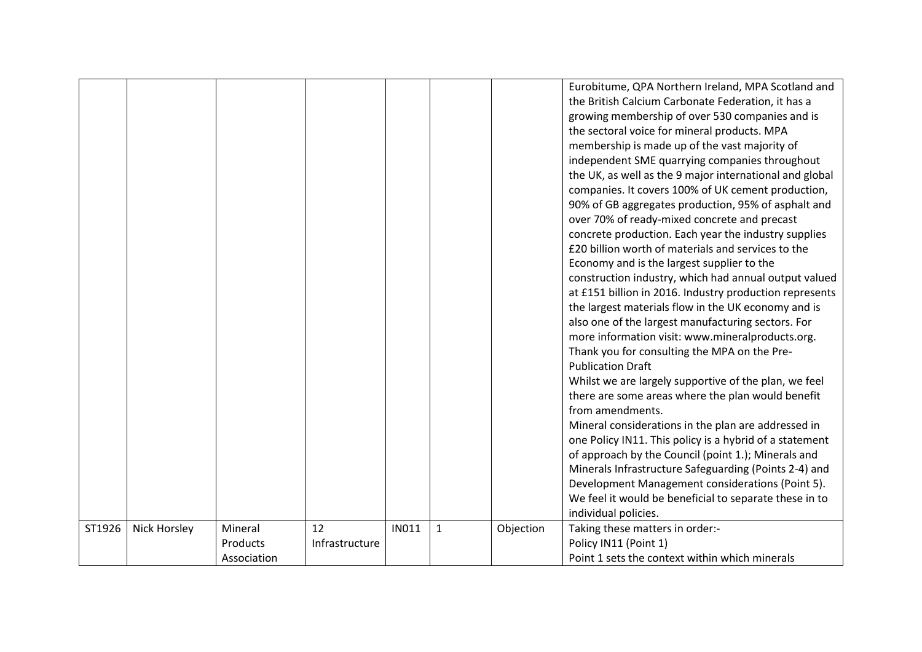|        |              |             |                |              |              |           | Eurobitume, QPA Northern Ireland, MPA Scotland and      |
|--------|--------------|-------------|----------------|--------------|--------------|-----------|---------------------------------------------------------|
|        |              |             |                |              |              |           | the British Calcium Carbonate Federation, it has a      |
|        |              |             |                |              |              |           | growing membership of over 530 companies and is         |
|        |              |             |                |              |              |           | the sectoral voice for mineral products. MPA            |
|        |              |             |                |              |              |           | membership is made up of the vast majority of           |
|        |              |             |                |              |              |           | independent SME quarrying companies throughout          |
|        |              |             |                |              |              |           | the UK, as well as the 9 major international and global |
|        |              |             |                |              |              |           | companies. It covers 100% of UK cement production,      |
|        |              |             |                |              |              |           | 90% of GB aggregates production, 95% of asphalt and     |
|        |              |             |                |              |              |           | over 70% of ready-mixed concrete and precast            |
|        |              |             |                |              |              |           | concrete production. Each year the industry supplies    |
|        |              |             |                |              |              |           | £20 billion worth of materials and services to the      |
|        |              |             |                |              |              |           | Economy and is the largest supplier to the              |
|        |              |             |                |              |              |           | construction industry, which had annual output valued   |
|        |              |             |                |              |              |           | at £151 billion in 2016. Industry production represents |
|        |              |             |                |              |              |           | the largest materials flow in the UK economy and is     |
|        |              |             |                |              |              |           | also one of the largest manufacturing sectors. For      |
|        |              |             |                |              |              |           | more information visit: www.mineralproducts.org.        |
|        |              |             |                |              |              |           | Thank you for consulting the MPA on the Pre-            |
|        |              |             |                |              |              |           | <b>Publication Draft</b>                                |
|        |              |             |                |              |              |           | Whilst we are largely supportive of the plan, we feel   |
|        |              |             |                |              |              |           | there are some areas where the plan would benefit       |
|        |              |             |                |              |              |           | from amendments.                                        |
|        |              |             |                |              |              |           | Mineral considerations in the plan are addressed in     |
|        |              |             |                |              |              |           | one Policy IN11. This policy is a hybrid of a statement |
|        |              |             |                |              |              |           | of approach by the Council (point 1.); Minerals and     |
|        |              |             |                |              |              |           | Minerals Infrastructure Safeguarding (Points 2-4) and   |
|        |              |             |                |              |              |           | Development Management considerations (Point 5).        |
|        |              |             |                |              |              |           | We feel it would be beneficial to separate these in to  |
|        |              |             |                |              |              |           | individual policies.                                    |
| ST1926 | Nick Horsley | Mineral     | 12             | <b>IN011</b> | $\mathbf{1}$ | Objection | Taking these matters in order:-                         |
|        |              | Products    | Infrastructure |              |              |           | Policy IN11 (Point 1)                                   |
|        |              | Association |                |              |              |           | Point 1 sets the context within which minerals          |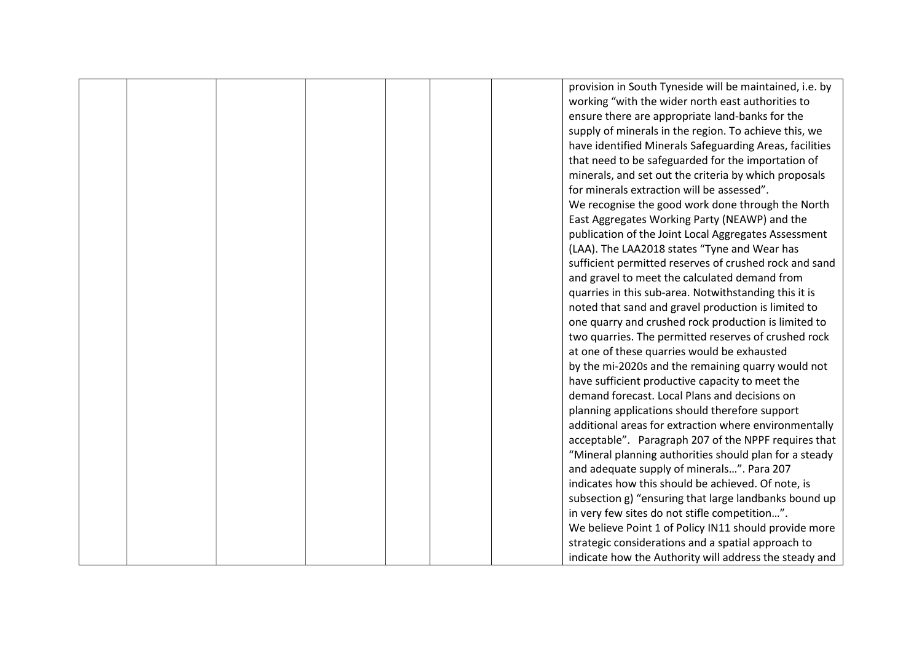|  |  |  | provision in South Tyneside will be maintained, i.e. by |
|--|--|--|---------------------------------------------------------|
|  |  |  | working "with the wider north east authorities to       |
|  |  |  | ensure there are appropriate land-banks for the         |
|  |  |  | supply of minerals in the region. To achieve this, we   |
|  |  |  | have identified Minerals Safeguarding Areas, facilities |
|  |  |  | that need to be safeguarded for the importation of      |
|  |  |  | minerals, and set out the criteria by which proposals   |
|  |  |  | for minerals extraction will be assessed".              |
|  |  |  | We recognise the good work done through the North       |
|  |  |  | East Aggregates Working Party (NEAWP) and the           |
|  |  |  | publication of the Joint Local Aggregates Assessment    |
|  |  |  | (LAA). The LAA2018 states "Tyne and Wear has            |
|  |  |  | sufficient permitted reserves of crushed rock and sand  |
|  |  |  | and gravel to meet the calculated demand from           |
|  |  |  | quarries in this sub-area. Notwithstanding this it is   |
|  |  |  | noted that sand and gravel production is limited to     |
|  |  |  | one quarry and crushed rock production is limited to    |
|  |  |  | two quarries. The permitted reserves of crushed rock    |
|  |  |  | at one of these quarries would be exhausted             |
|  |  |  | by the mi-2020s and the remaining quarry would not      |
|  |  |  | have sufficient productive capacity to meet the         |
|  |  |  | demand forecast. Local Plans and decisions on           |
|  |  |  | planning applications should therefore support          |
|  |  |  | additional areas for extraction where environmentally   |
|  |  |  | acceptable". Paragraph 207 of the NPPF requires that    |
|  |  |  | "Mineral planning authorities should plan for a steady  |
|  |  |  | and adequate supply of minerals". Para 207              |
|  |  |  | indicates how this should be achieved. Of note, is      |
|  |  |  | subsection g) "ensuring that large landbanks bound up   |
|  |  |  | in very few sites do not stifle competition".           |
|  |  |  | We believe Point 1 of Policy IN11 should provide more   |
|  |  |  | strategic considerations and a spatial approach to      |
|  |  |  | indicate how the Authority will address the steady and  |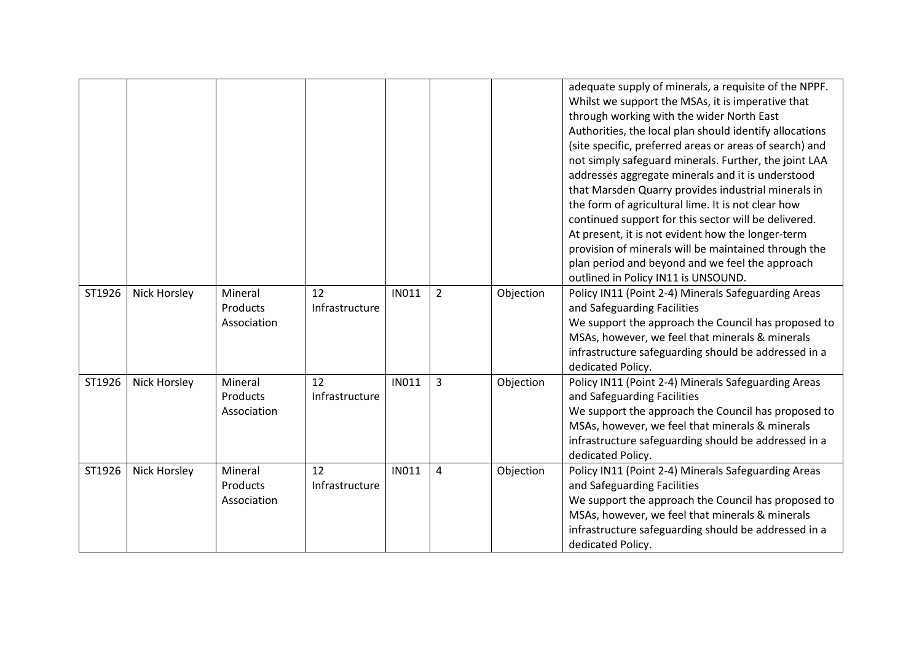|        |                     |                                    |                      |              |                |           | adequate supply of minerals, a requisite of the NPPF.<br>Whilst we support the MSAs, it is imperative that<br>through working with the wider North East<br>Authorities, the local plan should identify allocations<br>(site specific, preferred areas or areas of search) and<br>not simply safeguard minerals. Further, the joint LAA<br>addresses aggregate minerals and it is understood<br>that Marsden Quarry provides industrial minerals in<br>the form of agricultural lime. It is not clear how |
|--------|---------------------|------------------------------------|----------------------|--------------|----------------|-----------|----------------------------------------------------------------------------------------------------------------------------------------------------------------------------------------------------------------------------------------------------------------------------------------------------------------------------------------------------------------------------------------------------------------------------------------------------------------------------------------------------------|
|        |                     |                                    |                      |              |                |           | continued support for this sector will be delivered.<br>At present, it is not evident how the longer-term<br>provision of minerals will be maintained through the<br>plan period and beyond and we feel the approach<br>outlined in Policy IN11 is UNSOUND.                                                                                                                                                                                                                                              |
| ST1926 | <b>Nick Horsley</b> | Mineral<br>Products<br>Association | 12<br>Infrastructure | <b>IN011</b> | $\overline{2}$ | Objection | Policy IN11 (Point 2-4) Minerals Safeguarding Areas<br>and Safeguarding Facilities<br>We support the approach the Council has proposed to<br>MSAs, however, we feel that minerals & minerals<br>infrastructure safeguarding should be addressed in a<br>dedicated Policy.                                                                                                                                                                                                                                |
| ST1926 | Nick Horsley        | Mineral<br>Products<br>Association | 12<br>Infrastructure | <b>IN011</b> | $\overline{3}$ | Objection | Policy IN11 (Point 2-4) Minerals Safeguarding Areas<br>and Safeguarding Facilities<br>We support the approach the Council has proposed to<br>MSAs, however, we feel that minerals & minerals<br>infrastructure safeguarding should be addressed in a<br>dedicated Policy.                                                                                                                                                                                                                                |
| ST1926 | Nick Horsley        | Mineral<br>Products<br>Association | 12<br>Infrastructure | <b>IN011</b> | 4              | Objection | Policy IN11 (Point 2-4) Minerals Safeguarding Areas<br>and Safeguarding Facilities<br>We support the approach the Council has proposed to<br>MSAs, however, we feel that minerals & minerals<br>infrastructure safeguarding should be addressed in a<br>dedicated Policy.                                                                                                                                                                                                                                |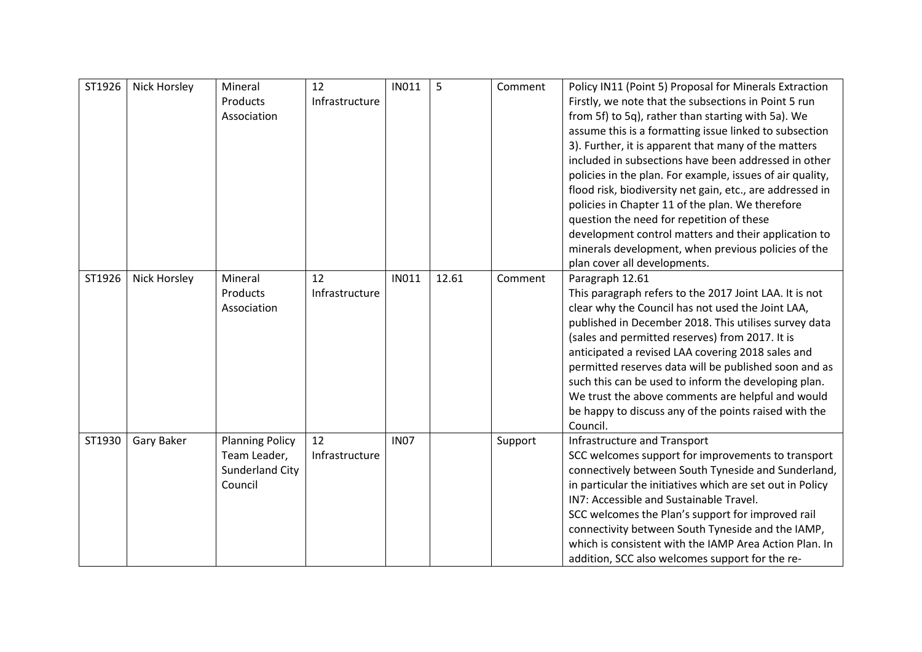| ST1926 | <b>Nick Horsley</b> | Mineral<br>Products<br>Association                                          | 12<br>Infrastructure | <b>IN011</b> | 5     | Comment | Policy IN11 (Point 5) Proposal for Minerals Extraction<br>Firstly, we note that the subsections in Point 5 run<br>from 5f) to 5q), rather than starting with 5a). We<br>assume this is a formatting issue linked to subsection<br>3). Further, it is apparent that many of the matters<br>included in subsections have been addressed in other<br>policies in the plan. For example, issues of air quality,<br>flood risk, biodiversity net gain, etc., are addressed in<br>policies in Chapter 11 of the plan. We therefore<br>question the need for repetition of these<br>development control matters and their application to<br>minerals development, when previous policies of the<br>plan cover all developments. |
|--------|---------------------|-----------------------------------------------------------------------------|----------------------|--------------|-------|---------|--------------------------------------------------------------------------------------------------------------------------------------------------------------------------------------------------------------------------------------------------------------------------------------------------------------------------------------------------------------------------------------------------------------------------------------------------------------------------------------------------------------------------------------------------------------------------------------------------------------------------------------------------------------------------------------------------------------------------|
| ST1926 | <b>Nick Horsley</b> | Mineral<br>Products<br>Association                                          | 12<br>Infrastructure | <b>IN011</b> | 12.61 | Comment | Paragraph 12.61<br>This paragraph refers to the 2017 Joint LAA. It is not<br>clear why the Council has not used the Joint LAA,<br>published in December 2018. This utilises survey data<br>(sales and permitted reserves) from 2017. It is<br>anticipated a revised LAA covering 2018 sales and<br>permitted reserves data will be published soon and as<br>such this can be used to inform the developing plan.<br>We trust the above comments are helpful and would<br>be happy to discuss any of the points raised with the<br>Council.                                                                                                                                                                               |
| ST1930 | Gary Baker          | <b>Planning Policy</b><br>Team Leader,<br><b>Sunderland City</b><br>Council | 12<br>Infrastructure | <b>IN07</b>  |       | Support | Infrastructure and Transport<br>SCC welcomes support for improvements to transport<br>connectively between South Tyneside and Sunderland,<br>in particular the initiatives which are set out in Policy<br>IN7: Accessible and Sustainable Travel.<br>SCC welcomes the Plan's support for improved rail<br>connectivity between South Tyneside and the IAMP,<br>which is consistent with the IAMP Area Action Plan. In<br>addition, SCC also welcomes support for the re-                                                                                                                                                                                                                                                 |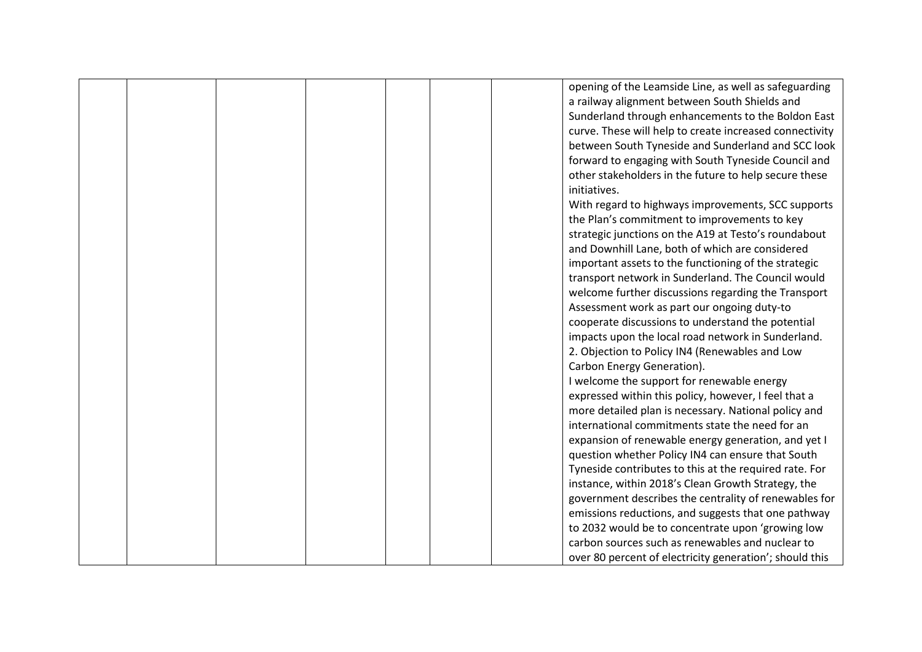|  |  |  | opening of the Leamside Line, as well as safeguarding   |
|--|--|--|---------------------------------------------------------|
|  |  |  | a railway alignment between South Shields and           |
|  |  |  | Sunderland through enhancements to the Boldon East      |
|  |  |  | curve. These will help to create increased connectivity |
|  |  |  | between South Tyneside and Sunderland and SCC look      |
|  |  |  | forward to engaging with South Tyneside Council and     |
|  |  |  | other stakeholders in the future to help secure these   |
|  |  |  | initiatives.                                            |
|  |  |  | With regard to highways improvements, SCC supports      |
|  |  |  | the Plan's commitment to improvements to key            |
|  |  |  | strategic junctions on the A19 at Testo's roundabout    |
|  |  |  | and Downhill Lane, both of which are considered         |
|  |  |  | important assets to the functioning of the strategic    |
|  |  |  | transport network in Sunderland. The Council would      |
|  |  |  | welcome further discussions regarding the Transport     |
|  |  |  | Assessment work as part our ongoing duty-to             |
|  |  |  | cooperate discussions to understand the potential       |
|  |  |  | impacts upon the local road network in Sunderland.      |
|  |  |  | 2. Objection to Policy IN4 (Renewables and Low          |
|  |  |  | Carbon Energy Generation).                              |
|  |  |  | I welcome the support for renewable energy              |
|  |  |  | expressed within this policy, however, I feel that a    |
|  |  |  | more detailed plan is necessary. National policy and    |
|  |  |  | international commitments state the need for an         |
|  |  |  | expansion of renewable energy generation, and yet I     |
|  |  |  | question whether Policy IN4 can ensure that South       |
|  |  |  | Tyneside contributes to this at the required rate. For  |
|  |  |  | instance, within 2018's Clean Growth Strategy, the      |
|  |  |  | government describes the centrality of renewables for   |
|  |  |  | emissions reductions, and suggests that one pathway     |
|  |  |  | to 2032 would be to concentrate upon 'growing low       |
|  |  |  | carbon sources such as renewables and nuclear to        |
|  |  |  | over 80 percent of electricity generation'; should this |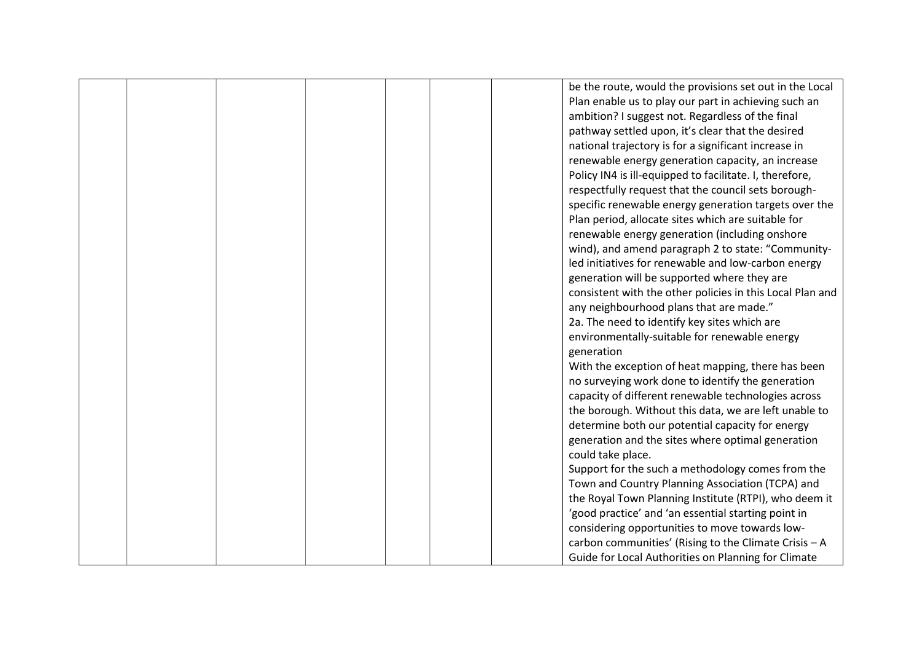|  |  |  | be the route, would the provisions set out in the Local   |
|--|--|--|-----------------------------------------------------------|
|  |  |  | Plan enable us to play our part in achieving such an      |
|  |  |  | ambition? I suggest not. Regardless of the final          |
|  |  |  | pathway settled upon, it's clear that the desired         |
|  |  |  | national trajectory is for a significant increase in      |
|  |  |  | renewable energy generation capacity, an increase         |
|  |  |  | Policy IN4 is ill-equipped to facilitate. I, therefore,   |
|  |  |  | respectfully request that the council sets borough-       |
|  |  |  | specific renewable energy generation targets over the     |
|  |  |  | Plan period, allocate sites which are suitable for        |
|  |  |  | renewable energy generation (including onshore            |
|  |  |  | wind), and amend paragraph 2 to state: "Community-        |
|  |  |  | led initiatives for renewable and low-carbon energy       |
|  |  |  | generation will be supported where they are               |
|  |  |  | consistent with the other policies in this Local Plan and |
|  |  |  | any neighbourhood plans that are made."                   |
|  |  |  | 2a. The need to identify key sites which are              |
|  |  |  | environmentally-suitable for renewable energy             |
|  |  |  | generation                                                |
|  |  |  | With the exception of heat mapping, there has been        |
|  |  |  | no surveying work done to identify the generation         |
|  |  |  | capacity of different renewable technologies across       |
|  |  |  | the borough. Without this data, we are left unable to     |
|  |  |  | determine both our potential capacity for energy          |
|  |  |  | generation and the sites where optimal generation         |
|  |  |  | could take place.                                         |
|  |  |  | Support for the such a methodology comes from the         |
|  |  |  | Town and Country Planning Association (TCPA) and          |
|  |  |  | the Royal Town Planning Institute (RTPI), who deem it     |
|  |  |  |                                                           |
|  |  |  | 'good practice' and 'an essential starting point in       |
|  |  |  | considering opportunities to move towards low-            |
|  |  |  | carbon communities' (Rising to the Climate Crisis - A     |
|  |  |  | Guide for Local Authorities on Planning for Climate       |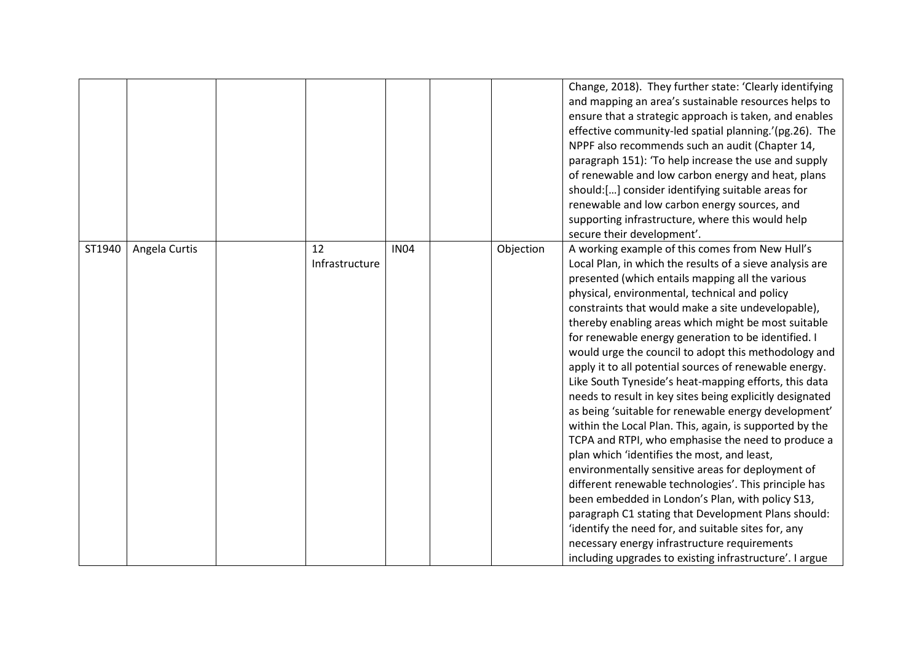|        |               |                      |             |           | Change, 2018). They further state: 'Clearly identifying<br>and mapping an area's sustainable resources helps to<br>ensure that a strategic approach is taken, and enables<br>effective community-led spatial planning.'(pg.26). The<br>NPPF also recommends such an audit (Chapter 14,<br>paragraph 151): 'To help increase the use and supply<br>of renewable and low carbon energy and heat, plans<br>should:[] consider identifying suitable areas for<br>renewable and low carbon energy sources, and<br>supporting infrastructure, where this would help<br>secure their development'.                                                                                                                                                                                                                                                                                                                                                                                                                                                                                                                                                                                                                                                    |
|--------|---------------|----------------------|-------------|-----------|------------------------------------------------------------------------------------------------------------------------------------------------------------------------------------------------------------------------------------------------------------------------------------------------------------------------------------------------------------------------------------------------------------------------------------------------------------------------------------------------------------------------------------------------------------------------------------------------------------------------------------------------------------------------------------------------------------------------------------------------------------------------------------------------------------------------------------------------------------------------------------------------------------------------------------------------------------------------------------------------------------------------------------------------------------------------------------------------------------------------------------------------------------------------------------------------------------------------------------------------|
| ST1940 | Angela Curtis | 12<br>Infrastructure | <b>IN04</b> | Objection | A working example of this comes from New Hull's<br>Local Plan, in which the results of a sieve analysis are<br>presented (which entails mapping all the various<br>physical, environmental, technical and policy<br>constraints that would make a site undevelopable),<br>thereby enabling areas which might be most suitable<br>for renewable energy generation to be identified. I<br>would urge the council to adopt this methodology and<br>apply it to all potential sources of renewable energy.<br>Like South Tyneside's heat-mapping efforts, this data<br>needs to result in key sites being explicitly designated<br>as being 'suitable for renewable energy development'<br>within the Local Plan. This, again, is supported by the<br>TCPA and RTPI, who emphasise the need to produce a<br>plan which 'identifies the most, and least,<br>environmentally sensitive areas for deployment of<br>different renewable technologies'. This principle has<br>been embedded in London's Plan, with policy S13,<br>paragraph C1 stating that Development Plans should:<br>'identify the need for, and suitable sites for, any<br>necessary energy infrastructure requirements<br>including upgrades to existing infrastructure'. I argue |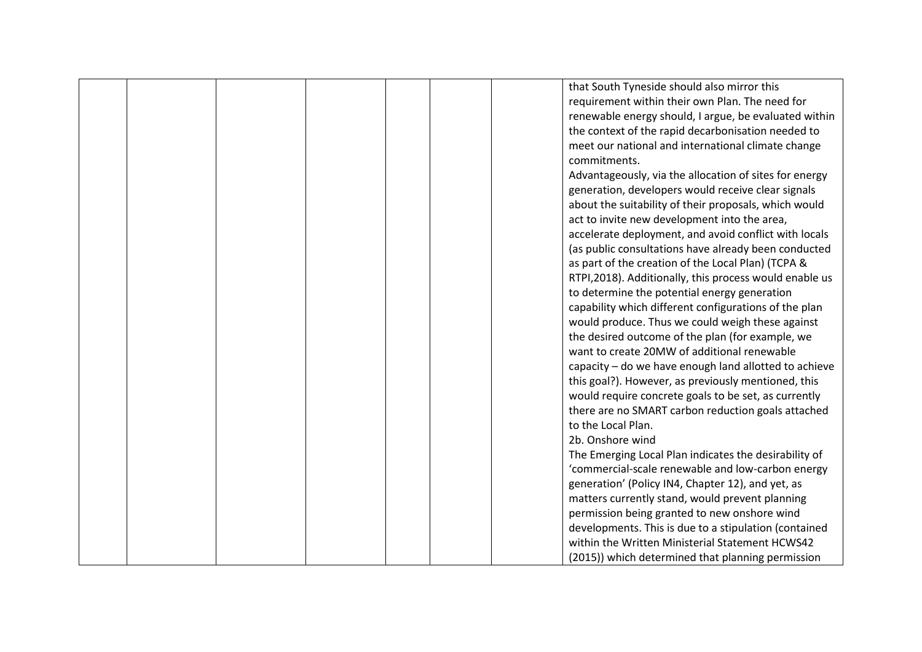|  |  |  | that South Tyneside should also mirror this            |
|--|--|--|--------------------------------------------------------|
|  |  |  | requirement within their own Plan. The need for        |
|  |  |  | renewable energy should, I argue, be evaluated within  |
|  |  |  | the context of the rapid decarbonisation needed to     |
|  |  |  | meet our national and international climate change     |
|  |  |  | commitments.                                           |
|  |  |  | Advantageously, via the allocation of sites for energy |
|  |  |  | generation, developers would receive clear signals     |
|  |  |  | about the suitability of their proposals, which would  |
|  |  |  | act to invite new development into the area,           |
|  |  |  | accelerate deployment, and avoid conflict with locals  |
|  |  |  | (as public consultations have already been conducted   |
|  |  |  | as part of the creation of the Local Plan) (TCPA &     |
|  |  |  | RTPI,2018). Additionally, this process would enable us |
|  |  |  | to determine the potential energy generation           |
|  |  |  | capability which different configurations of the plan  |
|  |  |  | would produce. Thus we could weigh these against       |
|  |  |  | the desired outcome of the plan (for example, we       |
|  |  |  | want to create 20MW of additional renewable            |
|  |  |  | capacity - do we have enough land allotted to achieve  |
|  |  |  | this goal?). However, as previously mentioned, this    |
|  |  |  | would require concrete goals to be set, as currently   |
|  |  |  | there are no SMART carbon reduction goals attached     |
|  |  |  | to the Local Plan.                                     |
|  |  |  | 2b. Onshore wind                                       |
|  |  |  | The Emerging Local Plan indicates the desirability of  |
|  |  |  | 'commercial-scale renewable and low-carbon energy      |
|  |  |  | generation' (Policy IN4, Chapter 12), and yet, as      |
|  |  |  | matters currently stand, would prevent planning        |
|  |  |  | permission being granted to new onshore wind           |
|  |  |  | developments. This is due to a stipulation (contained  |
|  |  |  | within the Written Ministerial Statement HCWS42        |
|  |  |  | (2015)) which determined that planning permission      |
|  |  |  |                                                        |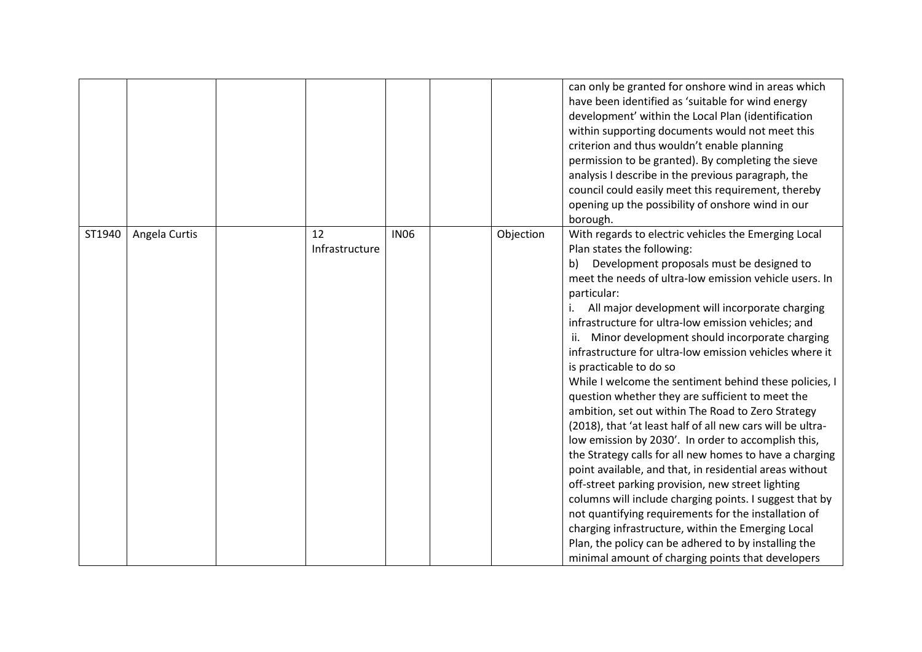|        |               |                      |             |           | can only be granted for onshore wind in areas which<br>have been identified as 'suitable for wind energy<br>development' within the Local Plan (identification<br>within supporting documents would not meet this<br>criterion and thus wouldn't enable planning<br>permission to be granted). By completing the sieve<br>analysis I describe in the previous paragraph, the<br>council could easily meet this requirement, thereby<br>opening up the possibility of onshore wind in our<br>borough.                                                                                                                                                                                                                                                                                                                                                                                                                                                                                                                                                                                                                                                                                                                      |
|--------|---------------|----------------------|-------------|-----------|---------------------------------------------------------------------------------------------------------------------------------------------------------------------------------------------------------------------------------------------------------------------------------------------------------------------------------------------------------------------------------------------------------------------------------------------------------------------------------------------------------------------------------------------------------------------------------------------------------------------------------------------------------------------------------------------------------------------------------------------------------------------------------------------------------------------------------------------------------------------------------------------------------------------------------------------------------------------------------------------------------------------------------------------------------------------------------------------------------------------------------------------------------------------------------------------------------------------------|
| ST1940 | Angela Curtis | 12<br>Infrastructure | <b>IN06</b> | Objection | With regards to electric vehicles the Emerging Local<br>Plan states the following:<br>Development proposals must be designed to<br>b)<br>meet the needs of ultra-low emission vehicle users. In<br>particular:<br>All major development will incorporate charging<br>infrastructure for ultra-low emission vehicles; and<br>Minor development should incorporate charging<br>infrastructure for ultra-low emission vehicles where it<br>is practicable to do so<br>While I welcome the sentiment behind these policies, I<br>question whether they are sufficient to meet the<br>ambition, set out within The Road to Zero Strategy<br>(2018), that 'at least half of all new cars will be ultra-<br>low emission by 2030'. In order to accomplish this,<br>the Strategy calls for all new homes to have a charging<br>point available, and that, in residential areas without<br>off-street parking provision, new street lighting<br>columns will include charging points. I suggest that by<br>not quantifying requirements for the installation of<br>charging infrastructure, within the Emerging Local<br>Plan, the policy can be adhered to by installing the<br>minimal amount of charging points that developers |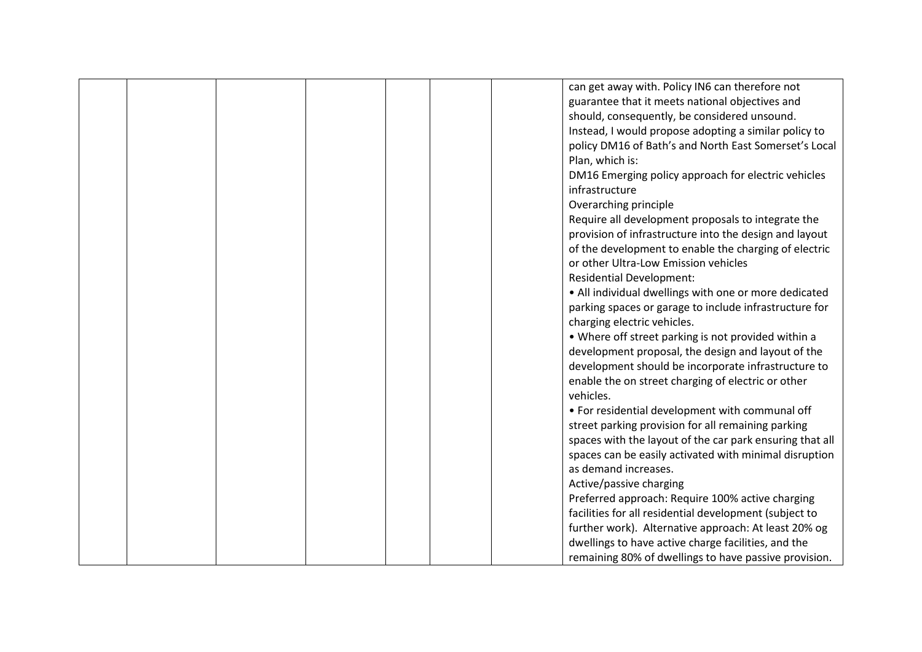|  |  |  | can get away with. Policy IN6 can therefore not          |
|--|--|--|----------------------------------------------------------|
|  |  |  | guarantee that it meets national objectives and          |
|  |  |  | should, consequently, be considered unsound.             |
|  |  |  | Instead, I would propose adopting a similar policy to    |
|  |  |  | policy DM16 of Bath's and North East Somerset's Local    |
|  |  |  | Plan, which is:                                          |
|  |  |  | DM16 Emerging policy approach for electric vehicles      |
|  |  |  | infrastructure                                           |
|  |  |  | Overarching principle                                    |
|  |  |  | Require all development proposals to integrate the       |
|  |  |  | provision of infrastructure into the design and layout   |
|  |  |  | of the development to enable the charging of electric    |
|  |  |  | or other Ultra-Low Emission vehicles                     |
|  |  |  |                                                          |
|  |  |  | <b>Residential Development:</b>                          |
|  |  |  | • All individual dwellings with one or more dedicated    |
|  |  |  | parking spaces or garage to include infrastructure for   |
|  |  |  | charging electric vehicles.                              |
|  |  |  | • Where off street parking is not provided within a      |
|  |  |  | development proposal, the design and layout of the       |
|  |  |  | development should be incorporate infrastructure to      |
|  |  |  | enable the on street charging of electric or other       |
|  |  |  | vehicles.                                                |
|  |  |  | • For residential development with communal off          |
|  |  |  | street parking provision for all remaining parking       |
|  |  |  | spaces with the layout of the car park ensuring that all |
|  |  |  | spaces can be easily activated with minimal disruption   |
|  |  |  | as demand increases.                                     |
|  |  |  | Active/passive charging                                  |
|  |  |  | Preferred approach: Require 100% active charging         |
|  |  |  | facilities for all residential development (subject to   |
|  |  |  | further work). Alternative approach: At least 20% og     |
|  |  |  | dwellings to have active charge facilities, and the      |
|  |  |  | remaining 80% of dwellings to have passive provision.    |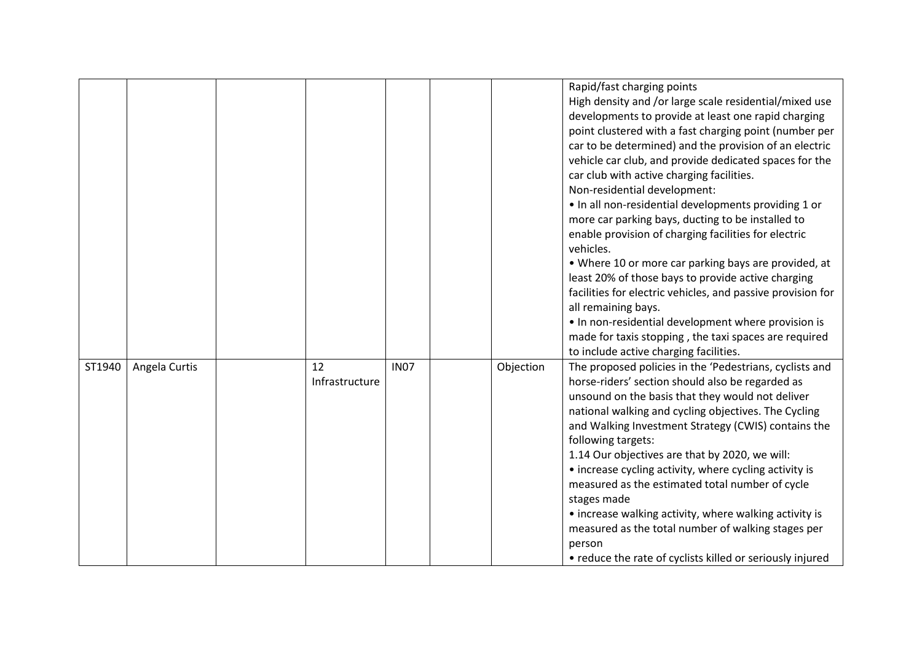|        |               |                      |             |           | Rapid/fast charging points<br>High density and /or large scale residential/mixed use<br>developments to provide at least one rapid charging<br>point clustered with a fast charging point (number per<br>car to be determined) and the provision of an electric<br>vehicle car club, and provide dedicated spaces for the<br>car club with active charging facilities.<br>Non-residential development:<br>. In all non-residential developments providing 1 or<br>more car parking bays, ducting to be installed to<br>enable provision of charging facilities for electric<br>vehicles.<br>• Where 10 or more car parking bays are provided, at<br>least 20% of those bays to provide active charging<br>facilities for electric vehicles, and passive provision for<br>all remaining bays.<br>• In non-residential development where provision is<br>made for taxis stopping, the taxi spaces are required<br>to include active charging facilities. |
|--------|---------------|----------------------|-------------|-----------|--------------------------------------------------------------------------------------------------------------------------------------------------------------------------------------------------------------------------------------------------------------------------------------------------------------------------------------------------------------------------------------------------------------------------------------------------------------------------------------------------------------------------------------------------------------------------------------------------------------------------------------------------------------------------------------------------------------------------------------------------------------------------------------------------------------------------------------------------------------------------------------------------------------------------------------------------------|
| ST1940 | Angela Curtis | 12<br>Infrastructure | <b>IN07</b> | Objection | The proposed policies in the 'Pedestrians, cyclists and<br>horse-riders' section should also be regarded as<br>unsound on the basis that they would not deliver<br>national walking and cycling objectives. The Cycling<br>and Walking Investment Strategy (CWIS) contains the<br>following targets:<br>1.14 Our objectives are that by 2020, we will:<br>• increase cycling activity, where cycling activity is<br>measured as the estimated total number of cycle<br>stages made<br>• increase walking activity, where walking activity is<br>measured as the total number of walking stages per<br>person<br>• reduce the rate of cyclists killed or seriously injured                                                                                                                                                                                                                                                                              |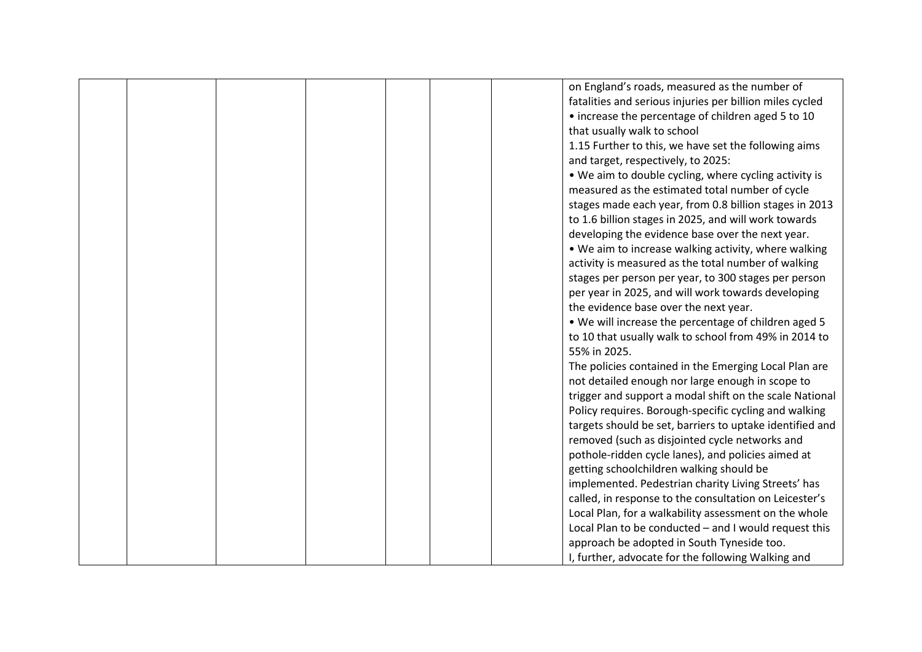|  |  |  | on England's roads, measured as the number of            |
|--|--|--|----------------------------------------------------------|
|  |  |  |                                                          |
|  |  |  | fatalities and serious injuries per billion miles cycled |
|  |  |  | • increase the percentage of children aged 5 to 10       |
|  |  |  | that usually walk to school                              |
|  |  |  | 1.15 Further to this, we have set the following aims     |
|  |  |  | and target, respectively, to 2025:                       |
|  |  |  | . We aim to double cycling, where cycling activity is    |
|  |  |  | measured as the estimated total number of cycle          |
|  |  |  | stages made each year, from 0.8 billion stages in 2013   |
|  |  |  | to 1.6 billion stages in 2025, and will work towards     |
|  |  |  | developing the evidence base over the next year.         |
|  |  |  | . We aim to increase walking activity, where walking     |
|  |  |  | activity is measured as the total number of walking      |
|  |  |  | stages per person per year, to 300 stages per person     |
|  |  |  | per year in 2025, and will work towards developing       |
|  |  |  | the evidence base over the next year.                    |
|  |  |  | . We will increase the percentage of children aged 5     |
|  |  |  | to 10 that usually walk to school from 49% in 2014 to    |
|  |  |  | 55% in 2025.                                             |
|  |  |  | The policies contained in the Emerging Local Plan are    |
|  |  |  | not detailed enough nor large enough in scope to         |
|  |  |  | trigger and support a modal shift on the scale National  |
|  |  |  | Policy requires. Borough-specific cycling and walking    |
|  |  |  |                                                          |
|  |  |  | targets should be set, barriers to uptake identified and |
|  |  |  | removed (such as disjointed cycle networks and           |
|  |  |  | pothole-ridden cycle lanes), and policies aimed at       |
|  |  |  | getting schoolchildren walking should be                 |
|  |  |  | implemented. Pedestrian charity Living Streets' has      |
|  |  |  | called, in response to the consultation on Leicester's   |
|  |  |  | Local Plan, for a walkability assessment on the whole    |
|  |  |  | Local Plan to be conducted - and I would request this    |
|  |  |  | approach be adopted in South Tyneside too.               |
|  |  |  | I, further, advocate for the following Walking and       |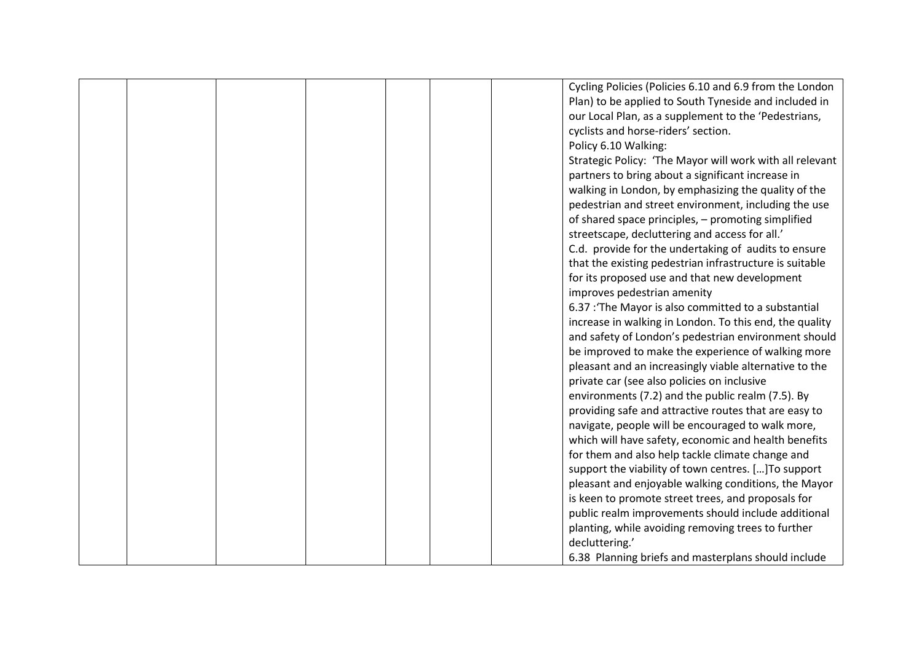|  |  |  | Cycling Policies (Policies 6.10 and 6.9 from the London  |
|--|--|--|----------------------------------------------------------|
|  |  |  |                                                          |
|  |  |  | Plan) to be applied to South Tyneside and included in    |
|  |  |  | our Local Plan, as a supplement to the 'Pedestrians,     |
|  |  |  | cyclists and horse-riders' section.                      |
|  |  |  | Policy 6.10 Walking:                                     |
|  |  |  | Strategic Policy: 'The Mayor will work with all relevant |
|  |  |  | partners to bring about a significant increase in        |
|  |  |  | walking in London, by emphasizing the quality of the     |
|  |  |  | pedestrian and street environment, including the use     |
|  |  |  | of shared space principles, - promoting simplified       |
|  |  |  | streetscape, decluttering and access for all.'           |
|  |  |  | C.d. provide for the undertaking of audits to ensure     |
|  |  |  | that the existing pedestrian infrastructure is suitable  |
|  |  |  | for its proposed use and that new development            |
|  |  |  | improves pedestrian amenity                              |
|  |  |  | 6.37 : The Mayor is also committed to a substantial      |
|  |  |  | increase in walking in London. To this end, the quality  |
|  |  |  | and safety of London's pedestrian environment should     |
|  |  |  | be improved to make the experience of walking more       |
|  |  |  | pleasant and an increasingly viable alternative to the   |
|  |  |  | private car (see also policies on inclusive              |
|  |  |  | environments (7.2) and the public realm (7.5). By        |
|  |  |  | providing safe and attractive routes that are easy to    |
|  |  |  | navigate, people will be encouraged to walk more,        |
|  |  |  | which will have safety, economic and health benefits     |
|  |  |  | for them and also help tackle climate change and         |
|  |  |  |                                                          |
|  |  |  | support the viability of town centres. [] To support     |
|  |  |  | pleasant and enjoyable walking conditions, the Mayor     |
|  |  |  | is keen to promote street trees, and proposals for       |
|  |  |  | public realm improvements should include additional      |
|  |  |  | planting, while avoiding removing trees to further       |
|  |  |  | decluttering.'                                           |
|  |  |  | 6.38 Planning briefs and masterplans should include      |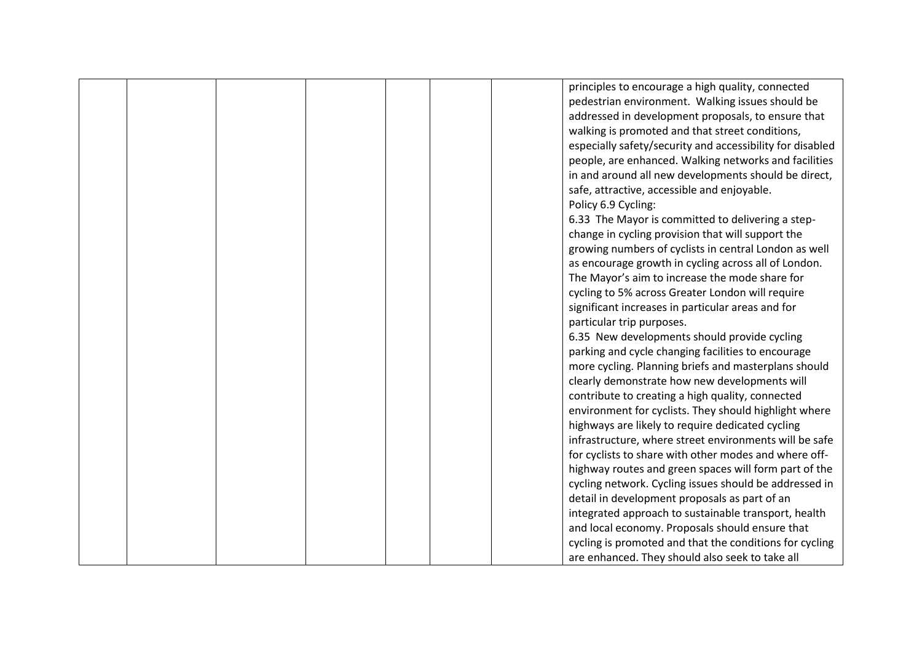|  |  |  | principles to encourage a high quality, connected         |
|--|--|--|-----------------------------------------------------------|
|  |  |  | pedestrian environment. Walking issues should be          |
|  |  |  | addressed in development proposals, to ensure that        |
|  |  |  | walking is promoted and that street conditions,           |
|  |  |  | especially safety/security and accessibility for disabled |
|  |  |  | people, are enhanced. Walking networks and facilities     |
|  |  |  | in and around all new developments should be direct,      |
|  |  |  | safe, attractive, accessible and enjoyable.               |
|  |  |  | Policy 6.9 Cycling:                                       |
|  |  |  | 6.33 The Mayor is committed to delivering a step-         |
|  |  |  | change in cycling provision that will support the         |
|  |  |  | growing numbers of cyclists in central London as well     |
|  |  |  | as encourage growth in cycling across all of London.      |
|  |  |  | The Mayor's aim to increase the mode share for            |
|  |  |  |                                                           |
|  |  |  | cycling to 5% across Greater London will require          |
|  |  |  | significant increases in particular areas and for         |
|  |  |  | particular trip purposes.                                 |
|  |  |  | 6.35 New developments should provide cycling              |
|  |  |  | parking and cycle changing facilities to encourage        |
|  |  |  | more cycling. Planning briefs and masterplans should      |
|  |  |  | clearly demonstrate how new developments will             |
|  |  |  | contribute to creating a high quality, connected          |
|  |  |  | environment for cyclists. They should highlight where     |
|  |  |  | highways are likely to require dedicated cycling          |
|  |  |  | infrastructure, where street environments will be safe    |
|  |  |  | for cyclists to share with other modes and where off-     |
|  |  |  | highway routes and green spaces will form part of the     |
|  |  |  | cycling network. Cycling issues should be addressed in    |
|  |  |  | detail in development proposals as part of an             |
|  |  |  | integrated approach to sustainable transport, health      |
|  |  |  | and local economy. Proposals should ensure that           |
|  |  |  | cycling is promoted and that the conditions for cycling   |
|  |  |  | are enhanced. They should also seek to take all           |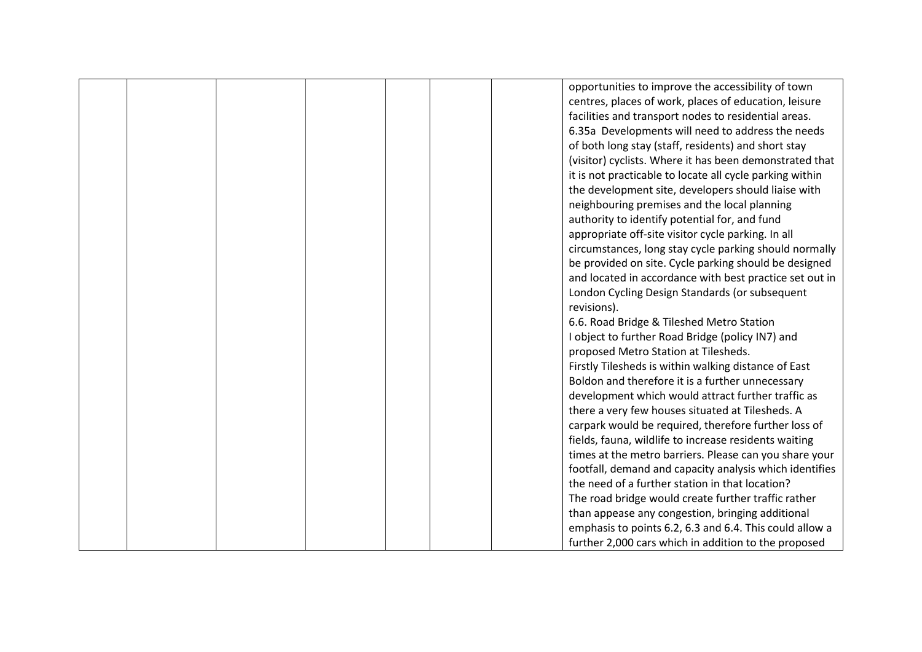|  |  |  | opportunities to improve the accessibility of town       |
|--|--|--|----------------------------------------------------------|
|  |  |  | centres, places of work, places of education, leisure    |
|  |  |  | facilities and transport nodes to residential areas.     |
|  |  |  | 6.35a Developments will need to address the needs        |
|  |  |  | of both long stay (staff, residents) and short stay      |
|  |  |  | (visitor) cyclists. Where it has been demonstrated that  |
|  |  |  | it is not practicable to locate all cycle parking within |
|  |  |  | the development site, developers should liaise with      |
|  |  |  | neighbouring premises and the local planning             |
|  |  |  | authority to identify potential for, and fund            |
|  |  |  | appropriate off-site visitor cycle parking. In all       |
|  |  |  | circumstances, long stay cycle parking should normally   |
|  |  |  | be provided on site. Cycle parking should be designed    |
|  |  |  | and located in accordance with best practice set out in  |
|  |  |  | London Cycling Design Standards (or subsequent           |
|  |  |  | revisions).                                              |
|  |  |  | 6.6. Road Bridge & Tileshed Metro Station                |
|  |  |  | I object to further Road Bridge (policy IN7) and         |
|  |  |  | proposed Metro Station at Tilesheds.                     |
|  |  |  | Firstly Tilesheds is within walking distance of East     |
|  |  |  | Boldon and therefore it is a further unnecessary         |
|  |  |  | development which would attract further traffic as       |
|  |  |  | there a very few houses situated at Tilesheds. A         |
|  |  |  | carpark would be required, therefore further loss of     |
|  |  |  | fields, fauna, wildlife to increase residents waiting    |
|  |  |  | times at the metro barriers. Please can you share your   |
|  |  |  | footfall, demand and capacity analysis which identifies  |
|  |  |  | the need of a further station in that location?          |
|  |  |  | The road bridge would create further traffic rather      |
|  |  |  | than appease any congestion, bringing additional         |
|  |  |  | emphasis to points 6.2, 6.3 and 6.4. This could allow a  |
|  |  |  | further 2,000 cars which in addition to the proposed     |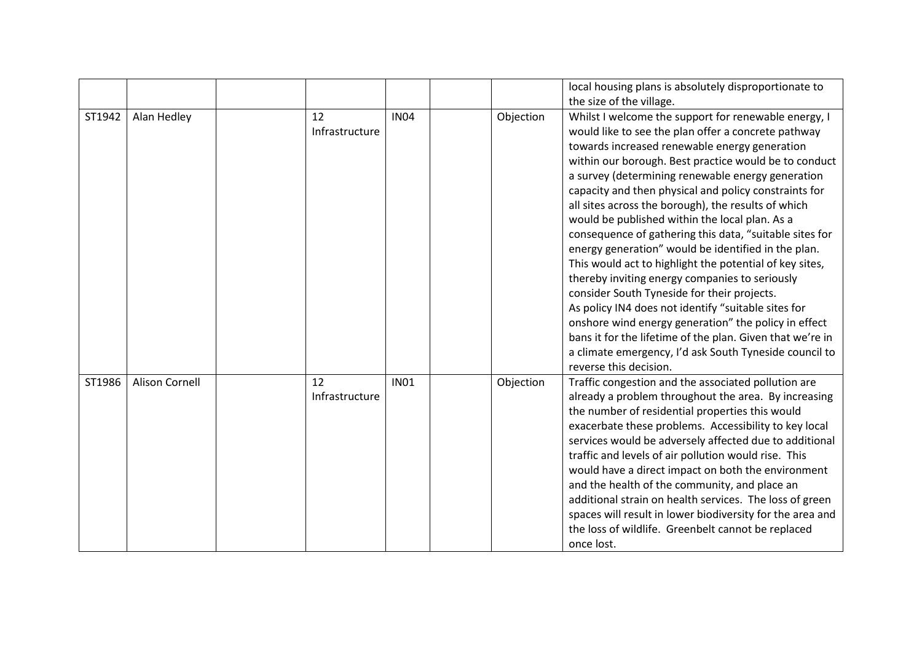|        |                       |    |                               |           | local housing plans is absolutely disproportionate to<br>the size of the village.                                                                                                                                                                                                                                                                                                                                                                                                                                                                                                                                                                                                                                                                                                                                                                                                                                                                                                          |
|--------|-----------------------|----|-------------------------------|-----------|--------------------------------------------------------------------------------------------------------------------------------------------------------------------------------------------------------------------------------------------------------------------------------------------------------------------------------------------------------------------------------------------------------------------------------------------------------------------------------------------------------------------------------------------------------------------------------------------------------------------------------------------------------------------------------------------------------------------------------------------------------------------------------------------------------------------------------------------------------------------------------------------------------------------------------------------------------------------------------------------|
| ST1942 | Alan Hedley           | 12 | <b>IN04</b><br>Infrastructure | Objection | Whilst I welcome the support for renewable energy, I<br>would like to see the plan offer a concrete pathway<br>towards increased renewable energy generation<br>within our borough. Best practice would be to conduct<br>a survey (determining renewable energy generation<br>capacity and then physical and policy constraints for<br>all sites across the borough), the results of which<br>would be published within the local plan. As a<br>consequence of gathering this data, "suitable sites for<br>energy generation" would be identified in the plan.<br>This would act to highlight the potential of key sites,<br>thereby inviting energy companies to seriously<br>consider South Tyneside for their projects.<br>As policy IN4 does not identify "suitable sites for<br>onshore wind energy generation" the policy in effect<br>bans it for the lifetime of the plan. Given that we're in<br>a climate emergency, I'd ask South Tyneside council to<br>reverse this decision. |
| ST1986 | <b>Alison Cornell</b> | 12 | <b>IN01</b><br>Infrastructure | Objection | Traffic congestion and the associated pollution are<br>already a problem throughout the area. By increasing<br>the number of residential properties this would<br>exacerbate these problems. Accessibility to key local<br>services would be adversely affected due to additional<br>traffic and levels of air pollution would rise. This<br>would have a direct impact on both the environment<br>and the health of the community, and place an<br>additional strain on health services. The loss of green<br>spaces will result in lower biodiversity for the area and<br>the loss of wildlife. Greenbelt cannot be replaced<br>once lost.                                                                                                                                                                                                                                                                                                                                               |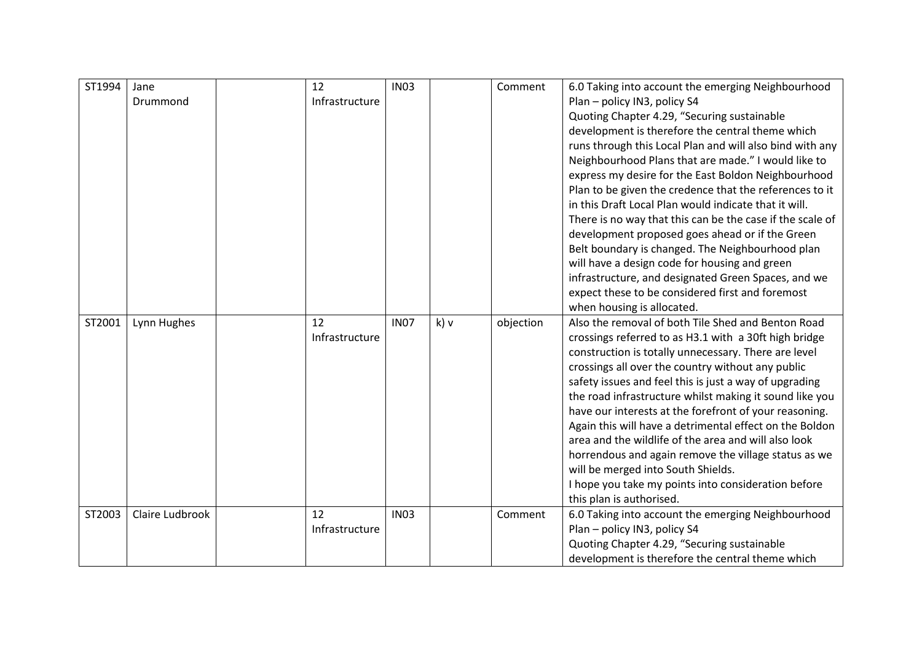| ST1994 | Jane            | 12             | <b>IN03</b> |      | Comment   | 6.0 Taking into account the emerging Neighbourhood                                                              |
|--------|-----------------|----------------|-------------|------|-----------|-----------------------------------------------------------------------------------------------------------------|
|        | Drummond        | Infrastructure |             |      |           | Plan - policy IN3, policy S4                                                                                    |
|        |                 |                |             |      |           | Quoting Chapter 4.29, "Securing sustainable                                                                     |
|        |                 |                |             |      |           | development is therefore the central theme which                                                                |
|        |                 |                |             |      |           | runs through this Local Plan and will also bind with any                                                        |
|        |                 |                |             |      |           | Neighbourhood Plans that are made." I would like to                                                             |
|        |                 |                |             |      |           | express my desire for the East Boldon Neighbourhood                                                             |
|        |                 |                |             |      |           | Plan to be given the credence that the references to it                                                         |
|        |                 |                |             |      |           | in this Draft Local Plan would indicate that it will.                                                           |
|        |                 |                |             |      |           | There is no way that this can be the case if the scale of                                                       |
|        |                 |                |             |      |           | development proposed goes ahead or if the Green                                                                 |
|        |                 |                |             |      |           | Belt boundary is changed. The Neighbourhood plan                                                                |
|        |                 |                |             |      |           | will have a design code for housing and green                                                                   |
|        |                 |                |             |      |           | infrastructure, and designated Green Spaces, and we                                                             |
|        |                 |                |             |      |           | expect these to be considered first and foremost                                                                |
|        |                 |                |             |      |           | when housing is allocated.                                                                                      |
| ST2001 | Lynn Hughes     | 12             | <b>IN07</b> | k) v | objection | Also the removal of both Tile Shed and Benton Road                                                              |
|        |                 | Infrastructure |             |      |           | crossings referred to as H3.1 with a 30ft high bridge                                                           |
|        |                 |                |             |      |           | construction is totally unnecessary. There are level                                                            |
|        |                 |                |             |      |           | crossings all over the country without any public                                                               |
|        |                 |                |             |      |           | safety issues and feel this is just a way of upgrading                                                          |
|        |                 |                |             |      |           | the road infrastructure whilst making it sound like you                                                         |
|        |                 |                |             |      |           | have our interests at the forefront of your reasoning.                                                          |
|        |                 |                |             |      |           | Again this will have a detrimental effect on the Boldon<br>area and the wildlife of the area and will also look |
|        |                 |                |             |      |           | horrendous and again remove the village status as we                                                            |
|        |                 |                |             |      |           | will be merged into South Shields.                                                                              |
|        |                 |                |             |      |           | I hope you take my points into consideration before                                                             |
|        |                 |                |             |      |           | this plan is authorised.                                                                                        |
| ST2003 | Claire Ludbrook | 12             | <b>IN03</b> |      | Comment   | 6.0 Taking into account the emerging Neighbourhood                                                              |
|        |                 | Infrastructure |             |      |           | Plan - policy IN3, policy S4                                                                                    |
|        |                 |                |             |      |           | Quoting Chapter 4.29, "Securing sustainable                                                                     |
|        |                 |                |             |      |           | development is therefore the central theme which                                                                |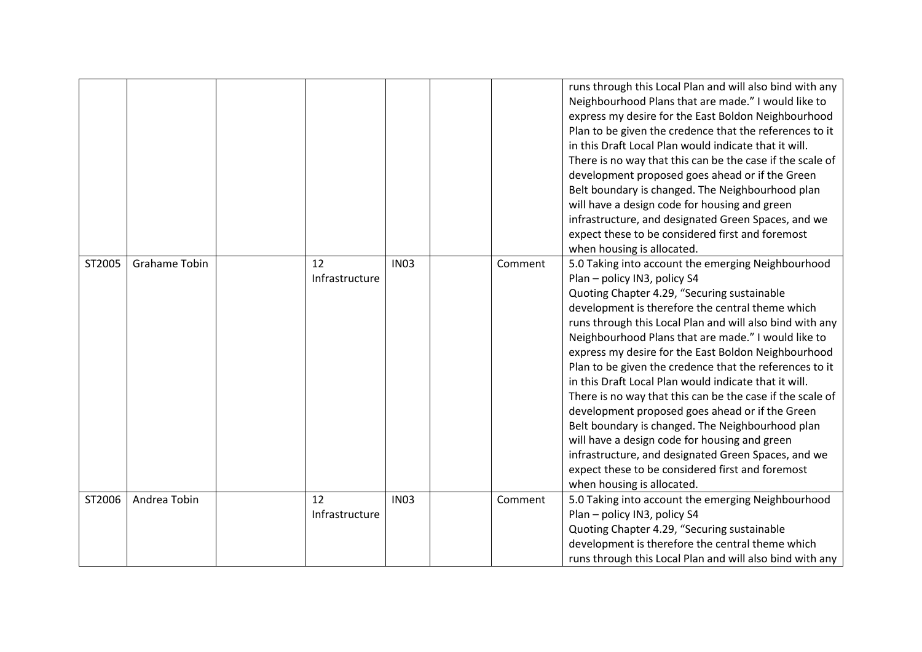|        |                      |                      |             |         | runs through this Local Plan and will also bind with any<br>Neighbourhood Plans that are made." I would like to<br>express my desire for the East Boldon Neighbourhood<br>Plan to be given the credence that the references to it<br>in this Draft Local Plan would indicate that it will.<br>There is no way that this can be the case if the scale of<br>development proposed goes ahead or if the Green<br>Belt boundary is changed. The Neighbourhood plan<br>will have a design code for housing and green<br>infrastructure, and designated Green Spaces, and we<br>expect these to be considered first and foremost<br>when housing is allocated.                                                                                                                                                                                          |
|--------|----------------------|----------------------|-------------|---------|---------------------------------------------------------------------------------------------------------------------------------------------------------------------------------------------------------------------------------------------------------------------------------------------------------------------------------------------------------------------------------------------------------------------------------------------------------------------------------------------------------------------------------------------------------------------------------------------------------------------------------------------------------------------------------------------------------------------------------------------------------------------------------------------------------------------------------------------------|
| ST2005 | <b>Grahame Tobin</b> | 12<br>Infrastructure | <b>IN03</b> | Comment | 5.0 Taking into account the emerging Neighbourhood<br>Plan - policy IN3, policy S4<br>Quoting Chapter 4.29, "Securing sustainable<br>development is therefore the central theme which<br>runs through this Local Plan and will also bind with any<br>Neighbourhood Plans that are made." I would like to<br>express my desire for the East Boldon Neighbourhood<br>Plan to be given the credence that the references to it<br>in this Draft Local Plan would indicate that it will.<br>There is no way that this can be the case if the scale of<br>development proposed goes ahead or if the Green<br>Belt boundary is changed. The Neighbourhood plan<br>will have a design code for housing and green<br>infrastructure, and designated Green Spaces, and we<br>expect these to be considered first and foremost<br>when housing is allocated. |
| ST2006 | Andrea Tobin         | 12<br>Infrastructure | <b>IN03</b> | Comment | 5.0 Taking into account the emerging Neighbourhood<br>Plan - policy IN3, policy S4<br>Quoting Chapter 4.29, "Securing sustainable<br>development is therefore the central theme which<br>runs through this Local Plan and will also bind with any                                                                                                                                                                                                                                                                                                                                                                                                                                                                                                                                                                                                 |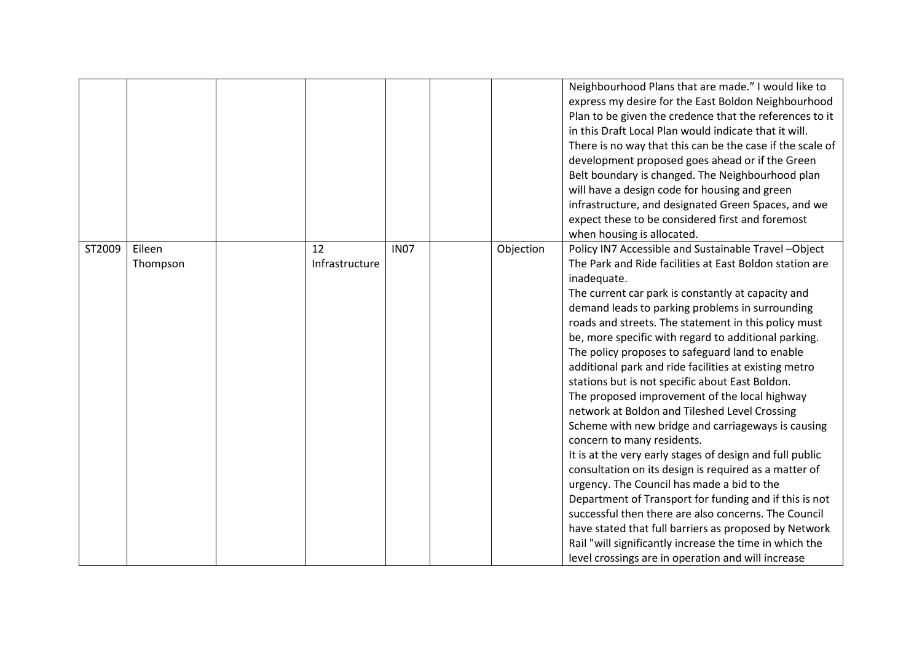|        |                    |                      |             |           | Neighbourhood Plans that are made." I would like to<br>express my desire for the East Boldon Neighbourhood<br>Plan to be given the credence that the references to it<br>in this Draft Local Plan would indicate that it will.<br>There is no way that this can be the case if the scale of<br>development proposed goes ahead or if the Green<br>Belt boundary is changed. The Neighbourhood plan<br>will have a design code for housing and green<br>infrastructure, and designated Green Spaces, and we<br>expect these to be considered first and foremost                                                                                                                                                                                                                                                                                                                                                                                                                                                                                                                                                                                                                                           |
|--------|--------------------|----------------------|-------------|-----------|----------------------------------------------------------------------------------------------------------------------------------------------------------------------------------------------------------------------------------------------------------------------------------------------------------------------------------------------------------------------------------------------------------------------------------------------------------------------------------------------------------------------------------------------------------------------------------------------------------------------------------------------------------------------------------------------------------------------------------------------------------------------------------------------------------------------------------------------------------------------------------------------------------------------------------------------------------------------------------------------------------------------------------------------------------------------------------------------------------------------------------------------------------------------------------------------------------|
| ST2009 | Eileen<br>Thompson | 12<br>Infrastructure | <b>IN07</b> | Objection | when housing is allocated.<br>Policy IN7 Accessible and Sustainable Travel-Object<br>The Park and Ride facilities at East Boldon station are<br>inadequate.<br>The current car park is constantly at capacity and<br>demand leads to parking problems in surrounding<br>roads and streets. The statement in this policy must<br>be, more specific with regard to additional parking.<br>The policy proposes to safeguard land to enable<br>additional park and ride facilities at existing metro<br>stations but is not specific about East Boldon.<br>The proposed improvement of the local highway<br>network at Boldon and Tileshed Level Crossing<br>Scheme with new bridge and carriageways is causing<br>concern to many residents.<br>It is at the very early stages of design and full public<br>consultation on its design is required as a matter of<br>urgency. The Council has made a bid to the<br>Department of Transport for funding and if this is not<br>successful then there are also concerns. The Council<br>have stated that full barriers as proposed by Network<br>Rail "will significantly increase the time in which the<br>level crossings are in operation and will increase |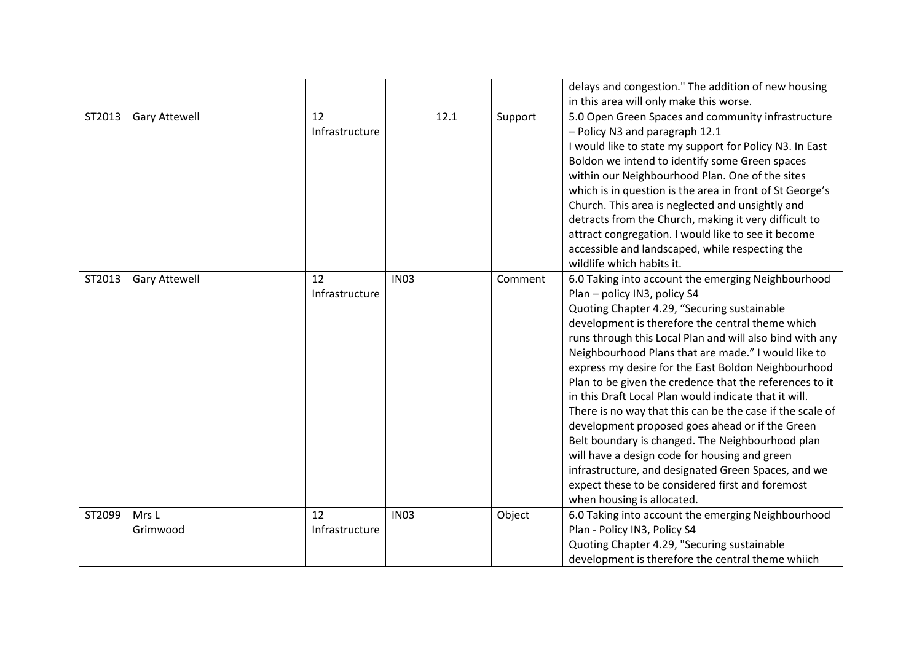|        |                      |                      |             |      |         | delays and congestion." The addition of new housing                                                                                                                                                                                                                                                                                                                                                                                                                                                                                                                                                                                                                                                                                                                                                                                               |
|--------|----------------------|----------------------|-------------|------|---------|---------------------------------------------------------------------------------------------------------------------------------------------------------------------------------------------------------------------------------------------------------------------------------------------------------------------------------------------------------------------------------------------------------------------------------------------------------------------------------------------------------------------------------------------------------------------------------------------------------------------------------------------------------------------------------------------------------------------------------------------------------------------------------------------------------------------------------------------------|
|        |                      |                      |             |      |         | in this area will only make this worse.                                                                                                                                                                                                                                                                                                                                                                                                                                                                                                                                                                                                                                                                                                                                                                                                           |
| ST2013 | <b>Gary Attewell</b> | 12<br>Infrastructure |             | 12.1 | Support | 5.0 Open Green Spaces and community infrastructure<br>- Policy N3 and paragraph 12.1<br>I would like to state my support for Policy N3. In East<br>Boldon we intend to identify some Green spaces<br>within our Neighbourhood Plan. One of the sites<br>which is in question is the area in front of St George's<br>Church. This area is neglected and unsightly and<br>detracts from the Church, making it very difficult to<br>attract congregation. I would like to see it become<br>accessible and landscaped, while respecting the<br>wildlife which habits it.                                                                                                                                                                                                                                                                              |
| ST2013 | <b>Gary Attewell</b> | 12<br>Infrastructure | <b>IN03</b> |      | Comment | 6.0 Taking into account the emerging Neighbourhood<br>Plan - policy IN3, policy S4<br>Quoting Chapter 4.29, "Securing sustainable<br>development is therefore the central theme which<br>runs through this Local Plan and will also bind with any<br>Neighbourhood Plans that are made." I would like to<br>express my desire for the East Boldon Neighbourhood<br>Plan to be given the credence that the references to it<br>in this Draft Local Plan would indicate that it will.<br>There is no way that this can be the case if the scale of<br>development proposed goes ahead or if the Green<br>Belt boundary is changed. The Neighbourhood plan<br>will have a design code for housing and green<br>infrastructure, and designated Green Spaces, and we<br>expect these to be considered first and foremost<br>when housing is allocated. |
| ST2099 | Mrs L<br>Grimwood    | 12<br>Infrastructure | <b>IN03</b> |      | Object  | 6.0 Taking into account the emerging Neighbourhood<br>Plan - Policy IN3, Policy S4<br>Quoting Chapter 4.29, "Securing sustainable<br>development is therefore the central theme whiich                                                                                                                                                                                                                                                                                                                                                                                                                                                                                                                                                                                                                                                            |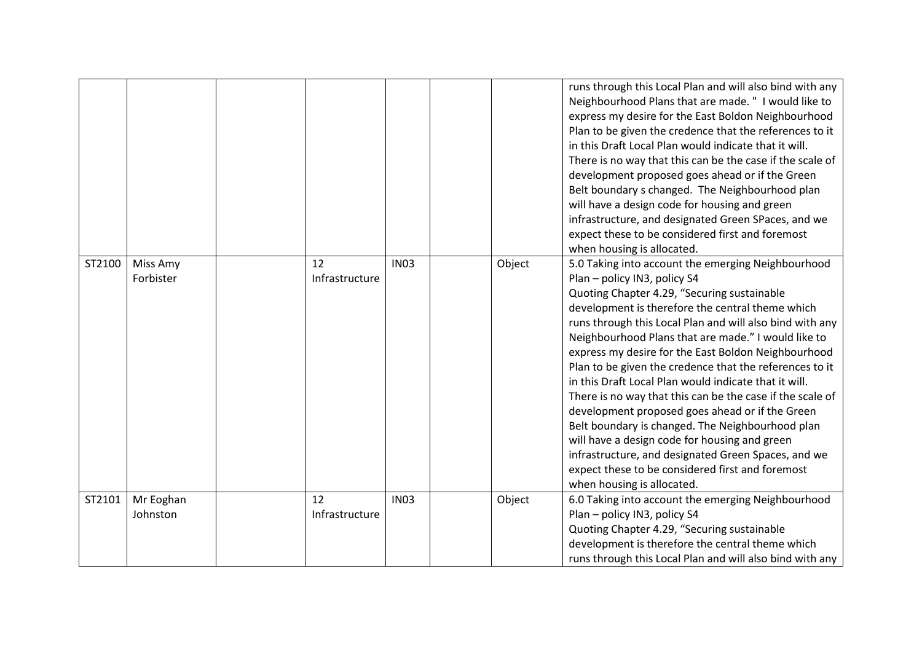|        |                       |                      |             |        | runs through this Local Plan and will also bind with any<br>Neighbourhood Plans that are made. " I would like to<br>express my desire for the East Boldon Neighbourhood<br>Plan to be given the credence that the references to it<br>in this Draft Local Plan would indicate that it will.<br>There is no way that this can be the case if the scale of<br>development proposed goes ahead or if the Green<br>Belt boundary s changed. The Neighbourhood plan<br>will have a design code for housing and green<br>infrastructure, and designated Green SPaces, and we<br>expect these to be considered first and foremost<br>when housing is allocated.                                                                                                                                                                                          |
|--------|-----------------------|----------------------|-------------|--------|---------------------------------------------------------------------------------------------------------------------------------------------------------------------------------------------------------------------------------------------------------------------------------------------------------------------------------------------------------------------------------------------------------------------------------------------------------------------------------------------------------------------------------------------------------------------------------------------------------------------------------------------------------------------------------------------------------------------------------------------------------------------------------------------------------------------------------------------------|
| ST2100 | Miss Amy<br>Forbister | 12<br>Infrastructure | <b>IN03</b> | Object | 5.0 Taking into account the emerging Neighbourhood<br>Plan - policy IN3, policy S4<br>Quoting Chapter 4.29, "Securing sustainable<br>development is therefore the central theme which<br>runs through this Local Plan and will also bind with any<br>Neighbourhood Plans that are made." I would like to<br>express my desire for the East Boldon Neighbourhood<br>Plan to be given the credence that the references to it<br>in this Draft Local Plan would indicate that it will.<br>There is no way that this can be the case if the scale of<br>development proposed goes ahead or if the Green<br>Belt boundary is changed. The Neighbourhood plan<br>will have a design code for housing and green<br>infrastructure, and designated Green Spaces, and we<br>expect these to be considered first and foremost<br>when housing is allocated. |
| ST2101 | Mr Eoghan<br>Johnston | 12<br>Infrastructure | <b>IN03</b> | Object | 6.0 Taking into account the emerging Neighbourhood<br>Plan - policy IN3, policy S4<br>Quoting Chapter 4.29, "Securing sustainable<br>development is therefore the central theme which<br>runs through this Local Plan and will also bind with any                                                                                                                                                                                                                                                                                                                                                                                                                                                                                                                                                                                                 |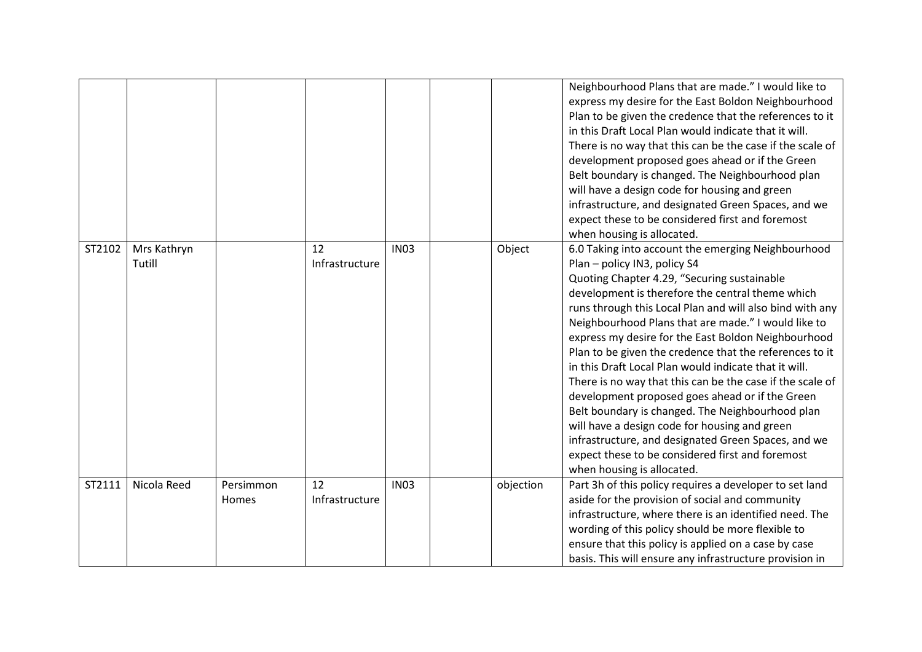|        |                       |                    |                      |             |           | Neighbourhood Plans that are made." I would like to<br>express my desire for the East Boldon Neighbourhood<br>Plan to be given the credence that the references to it<br>in this Draft Local Plan would indicate that it will.<br>There is no way that this can be the case if the scale of<br>development proposed goes ahead or if the Green<br>Belt boundary is changed. The Neighbourhood plan<br>will have a design code for housing and green<br>infrastructure, and designated Green Spaces, and we<br>expect these to be considered first and foremost<br>when housing is allocated.                                                                                                                                                                                                                                                      |
|--------|-----------------------|--------------------|----------------------|-------------|-----------|---------------------------------------------------------------------------------------------------------------------------------------------------------------------------------------------------------------------------------------------------------------------------------------------------------------------------------------------------------------------------------------------------------------------------------------------------------------------------------------------------------------------------------------------------------------------------------------------------------------------------------------------------------------------------------------------------------------------------------------------------------------------------------------------------------------------------------------------------|
| ST2102 | Mrs Kathryn<br>Tutill |                    | 12<br>Infrastructure | <b>IN03</b> | Object    | 6.0 Taking into account the emerging Neighbourhood<br>Plan - policy IN3, policy S4<br>Quoting Chapter 4.29, "Securing sustainable<br>development is therefore the central theme which<br>runs through this Local Plan and will also bind with any<br>Neighbourhood Plans that are made." I would like to<br>express my desire for the East Boldon Neighbourhood<br>Plan to be given the credence that the references to it<br>in this Draft Local Plan would indicate that it will.<br>There is no way that this can be the case if the scale of<br>development proposed goes ahead or if the Green<br>Belt boundary is changed. The Neighbourhood plan<br>will have a design code for housing and green<br>infrastructure, and designated Green Spaces, and we<br>expect these to be considered first and foremost<br>when housing is allocated. |
| ST2111 | Nicola Reed           | Persimmon<br>Homes | 12<br>Infrastructure | <b>IN03</b> | objection | Part 3h of this policy requires a developer to set land<br>aside for the provision of social and community<br>infrastructure, where there is an identified need. The<br>wording of this policy should be more flexible to<br>ensure that this policy is applied on a case by case<br>basis. This will ensure any infrastructure provision in                                                                                                                                                                                                                                                                                                                                                                                                                                                                                                      |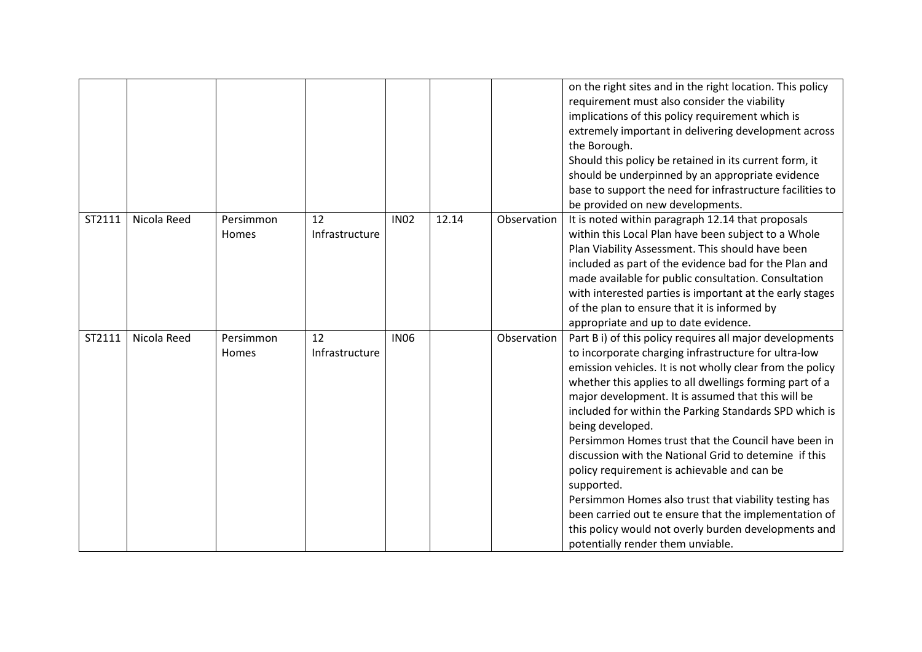|        |             |                           |                      |             |       |             | on the right sites and in the right location. This policy<br>requirement must also consider the viability<br>implications of this policy requirement which is<br>extremely important in delivering development across<br>the Borough.<br>Should this policy be retained in its current form, it<br>should be underpinned by an appropriate evidence<br>base to support the need for infrastructure facilities to<br>be provided on new developments.                                                                                                                                                                                                                                                                                                                     |
|--------|-------------|---------------------------|----------------------|-------------|-------|-------------|--------------------------------------------------------------------------------------------------------------------------------------------------------------------------------------------------------------------------------------------------------------------------------------------------------------------------------------------------------------------------------------------------------------------------------------------------------------------------------------------------------------------------------------------------------------------------------------------------------------------------------------------------------------------------------------------------------------------------------------------------------------------------|
| ST2111 | Nicola Reed | Persimmon<br>Homes        | 12<br>Infrastructure | <b>IN02</b> | 12.14 | Observation | It is noted within paragraph 12.14 that proposals<br>within this Local Plan have been subject to a Whole<br>Plan Viability Assessment. This should have been<br>included as part of the evidence bad for the Plan and<br>made available for public consultation. Consultation<br>with interested parties is important at the early stages<br>of the plan to ensure that it is informed by<br>appropriate and up to date evidence.                                                                                                                                                                                                                                                                                                                                        |
| ST2111 | Nicola Reed | Persimmon<br><b>Homes</b> | 12<br>Infrastructure | <b>IN06</b> |       | Observation | Part B i) of this policy requires all major developments<br>to incorporate charging infrastructure for ultra-low<br>emission vehicles. It is not wholly clear from the policy<br>whether this applies to all dwellings forming part of a<br>major development. It is assumed that this will be<br>included for within the Parking Standards SPD which is<br>being developed.<br>Persimmon Homes trust that the Council have been in<br>discussion with the National Grid to detemine if this<br>policy requirement is achievable and can be<br>supported.<br>Persimmon Homes also trust that viability testing has<br>been carried out te ensure that the implementation of<br>this policy would not overly burden developments and<br>potentially render them unviable. |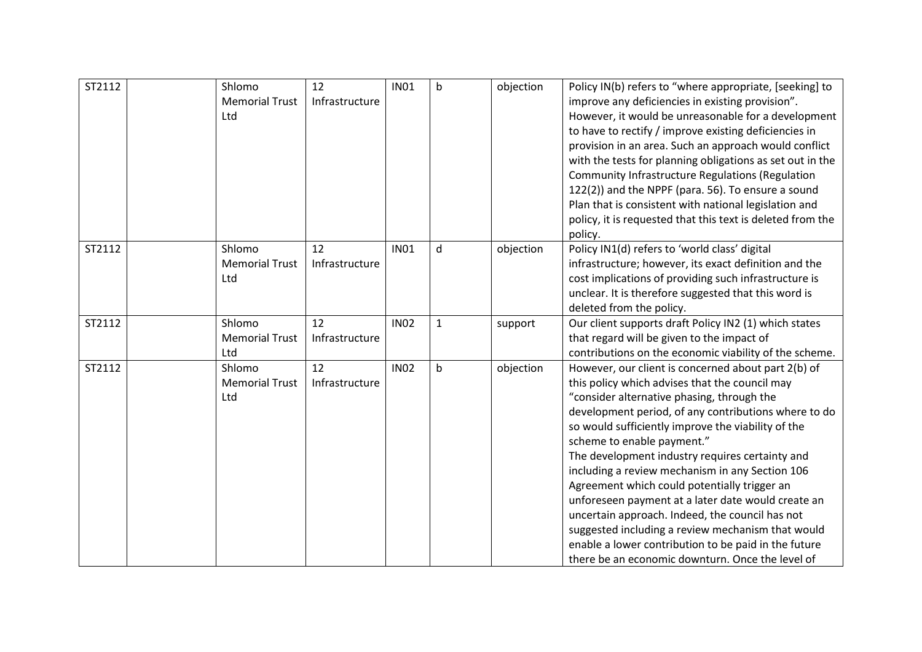| ST2112 | Shlomo<br><b>Memorial Trust</b><br>Ltd | 12<br>Infrastructure | <b>IN01</b> | $\mathsf b$ | objection | Policy IN(b) refers to "where appropriate, [seeking] to<br>improve any deficiencies in existing provision".<br>However, it would be unreasonable for a development<br>to have to rectify / improve existing deficiencies in<br>provision in an area. Such an approach would conflict<br>with the tests for planning obligations as set out in the<br>Community Infrastructure Regulations (Regulation<br>122(2)) and the NPPF (para. 56). To ensure a sound<br>Plan that is consistent with national legislation and<br>policy, it is requested that this text is deleted from the                                                                                                                                              |
|--------|----------------------------------------|----------------------|-------------|-------------|-----------|---------------------------------------------------------------------------------------------------------------------------------------------------------------------------------------------------------------------------------------------------------------------------------------------------------------------------------------------------------------------------------------------------------------------------------------------------------------------------------------------------------------------------------------------------------------------------------------------------------------------------------------------------------------------------------------------------------------------------------|
| ST2112 | Shlomo<br><b>Memorial Trust</b><br>Ltd | 12<br>Infrastructure | <b>IN01</b> | d           | objection | policy.<br>Policy IN1(d) refers to 'world class' digital<br>infrastructure; however, its exact definition and the<br>cost implications of providing such infrastructure is<br>unclear. It is therefore suggested that this word is<br>deleted from the policy.                                                                                                                                                                                                                                                                                                                                                                                                                                                                  |
| ST2112 | Shlomo<br><b>Memorial Trust</b><br>Ltd | 12<br>Infrastructure | <b>IN02</b> | $\mathbf 1$ | support   | Our client supports draft Policy IN2 (1) which states<br>that regard will be given to the impact of<br>contributions on the economic viability of the scheme.                                                                                                                                                                                                                                                                                                                                                                                                                                                                                                                                                                   |
| ST2112 | Shlomo<br><b>Memorial Trust</b><br>Ltd | 12<br>Infrastructure | <b>IN02</b> | $\mathsf b$ | objection | However, our client is concerned about part 2(b) of<br>this policy which advises that the council may<br>"consider alternative phasing, through the<br>development period, of any contributions where to do<br>so would sufficiently improve the viability of the<br>scheme to enable payment."<br>The development industry requires certainty and<br>including a review mechanism in any Section 106<br>Agreement which could potentially trigger an<br>unforeseen payment at a later date would create an<br>uncertain approach. Indeed, the council has not<br>suggested including a review mechanism that would<br>enable a lower contribution to be paid in the future<br>there be an economic downturn. Once the level of |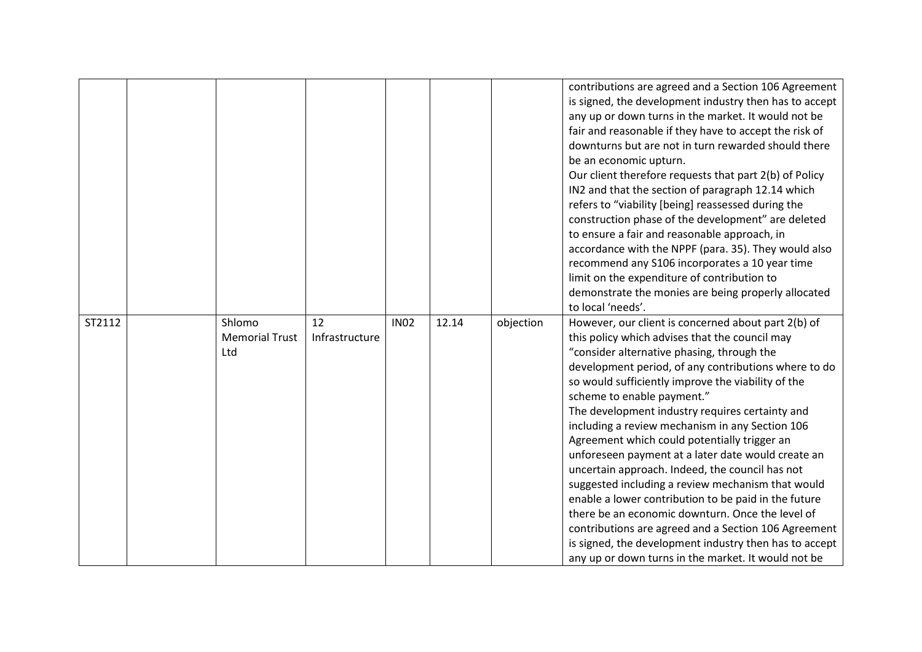|        |                                        |                      |             |       |           | contributions are agreed and a Section 106 Agreement<br>is signed, the development industry then has to accept<br>any up or down turns in the market. It would not be<br>fair and reasonable if they have to accept the risk of<br>downturns but are not in turn rewarded should there<br>be an economic upturn.<br>Our client therefore requests that part 2(b) of Policy<br>IN2 and that the section of paragraph 12.14 which<br>refers to "viability [being] reassessed during the<br>construction phase of the development" are deleted<br>to ensure a fair and reasonable approach, in<br>accordance with the NPPF (para. 35). They would also<br>recommend any S106 incorporates a 10 year time<br>limit on the expenditure of contribution to<br>demonstrate the monies are being properly allocated<br>to local 'needs'.                                                                         |
|--------|----------------------------------------|----------------------|-------------|-------|-----------|----------------------------------------------------------------------------------------------------------------------------------------------------------------------------------------------------------------------------------------------------------------------------------------------------------------------------------------------------------------------------------------------------------------------------------------------------------------------------------------------------------------------------------------------------------------------------------------------------------------------------------------------------------------------------------------------------------------------------------------------------------------------------------------------------------------------------------------------------------------------------------------------------------|
| ST2112 | Shlomo<br><b>Memorial Trust</b><br>Ltd | 12<br>Infrastructure | <b>IN02</b> | 12.14 | objection | However, our client is concerned about part 2(b) of<br>this policy which advises that the council may<br>"consider alternative phasing, through the<br>development period, of any contributions where to do<br>so would sufficiently improve the viability of the<br>scheme to enable payment."<br>The development industry requires certainty and<br>including a review mechanism in any Section 106<br>Agreement which could potentially trigger an<br>unforeseen payment at a later date would create an<br>uncertain approach. Indeed, the council has not<br>suggested including a review mechanism that would<br>enable a lower contribution to be paid in the future<br>there be an economic downturn. Once the level of<br>contributions are agreed and a Section 106 Agreement<br>is signed, the development industry then has to accept<br>any up or down turns in the market. It would not be |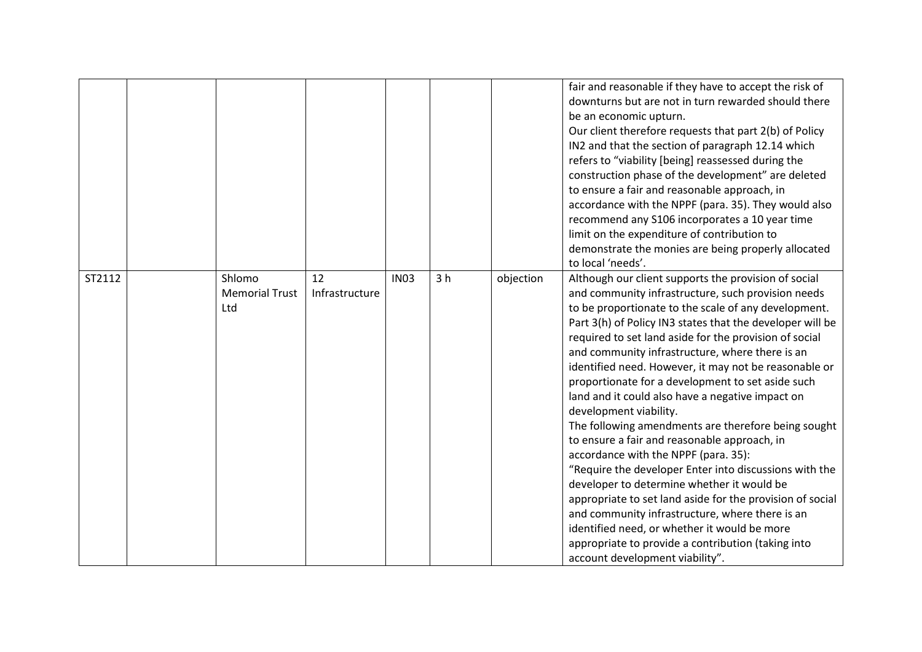|        |                                        |                      |             |                |           | fair and reasonable if they have to accept the risk of<br>downturns but are not in turn rewarded should there<br>be an economic upturn.<br>Our client therefore requests that part 2(b) of Policy<br>IN2 and that the section of paragraph 12.14 which<br>refers to "viability [being] reassessed during the<br>construction phase of the development" are deleted<br>to ensure a fair and reasonable approach, in<br>accordance with the NPPF (para. 35). They would also<br>recommend any S106 incorporates a 10 year time<br>limit on the expenditure of contribution to<br>demonstrate the monies are being properly allocated<br>to local 'needs'.                                                                                                                                                                                                                                                                                                                                                                                                  |
|--------|----------------------------------------|----------------------|-------------|----------------|-----------|----------------------------------------------------------------------------------------------------------------------------------------------------------------------------------------------------------------------------------------------------------------------------------------------------------------------------------------------------------------------------------------------------------------------------------------------------------------------------------------------------------------------------------------------------------------------------------------------------------------------------------------------------------------------------------------------------------------------------------------------------------------------------------------------------------------------------------------------------------------------------------------------------------------------------------------------------------------------------------------------------------------------------------------------------------|
| ST2112 | Shlomo<br><b>Memorial Trust</b><br>Ltd | 12<br>Infrastructure | <b>IN03</b> | 3 <sub>h</sub> | objection | Although our client supports the provision of social<br>and community infrastructure, such provision needs<br>to be proportionate to the scale of any development.<br>Part 3(h) of Policy IN3 states that the developer will be<br>required to set land aside for the provision of social<br>and community infrastructure, where there is an<br>identified need. However, it may not be reasonable or<br>proportionate for a development to set aside such<br>land and it could also have a negative impact on<br>development viability.<br>The following amendments are therefore being sought<br>to ensure a fair and reasonable approach, in<br>accordance with the NPPF (para. 35):<br>"Require the developer Enter into discussions with the<br>developer to determine whether it would be<br>appropriate to set land aside for the provision of social<br>and community infrastructure, where there is an<br>identified need, or whether it would be more<br>appropriate to provide a contribution (taking into<br>account development viability". |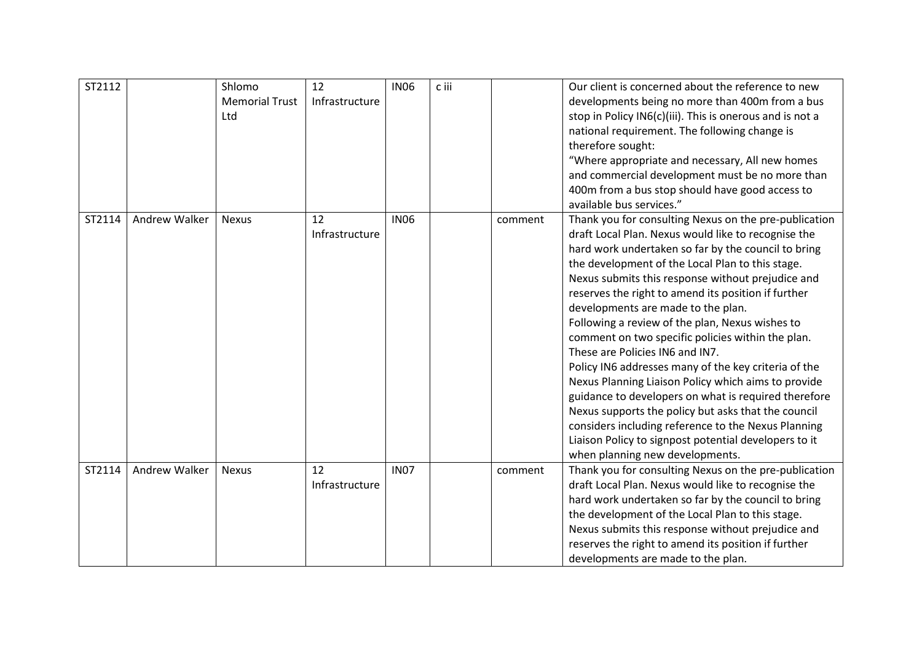| ST2112 |                      | Shlomo<br><b>Memorial Trust</b><br>Ltd | 12<br>Infrastructure | <b>IN06</b> | c iii |         | Our client is concerned about the reference to new<br>developments being no more than 400m from a bus<br>stop in Policy IN6(c)(iii). This is onerous and is not a<br>national requirement. The following change is<br>therefore sought:<br>"Where appropriate and necessary, All new homes<br>and commercial development must be no more than<br>400m from a bus stop should have good access to<br>available bus services."                                                                                                                                                                                                                                                                                                                                                                                                                                                                          |
|--------|----------------------|----------------------------------------|----------------------|-------------|-------|---------|-------------------------------------------------------------------------------------------------------------------------------------------------------------------------------------------------------------------------------------------------------------------------------------------------------------------------------------------------------------------------------------------------------------------------------------------------------------------------------------------------------------------------------------------------------------------------------------------------------------------------------------------------------------------------------------------------------------------------------------------------------------------------------------------------------------------------------------------------------------------------------------------------------|
| ST2114 | <b>Andrew Walker</b> | <b>Nexus</b>                           | 12<br>Infrastructure | <b>IN06</b> |       | comment | Thank you for consulting Nexus on the pre-publication<br>draft Local Plan. Nexus would like to recognise the<br>hard work undertaken so far by the council to bring<br>the development of the Local Plan to this stage.<br>Nexus submits this response without prejudice and<br>reserves the right to amend its position if further<br>developments are made to the plan.<br>Following a review of the plan, Nexus wishes to<br>comment on two specific policies within the plan.<br>These are Policies IN6 and IN7.<br>Policy IN6 addresses many of the key criteria of the<br>Nexus Planning Liaison Policy which aims to provide<br>guidance to developers on what is required therefore<br>Nexus supports the policy but asks that the council<br>considers including reference to the Nexus Planning<br>Liaison Policy to signpost potential developers to it<br>when planning new developments. |
| ST2114 | <b>Andrew Walker</b> | <b>Nexus</b>                           | 12<br>Infrastructure | <b>IN07</b> |       | comment | Thank you for consulting Nexus on the pre-publication<br>draft Local Plan. Nexus would like to recognise the<br>hard work undertaken so far by the council to bring<br>the development of the Local Plan to this stage.<br>Nexus submits this response without prejudice and<br>reserves the right to amend its position if further<br>developments are made to the plan.                                                                                                                                                                                                                                                                                                                                                                                                                                                                                                                             |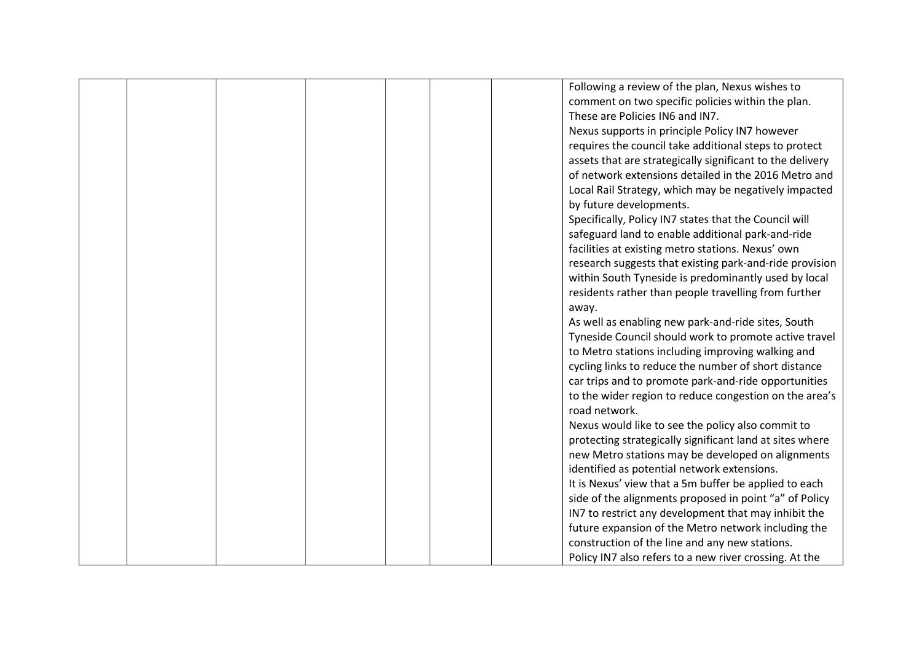|  |  |  | Following a review of the plan, Nexus wishes to           |
|--|--|--|-----------------------------------------------------------|
|  |  |  | comment on two specific policies within the plan.         |
|  |  |  | These are Policies IN6 and IN7.                           |
|  |  |  | Nexus supports in principle Policy IN7 however            |
|  |  |  | requires the council take additional steps to protect     |
|  |  |  | assets that are strategically significant to the delivery |
|  |  |  | of network extensions detailed in the 2016 Metro and      |
|  |  |  | Local Rail Strategy, which may be negatively impacted     |
|  |  |  | by future developments.                                   |
|  |  |  | Specifically, Policy IN7 states that the Council will     |
|  |  |  | safeguard land to enable additional park-and-ride         |
|  |  |  | facilities at existing metro stations. Nexus' own         |
|  |  |  | research suggests that existing park-and-ride provision   |
|  |  |  | within South Tyneside is predominantly used by local      |
|  |  |  | residents rather than people travelling from further      |
|  |  |  | away.                                                     |
|  |  |  | As well as enabling new park-and-ride sites, South        |
|  |  |  | Tyneside Council should work to promote active travel     |
|  |  |  | to Metro stations including improving walking and         |
|  |  |  | cycling links to reduce the number of short distance      |
|  |  |  | car trips and to promote park-and-ride opportunities      |
|  |  |  | to the wider region to reduce congestion on the area's    |
|  |  |  | road network.                                             |
|  |  |  | Nexus would like to see the policy also commit to         |
|  |  |  | protecting strategically significant land at sites where  |
|  |  |  | new Metro stations may be developed on alignments         |
|  |  |  | identified as potential network extensions.               |
|  |  |  | It is Nexus' view that a 5m buffer be applied to each     |
|  |  |  | side of the alignments proposed in point "a" of Policy    |
|  |  |  | IN7 to restrict any development that may inhibit the      |
|  |  |  | future expansion of the Metro network including the       |
|  |  |  | construction of the line and any new stations.            |
|  |  |  | Policy IN7 also refers to a new river crossing. At the    |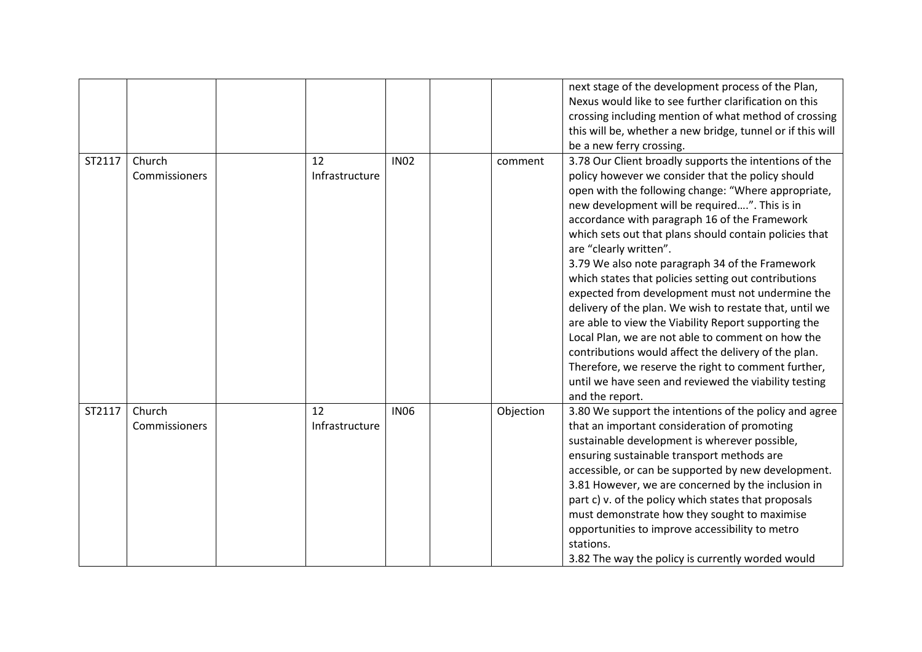|        |                         |                      |             |           | next stage of the development process of the Plan,<br>Nexus would like to see further clarification on this<br>crossing including mention of what method of crossing<br>this will be, whether a new bridge, tunnel or if this will<br>be a new ferry crossing.                                                                                                                                                                                                                                                                                                                                                                                                                                                                                                                                                                                                                             |
|--------|-------------------------|----------------------|-------------|-----------|--------------------------------------------------------------------------------------------------------------------------------------------------------------------------------------------------------------------------------------------------------------------------------------------------------------------------------------------------------------------------------------------------------------------------------------------------------------------------------------------------------------------------------------------------------------------------------------------------------------------------------------------------------------------------------------------------------------------------------------------------------------------------------------------------------------------------------------------------------------------------------------------|
| ST2117 | Church<br>Commissioners | 12<br>Infrastructure | <b>IN02</b> | comment   | 3.78 Our Client broadly supports the intentions of the<br>policy however we consider that the policy should<br>open with the following change: "Where appropriate,<br>new development will be required". This is in<br>accordance with paragraph 16 of the Framework<br>which sets out that plans should contain policies that<br>are "clearly written".<br>3.79 We also note paragraph 34 of the Framework<br>which states that policies setting out contributions<br>expected from development must not undermine the<br>delivery of the plan. We wish to restate that, until we<br>are able to view the Viability Report supporting the<br>Local Plan, we are not able to comment on how the<br>contributions would affect the delivery of the plan.<br>Therefore, we reserve the right to comment further,<br>until we have seen and reviewed the viability testing<br>and the report. |
| ST2117 | Church<br>Commissioners | 12<br>Infrastructure | <b>IN06</b> | Objection | 3.80 We support the intentions of the policy and agree<br>that an important consideration of promoting<br>sustainable development is wherever possible,<br>ensuring sustainable transport methods are<br>accessible, or can be supported by new development.<br>3.81 However, we are concerned by the inclusion in<br>part c) v. of the policy which states that proposals<br>must demonstrate how they sought to maximise<br>opportunities to improve accessibility to metro<br>stations.<br>3.82 The way the policy is currently worded would                                                                                                                                                                                                                                                                                                                                            |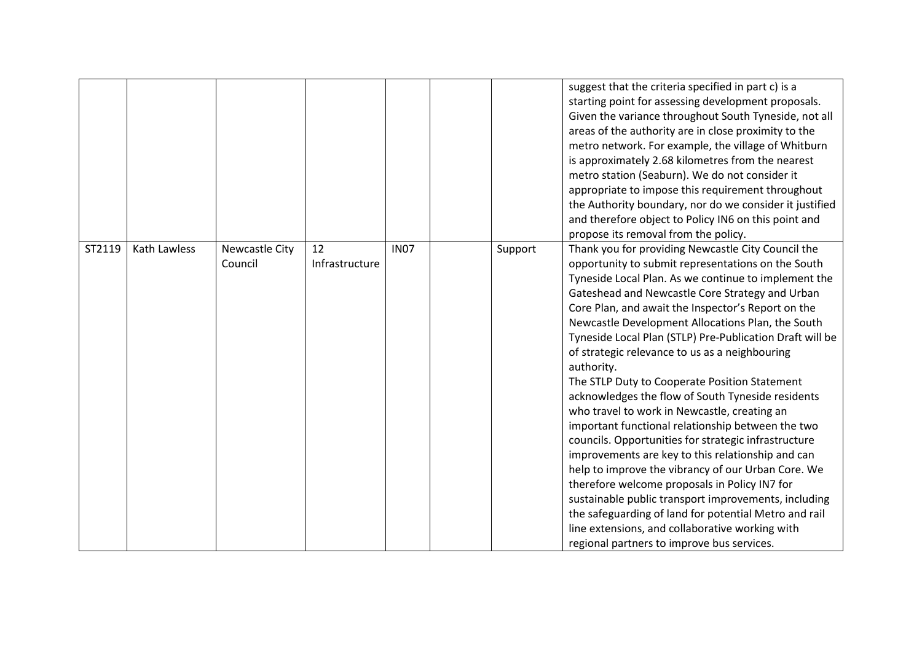|        |              |                                  |                      |             |         | suggest that the criteria specified in part c) is a<br>starting point for assessing development proposals.<br>Given the variance throughout South Tyneside, not all<br>areas of the authority are in close proximity to the<br>metro network. For example, the village of Whitburn<br>is approximately 2.68 kilometres from the nearest<br>metro station (Seaburn). We do not consider it<br>appropriate to impose this requirement throughout                                                                                                                                                                                                                                                                                                                                                                                                                                                                                                                                                                                                                                                              |
|--------|--------------|----------------------------------|----------------------|-------------|---------|-------------------------------------------------------------------------------------------------------------------------------------------------------------------------------------------------------------------------------------------------------------------------------------------------------------------------------------------------------------------------------------------------------------------------------------------------------------------------------------------------------------------------------------------------------------------------------------------------------------------------------------------------------------------------------------------------------------------------------------------------------------------------------------------------------------------------------------------------------------------------------------------------------------------------------------------------------------------------------------------------------------------------------------------------------------------------------------------------------------|
|        |              |                                  |                      |             |         | the Authority boundary, nor do we consider it justified<br>and therefore object to Policy IN6 on this point and                                                                                                                                                                                                                                                                                                                                                                                                                                                                                                                                                                                                                                                                                                                                                                                                                                                                                                                                                                                             |
|        |              |                                  |                      |             |         | propose its removal from the policy.                                                                                                                                                                                                                                                                                                                                                                                                                                                                                                                                                                                                                                                                                                                                                                                                                                                                                                                                                                                                                                                                        |
| ST2119 | Kath Lawless | <b>Newcastle City</b><br>Council | 12<br>Infrastructure | <b>IN07</b> | Support | Thank you for providing Newcastle City Council the<br>opportunity to submit representations on the South<br>Tyneside Local Plan. As we continue to implement the<br>Gateshead and Newcastle Core Strategy and Urban<br>Core Plan, and await the Inspector's Report on the<br>Newcastle Development Allocations Plan, the South<br>Tyneside Local Plan (STLP) Pre-Publication Draft will be<br>of strategic relevance to us as a neighbouring<br>authority.<br>The STLP Duty to Cooperate Position Statement<br>acknowledges the flow of South Tyneside residents<br>who travel to work in Newcastle, creating an<br>important functional relationship between the two<br>councils. Opportunities for strategic infrastructure<br>improvements are key to this relationship and can<br>help to improve the vibrancy of our Urban Core. We<br>therefore welcome proposals in Policy IN7 for<br>sustainable public transport improvements, including<br>the safeguarding of land for potential Metro and rail<br>line extensions, and collaborative working with<br>regional partners to improve bus services. |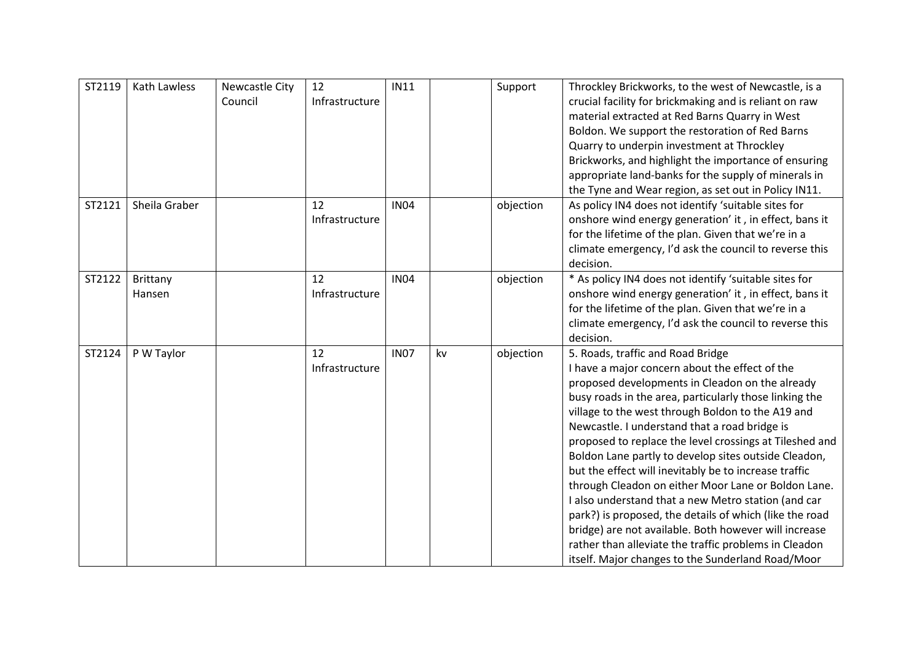| ST2119 | Kath Lawless       | Newcastle City<br>Council | 12<br>Infrastructure | <b>IN11</b> |    | Support   | Throckley Brickworks, to the west of Newcastle, is a<br>crucial facility for brickmaking and is reliant on raw<br>material extracted at Red Barns Quarry in West<br>Boldon. We support the restoration of Red Barns<br>Quarry to underpin investment at Throckley<br>Brickworks, and highlight the importance of ensuring<br>appropriate land-banks for the supply of minerals in<br>the Tyne and Wear region, as set out in Policy IN11.                                                                                                                                                                                                                                                                                                                                                                                          |
|--------|--------------------|---------------------------|----------------------|-------------|----|-----------|------------------------------------------------------------------------------------------------------------------------------------------------------------------------------------------------------------------------------------------------------------------------------------------------------------------------------------------------------------------------------------------------------------------------------------------------------------------------------------------------------------------------------------------------------------------------------------------------------------------------------------------------------------------------------------------------------------------------------------------------------------------------------------------------------------------------------------|
| ST2121 | Sheila Graber      |                           | 12<br>Infrastructure | <b>IN04</b> |    | objection | As policy IN4 does not identify 'suitable sites for<br>onshore wind energy generation' it, in effect, bans it<br>for the lifetime of the plan. Given that we're in a<br>climate emergency, I'd ask the council to reverse this<br>decision.                                                                                                                                                                                                                                                                                                                                                                                                                                                                                                                                                                                        |
| ST2122 | Brittany<br>Hansen |                           | 12<br>Infrastructure | <b>IN04</b> |    | objection | * As policy IN4 does not identify 'suitable sites for<br>onshore wind energy generation' it, in effect, bans it<br>for the lifetime of the plan. Given that we're in a<br>climate emergency, I'd ask the council to reverse this<br>decision.                                                                                                                                                                                                                                                                                                                                                                                                                                                                                                                                                                                      |
| ST2124 | P W Taylor         |                           | 12<br>Infrastructure | <b>IN07</b> | kv | objection | 5. Roads, traffic and Road Bridge<br>I have a major concern about the effect of the<br>proposed developments in Cleadon on the already<br>busy roads in the area, particularly those linking the<br>village to the west through Boldon to the A19 and<br>Newcastle. I understand that a road bridge is<br>proposed to replace the level crossings at Tileshed and<br>Boldon Lane partly to develop sites outside Cleadon,<br>but the effect will inevitably be to increase traffic<br>through Cleadon on either Moor Lane or Boldon Lane.<br>I also understand that a new Metro station (and car<br>park?) is proposed, the details of which (like the road<br>bridge) are not available. Both however will increase<br>rather than alleviate the traffic problems in Cleadon<br>itself. Major changes to the Sunderland Road/Moor |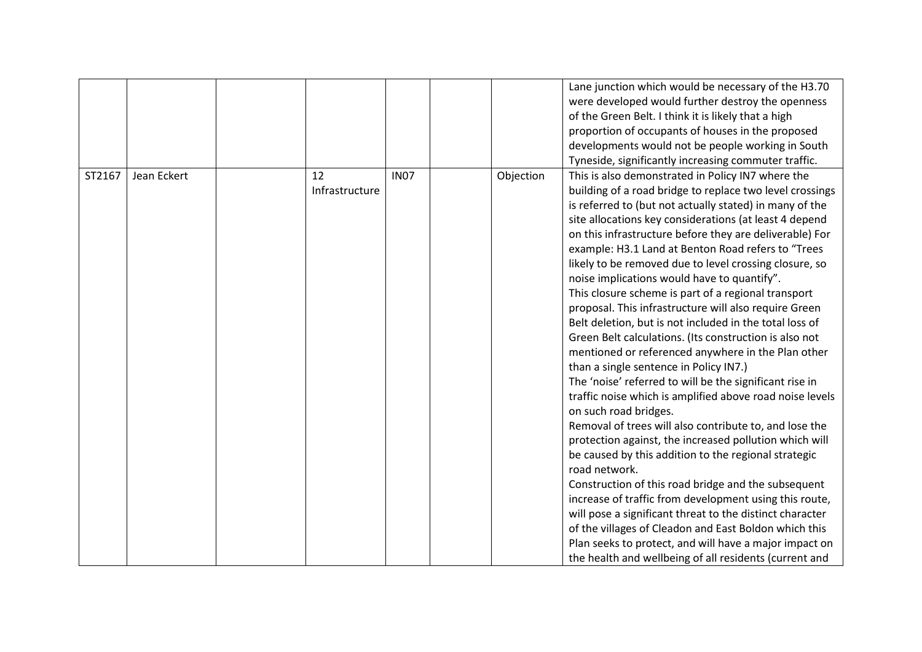|        |             |                      |             |           | Lane junction which would be necessary of the H3.70<br>were developed would further destroy the openness<br>of the Green Belt. I think it is likely that a high<br>proportion of occupants of houses in the proposed<br>developments would not be people working in South<br>Tyneside, significantly increasing commuter traffic.                                                                                                                                                                                                                                                                                                                                                                                                                                                                                                                                                                                                                                                                                                                                                                                                                                                                                                                                                                                                                                                                                                                                                                        |
|--------|-------------|----------------------|-------------|-----------|----------------------------------------------------------------------------------------------------------------------------------------------------------------------------------------------------------------------------------------------------------------------------------------------------------------------------------------------------------------------------------------------------------------------------------------------------------------------------------------------------------------------------------------------------------------------------------------------------------------------------------------------------------------------------------------------------------------------------------------------------------------------------------------------------------------------------------------------------------------------------------------------------------------------------------------------------------------------------------------------------------------------------------------------------------------------------------------------------------------------------------------------------------------------------------------------------------------------------------------------------------------------------------------------------------------------------------------------------------------------------------------------------------------------------------------------------------------------------------------------------------|
| ST2167 | Jean Eckert | 12<br>Infrastructure | <b>IN07</b> | Objection | This is also demonstrated in Policy IN7 where the<br>building of a road bridge to replace two level crossings<br>is referred to (but not actually stated) in many of the<br>site allocations key considerations (at least 4 depend<br>on this infrastructure before they are deliverable) For<br>example: H3.1 Land at Benton Road refers to "Trees<br>likely to be removed due to level crossing closure, so<br>noise implications would have to quantify".<br>This closure scheme is part of a regional transport<br>proposal. This infrastructure will also require Green<br>Belt deletion, but is not included in the total loss of<br>Green Belt calculations. (Its construction is also not<br>mentioned or referenced anywhere in the Plan other<br>than a single sentence in Policy IN7.)<br>The 'noise' referred to will be the significant rise in<br>traffic noise which is amplified above road noise levels<br>on such road bridges.<br>Removal of trees will also contribute to, and lose the<br>protection against, the increased pollution which will<br>be caused by this addition to the regional strategic<br>road network.<br>Construction of this road bridge and the subsequent<br>increase of traffic from development using this route,<br>will pose a significant threat to the distinct character<br>of the villages of Cleadon and East Boldon which this<br>Plan seeks to protect, and will have a major impact on<br>the health and wellbeing of all residents (current and |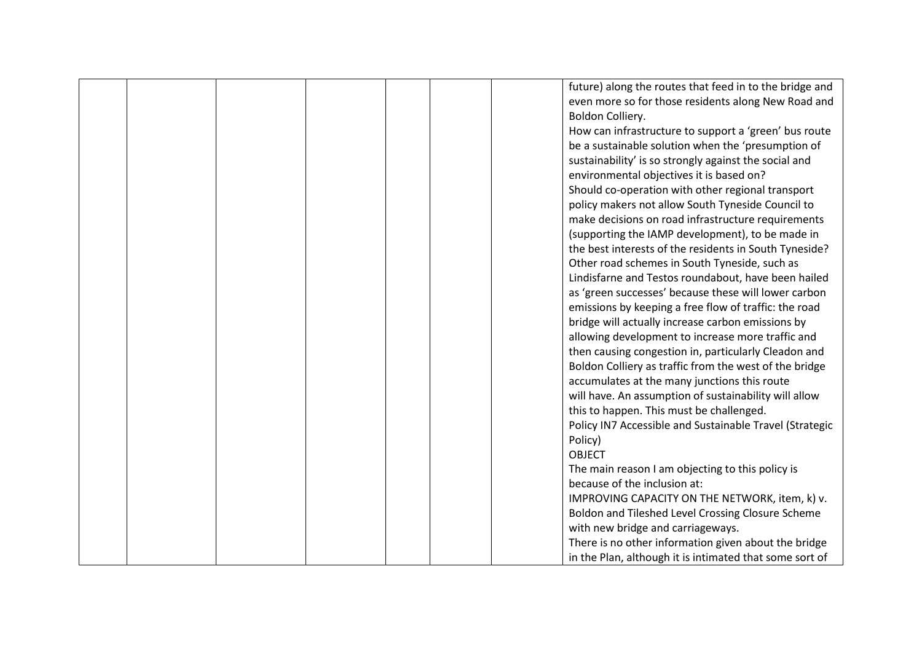|  |  |  | future) along the routes that feed in to the bridge and |
|--|--|--|---------------------------------------------------------|
|  |  |  | even more so for those residents along New Road and     |
|  |  |  | Boldon Colliery.                                        |
|  |  |  | How can infrastructure to support a 'green' bus route   |
|  |  |  | be a sustainable solution when the 'presumption of      |
|  |  |  | sustainability' is so strongly against the social and   |
|  |  |  | environmental objectives it is based on?                |
|  |  |  | Should co-operation with other regional transport       |
|  |  |  | policy makers not allow South Tyneside Council to       |
|  |  |  | make decisions on road infrastructure requirements      |
|  |  |  | (supporting the IAMP development), to be made in        |
|  |  |  | the best interests of the residents in South Tyneside?  |
|  |  |  | Other road schemes in South Tyneside, such as           |
|  |  |  | Lindisfarne and Testos roundabout, have been hailed     |
|  |  |  | as 'green successes' because these will lower carbon    |
|  |  |  | emissions by keeping a free flow of traffic: the road   |
|  |  |  | bridge will actually increase carbon emissions by       |
|  |  |  | allowing development to increase more traffic and       |
|  |  |  | then causing congestion in, particularly Cleadon and    |
|  |  |  | Boldon Colliery as traffic from the west of the bridge  |
|  |  |  | accumulates at the many junctions this route            |
|  |  |  | will have. An assumption of sustainability will allow   |
|  |  |  | this to happen. This must be challenged.                |
|  |  |  | Policy IN7 Accessible and Sustainable Travel (Strategic |
|  |  |  | Policy)                                                 |
|  |  |  | <b>OBJECT</b>                                           |
|  |  |  | The main reason I am objecting to this policy is        |
|  |  |  | because of the inclusion at:                            |
|  |  |  | IMPROVING CAPACITY ON THE NETWORK, item, k) v.          |
|  |  |  | Boldon and Tileshed Level Crossing Closure Scheme       |
|  |  |  | with new bridge and carriageways.                       |
|  |  |  | There is no other information given about the bridge    |
|  |  |  | in the Plan, although it is intimated that some sort of |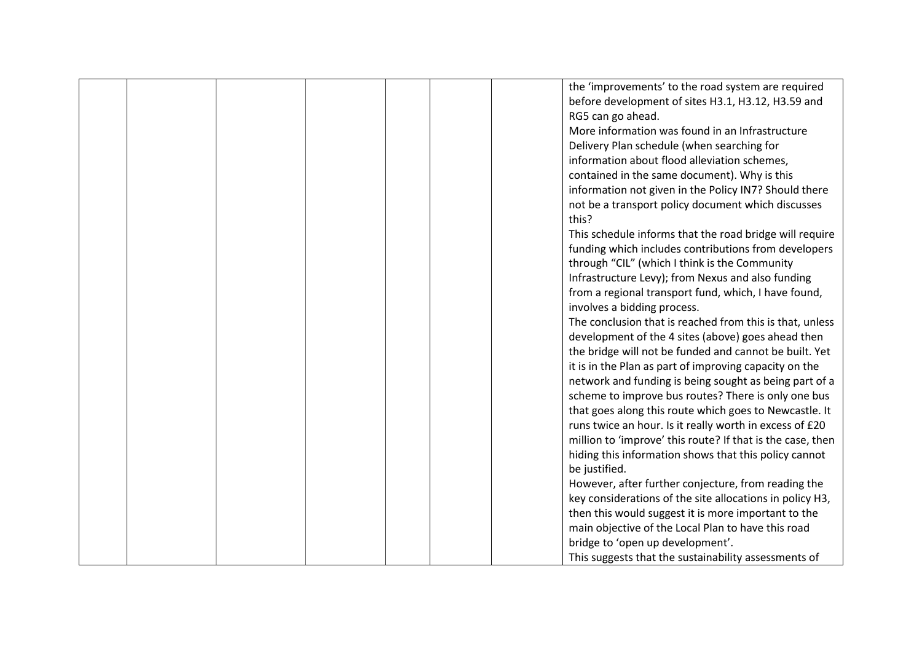|  |  |  | the 'improvements' to the road system are required         |
|--|--|--|------------------------------------------------------------|
|  |  |  |                                                            |
|  |  |  | before development of sites H3.1, H3.12, H3.59 and         |
|  |  |  | RG5 can go ahead.                                          |
|  |  |  | More information was found in an Infrastructure            |
|  |  |  | Delivery Plan schedule (when searching for                 |
|  |  |  | information about flood alleviation schemes,               |
|  |  |  | contained in the same document). Why is this               |
|  |  |  | information not given in the Policy IN7? Should there      |
|  |  |  | not be a transport policy document which discusses         |
|  |  |  | this?                                                      |
|  |  |  | This schedule informs that the road bridge will require    |
|  |  |  | funding which includes contributions from developers       |
|  |  |  | through "CIL" (which I think is the Community              |
|  |  |  | Infrastructure Levy); from Nexus and also funding          |
|  |  |  | from a regional transport fund, which, I have found,       |
|  |  |  | involves a bidding process.                                |
|  |  |  | The conclusion that is reached from this is that, unless   |
|  |  |  | development of the 4 sites (above) goes ahead then         |
|  |  |  | the bridge will not be funded and cannot be built. Yet     |
|  |  |  | it is in the Plan as part of improving capacity on the     |
|  |  |  | network and funding is being sought as being part of a     |
|  |  |  |                                                            |
|  |  |  | scheme to improve bus routes? There is only one bus        |
|  |  |  | that goes along this route which goes to Newcastle. It     |
|  |  |  | runs twice an hour. Is it really worth in excess of £20    |
|  |  |  | million to 'improve' this route? If that is the case, then |
|  |  |  | hiding this information shows that this policy cannot      |
|  |  |  | be justified.                                              |
|  |  |  | However, after further conjecture, from reading the        |
|  |  |  | key considerations of the site allocations in policy H3,   |
|  |  |  | then this would suggest it is more important to the        |
|  |  |  | main objective of the Local Plan to have this road         |
|  |  |  | bridge to 'open up development'.                           |
|  |  |  | This suggests that the sustainability assessments of       |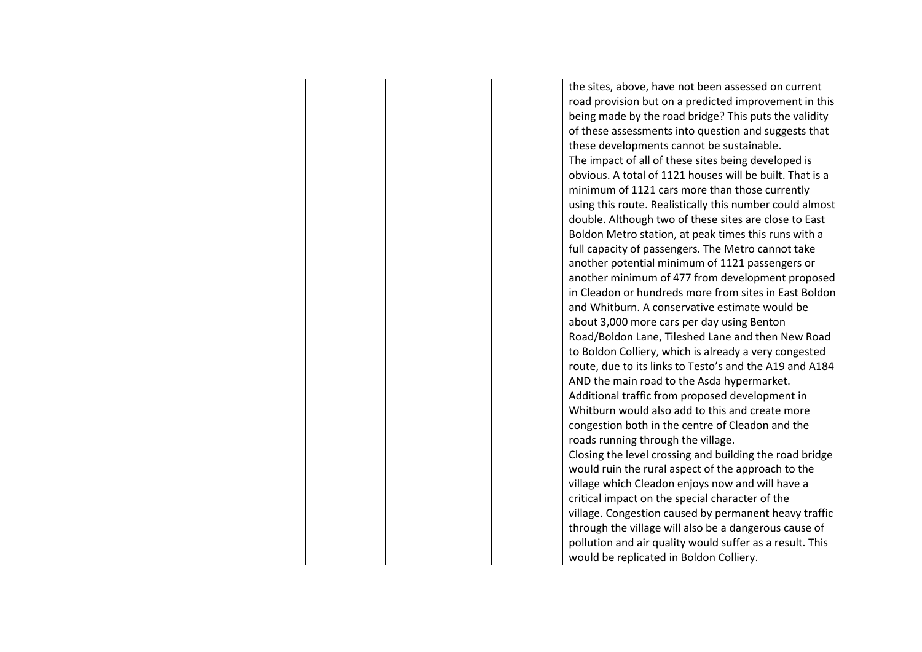|  |  |  | the sites, above, have not been assessed on current      |
|--|--|--|----------------------------------------------------------|
|  |  |  | road provision but on a predicted improvement in this    |
|  |  |  | being made by the road bridge? This puts the validity    |
|  |  |  | of these assessments into question and suggests that     |
|  |  |  | these developments cannot be sustainable.                |
|  |  |  | The impact of all of these sites being developed is      |
|  |  |  | obvious. A total of 1121 houses will be built. That is a |
|  |  |  | minimum of 1121 cars more than those currently           |
|  |  |  | using this route. Realistically this number could almost |
|  |  |  | double. Although two of these sites are close to East    |
|  |  |  | Boldon Metro station, at peak times this runs with a     |
|  |  |  | full capacity of passengers. The Metro cannot take       |
|  |  |  | another potential minimum of 1121 passengers or          |
|  |  |  | another minimum of 477 from development proposed         |
|  |  |  | in Cleadon or hundreds more from sites in East Boldon    |
|  |  |  | and Whitburn. A conservative estimate would be           |
|  |  |  | about 3,000 more cars per day using Benton               |
|  |  |  | Road/Boldon Lane, Tileshed Lane and then New Road        |
|  |  |  | to Boldon Colliery, which is already a very congested    |
|  |  |  | route, due to its links to Testo's and the A19 and A184  |
|  |  |  | AND the main road to the Asda hypermarket.               |
|  |  |  | Additional traffic from proposed development in          |
|  |  |  | Whitburn would also add to this and create more          |
|  |  |  | congestion both in the centre of Cleadon and the         |
|  |  |  | roads running through the village.                       |
|  |  |  | Closing the level crossing and building the road bridge  |
|  |  |  | would ruin the rural aspect of the approach to the       |
|  |  |  | village which Cleadon enjoys now and will have a         |
|  |  |  | critical impact on the special character of the          |
|  |  |  | village. Congestion caused by permanent heavy traffic    |
|  |  |  | through the village will also be a dangerous cause of    |
|  |  |  | pollution and air quality would suffer as a result. This |
|  |  |  | would be replicated in Boldon Colliery.                  |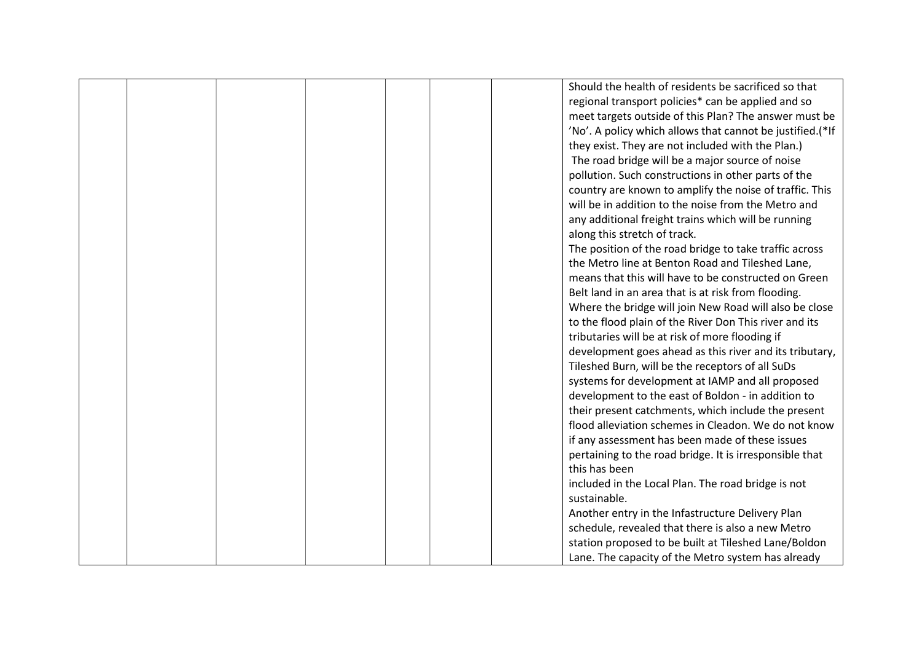|  |  |  | Should the health of residents be sacrificed so that      |
|--|--|--|-----------------------------------------------------------|
|  |  |  | regional transport policies* can be applied and so        |
|  |  |  | meet targets outside of this Plan? The answer must be     |
|  |  |  | 'No'. A policy which allows that cannot be justified.(*If |
|  |  |  | they exist. They are not included with the Plan.)         |
|  |  |  | The road bridge will be a major source of noise           |
|  |  |  | pollution. Such constructions in other parts of the       |
|  |  |  | country are known to amplify the noise of traffic. This   |
|  |  |  | will be in addition to the noise from the Metro and       |
|  |  |  | any additional freight trains which will be running       |
|  |  |  | along this stretch of track.                              |
|  |  |  | The position of the road bridge to take traffic across    |
|  |  |  | the Metro line at Benton Road and Tileshed Lane,          |
|  |  |  | means that this will have to be constructed on Green      |
|  |  |  | Belt land in an area that is at risk from flooding.       |
|  |  |  | Where the bridge will join New Road will also be close    |
|  |  |  | to the flood plain of the River Don This river and its    |
|  |  |  | tributaries will be at risk of more flooding if           |
|  |  |  | development goes ahead as this river and its tributary,   |
|  |  |  | Tileshed Burn, will be the receptors of all SuDs          |
|  |  |  | systems for development at IAMP and all proposed          |
|  |  |  | development to the east of Boldon - in addition to        |
|  |  |  | their present catchments, which include the present       |
|  |  |  | flood alleviation schemes in Cleadon. We do not know      |
|  |  |  | if any assessment has been made of these issues           |
|  |  |  | pertaining to the road bridge. It is irresponsible that   |
|  |  |  | this has been                                             |
|  |  |  | included in the Local Plan. The road bridge is not        |
|  |  |  | sustainable.                                              |
|  |  |  | Another entry in the Infastructure Delivery Plan          |
|  |  |  | schedule, revealed that there is also a new Metro         |
|  |  |  | station proposed to be built at Tileshed Lane/Boldon      |
|  |  |  | Lane. The capacity of the Metro system has already        |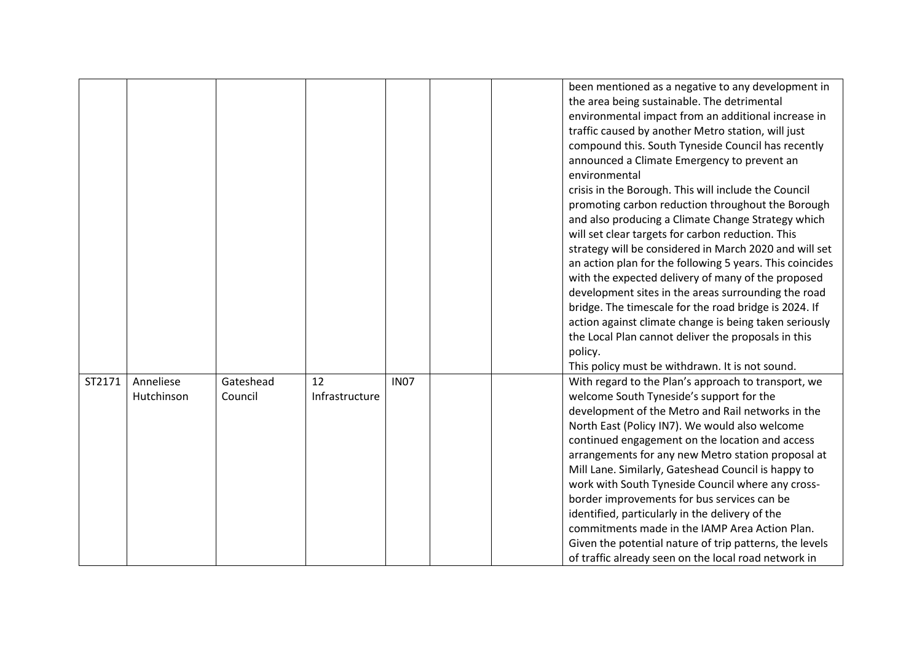|        |                         |                      |                      |             | been mentioned as a negative to any development in<br>the area being sustainable. The detrimental<br>environmental impact from an additional increase in<br>traffic caused by another Metro station, will just<br>compound this. South Tyneside Council has recently<br>announced a Climate Emergency to prevent an                                                                                                                                                                                                                                                                                                                                                                                |
|--------|-------------------------|----------------------|----------------------|-------------|----------------------------------------------------------------------------------------------------------------------------------------------------------------------------------------------------------------------------------------------------------------------------------------------------------------------------------------------------------------------------------------------------------------------------------------------------------------------------------------------------------------------------------------------------------------------------------------------------------------------------------------------------------------------------------------------------|
|        |                         |                      |                      |             | environmental<br>crisis in the Borough. This will include the Council<br>promoting carbon reduction throughout the Borough<br>and also producing a Climate Change Strategy which<br>will set clear targets for carbon reduction. This<br>strategy will be considered in March 2020 and will set<br>an action plan for the following 5 years. This coincides                                                                                                                                                                                                                                                                                                                                        |
|        |                         |                      |                      |             | with the expected delivery of many of the proposed<br>development sites in the areas surrounding the road<br>bridge. The timescale for the road bridge is 2024. If<br>action against climate change is being taken seriously<br>the Local Plan cannot deliver the proposals in this<br>policy.<br>This policy must be withdrawn. It is not sound.                                                                                                                                                                                                                                                                                                                                                  |
| ST2171 | Anneliese<br>Hutchinson | Gateshead<br>Council | 12<br>Infrastructure | <b>IN07</b> | With regard to the Plan's approach to transport, we<br>welcome South Tyneside's support for the<br>development of the Metro and Rail networks in the<br>North East (Policy IN7). We would also welcome<br>continued engagement on the location and access<br>arrangements for any new Metro station proposal at<br>Mill Lane. Similarly, Gateshead Council is happy to<br>work with South Tyneside Council where any cross-<br>border improvements for bus services can be<br>identified, particularly in the delivery of the<br>commitments made in the IAMP Area Action Plan.<br>Given the potential nature of trip patterns, the levels<br>of traffic already seen on the local road network in |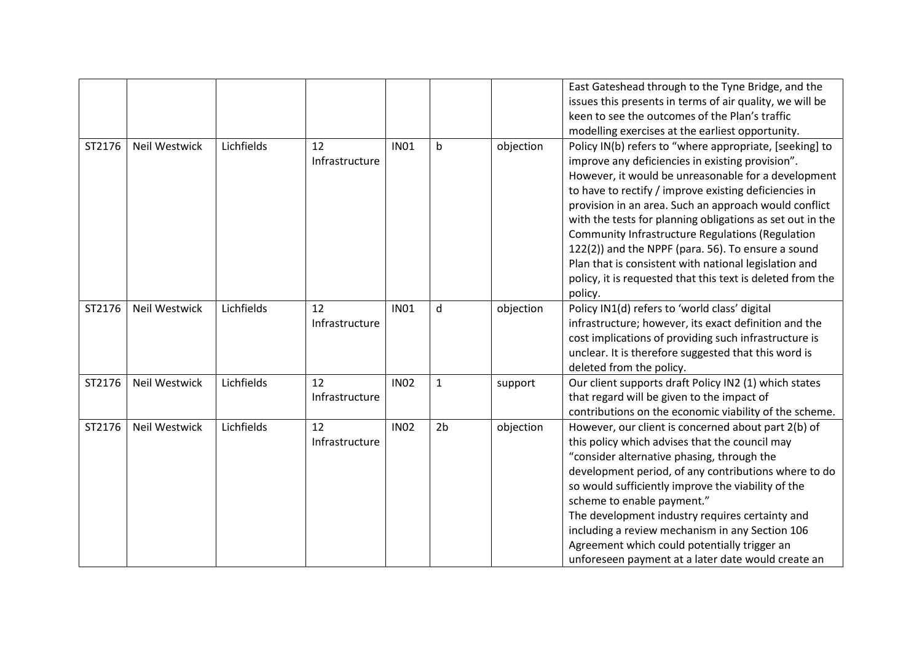|        |                      |            |                      |             |                |           | East Gateshead through to the Tyne Bridge, and the<br>issues this presents in terms of air quality, we will be<br>keen to see the outcomes of the Plan's traffic<br>modelling exercises at the earliest opportunity.                                                                                                                                                                                                                                                                                                                                                                          |
|--------|----------------------|------------|----------------------|-------------|----------------|-----------|-----------------------------------------------------------------------------------------------------------------------------------------------------------------------------------------------------------------------------------------------------------------------------------------------------------------------------------------------------------------------------------------------------------------------------------------------------------------------------------------------------------------------------------------------------------------------------------------------|
| ST2176 | <b>Neil Westwick</b> | Lichfields | 12<br>Infrastructure | <b>IN01</b> | $\mathsf b$    | objection | Policy IN(b) refers to "where appropriate, [seeking] to<br>improve any deficiencies in existing provision".<br>However, it would be unreasonable for a development<br>to have to rectify / improve existing deficiencies in<br>provision in an area. Such an approach would conflict<br>with the tests for planning obligations as set out in the<br>Community Infrastructure Regulations (Regulation<br>122(2)) and the NPPF (para. 56). To ensure a sound<br>Plan that is consistent with national legislation and<br>policy, it is requested that this text is deleted from the<br>policy. |
| ST2176 | Neil Westwick        | Lichfields | 12<br>Infrastructure | <b>IN01</b> | d              | objection | Policy IN1(d) refers to 'world class' digital<br>infrastructure; however, its exact definition and the<br>cost implications of providing such infrastructure is<br>unclear. It is therefore suggested that this word is<br>deleted from the policy.                                                                                                                                                                                                                                                                                                                                           |
| ST2176 | <b>Neil Westwick</b> | Lichfields | 12<br>Infrastructure | <b>IN02</b> | 1              | support   | Our client supports draft Policy IN2 (1) which states<br>that regard will be given to the impact of<br>contributions on the economic viability of the scheme.                                                                                                                                                                                                                                                                                                                                                                                                                                 |
| ST2176 | Neil Westwick        | Lichfields | 12<br>Infrastructure | <b>IN02</b> | 2 <sub>b</sub> | objection | However, our client is concerned about part 2(b) of<br>this policy which advises that the council may<br>"consider alternative phasing, through the<br>development period, of any contributions where to do<br>so would sufficiently improve the viability of the<br>scheme to enable payment."<br>The development industry requires certainty and<br>including a review mechanism in any Section 106<br>Agreement which could potentially trigger an<br>unforeseen payment at a later date would create an                                                                                   |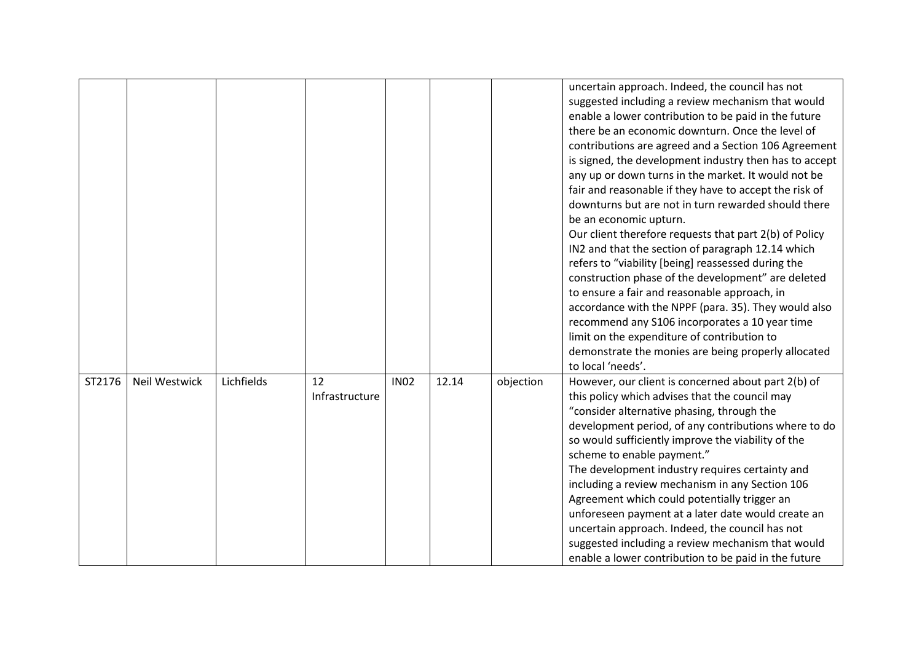|        |               |            |                      |             |       |           | uncertain approach. Indeed, the council has not<br>suggested including a review mechanism that would<br>enable a lower contribution to be paid in the future<br>there be an economic downturn. Once the level of<br>contributions are agreed and a Section 106 Agreement<br>is signed, the development industry then has to accept<br>any up or down turns in the market. It would not be<br>fair and reasonable if they have to accept the risk of<br>downturns but are not in turn rewarded should there<br>be an economic upturn.<br>Our client therefore requests that part 2(b) of Policy<br>IN2 and that the section of paragraph 12.14 which<br>refers to "viability [being] reassessed during the<br>construction phase of the development" are deleted<br>to ensure a fair and reasonable approach, in<br>accordance with the NPPF (para. 35). They would also<br>recommend any S106 incorporates a 10 year time |
|--------|---------------|------------|----------------------|-------------|-------|-----------|---------------------------------------------------------------------------------------------------------------------------------------------------------------------------------------------------------------------------------------------------------------------------------------------------------------------------------------------------------------------------------------------------------------------------------------------------------------------------------------------------------------------------------------------------------------------------------------------------------------------------------------------------------------------------------------------------------------------------------------------------------------------------------------------------------------------------------------------------------------------------------------------------------------------------|
|        |               |            |                      |             |       |           | limit on the expenditure of contribution to<br>demonstrate the monies are being properly allocated<br>to local 'needs'.                                                                                                                                                                                                                                                                                                                                                                                                                                                                                                                                                                                                                                                                                                                                                                                                   |
| ST2176 | Neil Westwick | Lichfields | 12<br>Infrastructure | <b>IN02</b> | 12.14 | objection | However, our client is concerned about part 2(b) of<br>this policy which advises that the council may<br>"consider alternative phasing, through the<br>development period, of any contributions where to do<br>so would sufficiently improve the viability of the<br>scheme to enable payment."<br>The development industry requires certainty and<br>including a review mechanism in any Section 106<br>Agreement which could potentially trigger an<br>unforeseen payment at a later date would create an<br>uncertain approach. Indeed, the council has not<br>suggested including a review mechanism that would<br>enable a lower contribution to be paid in the future                                                                                                                                                                                                                                               |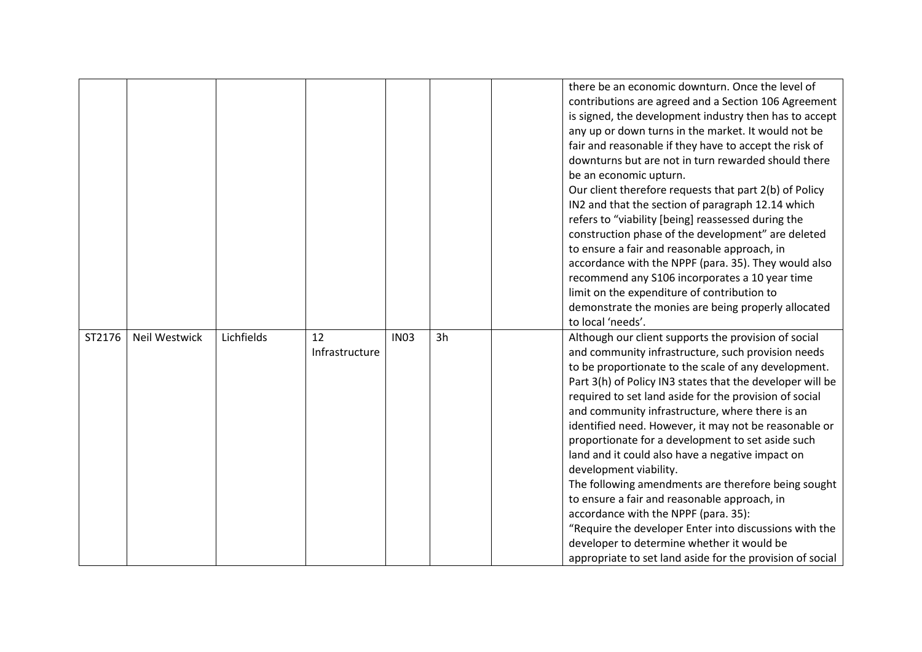|        |                      |            |                |             |    | there be an economic downturn. Once the level of          |
|--------|----------------------|------------|----------------|-------------|----|-----------------------------------------------------------|
|        |                      |            |                |             |    | contributions are agreed and a Section 106 Agreement      |
|        |                      |            |                |             |    | is signed, the development industry then has to accept    |
|        |                      |            |                |             |    | any up or down turns in the market. It would not be       |
|        |                      |            |                |             |    | fair and reasonable if they have to accept the risk of    |
|        |                      |            |                |             |    | downturns but are not in turn rewarded should there       |
|        |                      |            |                |             |    | be an economic upturn.                                    |
|        |                      |            |                |             |    | Our client therefore requests that part 2(b) of Policy    |
|        |                      |            |                |             |    | IN2 and that the section of paragraph 12.14 which         |
|        |                      |            |                |             |    | refers to "viability [being] reassessed during the        |
|        |                      |            |                |             |    | construction phase of the development" are deleted        |
|        |                      |            |                |             |    | to ensure a fair and reasonable approach, in              |
|        |                      |            |                |             |    | accordance with the NPPF (para. 35). They would also      |
|        |                      |            |                |             |    | recommend any S106 incorporates a 10 year time            |
|        |                      |            |                |             |    | limit on the expenditure of contribution to               |
|        |                      |            |                |             |    | demonstrate the monies are being properly allocated       |
|        |                      |            |                |             |    | to local 'needs'.                                         |
| ST2176 | <b>Neil Westwick</b> | Lichfields | 12             | <b>IN03</b> | 3h | Although our client supports the provision of social      |
|        |                      |            | Infrastructure |             |    | and community infrastructure, such provision needs        |
|        |                      |            |                |             |    | to be proportionate to the scale of any development.      |
|        |                      |            |                |             |    | Part 3(h) of Policy IN3 states that the developer will be |
|        |                      |            |                |             |    | required to set land aside for the provision of social    |
|        |                      |            |                |             |    | and community infrastructure, where there is an           |
|        |                      |            |                |             |    | identified need. However, it may not be reasonable or     |
|        |                      |            |                |             |    | proportionate for a development to set aside such         |
|        |                      |            |                |             |    | land and it could also have a negative impact on          |
|        |                      |            |                |             |    | development viability.                                    |
|        |                      |            |                |             |    | The following amendments are therefore being sought       |
|        |                      |            |                |             |    | to ensure a fair and reasonable approach, in              |
|        |                      |            |                |             |    | accordance with the NPPF (para. 35):                      |
|        |                      |            |                |             |    | "Require the developer Enter into discussions with the    |
|        |                      |            |                |             |    | developer to determine whether it would be                |
|        |                      |            |                |             |    | appropriate to set land aside for the provision of social |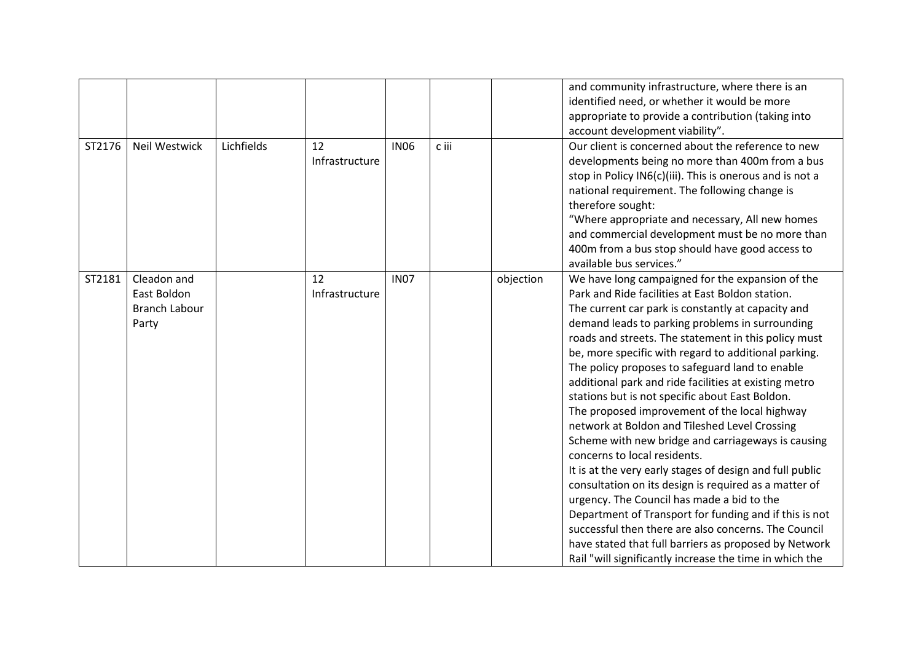| ST2176 | Neil Westwick                                               | Lichfields | 12<br>Infrastructure | <b>IN06</b> | c iii |           | and community infrastructure, where there is an<br>identified need, or whether it would be more<br>appropriate to provide a contribution (taking into<br>account development viability".<br>Our client is concerned about the reference to new<br>developments being no more than 400m from a bus<br>stop in Policy IN6(c)(iii). This is onerous and is not a<br>national requirement. The following change is<br>therefore sought:<br>"Where appropriate and necessary, All new homes<br>and commercial development must be no more than<br>400m from a bus stop should have good access to<br>available bus services."                                                                                                                                                                                                                                                                                                                                                                                                                                                                      |
|--------|-------------------------------------------------------------|------------|----------------------|-------------|-------|-----------|-----------------------------------------------------------------------------------------------------------------------------------------------------------------------------------------------------------------------------------------------------------------------------------------------------------------------------------------------------------------------------------------------------------------------------------------------------------------------------------------------------------------------------------------------------------------------------------------------------------------------------------------------------------------------------------------------------------------------------------------------------------------------------------------------------------------------------------------------------------------------------------------------------------------------------------------------------------------------------------------------------------------------------------------------------------------------------------------------|
| ST2181 | Cleadon and<br>East Boldon<br><b>Branch Labour</b><br>Party |            | 12<br>Infrastructure | <b>IN07</b> |       | objection | We have long campaigned for the expansion of the<br>Park and Ride facilities at East Boldon station.<br>The current car park is constantly at capacity and<br>demand leads to parking problems in surrounding<br>roads and streets. The statement in this policy must<br>be, more specific with regard to additional parking.<br>The policy proposes to safeguard land to enable<br>additional park and ride facilities at existing metro<br>stations but is not specific about East Boldon.<br>The proposed improvement of the local highway<br>network at Boldon and Tileshed Level Crossing<br>Scheme with new bridge and carriageways is causing<br>concerns to local residents.<br>It is at the very early stages of design and full public<br>consultation on its design is required as a matter of<br>urgency. The Council has made a bid to the<br>Department of Transport for funding and if this is not<br>successful then there are also concerns. The Council<br>have stated that full barriers as proposed by Network<br>Rail "will significantly increase the time in which the |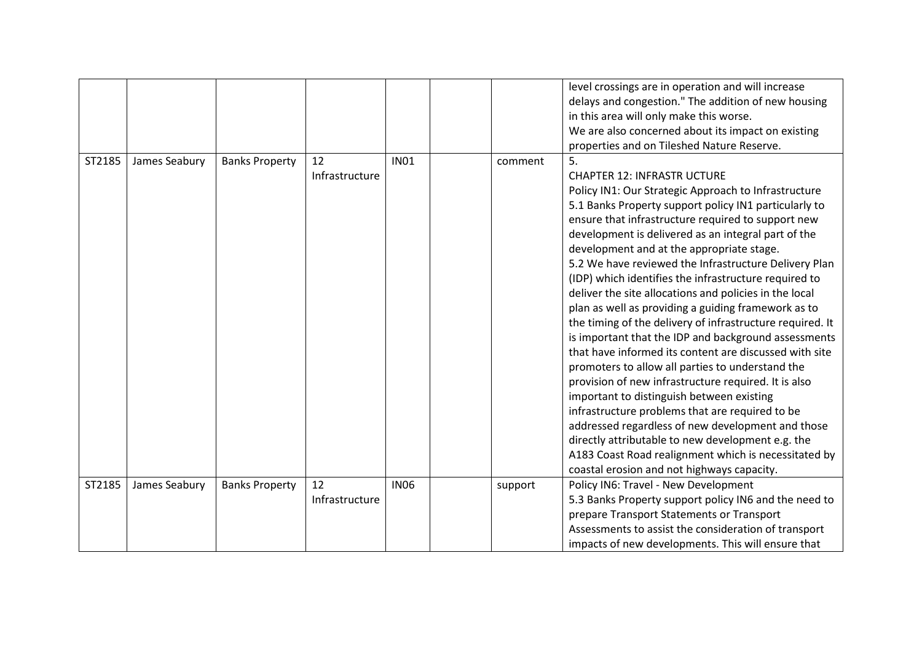|        |               |                       |                |             |         | level crossings are in operation and will increase        |
|--------|---------------|-----------------------|----------------|-------------|---------|-----------------------------------------------------------|
|        |               |                       |                |             |         | delays and congestion." The addition of new housing       |
|        |               |                       |                |             |         | in this area will only make this worse.                   |
|        |               |                       |                |             |         | We are also concerned about its impact on existing        |
|        |               |                       |                |             |         | properties and on Tileshed Nature Reserve.                |
| ST2185 | James Seabury | <b>Banks Property</b> | 12             | <b>IN01</b> | comment | 5.                                                        |
|        |               |                       | Infrastructure |             |         | <b>CHAPTER 12: INFRASTR UCTURE</b>                        |
|        |               |                       |                |             |         | Policy IN1: Our Strategic Approach to Infrastructure      |
|        |               |                       |                |             |         | 5.1 Banks Property support policy IN1 particularly to     |
|        |               |                       |                |             |         | ensure that infrastructure required to support new        |
|        |               |                       |                |             |         | development is delivered as an integral part of the       |
|        |               |                       |                |             |         | development and at the appropriate stage.                 |
|        |               |                       |                |             |         | 5.2 We have reviewed the Infrastructure Delivery Plan     |
|        |               |                       |                |             |         | (IDP) which identifies the infrastructure required to     |
|        |               |                       |                |             |         | deliver the site allocations and policies in the local    |
|        |               |                       |                |             |         | plan as well as providing a guiding framework as to       |
|        |               |                       |                |             |         | the timing of the delivery of infrastructure required. It |
|        |               |                       |                |             |         | is important that the IDP and background assessments      |
|        |               |                       |                |             |         | that have informed its content are discussed with site    |
|        |               |                       |                |             |         | promoters to allow all parties to understand the          |
|        |               |                       |                |             |         | provision of new infrastructure required. It is also      |
|        |               |                       |                |             |         | important to distinguish between existing                 |
|        |               |                       |                |             |         | infrastructure problems that are required to be           |
|        |               |                       |                |             |         | addressed regardless of new development and those         |
|        |               |                       |                |             |         | directly attributable to new development e.g. the         |
|        |               |                       |                |             |         | A183 Coast Road realignment which is necessitated by      |
|        |               |                       |                |             |         | coastal erosion and not highways capacity.                |
| ST2185 | James Seabury | <b>Banks Property</b> | 12             | <b>IN06</b> | support | Policy IN6: Travel - New Development                      |
|        |               |                       | Infrastructure |             |         | 5.3 Banks Property support policy IN6 and the need to     |
|        |               |                       |                |             |         | prepare Transport Statements or Transport                 |
|        |               |                       |                |             |         | Assessments to assist the consideration of transport      |
|        |               |                       |                |             |         | impacts of new developments. This will ensure that        |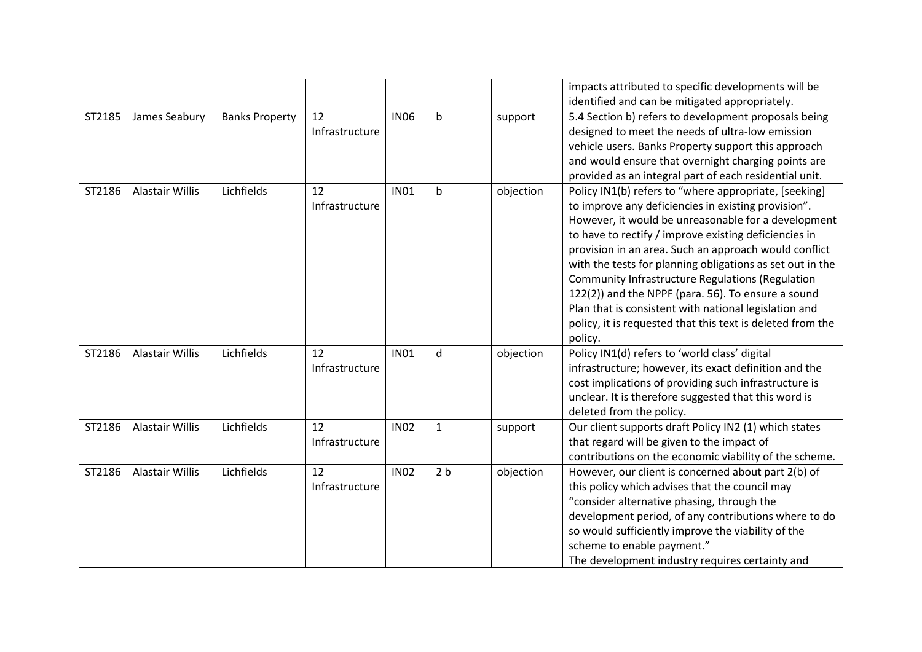|        |                        |                       |                |             |                |           | impacts attributed to specific developments will be        |
|--------|------------------------|-----------------------|----------------|-------------|----------------|-----------|------------------------------------------------------------|
|        |                        |                       |                |             |                |           | identified and can be mitigated appropriately.             |
| ST2185 | James Seabury          | <b>Banks Property</b> | 12             | <b>IN06</b> | b              | support   | 5.4 Section b) refers to development proposals being       |
|        |                        |                       | Infrastructure |             |                |           | designed to meet the needs of ultra-low emission           |
|        |                        |                       |                |             |                |           | vehicle users. Banks Property support this approach        |
|        |                        |                       |                |             |                |           | and would ensure that overnight charging points are        |
|        |                        |                       |                |             |                |           | provided as an integral part of each residential unit.     |
| ST2186 | Alastair Willis        | Lichfields            | 12             | <b>IN01</b> | b              | objection | Policy IN1(b) refers to "where appropriate, [seeking]      |
|        |                        |                       | Infrastructure |             |                |           | to improve any deficiencies in existing provision".        |
|        |                        |                       |                |             |                |           | However, it would be unreasonable for a development        |
|        |                        |                       |                |             |                |           | to have to rectify / improve existing deficiencies in      |
|        |                        |                       |                |             |                |           | provision in an area. Such an approach would conflict      |
|        |                        |                       |                |             |                |           | with the tests for planning obligations as set out in the  |
|        |                        |                       |                |             |                |           | Community Infrastructure Regulations (Regulation           |
|        |                        |                       |                |             |                |           | 122(2)) and the NPPF (para. 56). To ensure a sound         |
|        |                        |                       |                |             |                |           | Plan that is consistent with national legislation and      |
|        |                        |                       |                |             |                |           | policy, it is requested that this text is deleted from the |
|        |                        |                       |                |             |                |           | policy.                                                    |
| ST2186 | <b>Alastair Willis</b> | Lichfields            | 12             | <b>IN01</b> | d              | objection | Policy IN1(d) refers to 'world class' digital              |
|        |                        |                       | Infrastructure |             |                |           | infrastructure; however, its exact definition and the      |
|        |                        |                       |                |             |                |           | cost implications of providing such infrastructure is      |
|        |                        |                       |                |             |                |           | unclear. It is therefore suggested that this word is       |
|        |                        |                       |                |             |                |           | deleted from the policy.                                   |
| ST2186 | <b>Alastair Willis</b> | Lichfields            | 12             | <b>IN02</b> | $\mathbf{1}$   | support   | Our client supports draft Policy IN2 (1) which states      |
|        |                        |                       | Infrastructure |             |                |           | that regard will be given to the impact of                 |
|        |                        |                       |                |             |                |           | contributions on the economic viability of the scheme.     |
| ST2186 | <b>Alastair Willis</b> | Lichfields            | 12             | <b>IN02</b> | 2 <sub>b</sub> | objection | However, our client is concerned about part 2(b) of        |
|        |                        |                       | Infrastructure |             |                |           | this policy which advises that the council may             |
|        |                        |                       |                |             |                |           | "consider alternative phasing, through the                 |
|        |                        |                       |                |             |                |           | development period, of any contributions where to do       |
|        |                        |                       |                |             |                |           | so would sufficiently improve the viability of the         |
|        |                        |                       |                |             |                |           | scheme to enable payment."                                 |
|        |                        |                       |                |             |                |           | The development industry requires certainty and            |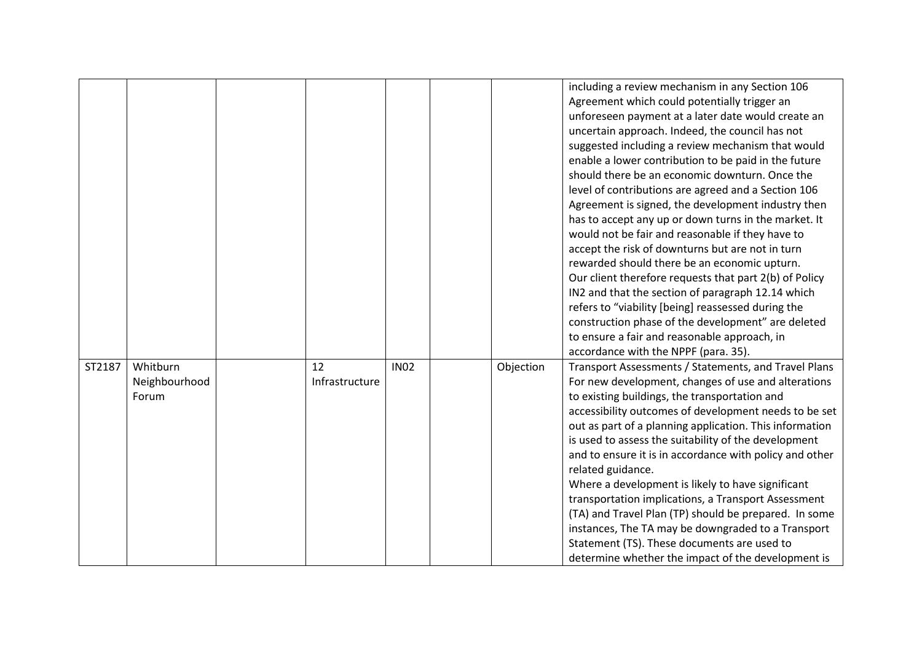|        |               |                |             |           | including a review mechanism in any Section 106                                                                 |
|--------|---------------|----------------|-------------|-----------|-----------------------------------------------------------------------------------------------------------------|
|        |               |                |             |           | Agreement which could potentially trigger an                                                                    |
|        |               |                |             |           | unforeseen payment at a later date would create an                                                              |
|        |               |                |             |           | uncertain approach. Indeed, the council has not                                                                 |
|        |               |                |             |           | suggested including a review mechanism that would                                                               |
|        |               |                |             |           | enable a lower contribution to be paid in the future                                                            |
|        |               |                |             |           | should there be an economic downturn. Once the                                                                  |
|        |               |                |             |           | level of contributions are agreed and a Section 106                                                             |
|        |               |                |             |           | Agreement is signed, the development industry then                                                              |
|        |               |                |             |           | has to accept any up or down turns in the market. It                                                            |
|        |               |                |             |           | would not be fair and reasonable if they have to                                                                |
|        |               |                |             |           | accept the risk of downturns but are not in turn                                                                |
|        |               |                |             |           | rewarded should there be an economic upturn.                                                                    |
|        |               |                |             |           | Our client therefore requests that part 2(b) of Policy                                                          |
|        |               |                |             |           | IN2 and that the section of paragraph 12.14 which                                                               |
|        |               |                |             |           | refers to "viability [being] reassessed during the                                                              |
|        |               |                |             |           | construction phase of the development" are deleted                                                              |
|        |               |                |             |           | to ensure a fair and reasonable approach, in                                                                    |
|        |               |                |             |           | accordance with the NPPF (para. 35).                                                                            |
| ST2187 | Whitburn      | 12             | <b>IN02</b> | Objection | Transport Assessments / Statements, and Travel Plans                                                            |
|        | Neighbourhood | Infrastructure |             |           | For new development, changes of use and alterations                                                             |
|        | Forum         |                |             |           | to existing buildings, the transportation and<br>accessibility outcomes of development needs to be set          |
|        |               |                |             |           |                                                                                                                 |
|        |               |                |             |           | out as part of a planning application. This information<br>is used to assess the suitability of the development |
|        |               |                |             |           | and to ensure it is in accordance with policy and other                                                         |
|        |               |                |             |           | related guidance.                                                                                               |
|        |               |                |             |           | Where a development is likely to have significant                                                               |
|        |               |                |             |           | transportation implications, a Transport Assessment                                                             |
|        |               |                |             |           | (TA) and Travel Plan (TP) should be prepared. In some                                                           |
|        |               |                |             |           | instances, The TA may be downgraded to a Transport                                                              |
|        |               |                |             |           | Statement (TS). These documents are used to                                                                     |
|        |               |                |             |           | determine whether the impact of the development is                                                              |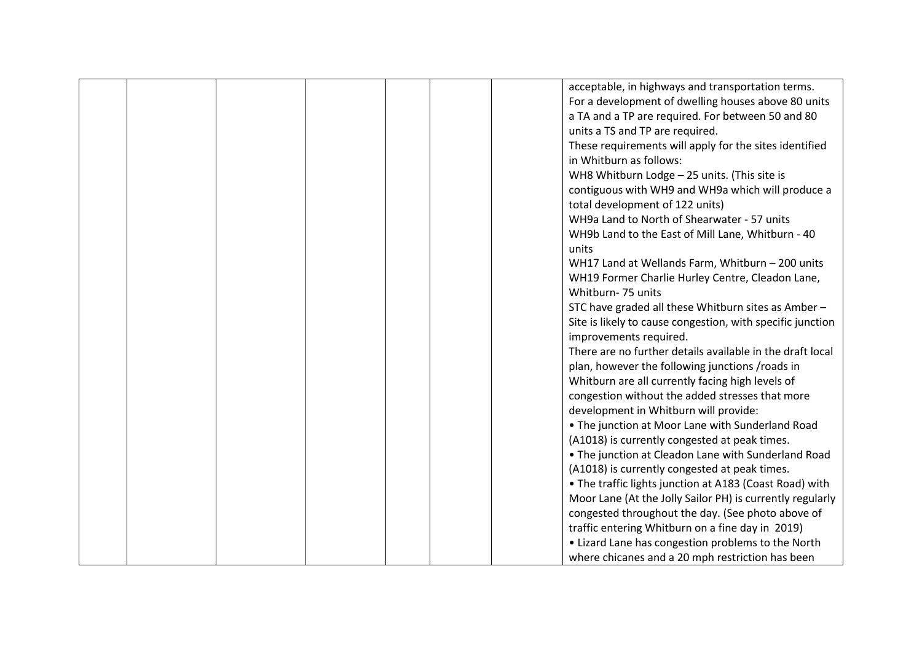|  |  |  | acceptable, in highways and transportation terms.          |
|--|--|--|------------------------------------------------------------|
|  |  |  | For a development of dwelling houses above 80 units        |
|  |  |  | a TA and a TP are required. For between 50 and 80          |
|  |  |  | units a TS and TP are required.                            |
|  |  |  | These requirements will apply for the sites identified     |
|  |  |  | in Whitburn as follows:                                    |
|  |  |  | WH8 Whitburn Lodge - 25 units. (This site is               |
|  |  |  | contiguous with WH9 and WH9a which will produce a          |
|  |  |  | total development of 122 units)                            |
|  |  |  | WH9a Land to North of Shearwater - 57 units                |
|  |  |  | WH9b Land to the East of Mill Lane, Whitburn - 40          |
|  |  |  | units                                                      |
|  |  |  | WH17 Land at Wellands Farm, Whitburn - 200 units           |
|  |  |  | WH19 Former Charlie Hurley Centre, Cleadon Lane,           |
|  |  |  | Whitburn- 75 units                                         |
|  |  |  | STC have graded all these Whitburn sites as Amber-         |
|  |  |  | Site is likely to cause congestion, with specific junction |
|  |  |  | improvements required.                                     |
|  |  |  | There are no further details available in the draft local  |
|  |  |  | plan, however the following junctions /roads in            |
|  |  |  | Whitburn are all currently facing high levels of           |
|  |  |  | congestion without the added stresses that more            |
|  |  |  | development in Whitburn will provide:                      |
|  |  |  | • The junction at Moor Lane with Sunderland Road           |
|  |  |  | (A1018) is currently congested at peak times.              |
|  |  |  | . The junction at Cleadon Lane with Sunderland Road        |
|  |  |  | (A1018) is currently congested at peak times.              |
|  |  |  | • The traffic lights junction at A183 (Coast Road) with    |
|  |  |  | Moor Lane (At the Jolly Sailor PH) is currently regularly  |
|  |  |  | congested throughout the day. (See photo above of          |
|  |  |  | traffic entering Whitburn on a fine day in 2019)           |
|  |  |  | • Lizard Lane has congestion problems to the North         |
|  |  |  | where chicanes and a 20 mph restriction has been           |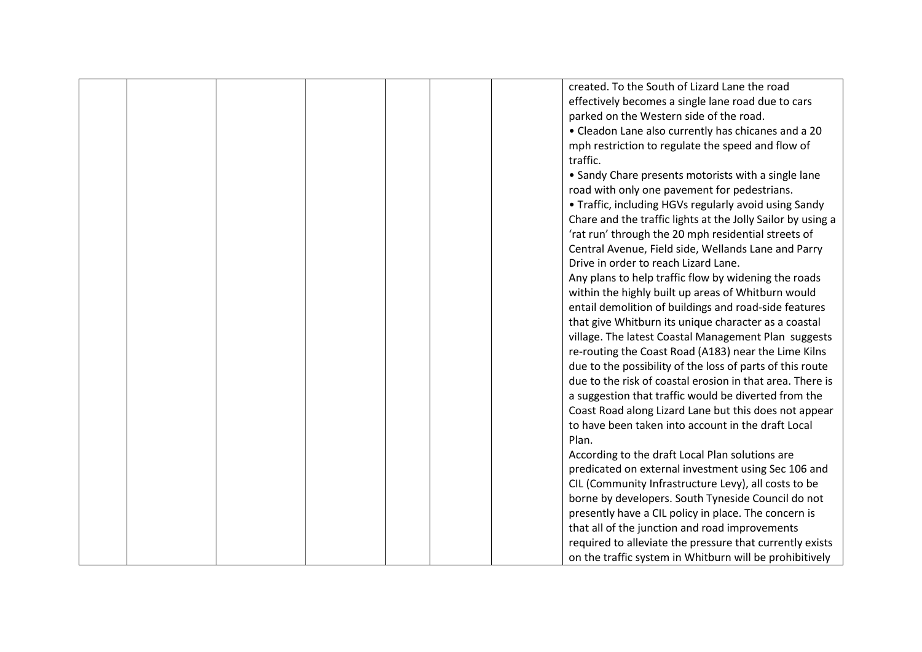|  |  |  | created. To the South of Lizard Lane the road               |
|--|--|--|-------------------------------------------------------------|
|  |  |  | effectively becomes a single lane road due to cars          |
|  |  |  | parked on the Western side of the road.                     |
|  |  |  | • Cleadon Lane also currently has chicanes and a 20         |
|  |  |  | mph restriction to regulate the speed and flow of           |
|  |  |  | traffic.                                                    |
|  |  |  | • Sandy Chare presents motorists with a single lane         |
|  |  |  | road with only one pavement for pedestrians.                |
|  |  |  | • Traffic, including HGVs regularly avoid using Sandy       |
|  |  |  | Chare and the traffic lights at the Jolly Sailor by using a |
|  |  |  | 'rat run' through the 20 mph residential streets of         |
|  |  |  | Central Avenue, Field side, Wellands Lane and Parry         |
|  |  |  | Drive in order to reach Lizard Lane.                        |
|  |  |  | Any plans to help traffic flow by widening the roads        |
|  |  |  | within the highly built up areas of Whitburn would          |
|  |  |  | entail demolition of buildings and road-side features       |
|  |  |  | that give Whitburn its unique character as a coastal        |
|  |  |  | village. The latest Coastal Management Plan suggests        |
|  |  |  | re-routing the Coast Road (A183) near the Lime Kilns        |
|  |  |  | due to the possibility of the loss of parts of this route   |
|  |  |  | due to the risk of coastal erosion in that area. There is   |
|  |  |  | a suggestion that traffic would be diverted from the        |
|  |  |  | Coast Road along Lizard Lane but this does not appear       |
|  |  |  | to have been taken into account in the draft Local          |
|  |  |  | Plan.                                                       |
|  |  |  | According to the draft Local Plan solutions are             |
|  |  |  | predicated on external investment using Sec 106 and         |
|  |  |  | CIL (Community Infrastructure Levy), all costs to be        |
|  |  |  | borne by developers. South Tyneside Council do not          |
|  |  |  | presently have a CIL policy in place. The concern is        |
|  |  |  | that all of the junction and road improvements              |
|  |  |  | required to alleviate the pressure that currently exists    |
|  |  |  | on the traffic system in Whitburn will be prohibitively     |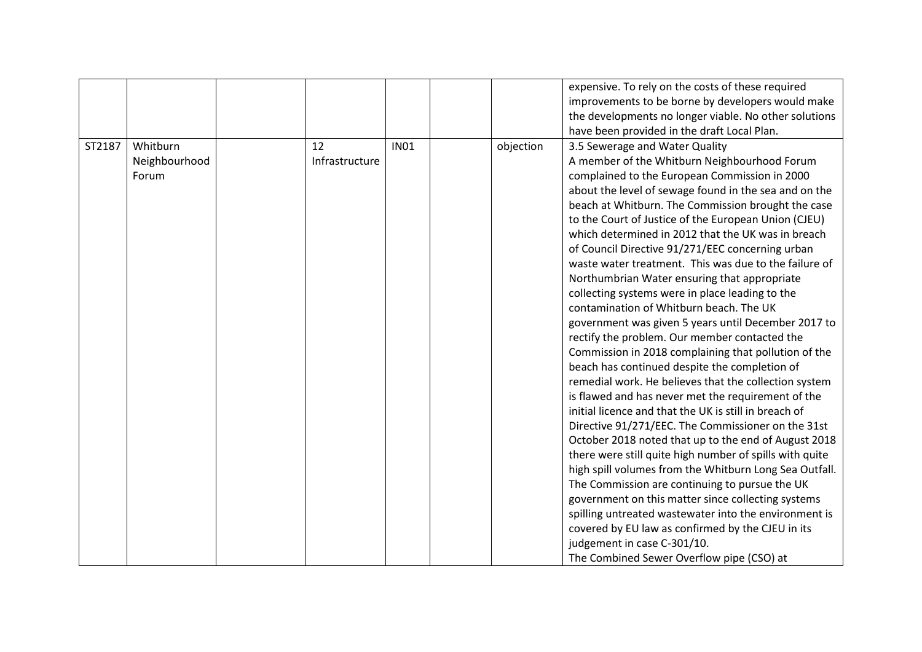|        |               |                |             |           | expensive. To rely on the costs of these required       |
|--------|---------------|----------------|-------------|-----------|---------------------------------------------------------|
|        |               |                |             |           | improvements to be borne by developers would make       |
|        |               |                |             |           | the developments no longer viable. No other solutions   |
|        |               |                |             |           | have been provided in the draft Local Plan.             |
| ST2187 | Whitburn      | 12             | <b>IN01</b> | objection | 3.5 Sewerage and Water Quality                          |
|        | Neighbourhood | Infrastructure |             |           | A member of the Whitburn Neighbourhood Forum            |
|        | Forum         |                |             |           | complained to the European Commission in 2000           |
|        |               |                |             |           | about the level of sewage found in the sea and on the   |
|        |               |                |             |           | beach at Whitburn. The Commission brought the case      |
|        |               |                |             |           | to the Court of Justice of the European Union (CJEU)    |
|        |               |                |             |           | which determined in 2012 that the UK was in breach      |
|        |               |                |             |           | of Council Directive 91/271/EEC concerning urban        |
|        |               |                |             |           | waste water treatment. This was due to the failure of   |
|        |               |                |             |           | Northumbrian Water ensuring that appropriate            |
|        |               |                |             |           | collecting systems were in place leading to the         |
|        |               |                |             |           | contamination of Whitburn beach. The UK                 |
|        |               |                |             |           | government was given 5 years until December 2017 to     |
|        |               |                |             |           | rectify the problem. Our member contacted the           |
|        |               |                |             |           | Commission in 2018 complaining that pollution of the    |
|        |               |                |             |           | beach has continued despite the completion of           |
|        |               |                |             |           | remedial work. He believes that the collection system   |
|        |               |                |             |           | is flawed and has never met the requirement of the      |
|        |               |                |             |           | initial licence and that the UK is still in breach of   |
|        |               |                |             |           | Directive 91/271/EEC. The Commissioner on the 31st      |
|        |               |                |             |           | October 2018 noted that up to the end of August 2018    |
|        |               |                |             |           | there were still quite high number of spills with quite |
|        |               |                |             |           | high spill volumes from the Whitburn Long Sea Outfall.  |
|        |               |                |             |           | The Commission are continuing to pursue the UK          |
|        |               |                |             |           | government on this matter since collecting systems      |
|        |               |                |             |           | spilling untreated wastewater into the environment is   |
|        |               |                |             |           | covered by EU law as confirmed by the CJEU in its       |
|        |               |                |             |           | judgement in case C-301/10.                             |
|        |               |                |             |           | The Combined Sewer Overflow pipe (CSO) at               |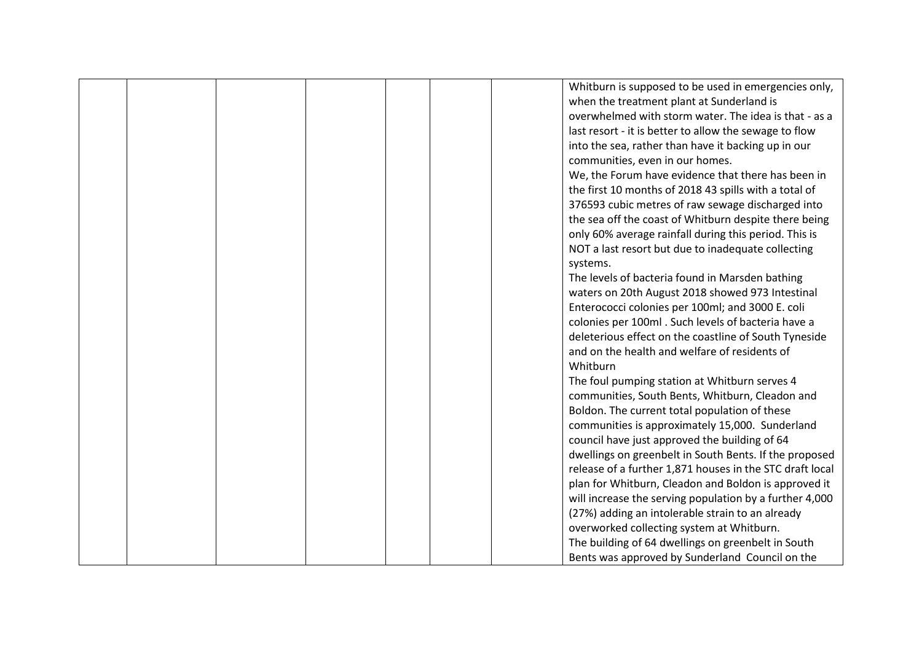|  |  |  | Whitburn is supposed to be used in emergencies only,     |
|--|--|--|----------------------------------------------------------|
|  |  |  | when the treatment plant at Sunderland is                |
|  |  |  | overwhelmed with storm water. The idea is that - as a    |
|  |  |  | last resort - it is better to allow the sewage to flow   |
|  |  |  | into the sea, rather than have it backing up in our      |
|  |  |  | communities, even in our homes.                          |
|  |  |  | We, the Forum have evidence that there has been in       |
|  |  |  | the first 10 months of 2018 43 spills with a total of    |
|  |  |  | 376593 cubic metres of raw sewage discharged into        |
|  |  |  | the sea off the coast of Whitburn despite there being    |
|  |  |  | only 60% average rainfall during this period. This is    |
|  |  |  | NOT a last resort but due to inadequate collecting       |
|  |  |  | systems.                                                 |
|  |  |  | The levels of bacteria found in Marsden bathing          |
|  |  |  | waters on 20th August 2018 showed 973 Intestinal         |
|  |  |  | Enterococci colonies per 100ml; and 3000 E. coli         |
|  |  |  | colonies per 100ml. Such levels of bacteria have a       |
|  |  |  | deleterious effect on the coastline of South Tyneside    |
|  |  |  | and on the health and welfare of residents of            |
|  |  |  | Whitburn                                                 |
|  |  |  | The foul pumping station at Whitburn serves 4            |
|  |  |  | communities, South Bents, Whitburn, Cleadon and          |
|  |  |  | Boldon. The current total population of these            |
|  |  |  | communities is approximately 15,000. Sunderland          |
|  |  |  | council have just approved the building of 64            |
|  |  |  | dwellings on greenbelt in South Bents. If the proposed   |
|  |  |  | release of a further 1,871 houses in the STC draft local |
|  |  |  | plan for Whitburn, Cleadon and Boldon is approved it     |
|  |  |  | will increase the serving population by a further 4,000  |
|  |  |  | (27%) adding an intolerable strain to an already         |
|  |  |  | overworked collecting system at Whitburn.                |
|  |  |  | The building of 64 dwellings on greenbelt in South       |
|  |  |  | Bents was approved by Sunderland Council on the          |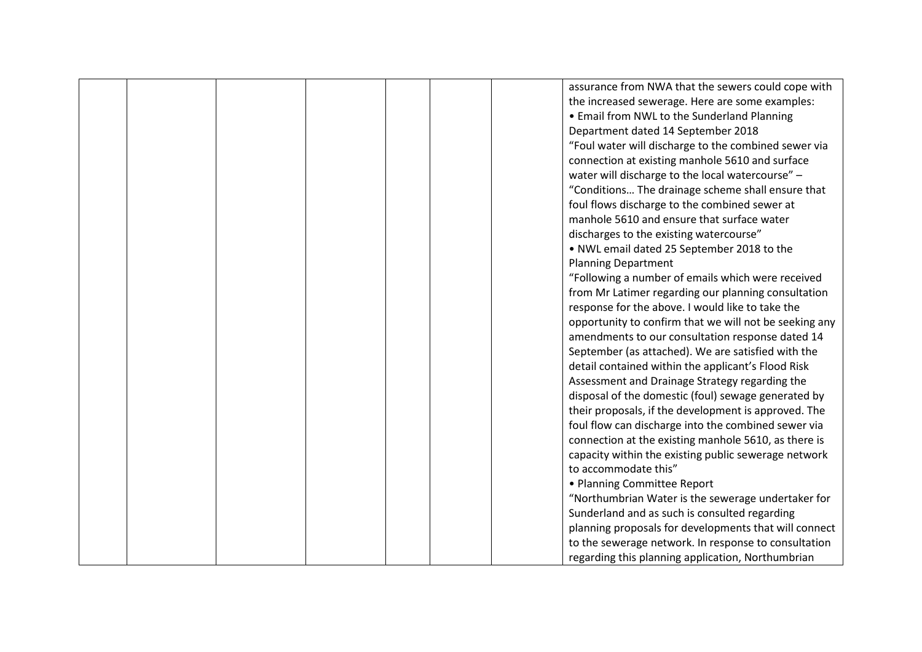|  |  |  | assurance from NWA that the sewers could cope with     |
|--|--|--|--------------------------------------------------------|
|  |  |  | the increased sewerage. Here are some examples:        |
|  |  |  | • Email from NWL to the Sunderland Planning            |
|  |  |  | Department dated 14 September 2018                     |
|  |  |  | "Foul water will discharge to the combined sewer via   |
|  |  |  | connection at existing manhole 5610 and surface        |
|  |  |  | water will discharge to the local watercourse" -       |
|  |  |  | "Conditions The drainage scheme shall ensure that      |
|  |  |  | foul flows discharge to the combined sewer at          |
|  |  |  | manhole 5610 and ensure that surface water             |
|  |  |  | discharges to the existing watercourse"                |
|  |  |  | . NWL email dated 25 September 2018 to the             |
|  |  |  | <b>Planning Department</b>                             |
|  |  |  | "Following a number of emails which were received      |
|  |  |  | from Mr Latimer regarding our planning consultation    |
|  |  |  | response for the above. I would like to take the       |
|  |  |  | opportunity to confirm that we will not be seeking any |
|  |  |  | amendments to our consultation response dated 14       |
|  |  |  | September (as attached). We are satisfied with the     |
|  |  |  | detail contained within the applicant's Flood Risk     |
|  |  |  | Assessment and Drainage Strategy regarding the         |
|  |  |  | disposal of the domestic (foul) sewage generated by    |
|  |  |  | their proposals, if the development is approved. The   |
|  |  |  | foul flow can discharge into the combined sewer via    |
|  |  |  | connection at the existing manhole 5610, as there is   |
|  |  |  | capacity within the existing public sewerage network   |
|  |  |  | to accommodate this"                                   |
|  |  |  | • Planning Committee Report                            |
|  |  |  | "Northumbrian Water is the sewerage undertaker for     |
|  |  |  | Sunderland and as such is consulted regarding          |
|  |  |  | planning proposals for developments that will connect  |
|  |  |  | to the sewerage network. In response to consultation   |
|  |  |  | regarding this planning application, Northumbrian      |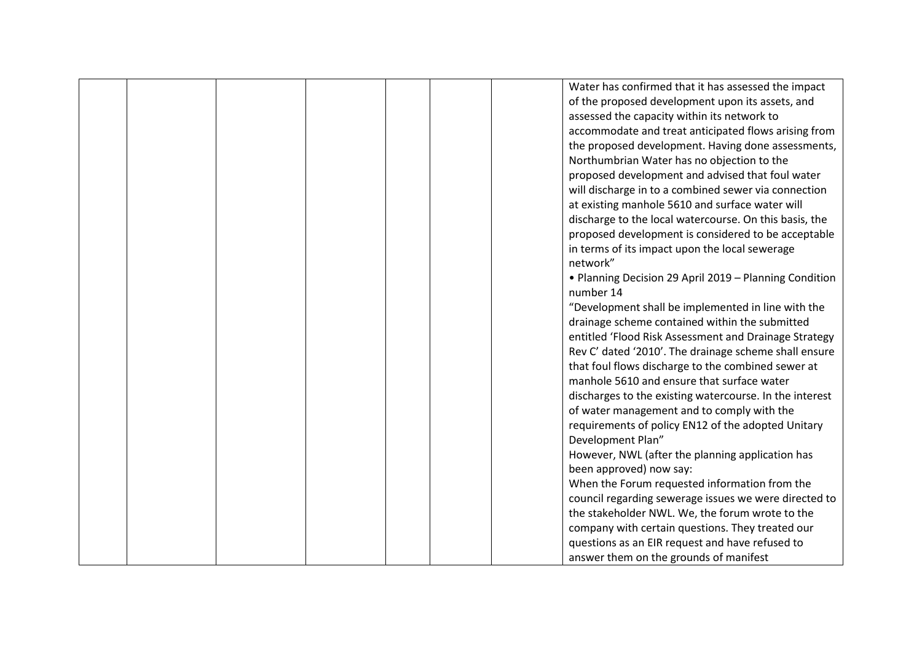|  |  |  | Water has confirmed that it has assessed the impact     |
|--|--|--|---------------------------------------------------------|
|  |  |  | of the proposed development upon its assets, and        |
|  |  |  | assessed the capacity within its network to             |
|  |  |  | accommodate and treat anticipated flows arising from    |
|  |  |  | the proposed development. Having done assessments,      |
|  |  |  | Northumbrian Water has no objection to the              |
|  |  |  | proposed development and advised that foul water        |
|  |  |  | will discharge in to a combined sewer via connection    |
|  |  |  | at existing manhole 5610 and surface water will         |
|  |  |  | discharge to the local watercourse. On this basis, the  |
|  |  |  | proposed development is considered to be acceptable     |
|  |  |  | in terms of its impact upon the local sewerage          |
|  |  |  | network"                                                |
|  |  |  | • Planning Decision 29 April 2019 - Planning Condition  |
|  |  |  | number 14                                               |
|  |  |  | "Development shall be implemented in line with the      |
|  |  |  | drainage scheme contained within the submitted          |
|  |  |  | entitled 'Flood Risk Assessment and Drainage Strategy   |
|  |  |  | Rev C' dated '2010'. The drainage scheme shall ensure   |
|  |  |  | that foul flows discharge to the combined sewer at      |
|  |  |  | manhole 5610 and ensure that surface water              |
|  |  |  | discharges to the existing watercourse. In the interest |
|  |  |  | of water management and to comply with the              |
|  |  |  | requirements of policy EN12 of the adopted Unitary      |
|  |  |  | Development Plan"                                       |
|  |  |  | However, NWL (after the planning application has        |
|  |  |  | been approved) now say:                                 |
|  |  |  | When the Forum requested information from the           |
|  |  |  | council regarding sewerage issues we were directed to   |
|  |  |  | the stakeholder NWL. We, the forum wrote to the         |
|  |  |  | company with certain questions. They treated our        |
|  |  |  | questions as an EIR request and have refused to         |
|  |  |  | answer them on the grounds of manifest                  |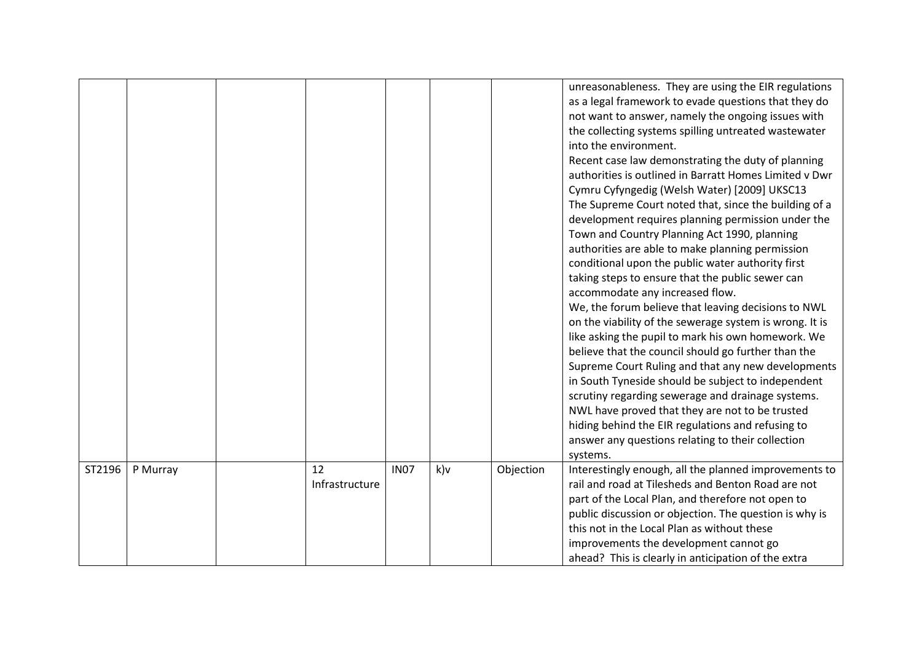|        |          |                      |             |        |           | unreasonableness. They are using the EIR regulations<br>as a legal framework to evade questions that they do<br>not want to answer, namely the ongoing issues with<br>the collecting systems spilling untreated wastewater<br>into the environment.<br>Recent case law demonstrating the duty of planning<br>authorities is outlined in Barratt Homes Limited v Dwr<br>Cymru Cyfyngedig (Welsh Water) [2009] UKSC13<br>The Supreme Court noted that, since the building of a<br>development requires planning permission under the<br>Town and Country Planning Act 1990, planning<br>authorities are able to make planning permission<br>conditional upon the public water authority first<br>taking steps to ensure that the public sewer can<br>accommodate any increased flow.<br>We, the forum believe that leaving decisions to NWL<br>on the viability of the sewerage system is wrong. It is<br>like asking the pupil to mark his own homework. We<br>believe that the council should go further than the<br>Supreme Court Ruling and that any new developments<br>in South Tyneside should be subject to independent |
|--------|----------|----------------------|-------------|--------|-----------|-------------------------------------------------------------------------------------------------------------------------------------------------------------------------------------------------------------------------------------------------------------------------------------------------------------------------------------------------------------------------------------------------------------------------------------------------------------------------------------------------------------------------------------------------------------------------------------------------------------------------------------------------------------------------------------------------------------------------------------------------------------------------------------------------------------------------------------------------------------------------------------------------------------------------------------------------------------------------------------------------------------------------------------------------------------------------------------------------------------------------------|
|        |          |                      |             |        |           | scrutiny regarding sewerage and drainage systems.<br>NWL have proved that they are not to be trusted                                                                                                                                                                                                                                                                                                                                                                                                                                                                                                                                                                                                                                                                                                                                                                                                                                                                                                                                                                                                                          |
|        |          |                      |             |        |           | hiding behind the EIR regulations and refusing to<br>answer any questions relating to their collection<br>systems.                                                                                                                                                                                                                                                                                                                                                                                                                                                                                                                                                                                                                                                                                                                                                                                                                                                                                                                                                                                                            |
| ST2196 | P Murray | 12<br>Infrastructure | <b>IN07</b> | $k$ )v | Objection | Interestingly enough, all the planned improvements to<br>rail and road at Tilesheds and Benton Road are not<br>part of the Local Plan, and therefore not open to<br>public discussion or objection. The question is why is<br>this not in the Local Plan as without these<br>improvements the development cannot go<br>ahead? This is clearly in anticipation of the extra                                                                                                                                                                                                                                                                                                                                                                                                                                                                                                                                                                                                                                                                                                                                                    |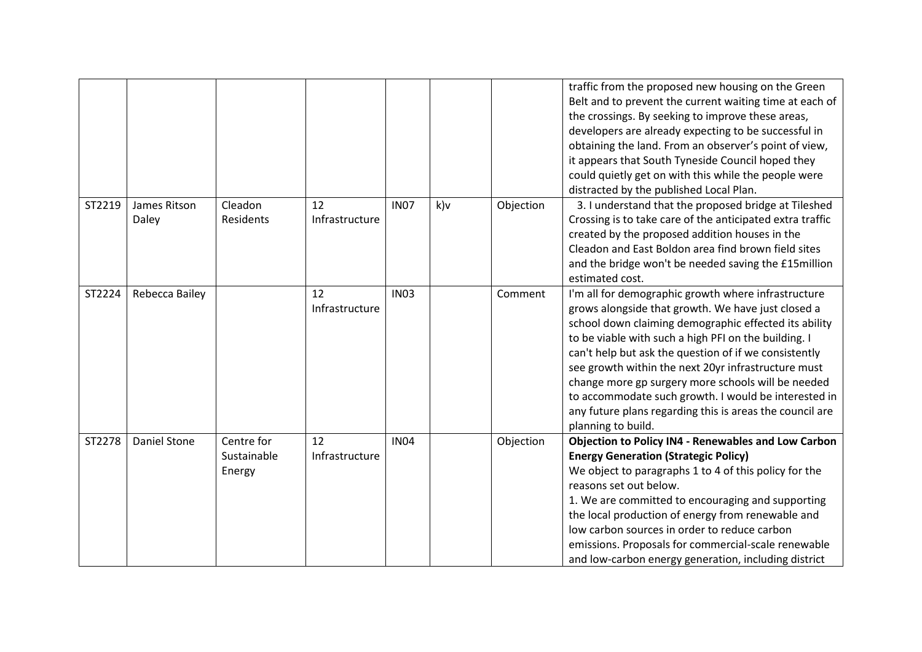|        |                       |                                     |                      |             |       |           | traffic from the proposed new housing on the Green<br>Belt and to prevent the current waiting time at each of<br>the crossings. By seeking to improve these areas,<br>developers are already expecting to be successful in<br>obtaining the land. From an observer's point of view,<br>it appears that South Tyneside Council hoped they<br>could quietly get on with this while the people were<br>distracted by the published Local Plan.                                                                                                |
|--------|-----------------------|-------------------------------------|----------------------|-------------|-------|-----------|--------------------------------------------------------------------------------------------------------------------------------------------------------------------------------------------------------------------------------------------------------------------------------------------------------------------------------------------------------------------------------------------------------------------------------------------------------------------------------------------------------------------------------------------|
| ST2219 | James Ritson<br>Daley | Cleadon<br>Residents                | 12<br>Infrastructure | <b>IN07</b> | $k$ ) | Objection | 3. I understand that the proposed bridge at Tileshed<br>Crossing is to take care of the anticipated extra traffic<br>created by the proposed addition houses in the<br>Cleadon and East Boldon area find brown field sites<br>and the bridge won't be needed saving the £15million<br>estimated cost.                                                                                                                                                                                                                                      |
| ST2224 | Rebecca Bailey        |                                     | 12<br>Infrastructure | <b>IN03</b> |       | Comment   | I'm all for demographic growth where infrastructure<br>grows alongside that growth. We have just closed a<br>school down claiming demographic effected its ability<br>to be viable with such a high PFI on the building. I<br>can't help but ask the question of if we consistently<br>see growth within the next 20yr infrastructure must<br>change more gp surgery more schools will be needed<br>to accommodate such growth. I would be interested in<br>any future plans regarding this is areas the council are<br>planning to build. |
| ST2278 | <b>Daniel Stone</b>   | Centre for<br>Sustainable<br>Energy | 12<br>Infrastructure | <b>IN04</b> |       | Objection | <b>Objection to Policy IN4 - Renewables and Low Carbon</b><br><b>Energy Generation (Strategic Policy)</b><br>We object to paragraphs 1 to 4 of this policy for the<br>reasons set out below.<br>1. We are committed to encouraging and supporting<br>the local production of energy from renewable and<br>low carbon sources in order to reduce carbon<br>emissions. Proposals for commercial-scale renewable<br>and low-carbon energy generation, including district                                                                      |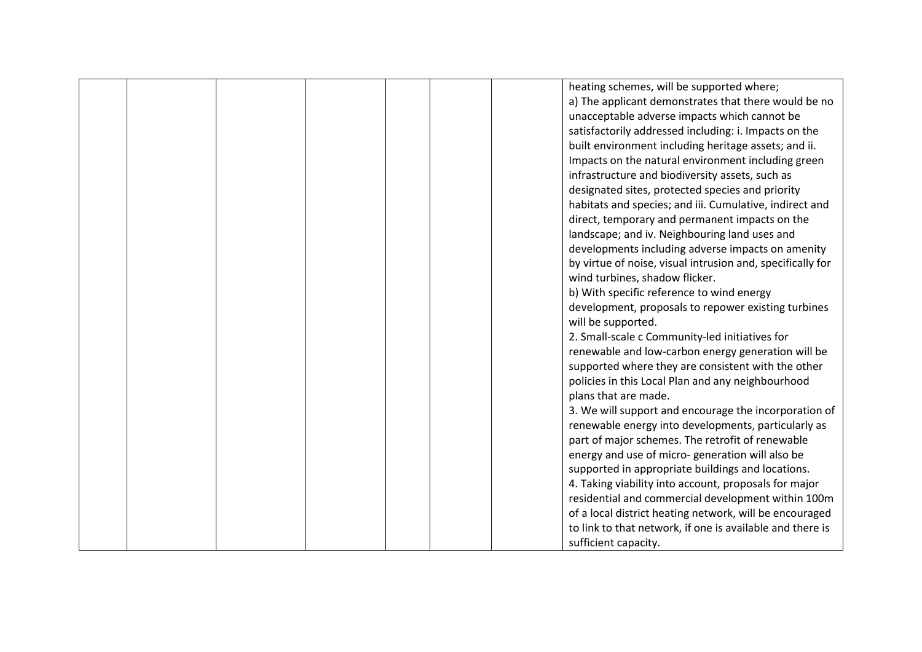|  |  |  | heating schemes, will be supported where;                  |
|--|--|--|------------------------------------------------------------|
|  |  |  | a) The applicant demonstrates that there would be no       |
|  |  |  | unacceptable adverse impacts which cannot be               |
|  |  |  | satisfactorily addressed including: i. Impacts on the      |
|  |  |  | built environment including heritage assets; and ii.       |
|  |  |  | Impacts on the natural environment including green         |
|  |  |  | infrastructure and biodiversity assets, such as            |
|  |  |  | designated sites, protected species and priority           |
|  |  |  | habitats and species; and iii. Cumulative, indirect and    |
|  |  |  | direct, temporary and permanent impacts on the             |
|  |  |  | landscape; and iv. Neighbouring land uses and              |
|  |  |  | developments including adverse impacts on amenity          |
|  |  |  | by virtue of noise, visual intrusion and, specifically for |
|  |  |  | wind turbines, shadow flicker.                             |
|  |  |  | b) With specific reference to wind energy                  |
|  |  |  | development, proposals to repower existing turbines        |
|  |  |  | will be supported.                                         |
|  |  |  | 2. Small-scale c Community-led initiatives for             |
|  |  |  | renewable and low-carbon energy generation will be         |
|  |  |  | supported where they are consistent with the other         |
|  |  |  | policies in this Local Plan and any neighbourhood          |
|  |  |  | plans that are made.                                       |
|  |  |  | 3. We will support and encourage the incorporation of      |
|  |  |  | renewable energy into developments, particularly as        |
|  |  |  | part of major schemes. The retrofit of renewable           |
|  |  |  | energy and use of micro-generation will also be            |
|  |  |  | supported in appropriate buildings and locations.          |
|  |  |  | 4. Taking viability into account, proposals for major      |
|  |  |  | residential and commercial development within 100m         |
|  |  |  | of a local district heating network, will be encouraged    |
|  |  |  | to link to that network, if one is available and there is  |
|  |  |  | sufficient capacity.                                       |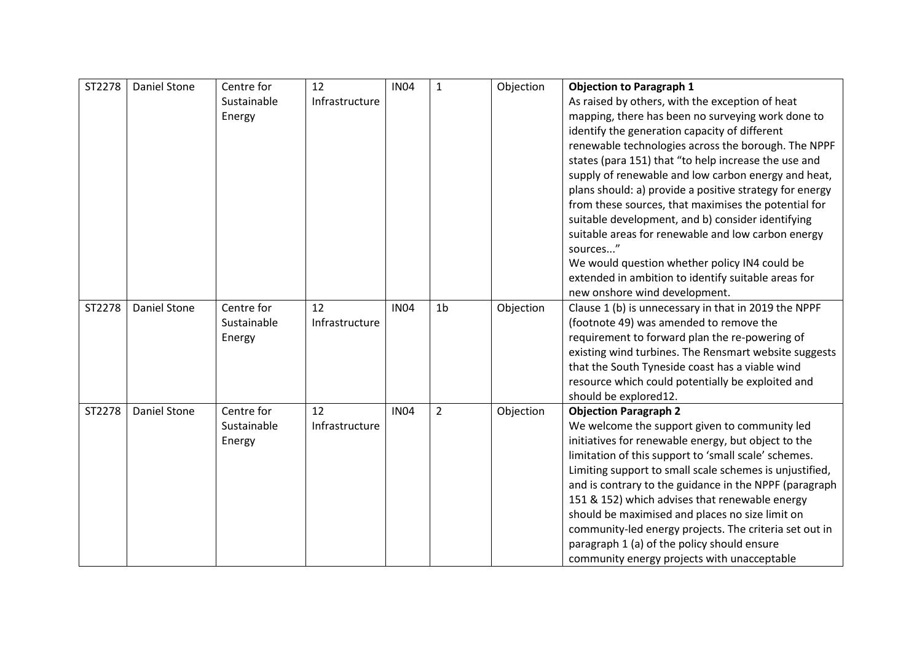| ST2278 | <b>Daniel Stone</b> | Centre for  | 12             | <b>IN04</b> | $\mathbf{1}$   | Objection | <b>Objection to Paragraph 1</b>                                               |
|--------|---------------------|-------------|----------------|-------------|----------------|-----------|-------------------------------------------------------------------------------|
|        |                     | Sustainable | Infrastructure |             |                |           | As raised by others, with the exception of heat                               |
|        |                     | Energy      |                |             |                |           | mapping, there has been no surveying work done to                             |
|        |                     |             |                |             |                |           | identify the generation capacity of different                                 |
|        |                     |             |                |             |                |           | renewable technologies across the borough. The NPPF                           |
|        |                     |             |                |             |                |           | states (para 151) that "to help increase the use and                          |
|        |                     |             |                |             |                |           | supply of renewable and low carbon energy and heat,                           |
|        |                     |             |                |             |                |           | plans should: a) provide a positive strategy for energy                       |
|        |                     |             |                |             |                |           | from these sources, that maximises the potential for                          |
|        |                     |             |                |             |                |           | suitable development, and b) consider identifying                             |
|        |                     |             |                |             |                |           | suitable areas for renewable and low carbon energy                            |
|        |                     |             |                |             |                |           | sources"                                                                      |
|        |                     |             |                |             |                |           | We would question whether policy IN4 could be                                 |
|        |                     |             |                |             |                |           | extended in ambition to identify suitable areas for                           |
|        |                     |             |                |             |                |           | new onshore wind development.                                                 |
| ST2278 | <b>Daniel Stone</b> | Centre for  | 12             | <b>IN04</b> | 1 <sub>b</sub> | Objection | Clause 1 (b) is unnecessary in that in 2019 the NPPF                          |
|        |                     | Sustainable | Infrastructure |             |                |           | (footnote 49) was amended to remove the                                       |
|        |                     | Energy      |                |             |                |           | requirement to forward plan the re-powering of                                |
|        |                     |             |                |             |                |           | existing wind turbines. The Rensmart website suggests                         |
|        |                     |             |                |             |                |           | that the South Tyneside coast has a viable wind                               |
|        |                     |             |                |             |                |           | resource which could potentially be exploited and                             |
| ST2278 | <b>Daniel Stone</b> | Centre for  | 12             | <b>IN04</b> | $\overline{2}$ |           | should be explored12.                                                         |
|        |                     | Sustainable | Infrastructure |             |                | Objection | <b>Objection Paragraph 2</b><br>We welcome the support given to community led |
|        |                     | Energy      |                |             |                |           | initiatives for renewable energy, but object to the                           |
|        |                     |             |                |             |                |           | limitation of this support to 'small scale' schemes.                          |
|        |                     |             |                |             |                |           | Limiting support to small scale schemes is unjustified,                       |
|        |                     |             |                |             |                |           | and is contrary to the guidance in the NPPF (paragraph                        |
|        |                     |             |                |             |                |           | 151 & 152) which advises that renewable energy                                |
|        |                     |             |                |             |                |           | should be maximised and places no size limit on                               |
|        |                     |             |                |             |                |           | community-led energy projects. The criteria set out in                        |
|        |                     |             |                |             |                |           | paragraph 1 (a) of the policy should ensure                                   |
|        |                     |             |                |             |                |           | community energy projects with unacceptable                                   |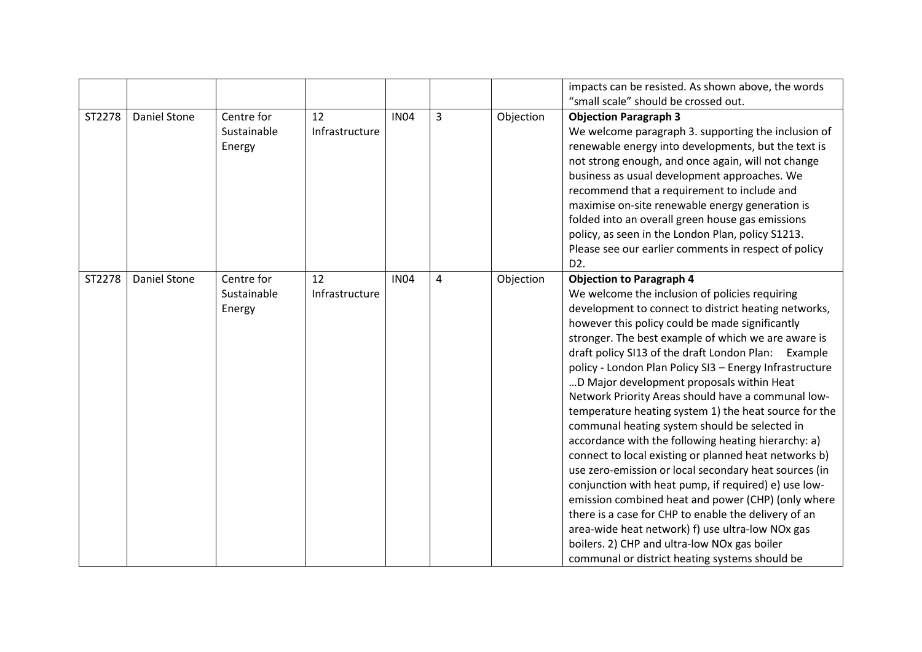|        |              |                                     |                      |             |   |           | impacts can be resisted. As shown above, the words<br>"small scale" should be crossed out.                                                                                                                                                                                                                                                                                                                                                                                                                                                                                                                                                                                                                                                                                                                                                                                                                                                                                                                                                                                              |
|--------|--------------|-------------------------------------|----------------------|-------------|---|-----------|-----------------------------------------------------------------------------------------------------------------------------------------------------------------------------------------------------------------------------------------------------------------------------------------------------------------------------------------------------------------------------------------------------------------------------------------------------------------------------------------------------------------------------------------------------------------------------------------------------------------------------------------------------------------------------------------------------------------------------------------------------------------------------------------------------------------------------------------------------------------------------------------------------------------------------------------------------------------------------------------------------------------------------------------------------------------------------------------|
| ST2278 | Daniel Stone | Centre for                          | 12                   | <b>IN04</b> | 3 | Objection | <b>Objection Paragraph 3</b>                                                                                                                                                                                                                                                                                                                                                                                                                                                                                                                                                                                                                                                                                                                                                                                                                                                                                                                                                                                                                                                            |
|        |              | Sustainable<br>Energy               | Infrastructure       |             |   |           | We welcome paragraph 3. supporting the inclusion of<br>renewable energy into developments, but the text is<br>not strong enough, and once again, will not change<br>business as usual development approaches. We<br>recommend that a requirement to include and<br>maximise on-site renewable energy generation is<br>folded into an overall green house gas emissions<br>policy, as seen in the London Plan, policy S1213.<br>Please see our earlier comments in respect of policy<br>D <sub>2</sub> .                                                                                                                                                                                                                                                                                                                                                                                                                                                                                                                                                                                 |
| ST2278 | Daniel Stone | Centre for<br>Sustainable<br>Energy | 12<br>Infrastructure | <b>IN04</b> | 4 | Objection | <b>Objection to Paragraph 4</b><br>We welcome the inclusion of policies requiring<br>development to connect to district heating networks,<br>however this policy could be made significantly<br>stronger. The best example of which we are aware is<br>draft policy SI13 of the draft London Plan: Example<br>policy - London Plan Policy SI3 - Energy Infrastructure<br>D Major development proposals within Heat<br>Network Priority Areas should have a communal low-<br>temperature heating system 1) the heat source for the<br>communal heating system should be selected in<br>accordance with the following heating hierarchy: a)<br>connect to local existing or planned heat networks b)<br>use zero-emission or local secondary heat sources (in<br>conjunction with heat pump, if required) e) use low-<br>emission combined heat and power (CHP) (only where<br>there is a case for CHP to enable the delivery of an<br>area-wide heat network) f) use ultra-low NOx gas<br>boilers. 2) CHP and ultra-low NOx gas boiler<br>communal or district heating systems should be |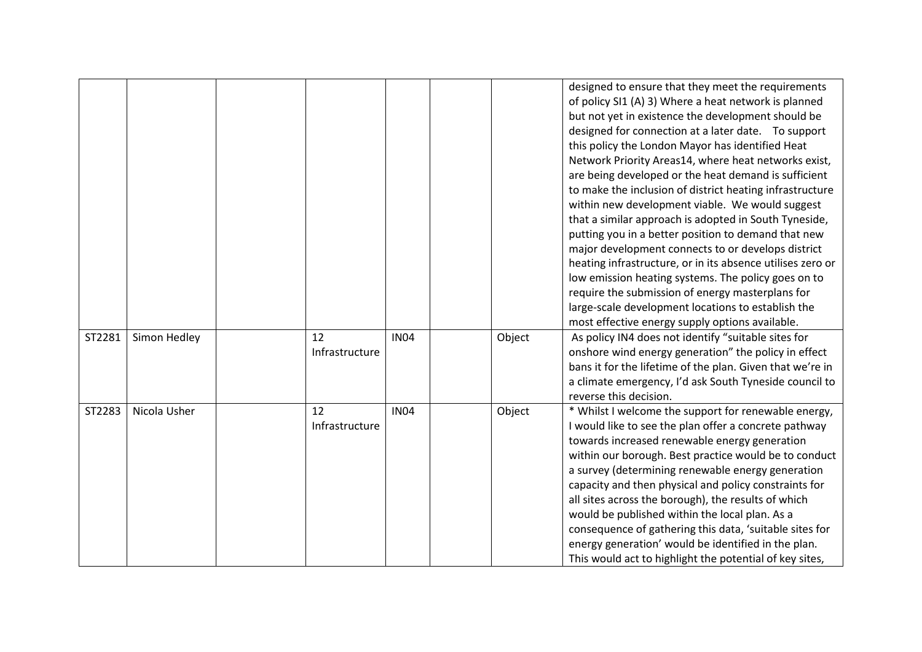|        |              |                      |             |        | designed to ensure that they meet the requirements<br>of policy SI1 (A) 3) Where a heat network is planned<br>but not yet in existence the development should be<br>designed for connection at a later date. To support<br>this policy the London Mayor has identified Heat<br>Network Priority Areas14, where heat networks exist,<br>are being developed or the heat demand is sufficient<br>to make the inclusion of district heating infrastructure<br>within new development viable. We would suggest<br>that a similar approach is adopted in South Tyneside,<br>putting you in a better position to demand that new<br>major development connects to or develops district<br>heating infrastructure, or in its absence utilises zero or<br>low emission heating systems. The policy goes on to<br>require the submission of energy masterplans for<br>large-scale development locations to establish the<br>most effective energy supply options available. |
|--------|--------------|----------------------|-------------|--------|--------------------------------------------------------------------------------------------------------------------------------------------------------------------------------------------------------------------------------------------------------------------------------------------------------------------------------------------------------------------------------------------------------------------------------------------------------------------------------------------------------------------------------------------------------------------------------------------------------------------------------------------------------------------------------------------------------------------------------------------------------------------------------------------------------------------------------------------------------------------------------------------------------------------------------------------------------------------|
| ST2281 | Simon Hedley | 12<br>Infrastructure | <b>IN04</b> | Object | As policy IN4 does not identify "suitable sites for<br>onshore wind energy generation" the policy in effect<br>bans it for the lifetime of the plan. Given that we're in<br>a climate emergency, I'd ask South Tyneside council to<br>reverse this decision.                                                                                                                                                                                                                                                                                                                                                                                                                                                                                                                                                                                                                                                                                                       |
| ST2283 | Nicola Usher | 12<br>Infrastructure | <b>IN04</b> | Object | * Whilst I welcome the support for renewable energy,<br>I would like to see the plan offer a concrete pathway<br>towards increased renewable energy generation<br>within our borough. Best practice would be to conduct<br>a survey (determining renewable energy generation<br>capacity and then physical and policy constraints for<br>all sites across the borough), the results of which<br>would be published within the local plan. As a<br>consequence of gathering this data, 'suitable sites for<br>energy generation' would be identified in the plan.<br>This would act to highlight the potential of key sites,                                                                                                                                                                                                                                                                                                                                        |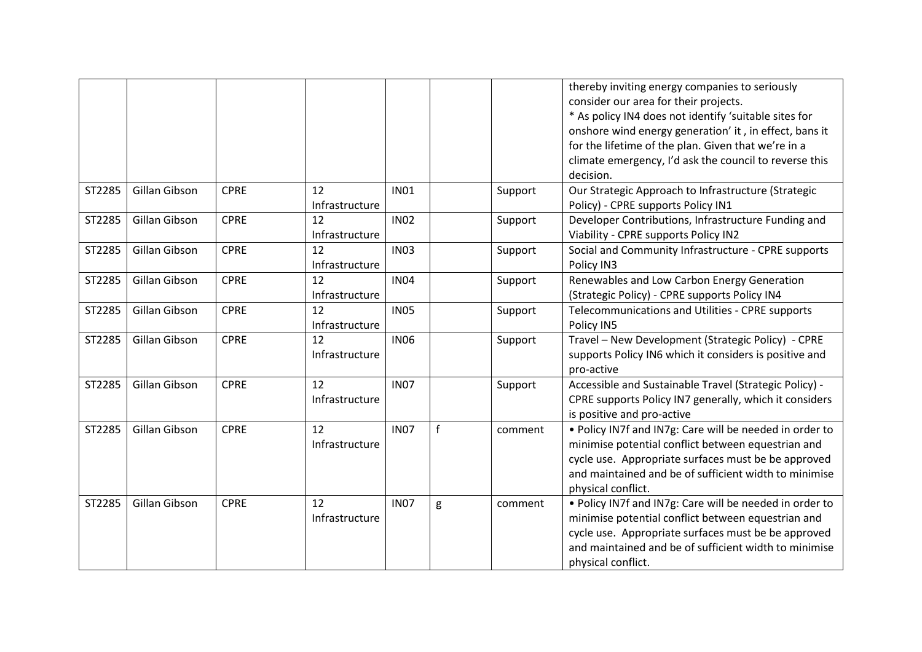|        |               |             |                |             |   |         | thereby inviting energy companies to seriously                      |
|--------|---------------|-------------|----------------|-------------|---|---------|---------------------------------------------------------------------|
|        |               |             |                |             |   |         | consider our area for their projects.                               |
|        |               |             |                |             |   |         | * As policy IN4 does not identify 'suitable sites for               |
|        |               |             |                |             |   |         | onshore wind energy generation' it, in effect, bans it              |
|        |               |             |                |             |   |         | for the lifetime of the plan. Given that we're in a                 |
|        |               |             |                |             |   |         | climate emergency, I'd ask the council to reverse this<br>decision. |
| ST2285 | Gillan Gibson | <b>CPRE</b> | 12             | <b>IN01</b> |   |         | Our Strategic Approach to Infrastructure (Strategic                 |
|        |               |             | Infrastructure |             |   | Support | Policy) - CPRE supports Policy IN1                                  |
| ST2285 | Gillan Gibson | <b>CPRE</b> | 12             | <b>IN02</b> |   |         | Developer Contributions, Infrastructure Funding and                 |
|        |               |             |                |             |   | Support |                                                                     |
|        |               |             | Infrastructure |             |   |         | Viability - CPRE supports Policy IN2                                |
| ST2285 | Gillan Gibson | <b>CPRE</b> | 12             | <b>IN03</b> |   | Support | Social and Community Infrastructure - CPRE supports                 |
|        |               |             | Infrastructure |             |   |         | Policy IN3                                                          |
| ST2285 | Gillan Gibson | <b>CPRE</b> | 12             | <b>IN04</b> |   | Support | Renewables and Low Carbon Energy Generation                         |
|        |               |             | Infrastructure |             |   |         | (Strategic Policy) - CPRE supports Policy IN4                       |
| ST2285 | Gillan Gibson | <b>CPRE</b> | 12             | <b>IN05</b> |   | Support | Telecommunications and Utilities - CPRE supports                    |
|        |               |             | Infrastructure |             |   |         | Policy IN5                                                          |
| ST2285 | Gillan Gibson | <b>CPRE</b> | 12             | <b>IN06</b> |   | Support | Travel - New Development (Strategic Policy) - CPRE                  |
|        |               |             | Infrastructure |             |   |         | supports Policy IN6 which it considers is positive and              |
|        |               |             |                |             |   |         | pro-active                                                          |
| ST2285 | Gillan Gibson | <b>CPRE</b> | 12             | <b>IN07</b> |   | Support | Accessible and Sustainable Travel (Strategic Policy) -              |
|        |               |             | Infrastructure |             |   |         | CPRE supports Policy IN7 generally, which it considers              |
|        |               |             |                |             |   |         | is positive and pro-active                                          |
| ST2285 | Gillan Gibson | <b>CPRE</b> | 12             | <b>IN07</b> | f | comment | . Policy IN7f and IN7g: Care will be needed in order to             |
|        |               |             | Infrastructure |             |   |         | minimise potential conflict between equestrian and                  |
|        |               |             |                |             |   |         | cycle use. Appropriate surfaces must be be approved                 |
|        |               |             |                |             |   |         | and maintained and be of sufficient width to minimise               |
|        |               |             |                |             |   |         | physical conflict.                                                  |
| ST2285 | Gillan Gibson | <b>CPRE</b> | 12             | <b>IN07</b> | g | comment | . Policy IN7f and IN7g: Care will be needed in order to             |
|        |               |             | Infrastructure |             |   |         | minimise potential conflict between equestrian and                  |
|        |               |             |                |             |   |         | cycle use. Appropriate surfaces must be be approved                 |
|        |               |             |                |             |   |         | and maintained and be of sufficient width to minimise               |
|        |               |             |                |             |   |         | physical conflict.                                                  |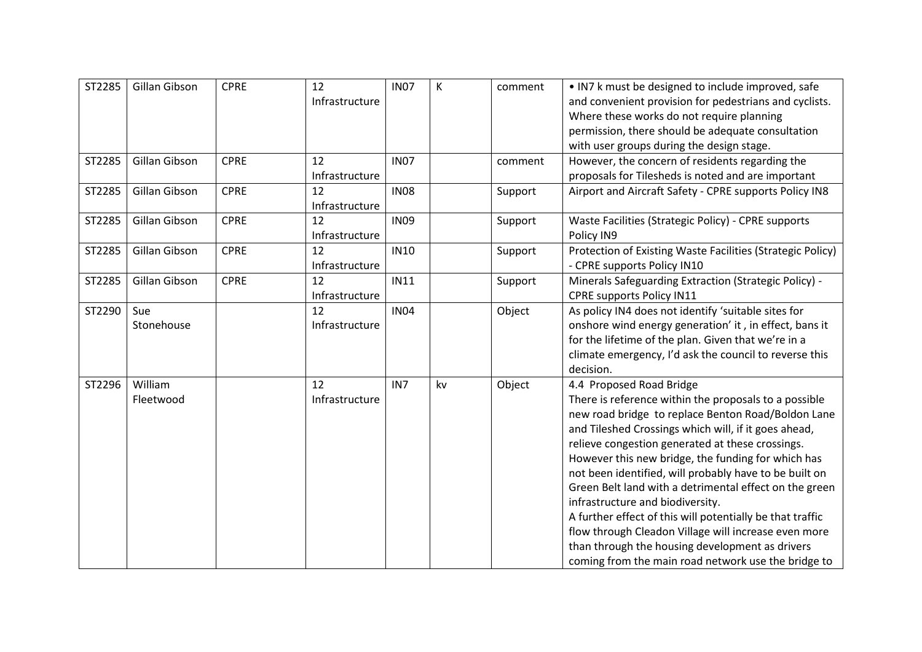| ST2285 | Gillan Gibson | <b>CPRE</b> | 12             | <b>IN07</b>     | К  | comment | • IN7 k must be designed to include improved, safe         |
|--------|---------------|-------------|----------------|-----------------|----|---------|------------------------------------------------------------|
|        |               |             | Infrastructure |                 |    |         | and convenient provision for pedestrians and cyclists.     |
|        |               |             |                |                 |    |         | Where these works do not require planning                  |
|        |               |             |                |                 |    |         | permission, there should be adequate consultation          |
|        |               |             |                |                 |    |         | with user groups during the design stage.                  |
| ST2285 | Gillan Gibson | <b>CPRE</b> | 12             | <b>IN07</b>     |    | comment | However, the concern of residents regarding the            |
|        |               |             | Infrastructure |                 |    |         | proposals for Tilesheds is noted and are important         |
| ST2285 | Gillan Gibson | <b>CPRE</b> | 12             | <b>IN08</b>     |    | Support | Airport and Aircraft Safety - CPRE supports Policy IN8     |
|        |               |             | Infrastructure |                 |    |         |                                                            |
| ST2285 | Gillan Gibson | <b>CPRE</b> | 12             | <b>IN09</b>     |    | Support | Waste Facilities (Strategic Policy) - CPRE supports        |
|        |               |             | Infrastructure |                 |    |         | Policy IN9                                                 |
| ST2285 | Gillan Gibson | <b>CPRE</b> | 12             | <b>IN10</b>     |    | Support | Protection of Existing Waste Facilities (Strategic Policy) |
|        |               |             | Infrastructure |                 |    |         | - CPRE supports Policy IN10                                |
| ST2285 | Gillan Gibson | <b>CPRE</b> | 12             | <b>IN11</b>     |    | Support | Minerals Safeguarding Extraction (Strategic Policy) -      |
|        |               |             | Infrastructure |                 |    |         | <b>CPRE supports Policy IN11</b>                           |
| ST2290 | Sue           |             | 12             | <b>IN04</b>     |    | Object  | As policy IN4 does not identify 'suitable sites for        |
|        | Stonehouse    |             | Infrastructure |                 |    |         | onshore wind energy generation' it, in effect, bans it     |
|        |               |             |                |                 |    |         | for the lifetime of the plan. Given that we're in a        |
|        |               |             |                |                 |    |         | climate emergency, I'd ask the council to reverse this     |
|        |               |             |                |                 |    |         | decision.                                                  |
| ST2296 | William       |             | 12             | IN <sub>7</sub> | kv | Object  | 4.4 Proposed Road Bridge                                   |
|        | Fleetwood     |             | Infrastructure |                 |    |         | There is reference within the proposals to a possible      |
|        |               |             |                |                 |    |         | new road bridge to replace Benton Road/Boldon Lane         |
|        |               |             |                |                 |    |         | and Tileshed Crossings which will, if it goes ahead,       |
|        |               |             |                |                 |    |         | relieve congestion generated at these crossings.           |
|        |               |             |                |                 |    |         | However this new bridge, the funding for which has         |
|        |               |             |                |                 |    |         | not been identified, will probably have to be built on     |
|        |               |             |                |                 |    |         | Green Belt land with a detrimental effect on the green     |
|        |               |             |                |                 |    |         | infrastructure and biodiversity.                           |
|        |               |             |                |                 |    |         | A further effect of this will potentially be that traffic  |
|        |               |             |                |                 |    |         | flow through Cleadon Village will increase even more       |
|        |               |             |                |                 |    |         | than through the housing development as drivers            |
|        |               |             |                |                 |    |         | coming from the main road network use the bridge to        |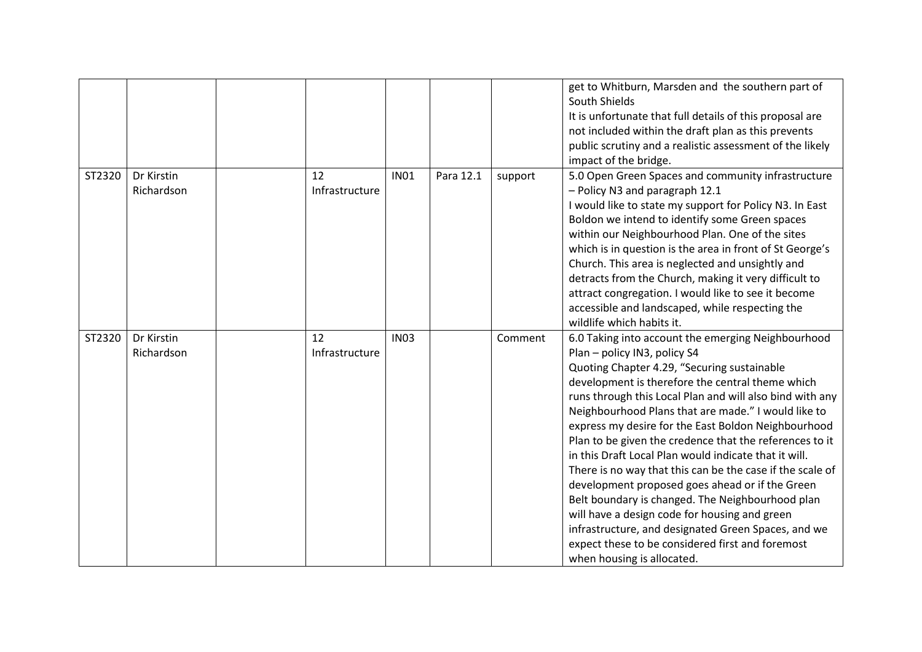|        |                          |                      |             |           |         | get to Whitburn, Marsden and the southern part of<br>South Shields<br>It is unfortunate that full details of this proposal are<br>not included within the draft plan as this prevents<br>public scrutiny and a realistic assessment of the likely<br>impact of the bridge.                                                                                                                                                                                                                                                                                                                                                                                                                                                                                                                                                                        |
|--------|--------------------------|----------------------|-------------|-----------|---------|---------------------------------------------------------------------------------------------------------------------------------------------------------------------------------------------------------------------------------------------------------------------------------------------------------------------------------------------------------------------------------------------------------------------------------------------------------------------------------------------------------------------------------------------------------------------------------------------------------------------------------------------------------------------------------------------------------------------------------------------------------------------------------------------------------------------------------------------------|
| ST2320 | Dr Kirstin<br>Richardson | 12<br>Infrastructure | <b>IN01</b> | Para 12.1 | support | 5.0 Open Green Spaces and community infrastructure<br>- Policy N3 and paragraph 12.1<br>I would like to state my support for Policy N3. In East<br>Boldon we intend to identify some Green spaces<br>within our Neighbourhood Plan. One of the sites<br>which is in question is the area in front of St George's<br>Church. This area is neglected and unsightly and<br>detracts from the Church, making it very difficult to<br>attract congregation. I would like to see it become<br>accessible and landscaped, while respecting the<br>wildlife which habits it.                                                                                                                                                                                                                                                                              |
| ST2320 | Dr Kirstin<br>Richardson | 12<br>Infrastructure | <b>IN03</b> |           | Comment | 6.0 Taking into account the emerging Neighbourhood<br>Plan - policy IN3, policy S4<br>Quoting Chapter 4.29, "Securing sustainable<br>development is therefore the central theme which<br>runs through this Local Plan and will also bind with any<br>Neighbourhood Plans that are made." I would like to<br>express my desire for the East Boldon Neighbourhood<br>Plan to be given the credence that the references to it<br>in this Draft Local Plan would indicate that it will.<br>There is no way that this can be the case if the scale of<br>development proposed goes ahead or if the Green<br>Belt boundary is changed. The Neighbourhood plan<br>will have a design code for housing and green<br>infrastructure, and designated Green Spaces, and we<br>expect these to be considered first and foremost<br>when housing is allocated. |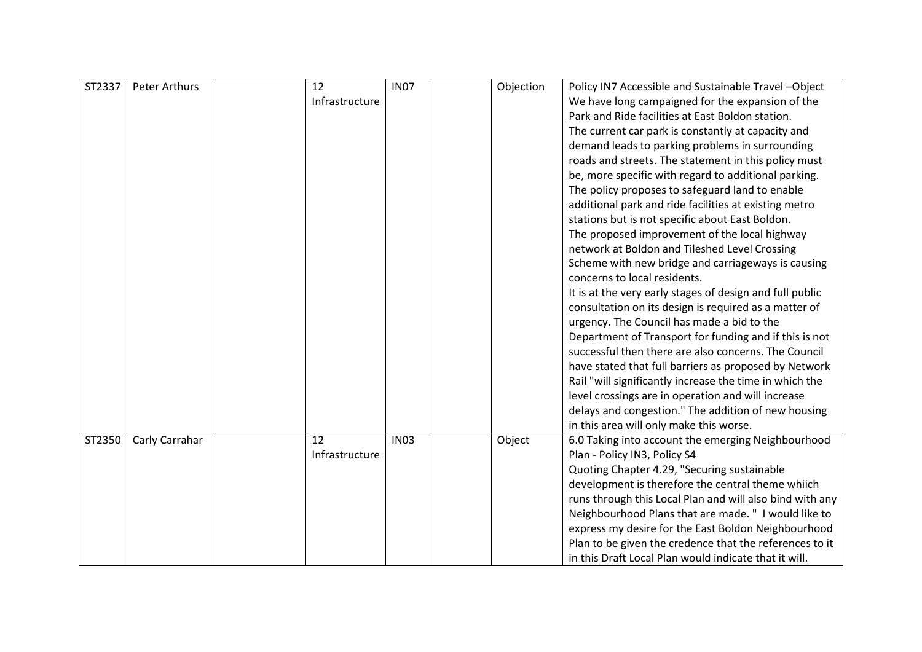| ST2337 | <b>Peter Arthurs</b> | 12             | <b>IN07</b> | Objection | Policy IN7 Accessible and Sustainable Travel-Object      |
|--------|----------------------|----------------|-------------|-----------|----------------------------------------------------------|
|        |                      | Infrastructure |             |           | We have long campaigned for the expansion of the         |
|        |                      |                |             |           | Park and Ride facilities at East Boldon station.         |
|        |                      |                |             |           | The current car park is constantly at capacity and       |
|        |                      |                |             |           | demand leads to parking problems in surrounding          |
|        |                      |                |             |           | roads and streets. The statement in this policy must     |
|        |                      |                |             |           | be, more specific with regard to additional parking.     |
|        |                      |                |             |           | The policy proposes to safeguard land to enable          |
|        |                      |                |             |           | additional park and ride facilities at existing metro    |
|        |                      |                |             |           | stations but is not specific about East Boldon.          |
|        |                      |                |             |           | The proposed improvement of the local highway            |
|        |                      |                |             |           | network at Boldon and Tileshed Level Crossing            |
|        |                      |                |             |           | Scheme with new bridge and carriageways is causing       |
|        |                      |                |             |           | concerns to local residents.                             |
|        |                      |                |             |           | It is at the very early stages of design and full public |
|        |                      |                |             |           | consultation on its design is required as a matter of    |
|        |                      |                |             |           | urgency. The Council has made a bid to the               |
|        |                      |                |             |           | Department of Transport for funding and if this is not   |
|        |                      |                |             |           | successful then there are also concerns. The Council     |
|        |                      |                |             |           | have stated that full barriers as proposed by Network    |
|        |                      |                |             |           | Rail "will significantly increase the time in which the  |
|        |                      |                |             |           | level crossings are in operation and will increase       |
|        |                      |                |             |           | delays and congestion." The addition of new housing      |
|        |                      |                |             |           | in this area will only make this worse.                  |
| ST2350 | Carly Carrahar       | 12             | <b>IN03</b> | Object    | 6.0 Taking into account the emerging Neighbourhood       |
|        |                      | Infrastructure |             |           | Plan - Policy IN3, Policy S4                             |
|        |                      |                |             |           | Quoting Chapter 4.29, "Securing sustainable              |
|        |                      |                |             |           | development is therefore the central theme whiich        |
|        |                      |                |             |           | runs through this Local Plan and will also bind with any |
|        |                      |                |             |           | Neighbourhood Plans that are made. " I would like to     |
|        |                      |                |             |           | express my desire for the East Boldon Neighbourhood      |
|        |                      |                |             |           | Plan to be given the credence that the references to it  |
|        |                      |                |             |           | in this Draft Local Plan would indicate that it will.    |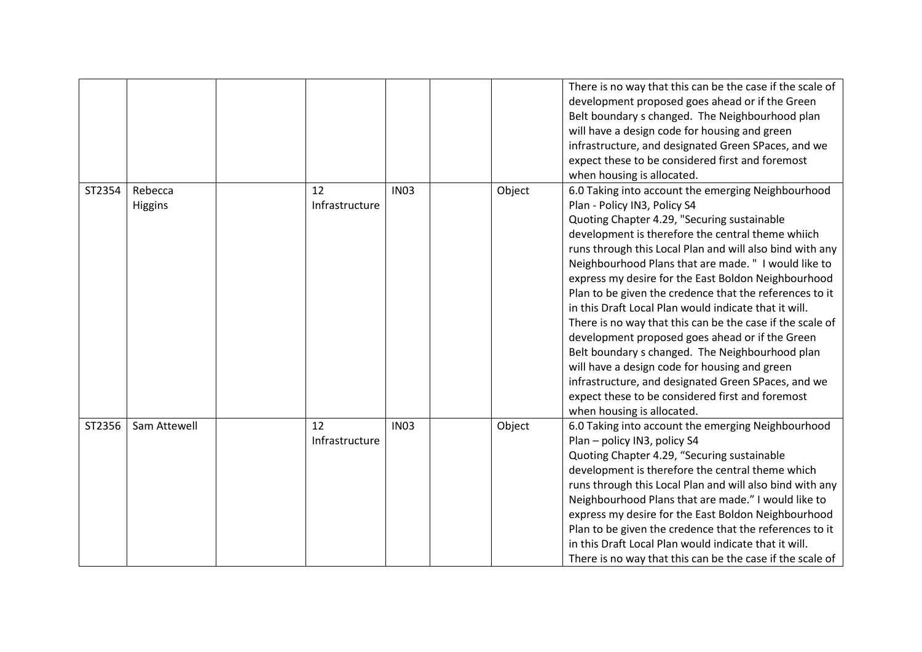|        |                    |                      |             |        | There is no way that this can be the case if the scale of<br>development proposed goes ahead or if the Green<br>Belt boundary s changed. The Neighbourhood plan<br>will have a design code for housing and green<br>infrastructure, and designated Green SPaces, and we<br>expect these to be considered first and foremost<br>when housing is allocated.                                                                                                                                                                                                                                                                                                                                                                                                                                                                                          |
|--------|--------------------|----------------------|-------------|--------|----------------------------------------------------------------------------------------------------------------------------------------------------------------------------------------------------------------------------------------------------------------------------------------------------------------------------------------------------------------------------------------------------------------------------------------------------------------------------------------------------------------------------------------------------------------------------------------------------------------------------------------------------------------------------------------------------------------------------------------------------------------------------------------------------------------------------------------------------|
| ST2354 | Rebecca<br>Higgins | 12<br>Infrastructure | <b>IN03</b> | Object | 6.0 Taking into account the emerging Neighbourhood<br>Plan - Policy IN3, Policy S4<br>Quoting Chapter 4.29, "Securing sustainable<br>development is therefore the central theme whiich<br>runs through this Local Plan and will also bind with any<br>Neighbourhood Plans that are made. " I would like to<br>express my desire for the East Boldon Neighbourhood<br>Plan to be given the credence that the references to it<br>in this Draft Local Plan would indicate that it will.<br>There is no way that this can be the case if the scale of<br>development proposed goes ahead or if the Green<br>Belt boundary s changed. The Neighbourhood plan<br>will have a design code for housing and green<br>infrastructure, and designated Green SPaces, and we<br>expect these to be considered first and foremost<br>when housing is allocated. |
| ST2356 | Sam Attewell       | 12<br>Infrastructure | <b>IN03</b> | Object | 6.0 Taking into account the emerging Neighbourhood<br>Plan - policy IN3, policy S4<br>Quoting Chapter 4.29, "Securing sustainable<br>development is therefore the central theme which<br>runs through this Local Plan and will also bind with any<br>Neighbourhood Plans that are made." I would like to<br>express my desire for the East Boldon Neighbourhood<br>Plan to be given the credence that the references to it<br>in this Draft Local Plan would indicate that it will.<br>There is no way that this can be the case if the scale of                                                                                                                                                                                                                                                                                                   |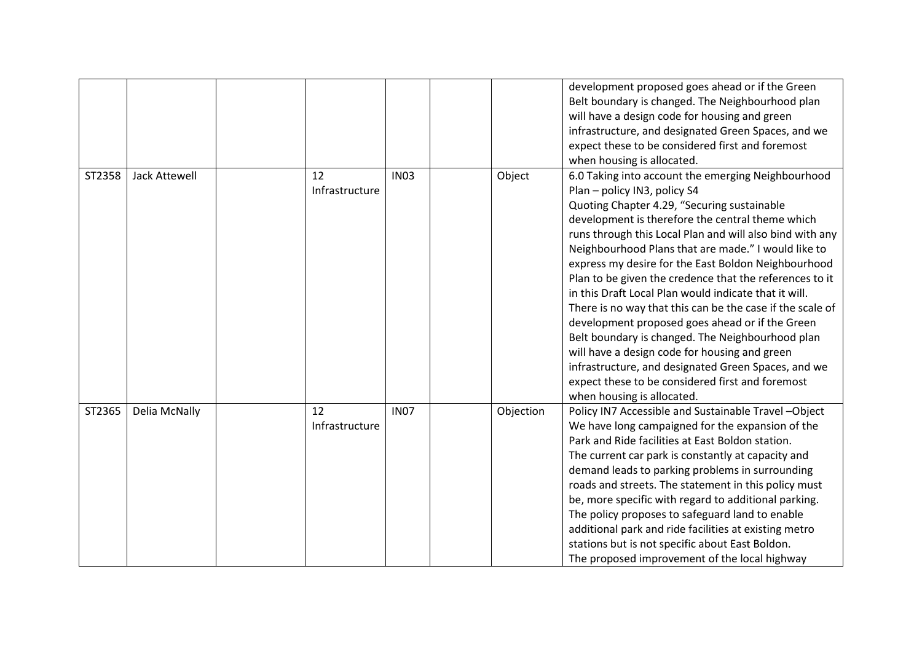|        |                      |                |             |           | development proposed goes ahead or if the Green           |
|--------|----------------------|----------------|-------------|-----------|-----------------------------------------------------------|
|        |                      |                |             |           | Belt boundary is changed. The Neighbourhood plan          |
|        |                      |                |             |           | will have a design code for housing and green             |
|        |                      |                |             |           | infrastructure, and designated Green Spaces, and we       |
|        |                      |                |             |           | expect these to be considered first and foremost          |
|        |                      |                |             |           | when housing is allocated.                                |
| ST2358 | <b>Jack Attewell</b> | 12             | <b>IN03</b> | Object    | 6.0 Taking into account the emerging Neighbourhood        |
|        |                      | Infrastructure |             |           | Plan - policy IN3, policy S4                              |
|        |                      |                |             |           | Quoting Chapter 4.29, "Securing sustainable               |
|        |                      |                |             |           | development is therefore the central theme which          |
|        |                      |                |             |           | runs through this Local Plan and will also bind with any  |
|        |                      |                |             |           | Neighbourhood Plans that are made." I would like to       |
|        |                      |                |             |           | express my desire for the East Boldon Neighbourhood       |
|        |                      |                |             |           | Plan to be given the credence that the references to it   |
|        |                      |                |             |           | in this Draft Local Plan would indicate that it will.     |
|        |                      |                |             |           | There is no way that this can be the case if the scale of |
|        |                      |                |             |           | development proposed goes ahead or if the Green           |
|        |                      |                |             |           | Belt boundary is changed. The Neighbourhood plan          |
|        |                      |                |             |           | will have a design code for housing and green             |
|        |                      |                |             |           | infrastructure, and designated Green Spaces, and we       |
|        |                      |                |             |           | expect these to be considered first and foremost          |
|        |                      |                |             |           | when housing is allocated.                                |
| ST2365 | Delia McNally        | 12             | <b>IN07</b> | Objection | Policy IN7 Accessible and Sustainable Travel-Object       |
|        |                      | Infrastructure |             |           | We have long campaigned for the expansion of the          |
|        |                      |                |             |           | Park and Ride facilities at East Boldon station.          |
|        |                      |                |             |           | The current car park is constantly at capacity and        |
|        |                      |                |             |           | demand leads to parking problems in surrounding           |
|        |                      |                |             |           | roads and streets. The statement in this policy must      |
|        |                      |                |             |           | be, more specific with regard to additional parking.      |
|        |                      |                |             |           | The policy proposes to safeguard land to enable           |
|        |                      |                |             |           | additional park and ride facilities at existing metro     |
|        |                      |                |             |           | stations but is not specific about East Boldon.           |
|        |                      |                |             |           | The proposed improvement of the local highway             |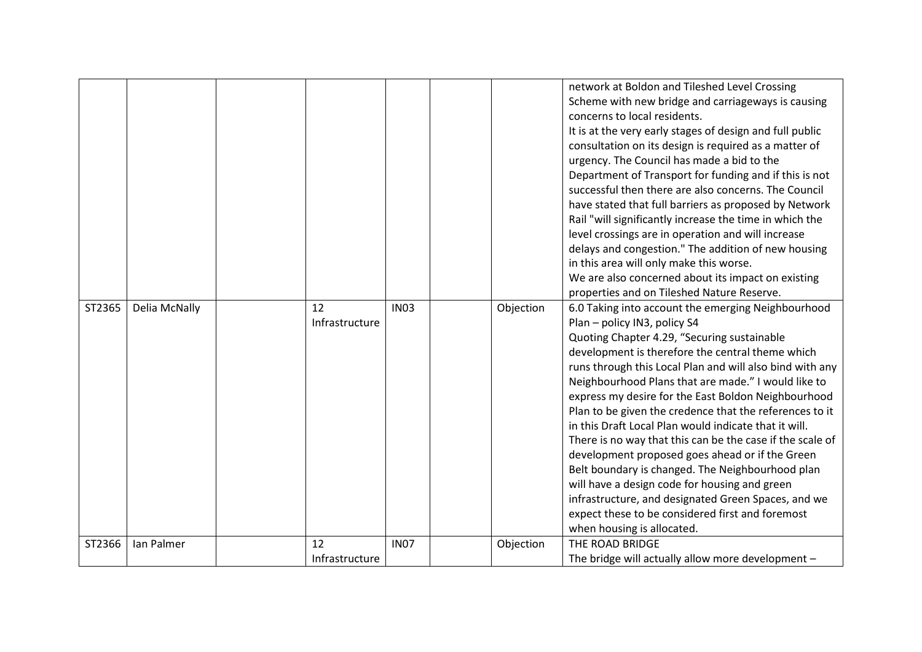|        |               |                      |             |           | network at Boldon and Tileshed Level Crossing<br>Scheme with new bridge and carriageways is causing<br>concerns to local residents.<br>It is at the very early stages of design and full public<br>consultation on its design is required as a matter of<br>urgency. The Council has made a bid to the<br>Department of Transport for funding and if this is not<br>successful then there are also concerns. The Council<br>have stated that full barriers as proposed by Network<br>Rail "will significantly increase the time in which the<br>level crossings are in operation and will increase<br>delays and congestion." The addition of new housing<br>in this area will only make this worse.<br>We are also concerned about its impact on existing<br>properties and on Tileshed Nature Reserve.                                          |
|--------|---------------|----------------------|-------------|-----------|---------------------------------------------------------------------------------------------------------------------------------------------------------------------------------------------------------------------------------------------------------------------------------------------------------------------------------------------------------------------------------------------------------------------------------------------------------------------------------------------------------------------------------------------------------------------------------------------------------------------------------------------------------------------------------------------------------------------------------------------------------------------------------------------------------------------------------------------------|
| ST2365 | Delia McNally | 12<br>Infrastructure | <b>IN03</b> | Objection | 6.0 Taking into account the emerging Neighbourhood<br>Plan - policy IN3, policy S4<br>Quoting Chapter 4.29, "Securing sustainable<br>development is therefore the central theme which<br>runs through this Local Plan and will also bind with any<br>Neighbourhood Plans that are made." I would like to<br>express my desire for the East Boldon Neighbourhood<br>Plan to be given the credence that the references to it<br>in this Draft Local Plan would indicate that it will.<br>There is no way that this can be the case if the scale of<br>development proposed goes ahead or if the Green<br>Belt boundary is changed. The Neighbourhood plan<br>will have a design code for housing and green<br>infrastructure, and designated Green Spaces, and we<br>expect these to be considered first and foremost<br>when housing is allocated. |
| ST2366 | Ian Palmer    | 12<br>Infrastructure | <b>IN07</b> | Objection | THE ROAD BRIDGE<br>The bridge will actually allow more development -                                                                                                                                                                                                                                                                                                                                                                                                                                                                                                                                                                                                                                                                                                                                                                              |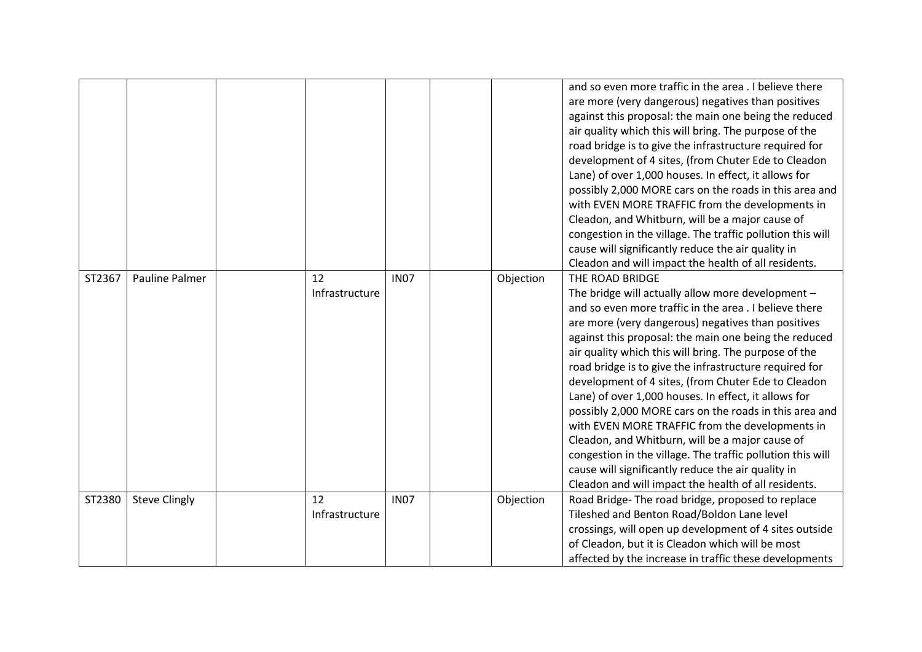|        |                      |                      |             |           | and so even more traffic in the area . I believe there<br>are more (very dangerous) negatives than positives<br>against this proposal: the main one being the reduced<br>air quality which this will bring. The purpose of the<br>road bridge is to give the infrastructure required for<br>development of 4 sites, (from Chuter Ede to Cleadon<br>Lane) of over 1,000 houses. In effect, it allows for<br>possibly 2,000 MORE cars on the roads in this area and<br>with EVEN MORE TRAFFIC from the developments in<br>Cleadon, and Whitburn, will be a major cause of<br>congestion in the village. The traffic pollution this will<br>cause will significantly reduce the air quality in<br>Cleadon and will impact the health of all residents.                                                                         |
|--------|----------------------|----------------------|-------------|-----------|-----------------------------------------------------------------------------------------------------------------------------------------------------------------------------------------------------------------------------------------------------------------------------------------------------------------------------------------------------------------------------------------------------------------------------------------------------------------------------------------------------------------------------------------------------------------------------------------------------------------------------------------------------------------------------------------------------------------------------------------------------------------------------------------------------------------------------|
| ST2367 | Pauline Palmer       | 12<br>Infrastructure | <b>IN07</b> | Objection | THE ROAD BRIDGE<br>The bridge will actually allow more development -<br>and so even more traffic in the area . I believe there<br>are more (very dangerous) negatives than positives<br>against this proposal: the main one being the reduced<br>air quality which this will bring. The purpose of the<br>road bridge is to give the infrastructure required for<br>development of 4 sites, (from Chuter Ede to Cleadon<br>Lane) of over 1,000 houses. In effect, it allows for<br>possibly 2,000 MORE cars on the roads in this area and<br>with EVEN MORE TRAFFIC from the developments in<br>Cleadon, and Whitburn, will be a major cause of<br>congestion in the village. The traffic pollution this will<br>cause will significantly reduce the air quality in<br>Cleadon and will impact the health of all residents. |
| ST2380 | <b>Steve Clingly</b> | 12<br>Infrastructure | <b>IN07</b> | Objection | Road Bridge-The road bridge, proposed to replace<br>Tileshed and Benton Road/Boldon Lane level<br>crossings, will open up development of 4 sites outside<br>of Cleadon, but it is Cleadon which will be most<br>affected by the increase in traffic these developments                                                                                                                                                                                                                                                                                                                                                                                                                                                                                                                                                      |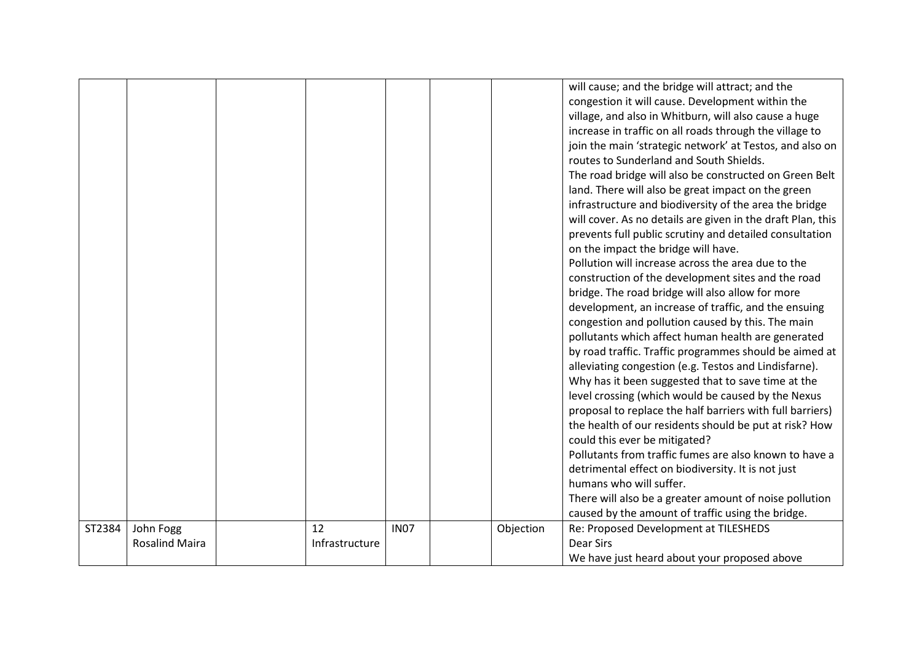|        |                                    |                      |             |           | will cause; and the bridge will attract; and the<br>congestion it will cause. Development within the<br>village, and also in Whitburn, will also cause a huge<br>increase in traffic on all roads through the village to<br>join the main 'strategic network' at Testos, and also on<br>routes to Sunderland and South Shields.<br>The road bridge will also be constructed on Green Belt<br>land. There will also be great impact on the green<br>infrastructure and biodiversity of the area the bridge<br>will cover. As no details are given in the draft Plan, this<br>prevents full public scrutiny and detailed consultation<br>on the impact the bridge will have.<br>Pollution will increase across the area due to the<br>construction of the development sites and the road<br>bridge. The road bridge will also allow for more<br>development, an increase of traffic, and the ensuing<br>congestion and pollution caused by this. The main<br>pollutants which affect human health are generated<br>by road traffic. Traffic programmes should be aimed at<br>alleviating congestion (e.g. Testos and Lindisfarne).<br>Why has it been suggested that to save time at the<br>level crossing (which would be caused by the Nexus<br>proposal to replace the half barriers with full barriers)<br>the health of our residents should be put at risk? How<br>could this ever be mitigated?<br>Pollutants from traffic fumes are also known to have a<br>detrimental effect on biodiversity. It is not just<br>humans who will suffer.<br>There will also be a greater amount of noise pollution<br>caused by the amount of traffic using the bridge. |
|--------|------------------------------------|----------------------|-------------|-----------|----------------------------------------------------------------------------------------------------------------------------------------------------------------------------------------------------------------------------------------------------------------------------------------------------------------------------------------------------------------------------------------------------------------------------------------------------------------------------------------------------------------------------------------------------------------------------------------------------------------------------------------------------------------------------------------------------------------------------------------------------------------------------------------------------------------------------------------------------------------------------------------------------------------------------------------------------------------------------------------------------------------------------------------------------------------------------------------------------------------------------------------------------------------------------------------------------------------------------------------------------------------------------------------------------------------------------------------------------------------------------------------------------------------------------------------------------------------------------------------------------------------------------------------------------------------------------------------------------------------------------------------------------------------|
| ST2384 | John Fogg<br><b>Rosalind Maira</b> | 12<br>Infrastructure | <b>IN07</b> | Objection | Re: Proposed Development at TILESHEDS<br><b>Dear Sirs</b>                                                                                                                                                                                                                                                                                                                                                                                                                                                                                                                                                                                                                                                                                                                                                                                                                                                                                                                                                                                                                                                                                                                                                                                                                                                                                                                                                                                                                                                                                                                                                                                                      |
|        |                                    |                      |             |           | We have just heard about your proposed above                                                                                                                                                                                                                                                                                                                                                                                                                                                                                                                                                                                                                                                                                                                                                                                                                                                                                                                                                                                                                                                                                                                                                                                                                                                                                                                                                                                                                                                                                                                                                                                                                   |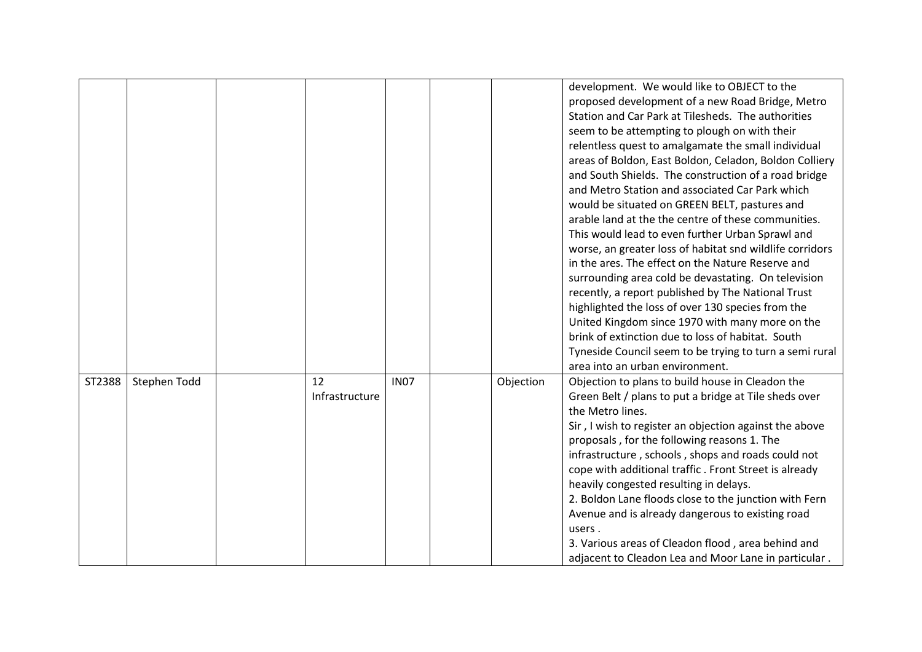|        |              |                      |             |           | development. We would like to OBJECT to the<br>proposed development of a new Road Bridge, Metro<br>Station and Car Park at Tilesheds. The authorities<br>seem to be attempting to plough on with their<br>relentless quest to amalgamate the small individual<br>areas of Boldon, East Boldon, Celadon, Boldon Colliery<br>and South Shields. The construction of a road bridge<br>and Metro Station and associated Car Park which<br>would be situated on GREEN BELT, pastures and<br>arable land at the the centre of these communities.<br>This would lead to even further Urban Sprawl and<br>worse, an greater loss of habitat snd wildlife corridors<br>in the ares. The effect on the Nature Reserve and<br>surrounding area cold be devastating. On television<br>recently, a report published by The National Trust<br>highlighted the loss of over 130 species from the<br>United Kingdom since 1970 with many more on the<br>brink of extinction due to loss of habitat. South<br>Tyneside Council seem to be trying to turn a semi rural<br>area into an urban environment. |
|--------|--------------|----------------------|-------------|-----------|-----------------------------------------------------------------------------------------------------------------------------------------------------------------------------------------------------------------------------------------------------------------------------------------------------------------------------------------------------------------------------------------------------------------------------------------------------------------------------------------------------------------------------------------------------------------------------------------------------------------------------------------------------------------------------------------------------------------------------------------------------------------------------------------------------------------------------------------------------------------------------------------------------------------------------------------------------------------------------------------------------------------------------------------------------------------------------------------|
| ST2388 | Stephen Todd | 12<br>Infrastructure | <b>IN07</b> | Objection | Objection to plans to build house in Cleadon the<br>Green Belt / plans to put a bridge at Tile sheds over<br>the Metro lines.<br>Sir, I wish to register an objection against the above<br>proposals, for the following reasons 1. The<br>infrastructure, schools, shops and roads could not<br>cope with additional traffic. Front Street is already<br>heavily congested resulting in delays.<br>2. Boldon Lane floods close to the junction with Fern<br>Avenue and is already dangerous to existing road<br>users.<br>3. Various areas of Cleadon flood, area behind and<br>adjacent to Cleadon Lea and Moor Lane in particular.                                                                                                                                                                                                                                                                                                                                                                                                                                                    |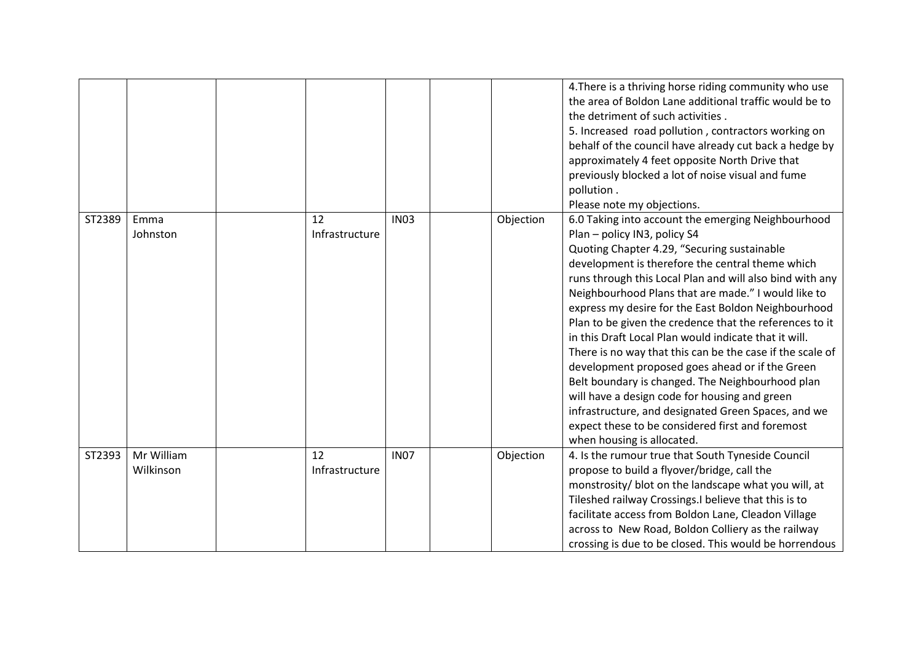|        |                         |                      |             |           | 4. There is a thriving horse riding community who use<br>the area of Boldon Lane additional traffic would be to<br>the detriment of such activities.<br>5. Increased road pollution, contractors working on<br>behalf of the council have already cut back a hedge by<br>approximately 4 feet opposite North Drive that<br>previously blocked a lot of noise visual and fume<br>pollution.<br>Please note my objections.                                                                                                                                                                                                                                                                                                                                                                                                                          |
|--------|-------------------------|----------------------|-------------|-----------|---------------------------------------------------------------------------------------------------------------------------------------------------------------------------------------------------------------------------------------------------------------------------------------------------------------------------------------------------------------------------------------------------------------------------------------------------------------------------------------------------------------------------------------------------------------------------------------------------------------------------------------------------------------------------------------------------------------------------------------------------------------------------------------------------------------------------------------------------|
| ST2389 | Emma<br>Johnston        | 12<br>Infrastructure | <b>IN03</b> | Objection | 6.0 Taking into account the emerging Neighbourhood<br>Plan - policy IN3, policy S4<br>Quoting Chapter 4.29, "Securing sustainable<br>development is therefore the central theme which<br>runs through this Local Plan and will also bind with any<br>Neighbourhood Plans that are made." I would like to<br>express my desire for the East Boldon Neighbourhood<br>Plan to be given the credence that the references to it<br>in this Draft Local Plan would indicate that it will.<br>There is no way that this can be the case if the scale of<br>development proposed goes ahead or if the Green<br>Belt boundary is changed. The Neighbourhood plan<br>will have a design code for housing and green<br>infrastructure, and designated Green Spaces, and we<br>expect these to be considered first and foremost<br>when housing is allocated. |
| ST2393 | Mr William<br>Wilkinson | 12<br>Infrastructure | <b>IN07</b> | Objection | 4. Is the rumour true that South Tyneside Council<br>propose to build a flyover/bridge, call the<br>monstrosity/ blot on the landscape what you will, at<br>Tileshed railway Crossings.I believe that this is to<br>facilitate access from Boldon Lane, Cleadon Village<br>across to New Road, Boldon Colliery as the railway<br>crossing is due to be closed. This would be horrendous                                                                                                                                                                                                                                                                                                                                                                                                                                                           |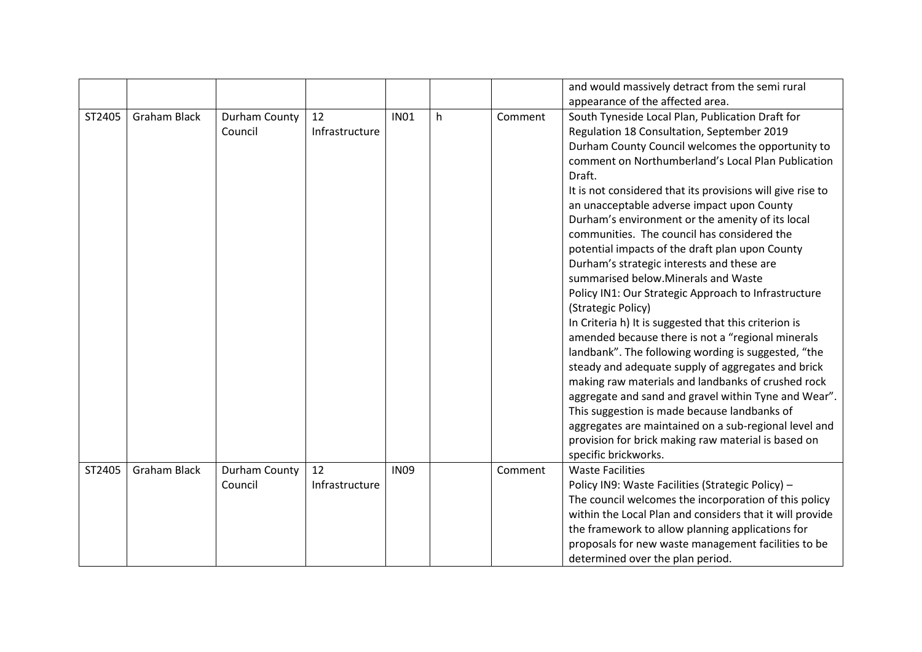|        |                     |               |                |             |   |         | and would massively detract from the semi rural              |
|--------|---------------------|---------------|----------------|-------------|---|---------|--------------------------------------------------------------|
|        |                     |               |                |             |   |         | appearance of the affected area.                             |
| ST2405 | <b>Graham Black</b> | Durham County | 12             | <b>IN01</b> | h | Comment | South Tyneside Local Plan, Publication Draft for             |
|        |                     | Council       | Infrastructure |             |   |         | Regulation 18 Consultation, September 2019                   |
|        |                     |               |                |             |   |         | Durham County Council welcomes the opportunity to            |
|        |                     |               |                |             |   |         | comment on Northumberland's Local Plan Publication<br>Draft. |
|        |                     |               |                |             |   |         | It is not considered that its provisions will give rise to   |
|        |                     |               |                |             |   |         | an unacceptable adverse impact upon County                   |
|        |                     |               |                |             |   |         | Durham's environment or the amenity of its local             |
|        |                     |               |                |             |   |         | communities. The council has considered the                  |
|        |                     |               |                |             |   |         | potential impacts of the draft plan upon County              |
|        |                     |               |                |             |   |         | Durham's strategic interests and these are                   |
|        |                     |               |                |             |   |         | summarised below.Minerals and Waste                          |
|        |                     |               |                |             |   |         | Policy IN1: Our Strategic Approach to Infrastructure         |
|        |                     |               |                |             |   |         | (Strategic Policy)                                           |
|        |                     |               |                |             |   |         | In Criteria h) It is suggested that this criterion is        |
|        |                     |               |                |             |   |         | amended because there is not a "regional minerals            |
|        |                     |               |                |             |   |         | landbank". The following wording is suggested, "the          |
|        |                     |               |                |             |   |         | steady and adequate supply of aggregates and brick           |
|        |                     |               |                |             |   |         | making raw materials and landbanks of crushed rock           |
|        |                     |               |                |             |   |         | aggregate and sand and gravel within Tyne and Wear".         |
|        |                     |               |                |             |   |         | This suggestion is made because landbanks of                 |
|        |                     |               |                |             |   |         | aggregates are maintained on a sub-regional level and        |
|        |                     |               |                |             |   |         | provision for brick making raw material is based on          |
|        |                     |               |                |             |   |         | specific brickworks.                                         |
| ST2405 | <b>Graham Black</b> | Durham County | 12             | <b>IN09</b> |   | Comment | <b>Waste Facilities</b>                                      |
|        |                     | Council       | Infrastructure |             |   |         | Policy IN9: Waste Facilities (Strategic Policy) -            |
|        |                     |               |                |             |   |         | The council welcomes the incorporation of this policy        |
|        |                     |               |                |             |   |         | within the Local Plan and considers that it will provide     |
|        |                     |               |                |             |   |         | the framework to allow planning applications for             |
|        |                     |               |                |             |   |         | proposals for new waste management facilities to be          |
|        |                     |               |                |             |   |         | determined over the plan period.                             |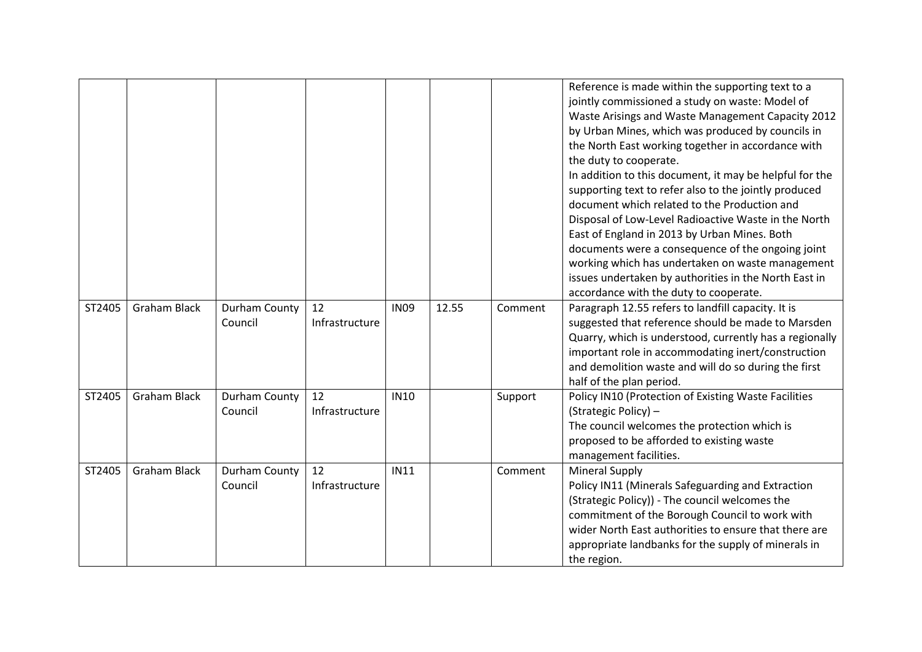|        |                     |                          |                      |             |       |         | Reference is made within the supporting text to a<br>jointly commissioned a study on waste: Model of<br>Waste Arisings and Waste Management Capacity 2012<br>by Urban Mines, which was produced by councils in<br>the North East working together in accordance with<br>the duty to cooperate.<br>In addition to this document, it may be helpful for the<br>supporting text to refer also to the jointly produced<br>document which related to the Production and<br>Disposal of Low-Level Radioactive Waste in the North<br>East of England in 2013 by Urban Mines. Both<br>documents were a consequence of the ongoing joint<br>working which has undertaken on waste management<br>issues undertaken by authorities in the North East in<br>accordance with the duty to cooperate. |
|--------|---------------------|--------------------------|----------------------|-------------|-------|---------|----------------------------------------------------------------------------------------------------------------------------------------------------------------------------------------------------------------------------------------------------------------------------------------------------------------------------------------------------------------------------------------------------------------------------------------------------------------------------------------------------------------------------------------------------------------------------------------------------------------------------------------------------------------------------------------------------------------------------------------------------------------------------------------|
| ST2405 | <b>Graham Black</b> | Durham County<br>Council | 12<br>Infrastructure | <b>IN09</b> | 12.55 | Comment | Paragraph 12.55 refers to landfill capacity. It is<br>suggested that reference should be made to Marsden<br>Quarry, which is understood, currently has a regionally<br>important role in accommodating inert/construction<br>and demolition waste and will do so during the first<br>half of the plan period.                                                                                                                                                                                                                                                                                                                                                                                                                                                                          |
| ST2405 | <b>Graham Black</b> | Durham County<br>Council | 12<br>Infrastructure | <b>IN10</b> |       | Support | Policy IN10 (Protection of Existing Waste Facilities<br>(Strategic Policy) -<br>The council welcomes the protection which is<br>proposed to be afforded to existing waste<br>management facilities.                                                                                                                                                                                                                                                                                                                                                                                                                                                                                                                                                                                    |
| ST2405 | <b>Graham Black</b> | Durham County<br>Council | 12<br>Infrastructure | <b>IN11</b> |       | Comment | <b>Mineral Supply</b><br>Policy IN11 (Minerals Safeguarding and Extraction<br>(Strategic Policy)) - The council welcomes the<br>commitment of the Borough Council to work with<br>wider North East authorities to ensure that there are<br>appropriate landbanks for the supply of minerals in<br>the region.                                                                                                                                                                                                                                                                                                                                                                                                                                                                          |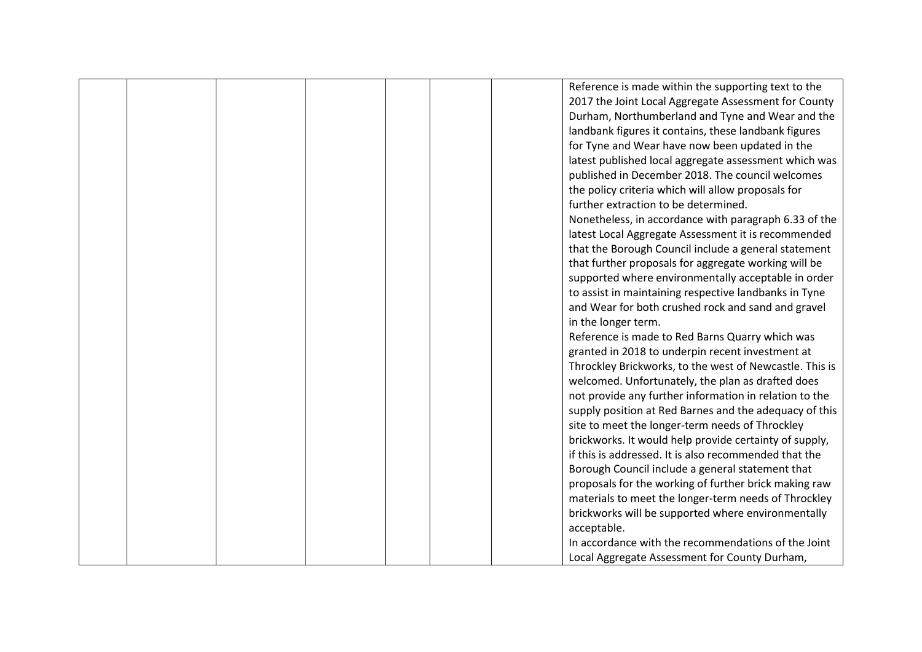|  |  |  | Reference is made within the supporting text to the     |
|--|--|--|---------------------------------------------------------|
|  |  |  | 2017 the Joint Local Aggregate Assessment for County    |
|  |  |  | Durham, Northumberland and Tyne and Wear and the        |
|  |  |  | landbank figures it contains, these landbank figures    |
|  |  |  | for Tyne and Wear have now been updated in the          |
|  |  |  | latest published local aggregate assessment which was   |
|  |  |  | published in December 2018. The council welcomes        |
|  |  |  | the policy criteria which will allow proposals for      |
|  |  |  | further extraction to be determined.                    |
|  |  |  | Nonetheless, in accordance with paragraph 6.33 of the   |
|  |  |  | latest Local Aggregate Assessment it is recommended     |
|  |  |  | that the Borough Council include a general statement    |
|  |  |  | that further proposals for aggregate working will be    |
|  |  |  | supported where environmentally acceptable in order     |
|  |  |  | to assist in maintaining respective landbanks in Tyne   |
|  |  |  | and Wear for both crushed rock and sand and gravel      |
|  |  |  | in the longer term.                                     |
|  |  |  | Reference is made to Red Barns Quarry which was         |
|  |  |  | granted in 2018 to underpin recent investment at        |
|  |  |  | Throckley Brickworks, to the west of Newcastle. This is |
|  |  |  | welcomed. Unfortunately, the plan as drafted does       |
|  |  |  | not provide any further information in relation to the  |
|  |  |  | supply position at Red Barnes and the adequacy of this  |
|  |  |  | site to meet the longer-term needs of Throckley         |
|  |  |  | brickworks. It would help provide certainty of supply,  |
|  |  |  | if this is addressed. It is also recommended that the   |
|  |  |  | Borough Council include a general statement that        |
|  |  |  | proposals for the working of further brick making raw   |
|  |  |  | materials to meet the longer-term needs of Throckley    |
|  |  |  | brickworks will be supported where environmentally      |
|  |  |  | acceptable.                                             |
|  |  |  | In accordance with the recommendations of the Joint     |
|  |  |  | Local Aggregate Assessment for County Durham,           |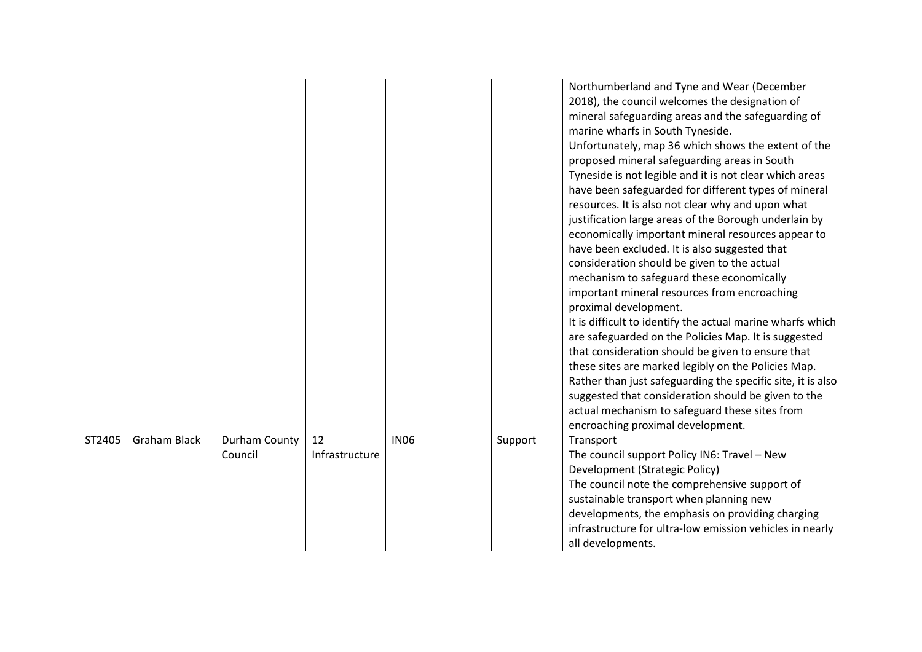|        |                     |               |                |             |         | Northumberland and Tyne and Wear (December                  |
|--------|---------------------|---------------|----------------|-------------|---------|-------------------------------------------------------------|
|        |                     |               |                |             |         | 2018), the council welcomes the designation of              |
|        |                     |               |                |             |         | mineral safeguarding areas and the safeguarding of          |
|        |                     |               |                |             |         | marine wharfs in South Tyneside.                            |
|        |                     |               |                |             |         | Unfortunately, map 36 which shows the extent of the         |
|        |                     |               |                |             |         | proposed mineral safeguarding areas in South                |
|        |                     |               |                |             |         | Tyneside is not legible and it is not clear which areas     |
|        |                     |               |                |             |         | have been safeguarded for different types of mineral        |
|        |                     |               |                |             |         | resources. It is also not clear why and upon what           |
|        |                     |               |                |             |         | justification large areas of the Borough underlain by       |
|        |                     |               |                |             |         | economically important mineral resources appear to          |
|        |                     |               |                |             |         | have been excluded. It is also suggested that               |
|        |                     |               |                |             |         | consideration should be given to the actual                 |
|        |                     |               |                |             |         | mechanism to safeguard these economically                   |
|        |                     |               |                |             |         | important mineral resources from encroaching                |
|        |                     |               |                |             |         | proximal development.                                       |
|        |                     |               |                |             |         | It is difficult to identify the actual marine wharfs which  |
|        |                     |               |                |             |         | are safeguarded on the Policies Map. It is suggested        |
|        |                     |               |                |             |         | that consideration should be given to ensure that           |
|        |                     |               |                |             |         | these sites are marked legibly on the Policies Map.         |
|        |                     |               |                |             |         | Rather than just safeguarding the specific site, it is also |
|        |                     |               |                |             |         | suggested that consideration should be given to the         |
|        |                     |               |                |             |         | actual mechanism to safeguard these sites from              |
|        |                     |               |                |             |         | encroaching proximal development.                           |
| ST2405 | <b>Graham Black</b> | Durham County | 12             | <b>IN06</b> | Support | Transport                                                   |
|        |                     | Council       | Infrastructure |             |         | The council support Policy IN6: Travel - New                |
|        |                     |               |                |             |         | Development (Strategic Policy)                              |
|        |                     |               |                |             |         | The council note the comprehensive support of               |
|        |                     |               |                |             |         | sustainable transport when planning new                     |
|        |                     |               |                |             |         | developments, the emphasis on providing charging            |
|        |                     |               |                |             |         | infrastructure for ultra-low emission vehicles in nearly    |
|        |                     |               |                |             |         | all developments.                                           |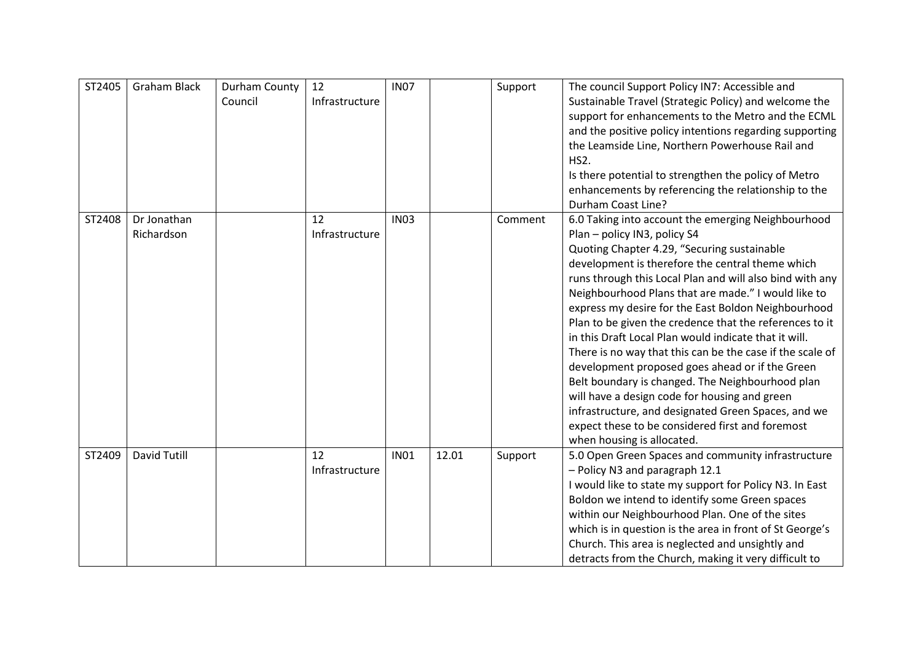| ST2405 | <b>Graham Black</b>       | Durham County<br>Council | 12<br>Infrastructure | <b>IN07</b> |       | Support | The council Support Policy IN7: Accessible and<br>Sustainable Travel (Strategic Policy) and welcome the<br>support for enhancements to the Metro and the ECML<br>and the positive policy intentions regarding supporting<br>the Leamside Line, Northern Powerhouse Rail and<br>HS2.<br>Is there potential to strengthen the policy of Metro<br>enhancements by referencing the relationship to the<br>Durham Coast Line?                                                                                                                                                                                                                                                                                                                                                                                                                          |
|--------|---------------------------|--------------------------|----------------------|-------------|-------|---------|---------------------------------------------------------------------------------------------------------------------------------------------------------------------------------------------------------------------------------------------------------------------------------------------------------------------------------------------------------------------------------------------------------------------------------------------------------------------------------------------------------------------------------------------------------------------------------------------------------------------------------------------------------------------------------------------------------------------------------------------------------------------------------------------------------------------------------------------------|
| ST2408 | Dr Jonathan<br>Richardson |                          | 12<br>Infrastructure | <b>IN03</b> |       | Comment | 6.0 Taking into account the emerging Neighbourhood<br>Plan - policy IN3, policy S4<br>Quoting Chapter 4.29, "Securing sustainable<br>development is therefore the central theme which<br>runs through this Local Plan and will also bind with any<br>Neighbourhood Plans that are made." I would like to<br>express my desire for the East Boldon Neighbourhood<br>Plan to be given the credence that the references to it<br>in this Draft Local Plan would indicate that it will.<br>There is no way that this can be the case if the scale of<br>development proposed goes ahead or if the Green<br>Belt boundary is changed. The Neighbourhood plan<br>will have a design code for housing and green<br>infrastructure, and designated Green Spaces, and we<br>expect these to be considered first and foremost<br>when housing is allocated. |
| ST2409 | <b>David Tutill</b>       |                          | 12<br>Infrastructure | <b>IN01</b> | 12.01 | Support | 5.0 Open Green Spaces and community infrastructure<br>- Policy N3 and paragraph 12.1<br>I would like to state my support for Policy N3. In East<br>Boldon we intend to identify some Green spaces<br>within our Neighbourhood Plan. One of the sites<br>which is in question is the area in front of St George's<br>Church. This area is neglected and unsightly and<br>detracts from the Church, making it very difficult to                                                                                                                                                                                                                                                                                                                                                                                                                     |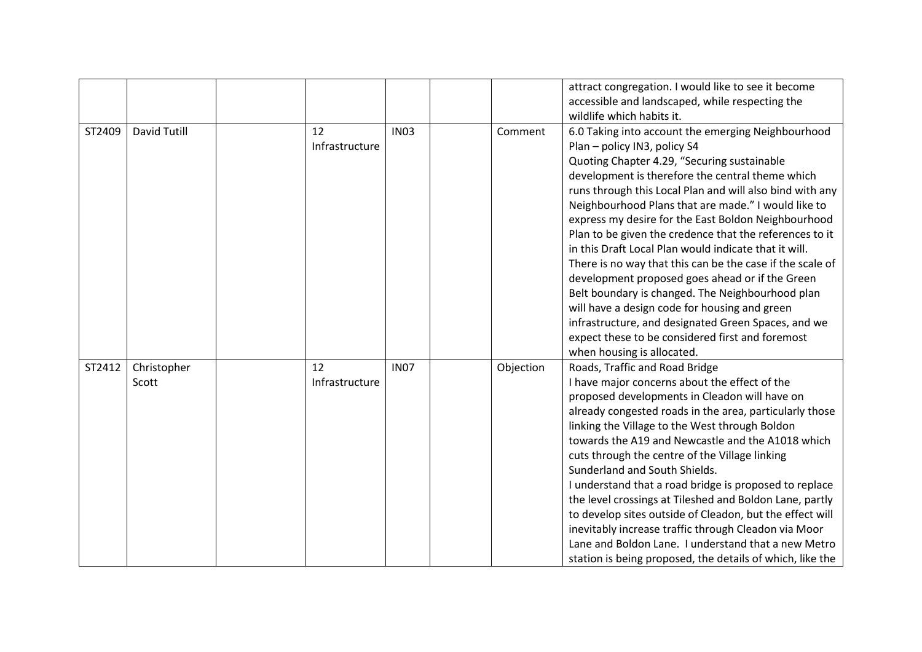|        |                      |    |                               |           | attract congregation. I would like to see it become<br>accessible and landscaped, while respecting the<br>wildlife which habits it.                                                                                                                                                                                                                                                                                                                                                                                                                                                                                                                                                                                                                                                                                                               |
|--------|----------------------|----|-------------------------------|-----------|---------------------------------------------------------------------------------------------------------------------------------------------------------------------------------------------------------------------------------------------------------------------------------------------------------------------------------------------------------------------------------------------------------------------------------------------------------------------------------------------------------------------------------------------------------------------------------------------------------------------------------------------------------------------------------------------------------------------------------------------------------------------------------------------------------------------------------------------------|
| ST2409 | David Tutill         | 12 | <b>IN03</b><br>Infrastructure | Comment   | 6.0 Taking into account the emerging Neighbourhood<br>Plan - policy IN3, policy S4<br>Quoting Chapter 4.29, "Securing sustainable<br>development is therefore the central theme which<br>runs through this Local Plan and will also bind with any<br>Neighbourhood Plans that are made." I would like to<br>express my desire for the East Boldon Neighbourhood<br>Plan to be given the credence that the references to it<br>in this Draft Local Plan would indicate that it will.<br>There is no way that this can be the case if the scale of<br>development proposed goes ahead or if the Green<br>Belt boundary is changed. The Neighbourhood plan<br>will have a design code for housing and green<br>infrastructure, and designated Green Spaces, and we<br>expect these to be considered first and foremost<br>when housing is allocated. |
| ST2412 | Christopher<br>Scott | 12 | <b>IN07</b><br>Infrastructure | Objection | Roads, Traffic and Road Bridge<br>I have major concerns about the effect of the<br>proposed developments in Cleadon will have on<br>already congested roads in the area, particularly those<br>linking the Village to the West through Boldon<br>towards the A19 and Newcastle and the A1018 which<br>cuts through the centre of the Village linking<br>Sunderland and South Shields.<br>I understand that a road bridge is proposed to replace<br>the level crossings at Tileshed and Boldon Lane, partly<br>to develop sites outside of Cleadon, but the effect will<br>inevitably increase traffic through Cleadon via Moor<br>Lane and Boldon Lane. I understand that a new Metro<br>station is being proposed, the details of which, like the                                                                                                |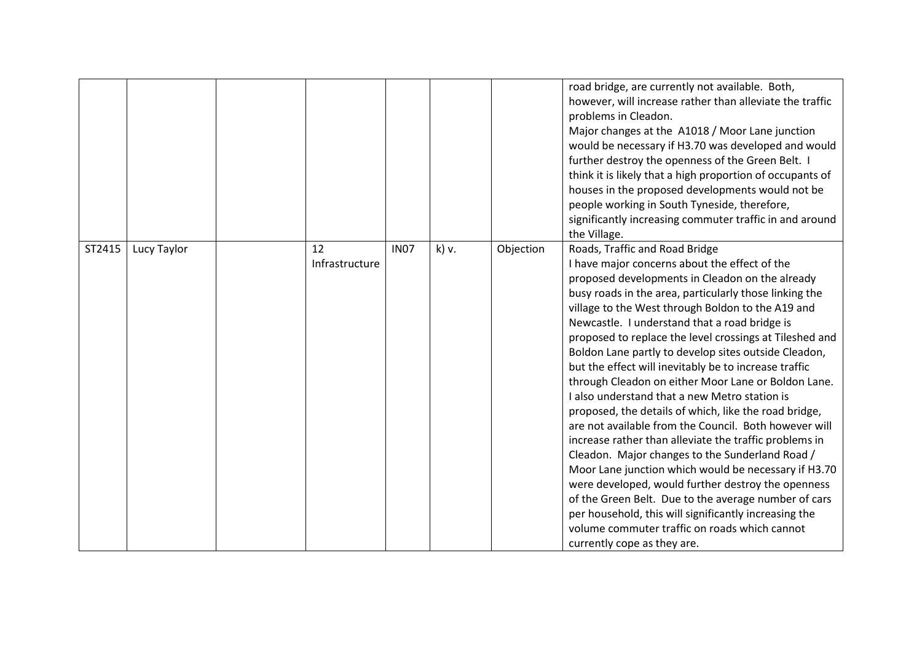|        |             |                      |             |       |           | road bridge, are currently not available. Both,<br>however, will increase rather than alleviate the traffic<br>problems in Cleadon.<br>Major changes at the A1018 / Moor Lane junction<br>would be necessary if H3.70 was developed and would<br>further destroy the openness of the Green Belt. I<br>think it is likely that a high proportion of occupants of<br>houses in the proposed developments would not be<br>people working in South Tyneside, therefore,<br>significantly increasing commuter traffic in and around<br>the Village.                                                                                                                                                                                                                                                                                                                                                                                                                                                                                                                                                                                       |
|--------|-------------|----------------------|-------------|-------|-----------|--------------------------------------------------------------------------------------------------------------------------------------------------------------------------------------------------------------------------------------------------------------------------------------------------------------------------------------------------------------------------------------------------------------------------------------------------------------------------------------------------------------------------------------------------------------------------------------------------------------------------------------------------------------------------------------------------------------------------------------------------------------------------------------------------------------------------------------------------------------------------------------------------------------------------------------------------------------------------------------------------------------------------------------------------------------------------------------------------------------------------------------|
| ST2415 | Lucy Taylor | 12<br>Infrastructure | <b>IN07</b> | k) v. | Objection | Roads, Traffic and Road Bridge<br>I have major concerns about the effect of the<br>proposed developments in Cleadon on the already<br>busy roads in the area, particularly those linking the<br>village to the West through Boldon to the A19 and<br>Newcastle. I understand that a road bridge is<br>proposed to replace the level crossings at Tileshed and<br>Boldon Lane partly to develop sites outside Cleadon,<br>but the effect will inevitably be to increase traffic<br>through Cleadon on either Moor Lane or Boldon Lane.<br>I also understand that a new Metro station is<br>proposed, the details of which, like the road bridge,<br>are not available from the Council. Both however will<br>increase rather than alleviate the traffic problems in<br>Cleadon. Major changes to the Sunderland Road /<br>Moor Lane junction which would be necessary if H3.70<br>were developed, would further destroy the openness<br>of the Green Belt. Due to the average number of cars<br>per household, this will significantly increasing the<br>volume commuter traffic on roads which cannot<br>currently cope as they are. |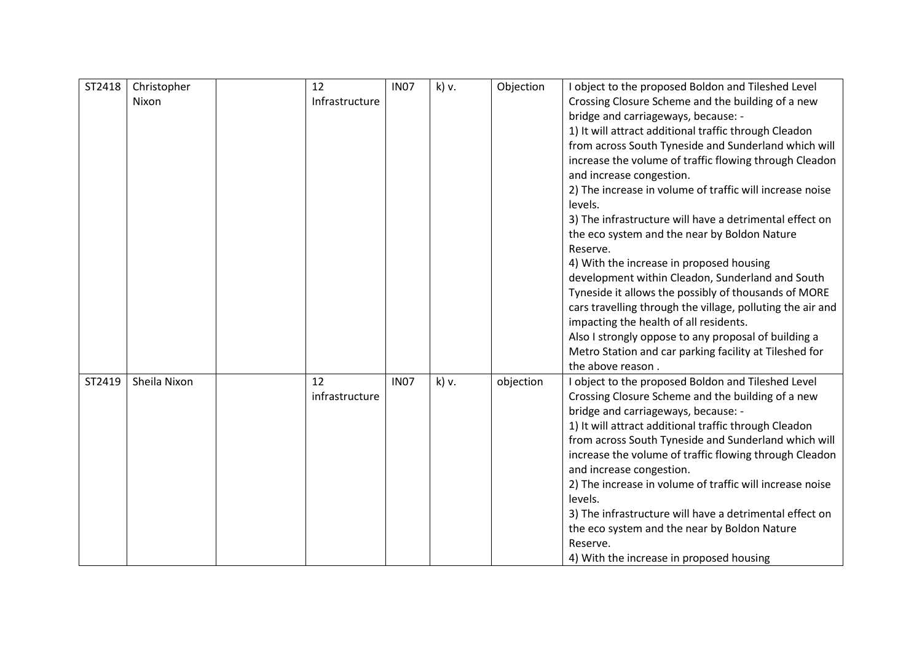| ST2418 | Christopher  | 12             | <b>IN07</b> | k) v. | Objection | I object to the proposed Boldon and Tileshed Level                                                             |
|--------|--------------|----------------|-------------|-------|-----------|----------------------------------------------------------------------------------------------------------------|
|        | Nixon        | Infrastructure |             |       |           | Crossing Closure Scheme and the building of a new                                                              |
|        |              |                |             |       |           | bridge and carriageways, because: -                                                                            |
|        |              |                |             |       |           | 1) It will attract additional traffic through Cleadon                                                          |
|        |              |                |             |       |           | from across South Tyneside and Sunderland which will                                                           |
|        |              |                |             |       |           | increase the volume of traffic flowing through Cleadon                                                         |
|        |              |                |             |       |           | and increase congestion.                                                                                       |
|        |              |                |             |       |           | 2) The increase in volume of traffic will increase noise                                                       |
|        |              |                |             |       |           | levels.                                                                                                        |
|        |              |                |             |       |           | 3) The infrastructure will have a detrimental effect on                                                        |
|        |              |                |             |       |           | the eco system and the near by Boldon Nature                                                                   |
|        |              |                |             |       |           | Reserve.                                                                                                       |
|        |              |                |             |       |           | 4) With the increase in proposed housing                                                                       |
|        |              |                |             |       |           | development within Cleadon, Sunderland and South                                                               |
|        |              |                |             |       |           | Tyneside it allows the possibly of thousands of MORE                                                           |
|        |              |                |             |       |           | cars travelling through the village, polluting the air and                                                     |
|        |              |                |             |       |           | impacting the health of all residents.                                                                         |
|        |              |                |             |       |           | Also I strongly oppose to any proposal of building a<br>Metro Station and car parking facility at Tileshed for |
|        |              |                |             |       |           | the above reason.                                                                                              |
| ST2419 | Sheila Nixon | 12             | <b>IN07</b> | k) v. | objection | I object to the proposed Boldon and Tileshed Level                                                             |
|        |              | infrastructure |             |       |           | Crossing Closure Scheme and the building of a new                                                              |
|        |              |                |             |       |           | bridge and carriageways, because: -                                                                            |
|        |              |                |             |       |           | 1) It will attract additional traffic through Cleadon                                                          |
|        |              |                |             |       |           | from across South Tyneside and Sunderland which will                                                           |
|        |              |                |             |       |           | increase the volume of traffic flowing through Cleadon                                                         |
|        |              |                |             |       |           | and increase congestion.                                                                                       |
|        |              |                |             |       |           | 2) The increase in volume of traffic will increase noise                                                       |
|        |              |                |             |       |           | levels.                                                                                                        |
|        |              |                |             |       |           | 3) The infrastructure will have a detrimental effect on                                                        |
|        |              |                |             |       |           | the eco system and the near by Boldon Nature                                                                   |
|        |              |                |             |       |           | Reserve.                                                                                                       |
|        |              |                |             |       |           | 4) With the increase in proposed housing                                                                       |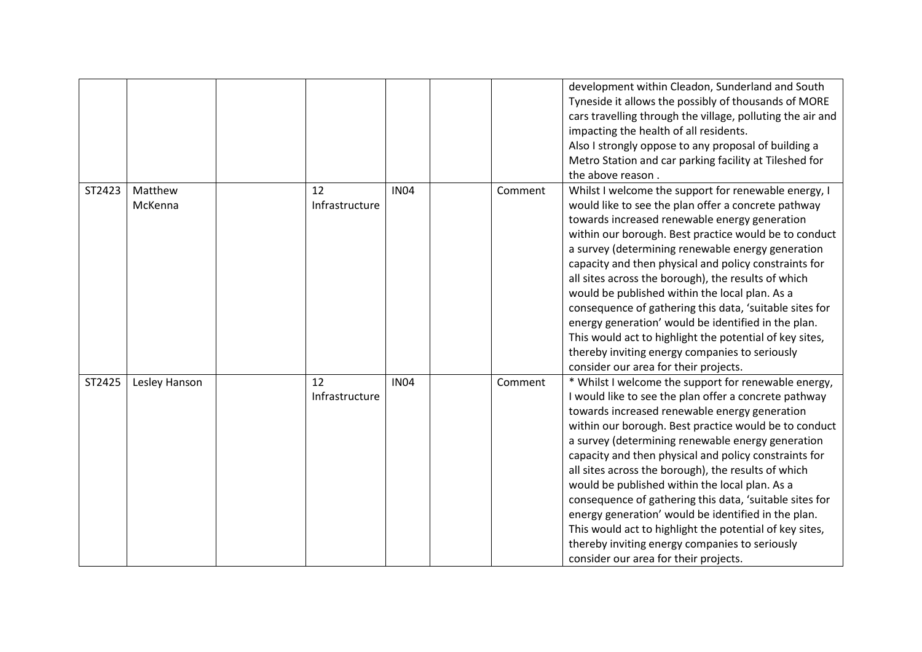|        |                    |                      |             |         | development within Cleadon, Sunderland and South<br>Tyneside it allows the possibly of thousands of MORE<br>cars travelling through the village, polluting the air and<br>impacting the health of all residents.<br>Also I strongly oppose to any proposal of building a<br>Metro Station and car parking facility at Tileshed for<br>the above reason.                                                                                                                                                                                                                                                                                                                                                                |
|--------|--------------------|----------------------|-------------|---------|------------------------------------------------------------------------------------------------------------------------------------------------------------------------------------------------------------------------------------------------------------------------------------------------------------------------------------------------------------------------------------------------------------------------------------------------------------------------------------------------------------------------------------------------------------------------------------------------------------------------------------------------------------------------------------------------------------------------|
| ST2423 | Matthew<br>McKenna | 12<br>Infrastructure | <b>IN04</b> | Comment | Whilst I welcome the support for renewable energy, I<br>would like to see the plan offer a concrete pathway<br>towards increased renewable energy generation<br>within our borough. Best practice would be to conduct<br>a survey (determining renewable energy generation<br>capacity and then physical and policy constraints for<br>all sites across the borough), the results of which<br>would be published within the local plan. As a<br>consequence of gathering this data, 'suitable sites for<br>energy generation' would be identified in the plan.<br>This would act to highlight the potential of key sites,<br>thereby inviting energy companies to seriously<br>consider our area for their projects.   |
| ST2425 | Lesley Hanson      | 12<br>Infrastructure | <b>IN04</b> | Comment | * Whilst I welcome the support for renewable energy,<br>I would like to see the plan offer a concrete pathway<br>towards increased renewable energy generation<br>within our borough. Best practice would be to conduct<br>a survey (determining renewable energy generation<br>capacity and then physical and policy constraints for<br>all sites across the borough), the results of which<br>would be published within the local plan. As a<br>consequence of gathering this data, 'suitable sites for<br>energy generation' would be identified in the plan.<br>This would act to highlight the potential of key sites,<br>thereby inviting energy companies to seriously<br>consider our area for their projects. |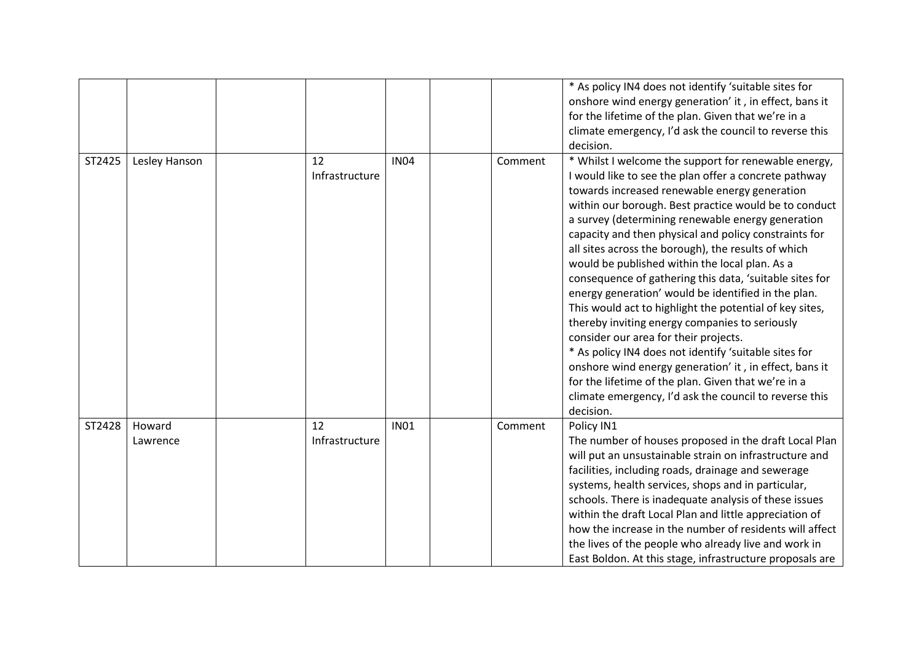|        |                    |                      |             | decision.             | * As policy IN4 does not identify 'suitable sites for<br>onshore wind energy generation' it, in effect, bans it<br>for the lifetime of the plan. Given that we're in a<br>climate emergency, I'd ask the council to reverse this                                                                                                                                                                                                                                                                                                                                                                                                                                                                                                                                                                                                                                                                                                                           |
|--------|--------------------|----------------------|-------------|-----------------------|------------------------------------------------------------------------------------------------------------------------------------------------------------------------------------------------------------------------------------------------------------------------------------------------------------------------------------------------------------------------------------------------------------------------------------------------------------------------------------------------------------------------------------------------------------------------------------------------------------------------------------------------------------------------------------------------------------------------------------------------------------------------------------------------------------------------------------------------------------------------------------------------------------------------------------------------------------|
| ST2425 | Lesley Hanson      | 12<br>Infrastructure | <b>IN04</b> | Comment<br>decision.  | * Whilst I welcome the support for renewable energy,<br>I would like to see the plan offer a concrete pathway<br>towards increased renewable energy generation<br>within our borough. Best practice would be to conduct<br>a survey (determining renewable energy generation<br>capacity and then physical and policy constraints for<br>all sites across the borough), the results of which<br>would be published within the local plan. As a<br>consequence of gathering this data, 'suitable sites for<br>energy generation' would be identified in the plan.<br>This would act to highlight the potential of key sites,<br>thereby inviting energy companies to seriously<br>consider our area for their projects.<br>* As policy IN4 does not identify 'suitable sites for<br>onshore wind energy generation' it, in effect, bans it<br>for the lifetime of the plan. Given that we're in a<br>climate emergency, I'd ask the council to reverse this |
| ST2428 | Howard<br>Lawrence | 12<br>Infrastructure | <b>IN01</b> | Comment<br>Policy IN1 | The number of houses proposed in the draft Local Plan<br>will put an unsustainable strain on infrastructure and<br>facilities, including roads, drainage and sewerage<br>systems, health services, shops and in particular,<br>schools. There is inadequate analysis of these issues<br>within the draft Local Plan and little appreciation of<br>how the increase in the number of residents will affect<br>the lives of the people who already live and work in<br>East Boldon. At this stage, infrastructure proposals are                                                                                                                                                                                                                                                                                                                                                                                                                              |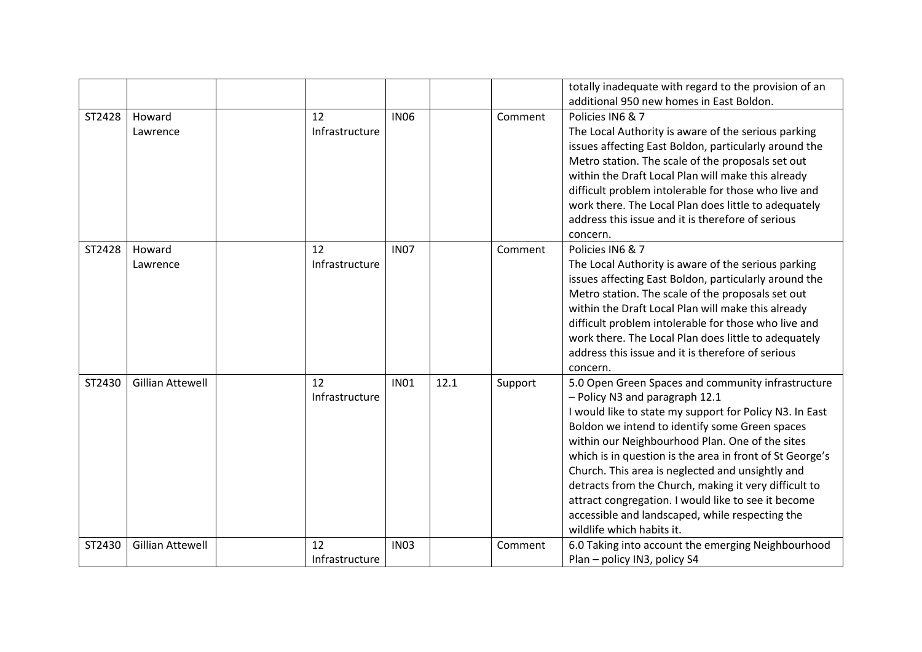|        |                         |                      |             |      |         | totally inadequate with regard to the provision of an<br>additional 950 new homes in East Boldon.                                                                                                                                                                                                                                                                                                                                                                                                                                                                    |
|--------|-------------------------|----------------------|-------------|------|---------|----------------------------------------------------------------------------------------------------------------------------------------------------------------------------------------------------------------------------------------------------------------------------------------------------------------------------------------------------------------------------------------------------------------------------------------------------------------------------------------------------------------------------------------------------------------------|
|        |                         |                      |             |      |         |                                                                                                                                                                                                                                                                                                                                                                                                                                                                                                                                                                      |
| ST2428 | Howard<br>Lawrence      | 12<br>Infrastructure | <b>IN06</b> |      | Comment | Policies IN6 & 7<br>The Local Authority is aware of the serious parking<br>issues affecting East Boldon, particularly around the<br>Metro station. The scale of the proposals set out<br>within the Draft Local Plan will make this already<br>difficult problem intolerable for those who live and<br>work there. The Local Plan does little to adequately<br>address this issue and it is therefore of serious<br>concern.                                                                                                                                         |
| ST2428 | Howard<br>Lawrence      | 12<br>Infrastructure | <b>IN07</b> |      | Comment | Policies IN6 & 7<br>The Local Authority is aware of the serious parking<br>issues affecting East Boldon, particularly around the<br>Metro station. The scale of the proposals set out<br>within the Draft Local Plan will make this already<br>difficult problem intolerable for those who live and<br>work there. The Local Plan does little to adequately<br>address this issue and it is therefore of serious<br>concern.                                                                                                                                         |
| ST2430 | <b>Gillian Attewell</b> | 12<br>Infrastructure | <b>IN01</b> | 12.1 | Support | 5.0 Open Green Spaces and community infrastructure<br>- Policy N3 and paragraph 12.1<br>I would like to state my support for Policy N3. In East<br>Boldon we intend to identify some Green spaces<br>within our Neighbourhood Plan. One of the sites<br>which is in question is the area in front of St George's<br>Church. This area is neglected and unsightly and<br>detracts from the Church, making it very difficult to<br>attract congregation. I would like to see it become<br>accessible and landscaped, while respecting the<br>wildlife which habits it. |
| ST2430 | <b>Gillian Attewell</b> | 12<br>Infrastructure | <b>IN03</b> |      | Comment | 6.0 Taking into account the emerging Neighbourhood<br>Plan - policy IN3, policy S4                                                                                                                                                                                                                                                                                                                                                                                                                                                                                   |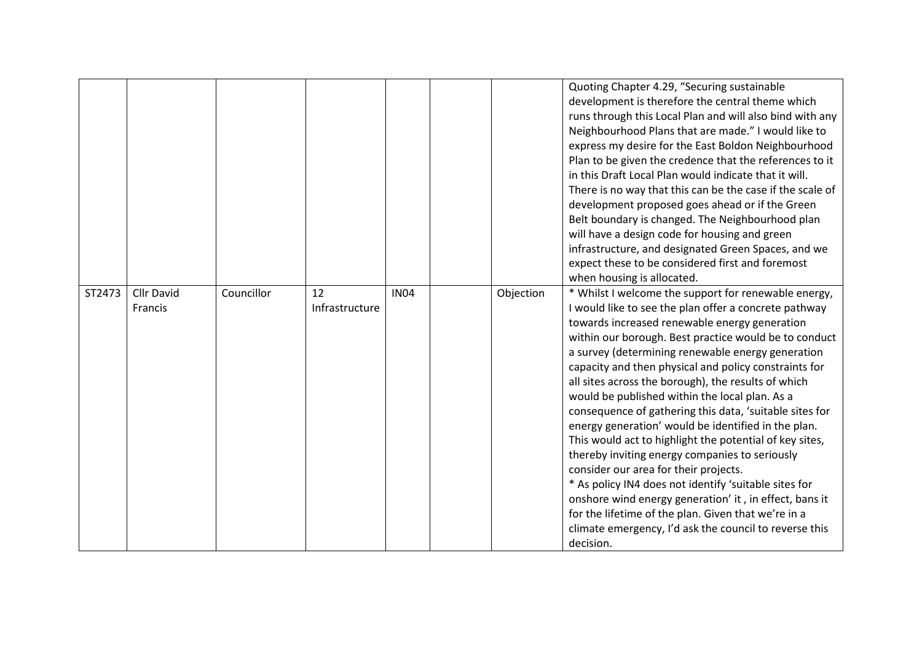|        |                       |            |                      |             |           | Quoting Chapter 4.29, "Securing sustainable<br>development is therefore the central theme which<br>runs through this Local Plan and will also bind with any<br>Neighbourhood Plans that are made." I would like to<br>express my desire for the East Boldon Neighbourhood<br>Plan to be given the credence that the references to it<br>in this Draft Local Plan would indicate that it will.<br>There is no way that this can be the case if the scale of<br>development proposed goes ahead or if the Green<br>Belt boundary is changed. The Neighbourhood plan<br>will have a design code for housing and green<br>infrastructure, and designated Green Spaces, and we<br>expect these to be considered first and foremost<br>when housing is allocated.                                                                                                                                                                                                             |
|--------|-----------------------|------------|----------------------|-------------|-----------|-------------------------------------------------------------------------------------------------------------------------------------------------------------------------------------------------------------------------------------------------------------------------------------------------------------------------------------------------------------------------------------------------------------------------------------------------------------------------------------------------------------------------------------------------------------------------------------------------------------------------------------------------------------------------------------------------------------------------------------------------------------------------------------------------------------------------------------------------------------------------------------------------------------------------------------------------------------------------|
| ST2473 | Cllr David<br>Francis | Councillor | 12<br>Infrastructure | <b>IN04</b> | Objection | * Whilst I welcome the support for renewable energy,<br>I would like to see the plan offer a concrete pathway<br>towards increased renewable energy generation<br>within our borough. Best practice would be to conduct<br>a survey (determining renewable energy generation<br>capacity and then physical and policy constraints for<br>all sites across the borough), the results of which<br>would be published within the local plan. As a<br>consequence of gathering this data, 'suitable sites for<br>energy generation' would be identified in the plan.<br>This would act to highlight the potential of key sites,<br>thereby inviting energy companies to seriously<br>consider our area for their projects.<br>* As policy IN4 does not identify 'suitable sites for<br>onshore wind energy generation' it, in effect, bans it<br>for the lifetime of the plan. Given that we're in a<br>climate emergency, I'd ask the council to reverse this<br>decision. |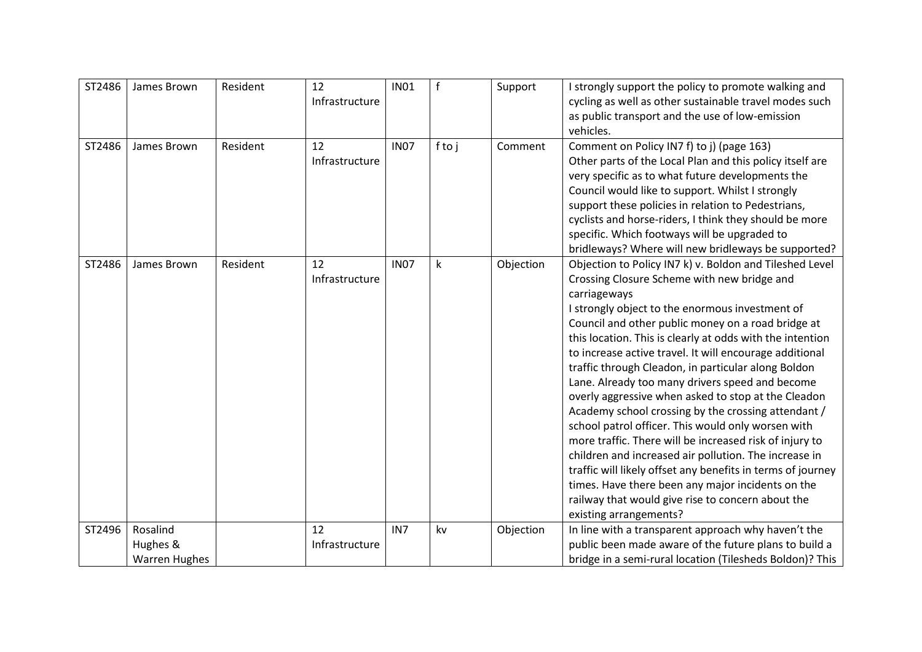| ST2486 | James Brown                                  | Resident | 12<br>Infrastructure | <b>IN01</b> | f    | Support   | I strongly support the policy to promote walking and<br>cycling as well as other sustainable travel modes such<br>as public transport and the use of low-emission<br>vehicles.                                                                                                                                                                                                                                                                                                                                                                                                                                                                                                                                                                                                                                                                                                                                                                               |
|--------|----------------------------------------------|----------|----------------------|-------------|------|-----------|--------------------------------------------------------------------------------------------------------------------------------------------------------------------------------------------------------------------------------------------------------------------------------------------------------------------------------------------------------------------------------------------------------------------------------------------------------------------------------------------------------------------------------------------------------------------------------------------------------------------------------------------------------------------------------------------------------------------------------------------------------------------------------------------------------------------------------------------------------------------------------------------------------------------------------------------------------------|
| ST2486 | James Brown                                  | Resident | 12<br>Infrastructure | <b>IN07</b> | ftoj | Comment   | Comment on Policy IN7 f) to j) (page 163)<br>Other parts of the Local Plan and this policy itself are<br>very specific as to what future developments the<br>Council would like to support. Whilst I strongly<br>support these policies in relation to Pedestrians,<br>cyclists and horse-riders, I think they should be more<br>specific. Which footways will be upgraded to<br>bridleways? Where will new bridleways be supported?                                                                                                                                                                                                                                                                                                                                                                                                                                                                                                                         |
| ST2486 | James Brown                                  | Resident | 12<br>Infrastructure | <b>IN07</b> | k    | Objection | Objection to Policy IN7 k) v. Boldon and Tileshed Level<br>Crossing Closure Scheme with new bridge and<br>carriageways<br>I strongly object to the enormous investment of<br>Council and other public money on a road bridge at<br>this location. This is clearly at odds with the intention<br>to increase active travel. It will encourage additional<br>traffic through Cleadon, in particular along Boldon<br>Lane. Already too many drivers speed and become<br>overly aggressive when asked to stop at the Cleadon<br>Academy school crossing by the crossing attendant /<br>school patrol officer. This would only worsen with<br>more traffic. There will be increased risk of injury to<br>children and increased air pollution. The increase in<br>traffic will likely offset any benefits in terms of journey<br>times. Have there been any major incidents on the<br>railway that would give rise to concern about the<br>existing arrangements? |
| ST2496 | Rosalind<br>Hughes &<br><b>Warren Hughes</b> |          | 12<br>Infrastructure | IN7         | kv   | Objection | In line with a transparent approach why haven't the<br>public been made aware of the future plans to build a<br>bridge in a semi-rural location (Tilesheds Boldon)? This                                                                                                                                                                                                                                                                                                                                                                                                                                                                                                                                                                                                                                                                                                                                                                                     |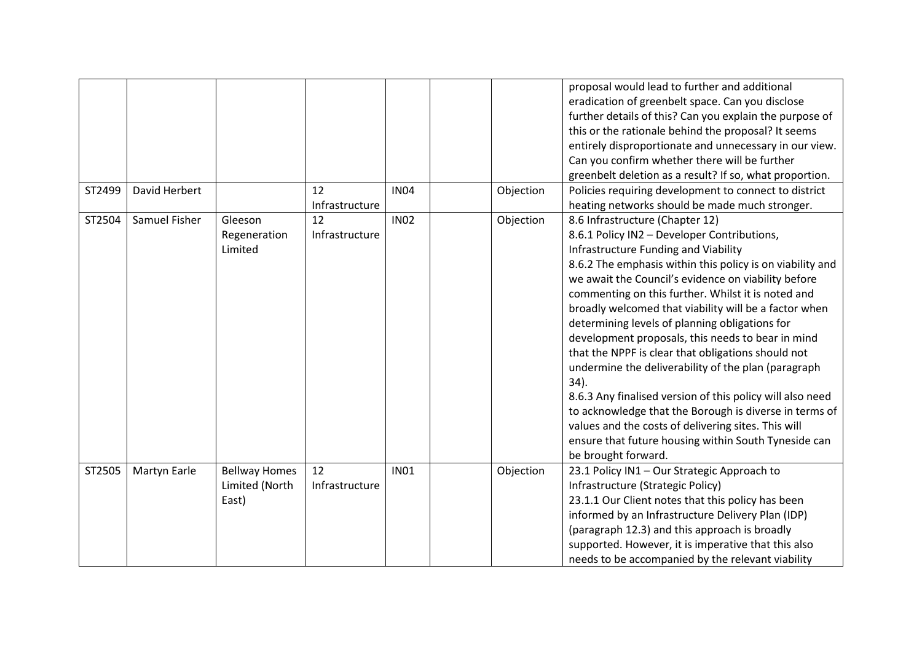|        |               |                      |                |             |           | proposal would lead to further and additional<br>eradication of greenbelt space. Can you disclose |
|--------|---------------|----------------------|----------------|-------------|-----------|---------------------------------------------------------------------------------------------------|
|        |               |                      |                |             |           | further details of this? Can you explain the purpose of                                           |
|        |               |                      |                |             |           | this or the rationale behind the proposal? It seems                                               |
|        |               |                      |                |             |           | entirely disproportionate and unnecessary in our view.                                            |
|        |               |                      |                |             |           | Can you confirm whether there will be further                                                     |
|        |               |                      |                |             |           | greenbelt deletion as a result? If so, what proportion.                                           |
| ST2499 | David Herbert |                      | 12             | <b>IN04</b> | Objection | Policies requiring development to connect to district                                             |
|        |               |                      | Infrastructure |             |           | heating networks should be made much stronger.                                                    |
| ST2504 | Samuel Fisher | Gleeson              | 12             | <b>IN02</b> | Objection | 8.6 Infrastructure (Chapter 12)                                                                   |
|        |               | Regeneration         | Infrastructure |             |           | 8.6.1 Policy IN2 - Developer Contributions,                                                       |
|        |               | Limited              |                |             |           | Infrastructure Funding and Viability                                                              |
|        |               |                      |                |             |           | 8.6.2 The emphasis within this policy is on viability and                                         |
|        |               |                      |                |             |           | we await the Council's evidence on viability before                                               |
|        |               |                      |                |             |           | commenting on this further. Whilst it is noted and                                                |
|        |               |                      |                |             |           | broadly welcomed that viability will be a factor when                                             |
|        |               |                      |                |             |           | determining levels of planning obligations for                                                    |
|        |               |                      |                |             |           | development proposals, this needs to bear in mind                                                 |
|        |               |                      |                |             |           | that the NPPF is clear that obligations should not                                                |
|        |               |                      |                |             |           | undermine the deliverability of the plan (paragraph                                               |
|        |               |                      |                |             |           | 34).                                                                                              |
|        |               |                      |                |             |           | 8.6.3 Any finalised version of this policy will also need                                         |
|        |               |                      |                |             |           | to acknowledge that the Borough is diverse in terms of                                            |
|        |               |                      |                |             |           | values and the costs of delivering sites. This will                                               |
|        |               |                      |                |             |           | ensure that future housing within South Tyneside can                                              |
|        |               |                      |                |             |           | be brought forward.                                                                               |
| ST2505 | Martyn Earle  | <b>Bellway Homes</b> | 12             | <b>IN01</b> | Objection | 23.1 Policy IN1 - Our Strategic Approach to                                                       |
|        |               | Limited (North       | Infrastructure |             |           | Infrastructure (Strategic Policy)                                                                 |
|        |               | East)                |                |             |           | 23.1.1 Our Client notes that this policy has been                                                 |
|        |               |                      |                |             |           | informed by an Infrastructure Delivery Plan (IDP)                                                 |
|        |               |                      |                |             |           | (paragraph 12.3) and this approach is broadly                                                     |
|        |               |                      |                |             |           | supported. However, it is imperative that this also                                               |
|        |               |                      |                |             |           | needs to be accompanied by the relevant viability                                                 |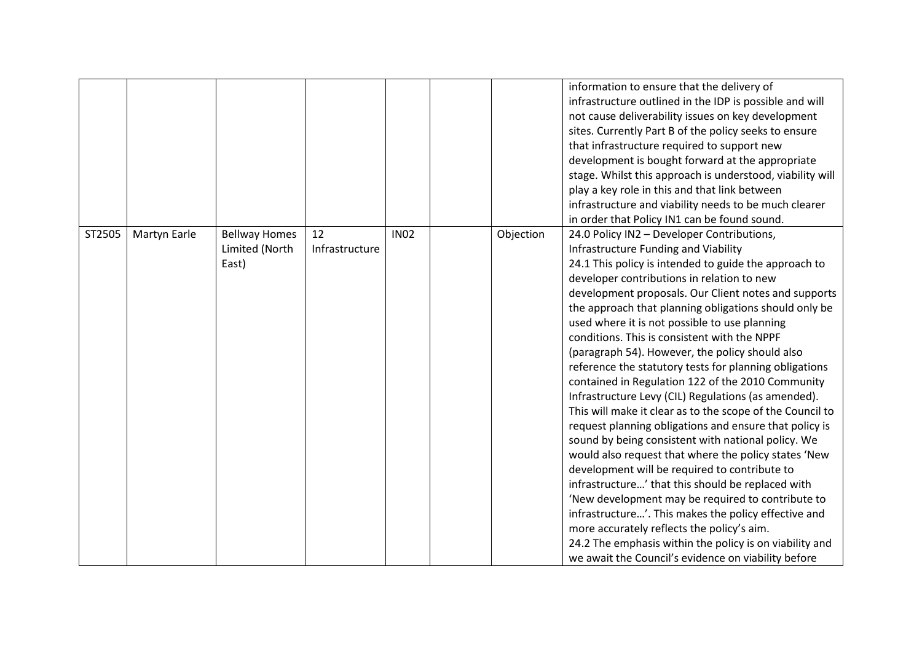|        |              |                                                 |                      |             |           | information to ensure that the delivery of<br>infrastructure outlined in the IDP is possible and will<br>not cause deliverability issues on key development<br>sites. Currently Part B of the policy seeks to ensure<br>that infrastructure required to support new<br>development is bought forward at the appropriate<br>stage. Whilst this approach is understood, viability will<br>play a key role in this and that link between<br>infrastructure and viability needs to be much clearer<br>in order that Policy IN1 can be found sound.                                                                                                                                                                                                                                                                                                                                                                                                                                                                                                                                                                                                                                                                                                               |
|--------|--------------|-------------------------------------------------|----------------------|-------------|-----------|--------------------------------------------------------------------------------------------------------------------------------------------------------------------------------------------------------------------------------------------------------------------------------------------------------------------------------------------------------------------------------------------------------------------------------------------------------------------------------------------------------------------------------------------------------------------------------------------------------------------------------------------------------------------------------------------------------------------------------------------------------------------------------------------------------------------------------------------------------------------------------------------------------------------------------------------------------------------------------------------------------------------------------------------------------------------------------------------------------------------------------------------------------------------------------------------------------------------------------------------------------------|
| ST2505 | Martyn Earle | <b>Bellway Homes</b><br>Limited (North<br>East) | 12<br>Infrastructure | <b>IN02</b> | Objection | 24.0 Policy IN2 - Developer Contributions,<br>Infrastructure Funding and Viability<br>24.1 This policy is intended to guide the approach to<br>developer contributions in relation to new<br>development proposals. Our Client notes and supports<br>the approach that planning obligations should only be<br>used where it is not possible to use planning<br>conditions. This is consistent with the NPPF<br>(paragraph 54). However, the policy should also<br>reference the statutory tests for planning obligations<br>contained in Regulation 122 of the 2010 Community<br>Infrastructure Levy (CIL) Regulations (as amended).<br>This will make it clear as to the scope of the Council to<br>request planning obligations and ensure that policy is<br>sound by being consistent with national policy. We<br>would also request that where the policy states 'New<br>development will be required to contribute to<br>infrastructure' that this should be replaced with<br>'New development may be required to contribute to<br>infrastructure'. This makes the policy effective and<br>more accurately reflects the policy's aim.<br>24.2 The emphasis within the policy is on viability and<br>we await the Council's evidence on viability before |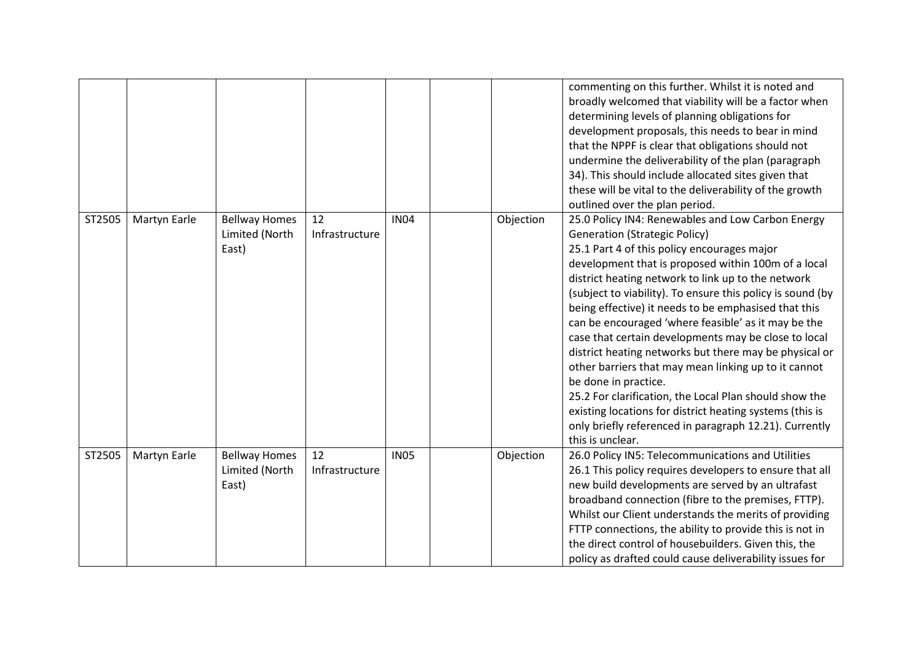|        |              |                                                 |                      |             |           | commenting on this further. Whilst it is noted and<br>broadly welcomed that viability will be a factor when<br>determining levels of planning obligations for<br>development proposals, this needs to bear in mind<br>that the NPPF is clear that obligations should not<br>undermine the deliverability of the plan (paragraph<br>34). This should include allocated sites given that<br>these will be vital to the deliverability of the growth<br>outlined over the plan period.                                                                                                                                                                                                                                                                                                                                                      |
|--------|--------------|-------------------------------------------------|----------------------|-------------|-----------|------------------------------------------------------------------------------------------------------------------------------------------------------------------------------------------------------------------------------------------------------------------------------------------------------------------------------------------------------------------------------------------------------------------------------------------------------------------------------------------------------------------------------------------------------------------------------------------------------------------------------------------------------------------------------------------------------------------------------------------------------------------------------------------------------------------------------------------|
| ST2505 | Martyn Earle | <b>Bellway Homes</b><br>Limited (North<br>East) | 12<br>Infrastructure | <b>IN04</b> | Objection | 25.0 Policy IN4: Renewables and Low Carbon Energy<br><b>Generation (Strategic Policy)</b><br>25.1 Part 4 of this policy encourages major<br>development that is proposed within 100m of a local<br>district heating network to link up to the network<br>(subject to viability). To ensure this policy is sound (by<br>being effective) it needs to be emphasised that this<br>can be encouraged 'where feasible' as it may be the<br>case that certain developments may be close to local<br>district heating networks but there may be physical or<br>other barriers that may mean linking up to it cannot<br>be done in practice.<br>25.2 For clarification, the Local Plan should show the<br>existing locations for district heating systems (this is<br>only briefly referenced in paragraph 12.21). Currently<br>this is unclear. |
| ST2505 | Martyn Earle | <b>Bellway Homes</b><br>Limited (North<br>East) | 12<br>Infrastructure | <b>IN05</b> | Objection | 26.0 Policy IN5: Telecommunications and Utilities<br>26.1 This policy requires developers to ensure that all<br>new build developments are served by an ultrafast<br>broadband connection (fibre to the premises, FTTP).<br>Whilst our Client understands the merits of providing<br>FTTP connections, the ability to provide this is not in<br>the direct control of housebuilders. Given this, the<br>policy as drafted could cause deliverability issues for                                                                                                                                                                                                                                                                                                                                                                          |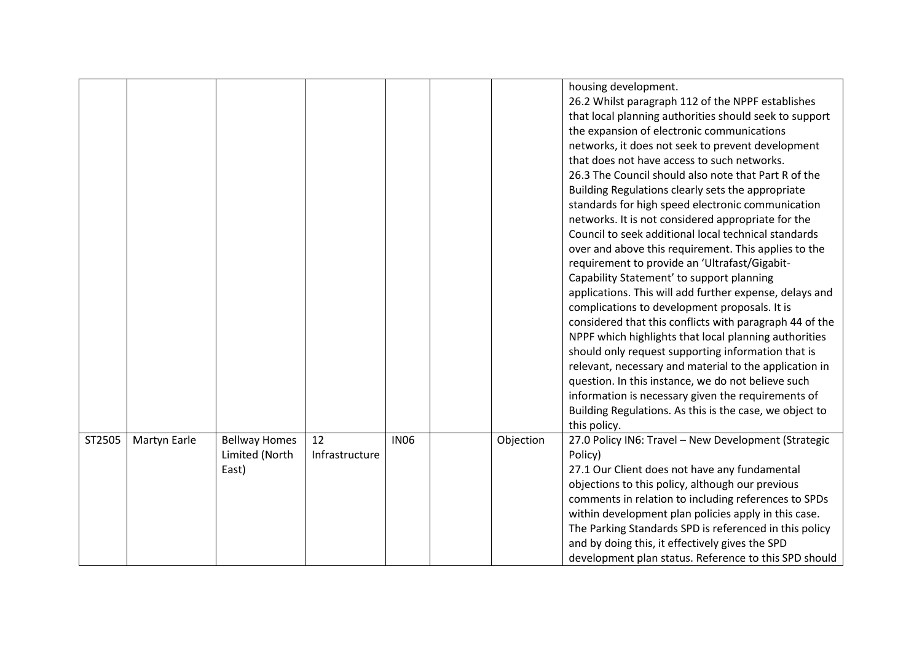|        |              |                      |                |             |           | housing development.<br>26.2 Whilst paragraph 112 of the NPPF establishes                                |
|--------|--------------|----------------------|----------------|-------------|-----------|----------------------------------------------------------------------------------------------------------|
|        |              |                      |                |             |           | that local planning authorities should seek to support                                                   |
|        |              |                      |                |             |           | the expansion of electronic communications                                                               |
|        |              |                      |                |             |           | networks, it does not seek to prevent development                                                        |
|        |              |                      |                |             |           | that does not have access to such networks.                                                              |
|        |              |                      |                |             |           | 26.3 The Council should also note that Part R of the                                                     |
|        |              |                      |                |             |           | Building Regulations clearly sets the appropriate                                                        |
|        |              |                      |                |             |           | standards for high speed electronic communication                                                        |
|        |              |                      |                |             |           | networks. It is not considered appropriate for the                                                       |
|        |              |                      |                |             |           | Council to seek additional local technical standards                                                     |
|        |              |                      |                |             |           | over and above this requirement. This applies to the                                                     |
|        |              |                      |                |             |           | requirement to provide an 'Ultrafast/Gigabit-                                                            |
|        |              |                      |                |             |           | Capability Statement' to support planning                                                                |
|        |              |                      |                |             |           | applications. This will add further expense, delays and                                                  |
|        |              |                      |                |             |           | complications to development proposals. It is                                                            |
|        |              |                      |                |             |           | considered that this conflicts with paragraph 44 of the                                                  |
|        |              |                      |                |             |           | NPPF which highlights that local planning authorities                                                    |
|        |              |                      |                |             |           | should only request supporting information that is                                                       |
|        |              |                      |                |             |           | relevant, necessary and material to the application in                                                   |
|        |              |                      |                |             |           | question. In this instance, we do not believe such                                                       |
|        |              |                      |                |             |           | information is necessary given the requirements of                                                       |
|        |              |                      |                |             |           | Building Regulations. As this is the case, we object to                                                  |
|        |              |                      | 12             | <b>IN06</b> |           | this policy.                                                                                             |
| ST2505 | Martyn Earle | <b>Bellway Homes</b> |                |             | Objection | 27.0 Policy IN6: Travel - New Development (Strategic                                                     |
|        |              | Limited (North       | Infrastructure |             |           | Policy)                                                                                                  |
|        |              | East)                |                |             |           | 27.1 Our Client does not have any fundamental                                                            |
|        |              |                      |                |             |           | objections to this policy, although our previous<br>comments in relation to including references to SPDs |
|        |              |                      |                |             |           | within development plan policies apply in this case.                                                     |
|        |              |                      |                |             |           | The Parking Standards SPD is referenced in this policy                                                   |
|        |              |                      |                |             |           |                                                                                                          |
|        |              |                      |                |             |           | and by doing this, it effectively gives the SPD                                                          |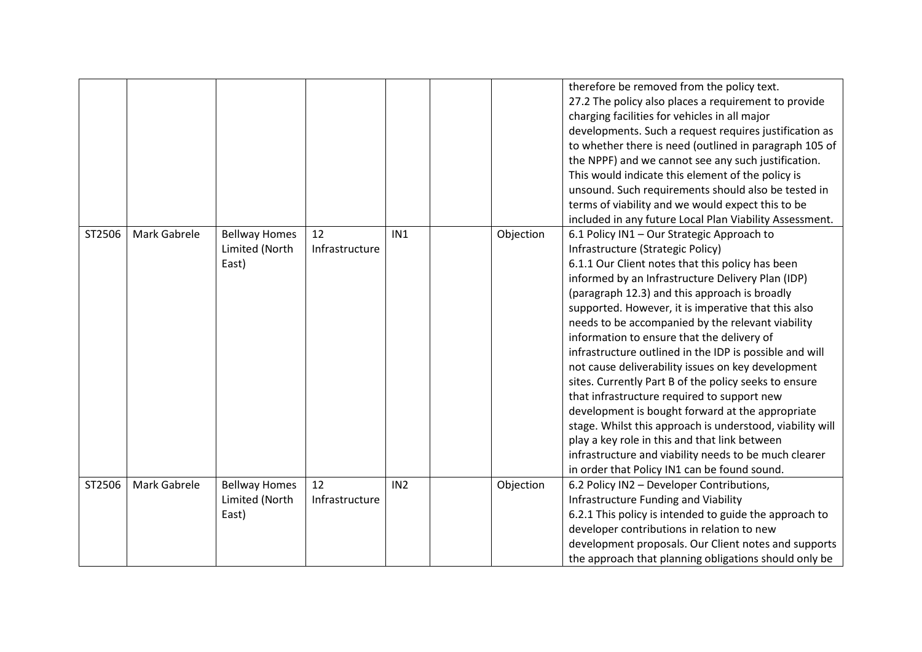|        |                     |                                                 |                      |                 |           | therefore be removed from the policy text.<br>27.2 The policy also places a requirement to provide<br>charging facilities for vehicles in all major<br>developments. Such a request requires justification as<br>to whether there is need (outlined in paragraph 105 of<br>the NPPF) and we cannot see any such justification.<br>This would indicate this element of the policy is<br>unsound. Such requirements should also be tested in<br>terms of viability and we would expect this to be<br>included in any future Local Plan Viability Assessment.                                                                                                                                                                                                                                                                                                                                              |
|--------|---------------------|-------------------------------------------------|----------------------|-----------------|-----------|---------------------------------------------------------------------------------------------------------------------------------------------------------------------------------------------------------------------------------------------------------------------------------------------------------------------------------------------------------------------------------------------------------------------------------------------------------------------------------------------------------------------------------------------------------------------------------------------------------------------------------------------------------------------------------------------------------------------------------------------------------------------------------------------------------------------------------------------------------------------------------------------------------|
| ST2506 | <b>Mark Gabrele</b> | <b>Bellway Homes</b><br>Limited (North<br>East) | 12<br>Infrastructure | IN <sub>1</sub> | Objection | 6.1 Policy IN1 - Our Strategic Approach to<br>Infrastructure (Strategic Policy)<br>6.1.1 Our Client notes that this policy has been<br>informed by an Infrastructure Delivery Plan (IDP)<br>(paragraph 12.3) and this approach is broadly<br>supported. However, it is imperative that this also<br>needs to be accompanied by the relevant viability<br>information to ensure that the delivery of<br>infrastructure outlined in the IDP is possible and will<br>not cause deliverability issues on key development<br>sites. Currently Part B of the policy seeks to ensure<br>that infrastructure required to support new<br>development is bought forward at the appropriate<br>stage. Whilst this approach is understood, viability will<br>play a key role in this and that link between<br>infrastructure and viability needs to be much clearer<br>in order that Policy IN1 can be found sound. |
| ST2506 | Mark Gabrele        | <b>Bellway Homes</b><br>Limited (North<br>East) | 12<br>Infrastructure | IN <sub>2</sub> | Objection | 6.2 Policy IN2 - Developer Contributions,<br>Infrastructure Funding and Viability<br>6.2.1 This policy is intended to guide the approach to<br>developer contributions in relation to new<br>development proposals. Our Client notes and supports<br>the approach that planning obligations should only be                                                                                                                                                                                                                                                                                                                                                                                                                                                                                                                                                                                              |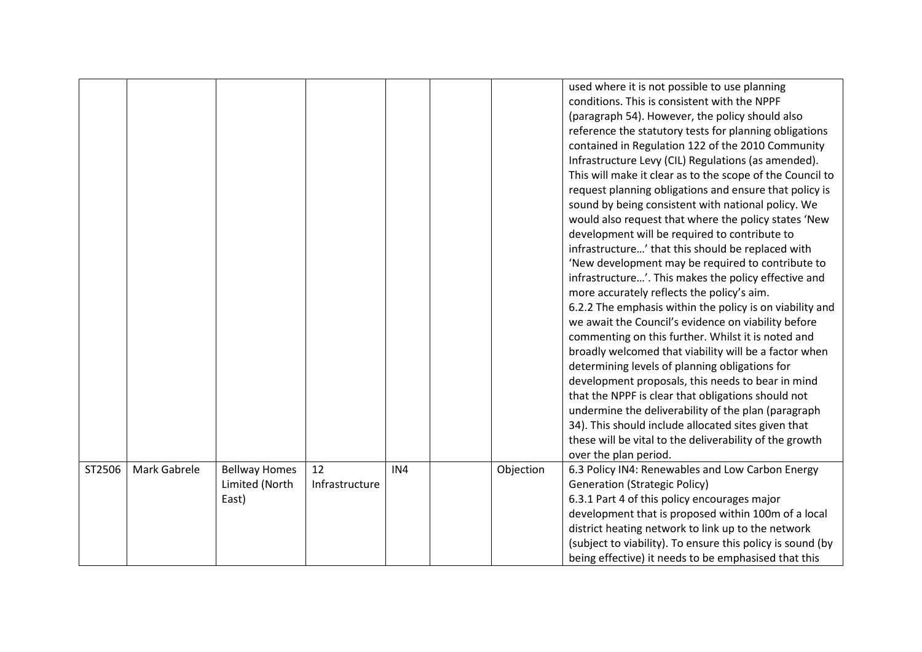|        |              |                         |                      |     |           | used where it is not possible to use planning<br>conditions. This is consistent with the NPPF                      |
|--------|--------------|-------------------------|----------------------|-----|-----------|--------------------------------------------------------------------------------------------------------------------|
|        |              |                         |                      |     |           | (paragraph 54). However, the policy should also                                                                    |
|        |              |                         |                      |     |           | reference the statutory tests for planning obligations                                                             |
|        |              |                         |                      |     |           | contained in Regulation 122 of the 2010 Community                                                                  |
|        |              |                         |                      |     |           | Infrastructure Levy (CIL) Regulations (as amended).                                                                |
|        |              |                         |                      |     |           | This will make it clear as to the scope of the Council to                                                          |
|        |              |                         |                      |     |           | request planning obligations and ensure that policy is                                                             |
|        |              |                         |                      |     |           | sound by being consistent with national policy. We                                                                 |
|        |              |                         |                      |     |           | would also request that where the policy states 'New                                                               |
|        |              |                         |                      |     |           | development will be required to contribute to                                                                      |
|        |              |                         |                      |     |           | infrastructure' that this should be replaced with                                                                  |
|        |              |                         |                      |     |           | 'New development may be required to contribute to                                                                  |
|        |              |                         |                      |     |           | infrastructure'. This makes the policy effective and                                                               |
|        |              |                         |                      |     |           | more accurately reflects the policy's aim.                                                                         |
|        |              |                         |                      |     |           | 6.2.2 The emphasis within the policy is on viability and                                                           |
|        |              |                         |                      |     |           | we await the Council's evidence on viability before                                                                |
|        |              |                         |                      |     |           | commenting on this further. Whilst it is noted and                                                                 |
|        |              |                         |                      |     |           | broadly welcomed that viability will be a factor when                                                              |
|        |              |                         |                      |     |           | determining levels of planning obligations for                                                                     |
|        |              |                         |                      |     |           | development proposals, this needs to bear in mind                                                                  |
|        |              |                         |                      |     |           | that the NPPF is clear that obligations should not                                                                 |
|        |              |                         |                      |     |           | undermine the deliverability of the plan (paragraph                                                                |
|        |              |                         |                      |     |           | 34). This should include allocated sites given that                                                                |
|        |              |                         |                      |     |           | these will be vital to the deliverability of the growth                                                            |
|        |              |                         |                      |     |           | over the plan period.                                                                                              |
| ST2506 | Mark Gabrele | <b>Bellway Homes</b>    | 12<br>Infrastructure | IN4 | Objection | 6.3 Policy IN4: Renewables and Low Carbon Energy                                                                   |
|        |              | Limited (North<br>East) |                      |     |           | <b>Generation (Strategic Policy)</b><br>6.3.1 Part 4 of this policy encourages major                               |
|        |              |                         |                      |     |           | development that is proposed within 100m of a local                                                                |
|        |              |                         |                      |     |           | district heating network to link up to the network                                                                 |
|        |              |                         |                      |     |           |                                                                                                                    |
|        |              |                         |                      |     |           |                                                                                                                    |
|        |              |                         |                      |     |           | (subject to viability). To ensure this policy is sound (by<br>being effective) it needs to be emphasised that this |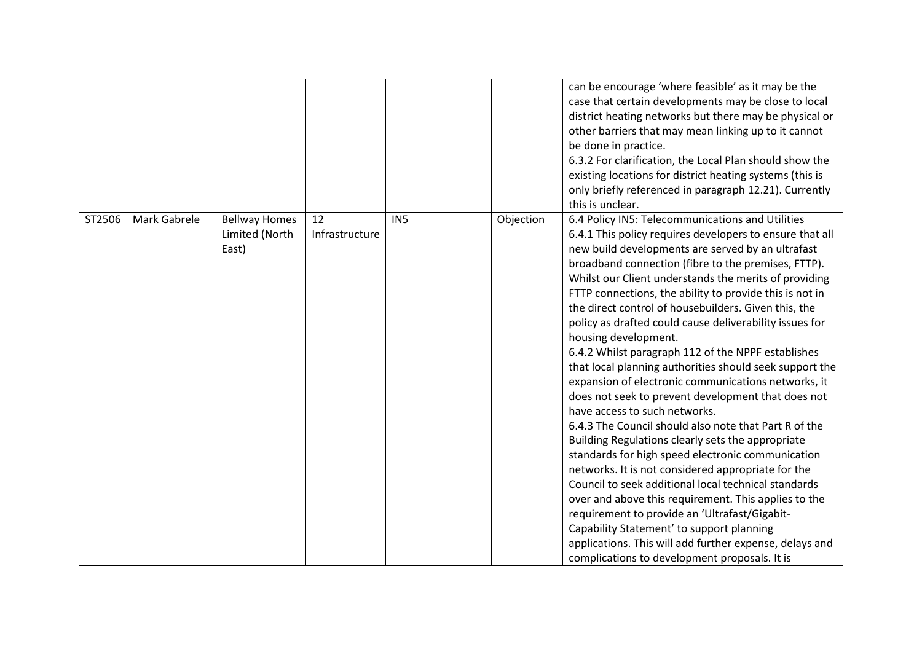|        |              |                                                 |                      |                 |           | can be encourage 'where feasible' as it may be the<br>case that certain developments may be close to local<br>district heating networks but there may be physical or<br>other barriers that may mean linking up to it cannot<br>be done in practice.<br>6.3.2 For clarification, the Local Plan should show the<br>existing locations for district heating systems (this is<br>only briefly referenced in paragraph 12.21). Currently<br>this is unclear.                                                                                                                                                                                                                                                                                                                                                                                                                                                                                                                                                                                                                                                                                                                                                                                                                                                 |
|--------|--------------|-------------------------------------------------|----------------------|-----------------|-----------|-----------------------------------------------------------------------------------------------------------------------------------------------------------------------------------------------------------------------------------------------------------------------------------------------------------------------------------------------------------------------------------------------------------------------------------------------------------------------------------------------------------------------------------------------------------------------------------------------------------------------------------------------------------------------------------------------------------------------------------------------------------------------------------------------------------------------------------------------------------------------------------------------------------------------------------------------------------------------------------------------------------------------------------------------------------------------------------------------------------------------------------------------------------------------------------------------------------------------------------------------------------------------------------------------------------|
| ST2506 | Mark Gabrele | <b>Bellway Homes</b><br>Limited (North<br>East) | 12<br>Infrastructure | IN <sub>5</sub> | Objection | 6.4 Policy IN5: Telecommunications and Utilities<br>6.4.1 This policy requires developers to ensure that all<br>new build developments are served by an ultrafast<br>broadband connection (fibre to the premises, FTTP).<br>Whilst our Client understands the merits of providing<br>FTTP connections, the ability to provide this is not in<br>the direct control of housebuilders. Given this, the<br>policy as drafted could cause deliverability issues for<br>housing development.<br>6.4.2 Whilst paragraph 112 of the NPPF establishes<br>that local planning authorities should seek support the<br>expansion of electronic communications networks, it<br>does not seek to prevent development that does not<br>have access to such networks.<br>6.4.3 The Council should also note that Part R of the<br>Building Regulations clearly sets the appropriate<br>standards for high speed electronic communication<br>networks. It is not considered appropriate for the<br>Council to seek additional local technical standards<br>over and above this requirement. This applies to the<br>requirement to provide an 'Ultrafast/Gigabit-<br>Capability Statement' to support planning<br>applications. This will add further expense, delays and<br>complications to development proposals. It is |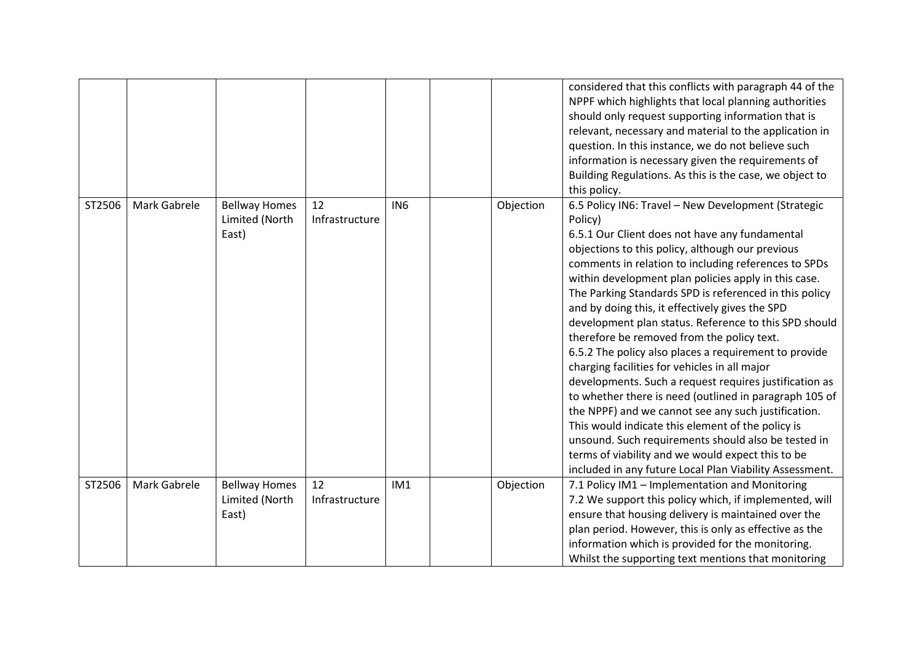|        |              |                                                 |                      |                 |           | considered that this conflicts with paragraph 44 of the<br>NPPF which highlights that local planning authorities<br>should only request supporting information that is<br>relevant, necessary and material to the application in<br>question. In this instance, we do not believe such<br>information is necessary given the requirements of<br>Building Regulations. As this is the case, we object to<br>this policy.                                                                                                                                                                                                                                                                                                                                                                                                                                                                                                                                                                                                   |
|--------|--------------|-------------------------------------------------|----------------------|-----------------|-----------|---------------------------------------------------------------------------------------------------------------------------------------------------------------------------------------------------------------------------------------------------------------------------------------------------------------------------------------------------------------------------------------------------------------------------------------------------------------------------------------------------------------------------------------------------------------------------------------------------------------------------------------------------------------------------------------------------------------------------------------------------------------------------------------------------------------------------------------------------------------------------------------------------------------------------------------------------------------------------------------------------------------------------|
| ST2506 | Mark Gabrele | <b>Bellway Homes</b><br>Limited (North<br>East) | 12<br>Infrastructure | IN <sub>6</sub> | Objection | 6.5 Policy IN6: Travel - New Development (Strategic<br>Policy)<br>6.5.1 Our Client does not have any fundamental<br>objections to this policy, although our previous<br>comments in relation to including references to SPDs<br>within development plan policies apply in this case.<br>The Parking Standards SPD is referenced in this policy<br>and by doing this, it effectively gives the SPD<br>development plan status. Reference to this SPD should<br>therefore be removed from the policy text.<br>6.5.2 The policy also places a requirement to provide<br>charging facilities for vehicles in all major<br>developments. Such a request requires justification as<br>to whether there is need (outlined in paragraph 105 of<br>the NPPF) and we cannot see any such justification.<br>This would indicate this element of the policy is<br>unsound. Such requirements should also be tested in<br>terms of viability and we would expect this to be<br>included in any future Local Plan Viability Assessment. |
| ST2506 | Mark Gabrele | <b>Bellway Homes</b><br>Limited (North<br>East) | 12<br>Infrastructure | IM1             | Objection | 7.1 Policy IM1 - Implementation and Monitoring<br>7.2 We support this policy which, if implemented, will<br>ensure that housing delivery is maintained over the<br>plan period. However, this is only as effective as the<br>information which is provided for the monitoring.<br>Whilst the supporting text mentions that monitoring                                                                                                                                                                                                                                                                                                                                                                                                                                                                                                                                                                                                                                                                                     |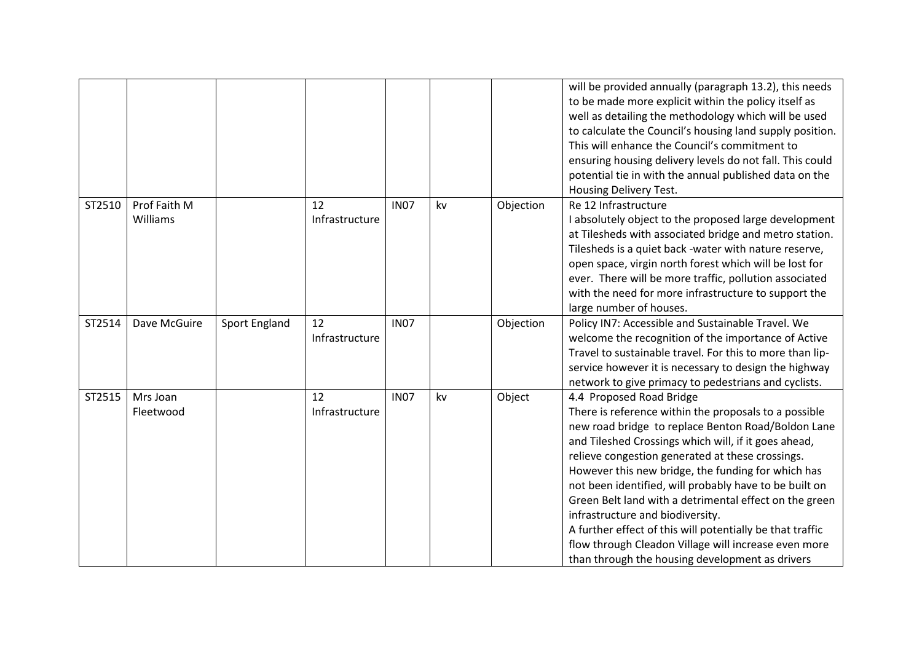|        |                          |               |                      |             |    |           | will be provided annually (paragraph 13.2), this needs<br>to be made more explicit within the policy itself as<br>well as detailing the methodology which will be used<br>to calculate the Council's housing land supply position.<br>This will enhance the Council's commitment to<br>ensuring housing delivery levels do not fall. This could<br>potential tie in with the annual published data on the<br>Housing Delivery Test.                                                                                                                                                                                                       |
|--------|--------------------------|---------------|----------------------|-------------|----|-----------|-------------------------------------------------------------------------------------------------------------------------------------------------------------------------------------------------------------------------------------------------------------------------------------------------------------------------------------------------------------------------------------------------------------------------------------------------------------------------------------------------------------------------------------------------------------------------------------------------------------------------------------------|
| ST2510 | Prof Faith M<br>Williams |               | 12<br>Infrastructure | <b>IN07</b> | kv | Objection | Re 12 Infrastructure<br>I absolutely object to the proposed large development<br>at Tilesheds with associated bridge and metro station.<br>Tilesheds is a quiet back -water with nature reserve,<br>open space, virgin north forest which will be lost for<br>ever. There will be more traffic, pollution associated<br>with the need for more infrastructure to support the<br>large number of houses.                                                                                                                                                                                                                                   |
| ST2514 | Dave McGuire             | Sport England | 12<br>Infrastructure | <b>IN07</b> |    | Objection | Policy IN7: Accessible and Sustainable Travel. We<br>welcome the recognition of the importance of Active<br>Travel to sustainable travel. For this to more than lip-<br>service however it is necessary to design the highway<br>network to give primacy to pedestrians and cyclists.                                                                                                                                                                                                                                                                                                                                                     |
| ST2515 | Mrs Joan<br>Fleetwood    |               | 12<br>Infrastructure | <b>IN07</b> | kv | Object    | 4.4 Proposed Road Bridge<br>There is reference within the proposals to a possible<br>new road bridge to replace Benton Road/Boldon Lane<br>and Tileshed Crossings which will, if it goes ahead,<br>relieve congestion generated at these crossings.<br>However this new bridge, the funding for which has<br>not been identified, will probably have to be built on<br>Green Belt land with a detrimental effect on the green<br>infrastructure and biodiversity.<br>A further effect of this will potentially be that traffic<br>flow through Cleadon Village will increase even more<br>than through the housing development as drivers |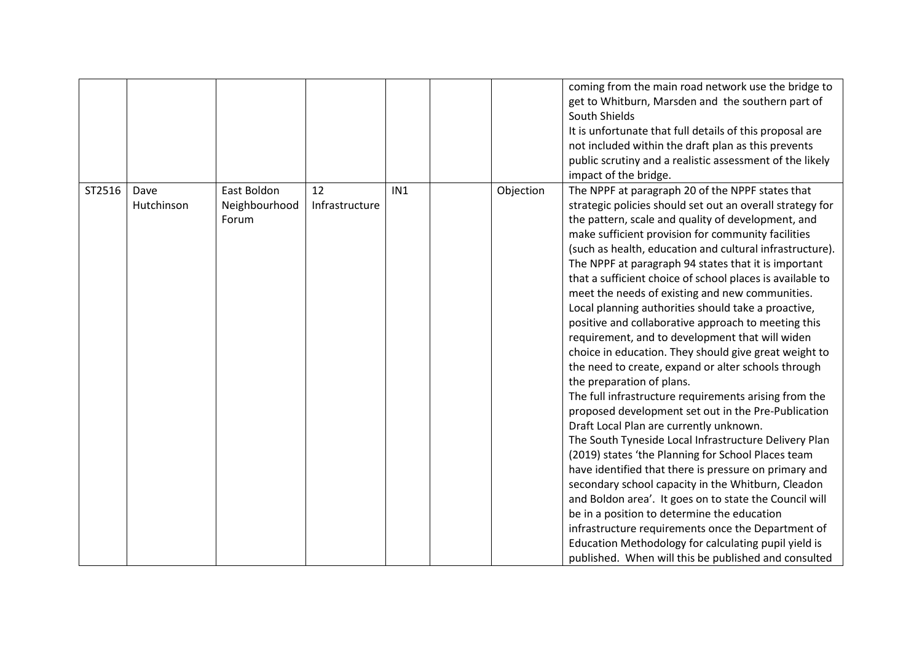|        |                    |                                       |                      |                 |           | coming from the main road network use the bridge to<br>get to Whitburn, Marsden and the southern part of<br>South Shields<br>It is unfortunate that full details of this proposal are<br>not included within the draft plan as this prevents<br>public scrutiny and a realistic assessment of the likely<br>impact of the bridge.                                                                                                                                                                                                                                                                                                                                                                                                                                                                                                                                                                                                                                                                                                                                                                                                                                                                                                                                                                                                                                                                                                                   |
|--------|--------------------|---------------------------------------|----------------------|-----------------|-----------|-----------------------------------------------------------------------------------------------------------------------------------------------------------------------------------------------------------------------------------------------------------------------------------------------------------------------------------------------------------------------------------------------------------------------------------------------------------------------------------------------------------------------------------------------------------------------------------------------------------------------------------------------------------------------------------------------------------------------------------------------------------------------------------------------------------------------------------------------------------------------------------------------------------------------------------------------------------------------------------------------------------------------------------------------------------------------------------------------------------------------------------------------------------------------------------------------------------------------------------------------------------------------------------------------------------------------------------------------------------------------------------------------------------------------------------------------------|
| ST2516 | Dave<br>Hutchinson | East Boldon<br>Neighbourhood<br>Forum | 12<br>Infrastructure | IN <sub>1</sub> | Objection | The NPPF at paragraph 20 of the NPPF states that<br>strategic policies should set out an overall strategy for<br>the pattern, scale and quality of development, and<br>make sufficient provision for community facilities<br>(such as health, education and cultural infrastructure).<br>The NPPF at paragraph 94 states that it is important<br>that a sufficient choice of school places is available to<br>meet the needs of existing and new communities.<br>Local planning authorities should take a proactive,<br>positive and collaborative approach to meeting this<br>requirement, and to development that will widen<br>choice in education. They should give great weight to<br>the need to create, expand or alter schools through<br>the preparation of plans.<br>The full infrastructure requirements arising from the<br>proposed development set out in the Pre-Publication<br>Draft Local Plan are currently unknown.<br>The South Tyneside Local Infrastructure Delivery Plan<br>(2019) states 'the Planning for School Places team<br>have identified that there is pressure on primary and<br>secondary school capacity in the Whitburn, Cleadon<br>and Boldon area'. It goes on to state the Council will<br>be in a position to determine the education<br>infrastructure requirements once the Department of<br>Education Methodology for calculating pupil yield is<br>published. When will this be published and consulted |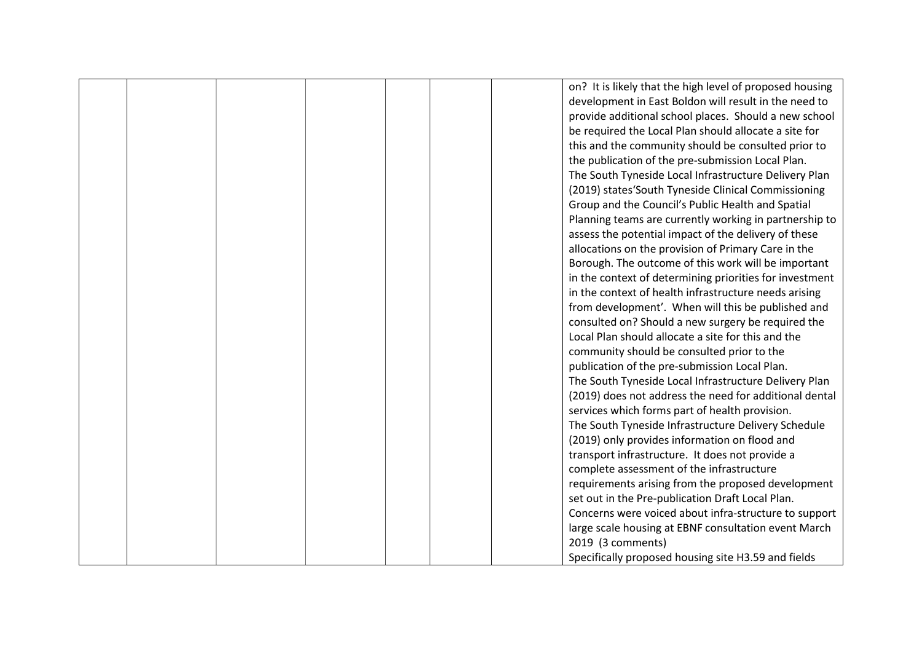|  |  |  | on? It is likely that the high level of proposed housing |
|--|--|--|----------------------------------------------------------|
|  |  |  | development in East Boldon will result in the need to    |
|  |  |  | provide additional school places. Should a new school    |
|  |  |  | be required the Local Plan should allocate a site for    |
|  |  |  | this and the community should be consulted prior to      |
|  |  |  | the publication of the pre-submission Local Plan.        |
|  |  |  | The South Tyneside Local Infrastructure Delivery Plan    |
|  |  |  | (2019) states'South Tyneside Clinical Commissioning      |
|  |  |  | Group and the Council's Public Health and Spatial        |
|  |  |  | Planning teams are currently working in partnership to   |
|  |  |  | assess the potential impact of the delivery of these     |
|  |  |  | allocations on the provision of Primary Care in the      |
|  |  |  | Borough. The outcome of this work will be important      |
|  |  |  | in the context of determining priorities for investment  |
|  |  |  | in the context of health infrastructure needs arising    |
|  |  |  | from development'. When will this be published and       |
|  |  |  | consulted on? Should a new surgery be required the       |
|  |  |  | Local Plan should allocate a site for this and the       |
|  |  |  | community should be consulted prior to the               |
|  |  |  | publication of the pre-submission Local Plan.            |
|  |  |  | The South Tyneside Local Infrastructure Delivery Plan    |
|  |  |  | (2019) does not address the need for additional dental   |
|  |  |  | services which forms part of health provision.           |
|  |  |  | The South Tyneside Infrastructure Delivery Schedule      |
|  |  |  | (2019) only provides information on flood and            |
|  |  |  | transport infrastructure. It does not provide a          |
|  |  |  | complete assessment of the infrastructure                |
|  |  |  | requirements arising from the proposed development       |
|  |  |  | set out in the Pre-publication Draft Local Plan.         |
|  |  |  | Concerns were voiced about infra-structure to support    |
|  |  |  | large scale housing at EBNF consultation event March     |
|  |  |  | 2019 (3 comments)                                        |
|  |  |  | Specifically proposed housing site H3.59 and fields      |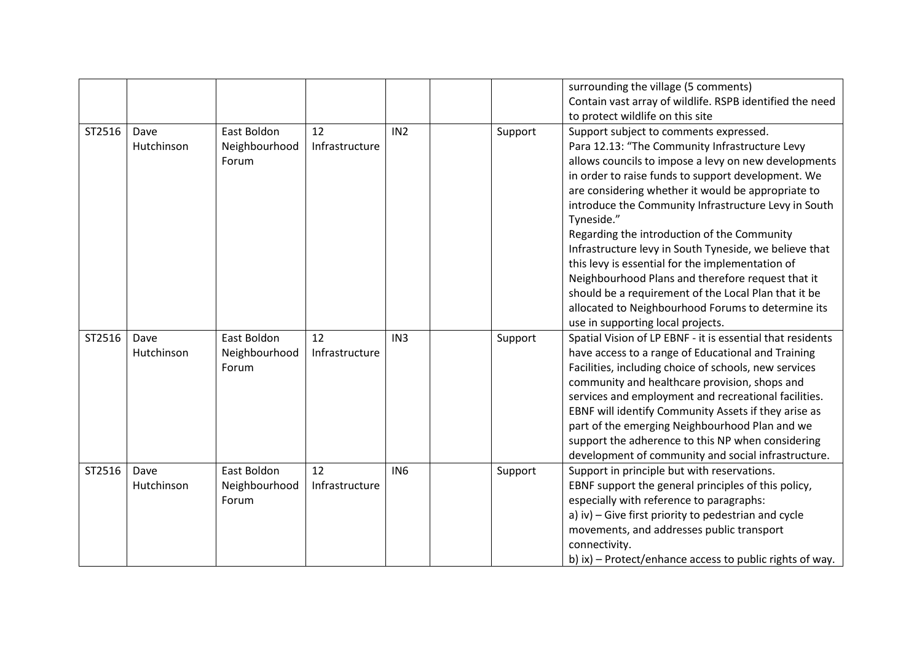|        |                    |                                       |                      |                 |         | surrounding the village (5 comments)<br>Contain vast array of wildlife. RSPB identified the need<br>to protect wildlife on this site                                                                                                                                                                                                                                                                                                                                                                                                                                                                                                                               |
|--------|--------------------|---------------------------------------|----------------------|-----------------|---------|--------------------------------------------------------------------------------------------------------------------------------------------------------------------------------------------------------------------------------------------------------------------------------------------------------------------------------------------------------------------------------------------------------------------------------------------------------------------------------------------------------------------------------------------------------------------------------------------------------------------------------------------------------------------|
| ST2516 | Dave<br>Hutchinson | East Boldon<br>Neighbourhood<br>Forum | 12<br>Infrastructure | IN <sub>2</sub> | Support | Support subject to comments expressed.<br>Para 12.13: "The Community Infrastructure Levy<br>allows councils to impose a levy on new developments<br>in order to raise funds to support development. We<br>are considering whether it would be appropriate to<br>introduce the Community Infrastructure Levy in South<br>Tyneside."<br>Regarding the introduction of the Community<br>Infrastructure levy in South Tyneside, we believe that<br>this levy is essential for the implementation of<br>Neighbourhood Plans and therefore request that it<br>should be a requirement of the Local Plan that it be<br>allocated to Neighbourhood Forums to determine its |
| ST2516 | Dave<br>Hutchinson | East Boldon<br>Neighbourhood<br>Forum | 12<br>Infrastructure | IN <sub>3</sub> | Support | use in supporting local projects.<br>Spatial Vision of LP EBNF - it is essential that residents<br>have access to a range of Educational and Training<br>Facilities, including choice of schools, new services<br>community and healthcare provision, shops and<br>services and employment and recreational facilities.<br>EBNF will identify Community Assets if they arise as<br>part of the emerging Neighbourhood Plan and we<br>support the adherence to this NP when considering                                                                                                                                                                             |
| ST2516 | Dave<br>Hutchinson | East Boldon<br>Neighbourhood<br>Forum | 12<br>Infrastructure | IN <sub>6</sub> | Support | development of community and social infrastructure.<br>Support in principle but with reservations.<br>EBNF support the general principles of this policy,<br>especially with reference to paragraphs:<br>a) iv) - Give first priority to pedestrian and cycle<br>movements, and addresses public transport<br>connectivity.<br>b) ix) - Protect/enhance access to public rights of way.                                                                                                                                                                                                                                                                            |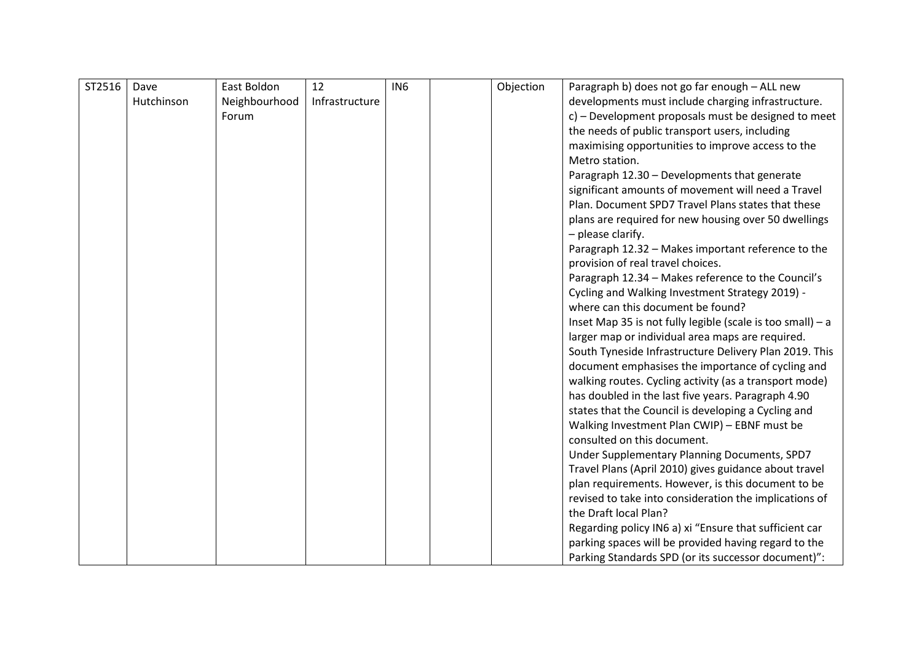| ST2516 | Dave       | East Boldon   | 12             | IN <sub>6</sub> | Objection | Paragraph b) does not go far enough - ALL new                                                               |
|--------|------------|---------------|----------------|-----------------|-----------|-------------------------------------------------------------------------------------------------------------|
|        | Hutchinson | Neighbourhood | Infrastructure |                 |           | developments must include charging infrastructure.                                                          |
|        |            | Forum         |                |                 |           | c) - Development proposals must be designed to meet                                                         |
|        |            |               |                |                 |           | the needs of public transport users, including                                                              |
|        |            |               |                |                 |           | maximising opportunities to improve access to the                                                           |
|        |            |               |                |                 |           | Metro station.                                                                                              |
|        |            |               |                |                 |           | Paragraph 12.30 - Developments that generate                                                                |
|        |            |               |                |                 |           | significant amounts of movement will need a Travel                                                          |
|        |            |               |                |                 |           | Plan. Document SPD7 Travel Plans states that these                                                          |
|        |            |               |                |                 |           | plans are required for new housing over 50 dwellings                                                        |
|        |            |               |                |                 |           | - please clarify.                                                                                           |
|        |            |               |                |                 |           | Paragraph 12.32 - Makes important reference to the                                                          |
|        |            |               |                |                 |           | provision of real travel choices.                                                                           |
|        |            |               |                |                 |           | Paragraph 12.34 - Makes reference to the Council's                                                          |
|        |            |               |                |                 |           | Cycling and Walking Investment Strategy 2019) -                                                             |
|        |            |               |                |                 |           | where can this document be found?                                                                           |
|        |            |               |                |                 |           | Inset Map 35 is not fully legible (scale is too small) - a                                                  |
|        |            |               |                |                 |           | larger map or individual area maps are required.                                                            |
|        |            |               |                |                 |           | South Tyneside Infrastructure Delivery Plan 2019. This<br>document emphasises the importance of cycling and |
|        |            |               |                |                 |           | walking routes. Cycling activity (as a transport mode)                                                      |
|        |            |               |                |                 |           | has doubled in the last five years. Paragraph 4.90                                                          |
|        |            |               |                |                 |           | states that the Council is developing a Cycling and                                                         |
|        |            |               |                |                 |           | Walking Investment Plan CWIP) - EBNF must be                                                                |
|        |            |               |                |                 |           | consulted on this document.                                                                                 |
|        |            |               |                |                 |           | Under Supplementary Planning Documents, SPD7                                                                |
|        |            |               |                |                 |           | Travel Plans (April 2010) gives guidance about travel                                                       |
|        |            |               |                |                 |           | plan requirements. However, is this document to be                                                          |
|        |            |               |                |                 |           | revised to take into consideration the implications of                                                      |
|        |            |               |                |                 |           | the Draft local Plan?                                                                                       |
|        |            |               |                |                 |           | Regarding policy IN6 a) xi "Ensure that sufficient car                                                      |
|        |            |               |                |                 |           | parking spaces will be provided having regard to the                                                        |
|        |            |               |                |                 |           | Parking Standards SPD (or its successor document)":                                                         |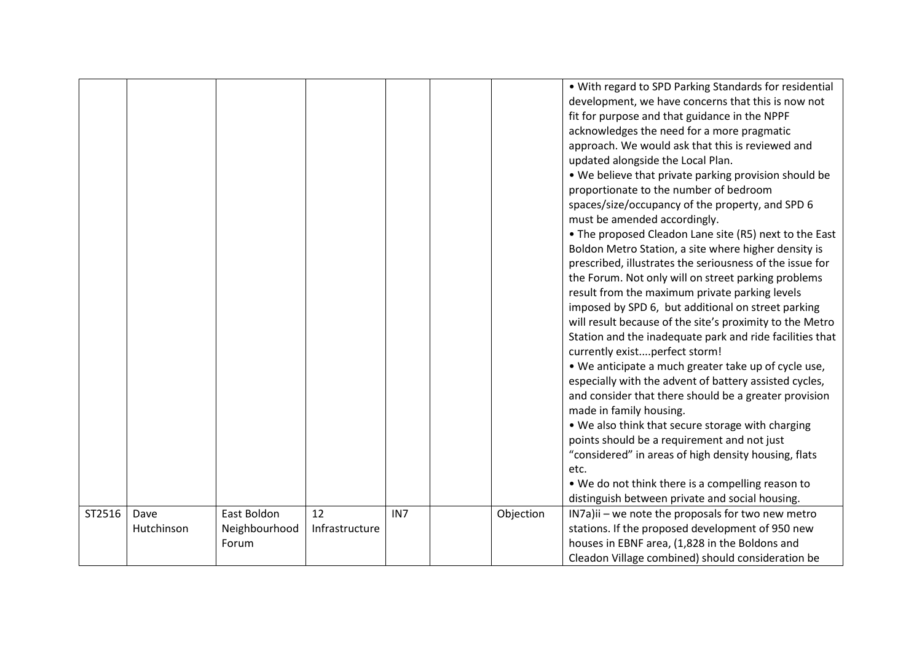|        |                    |                              |                      |                 |           | . With regard to SPD Parking Standards for residential<br>development, we have concerns that this is now not<br>fit for purpose and that guidance in the NPPF<br>acknowledges the need for a more pragmatic<br>approach. We would ask that this is reviewed and<br>updated alongside the Local Plan.<br>. We believe that private parking provision should be<br>proportionate to the number of bedroom<br>spaces/size/occupancy of the property, and SPD 6<br>must be amended accordingly.<br>• The proposed Cleadon Lane site (R5) next to the East<br>Boldon Metro Station, a site where higher density is<br>prescribed, illustrates the seriousness of the issue for<br>the Forum. Not only will on street parking problems<br>result from the maximum private parking levels<br>imposed by SPD 6, but additional on street parking<br>will result because of the site's proximity to the Metro<br>Station and the inadequate park and ride facilities that<br>currently existperfect storm!<br>• We anticipate a much greater take up of cycle use,<br>especially with the advent of battery assisted cycles,<br>and consider that there should be a greater provision<br>made in family housing.<br>. We also think that secure storage with charging<br>points should be a requirement and not just<br>"considered" in areas of high density housing, flats<br>etc.<br>. We do not think there is a compelling reason to<br>distinguish between private and social housing. |
|--------|--------------------|------------------------------|----------------------|-----------------|-----------|-------------------------------------------------------------------------------------------------------------------------------------------------------------------------------------------------------------------------------------------------------------------------------------------------------------------------------------------------------------------------------------------------------------------------------------------------------------------------------------------------------------------------------------------------------------------------------------------------------------------------------------------------------------------------------------------------------------------------------------------------------------------------------------------------------------------------------------------------------------------------------------------------------------------------------------------------------------------------------------------------------------------------------------------------------------------------------------------------------------------------------------------------------------------------------------------------------------------------------------------------------------------------------------------------------------------------------------------------------------------------------------------------------------------------------------------------------------------------------------|
| ST2516 | Dave<br>Hutchinson | East Boldon<br>Neighbourhood | 12<br>Infrastructure | IN <sub>7</sub> | Objection | IN7a)ii - we note the proposals for two new metro<br>stations. If the proposed development of 950 new                                                                                                                                                                                                                                                                                                                                                                                                                                                                                                                                                                                                                                                                                                                                                                                                                                                                                                                                                                                                                                                                                                                                                                                                                                                                                                                                                                               |
|        |                    | Forum                        |                      |                 |           | houses in EBNF area, (1,828 in the Boldons and                                                                                                                                                                                                                                                                                                                                                                                                                                                                                                                                                                                                                                                                                                                                                                                                                                                                                                                                                                                                                                                                                                                                                                                                                                                                                                                                                                                                                                      |
|        |                    |                              |                      |                 |           | Cleadon Village combined) should consideration be                                                                                                                                                                                                                                                                                                                                                                                                                                                                                                                                                                                                                                                                                                                                                                                                                                                                                                                                                                                                                                                                                                                                                                                                                                                                                                                                                                                                                                   |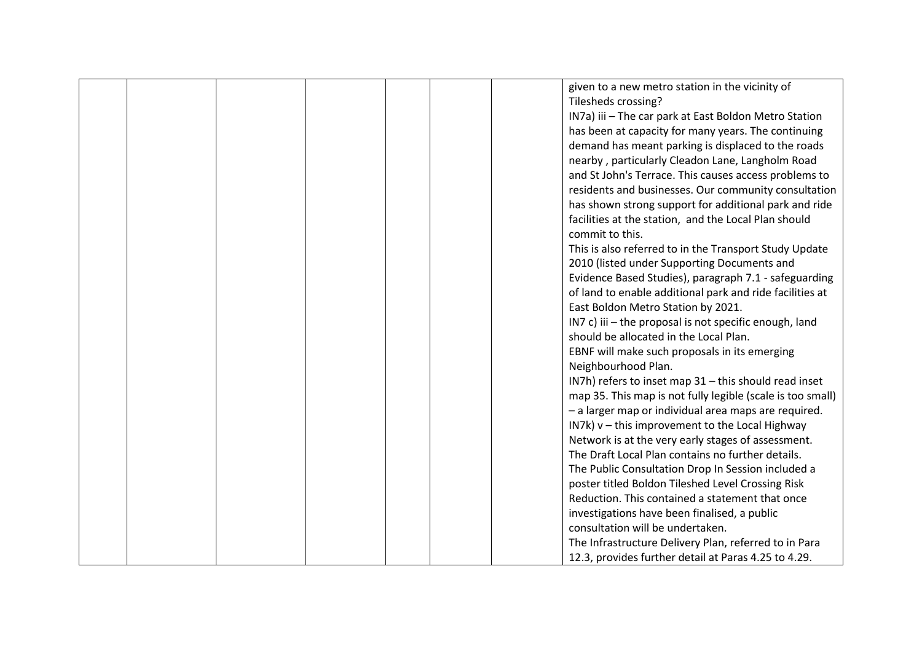|  |  |  | given to a new metro station in the vicinity of            |
|--|--|--|------------------------------------------------------------|
|  |  |  | Tilesheds crossing?                                        |
|  |  |  | IN7a) iii - The car park at East Boldon Metro Station      |
|  |  |  | has been at capacity for many years. The continuing        |
|  |  |  | demand has meant parking is displaced to the roads         |
|  |  |  | nearby, particularly Cleadon Lane, Langholm Road           |
|  |  |  | and St John's Terrace. This causes access problems to      |
|  |  |  | residents and businesses. Our community consultation       |
|  |  |  | has shown strong support for additional park and ride      |
|  |  |  | facilities at the station, and the Local Plan should       |
|  |  |  | commit to this.                                            |
|  |  |  | This is also referred to in the Transport Study Update     |
|  |  |  | 2010 (listed under Supporting Documents and                |
|  |  |  | Evidence Based Studies), paragraph 7.1 - safeguarding      |
|  |  |  | of land to enable additional park and ride facilities at   |
|  |  |  | East Boldon Metro Station by 2021.                         |
|  |  |  | IN7 c) iii - the proposal is not specific enough, land     |
|  |  |  | should be allocated in the Local Plan.                     |
|  |  |  | EBNF will make such proposals in its emerging              |
|  |  |  | Neighbourhood Plan.                                        |
|  |  |  | IN7h) refers to inset map 31 - this should read inset      |
|  |  |  | map 35. This map is not fully legible (scale is too small) |
|  |  |  | - a larger map or individual area maps are required.       |
|  |  |  | IN7k) v - this improvement to the Local Highway            |
|  |  |  | Network is at the very early stages of assessment.         |
|  |  |  | The Draft Local Plan contains no further details.          |
|  |  |  | The Public Consultation Drop In Session included a         |
|  |  |  | poster titled Boldon Tileshed Level Crossing Risk          |
|  |  |  | Reduction. This contained a statement that once            |
|  |  |  | investigations have been finalised, a public               |
|  |  |  | consultation will be undertaken.                           |
|  |  |  | The Infrastructure Delivery Plan, referred to in Para      |
|  |  |  | 12.3, provides further detail at Paras 4.25 to 4.29.       |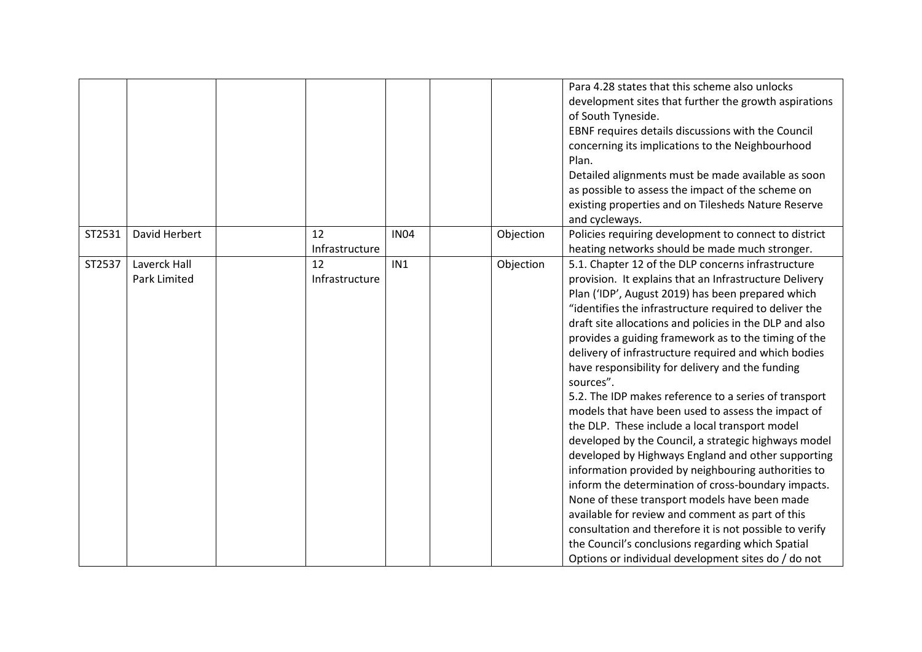|        |                              |                      |             |           | Para 4.28 states that this scheme also unlocks<br>development sites that further the growth aspirations<br>of South Tyneside.<br>EBNF requires details discussions with the Council<br>concerning its implications to the Neighbourhood<br>Plan.<br>Detailed alignments must be made available as soon<br>as possible to assess the impact of the scheme on<br>existing properties and on Tilesheds Nature Reserve<br>and cycleways.                                                                                                                                                                                                                                                                                                                                                                                                                                                                                                                                                                                                                                                                                                             |
|--------|------------------------------|----------------------|-------------|-----------|--------------------------------------------------------------------------------------------------------------------------------------------------------------------------------------------------------------------------------------------------------------------------------------------------------------------------------------------------------------------------------------------------------------------------------------------------------------------------------------------------------------------------------------------------------------------------------------------------------------------------------------------------------------------------------------------------------------------------------------------------------------------------------------------------------------------------------------------------------------------------------------------------------------------------------------------------------------------------------------------------------------------------------------------------------------------------------------------------------------------------------------------------|
| ST2531 | David Herbert                | 12<br>Infrastructure | <b>IN04</b> | Objection | Policies requiring development to connect to district<br>heating networks should be made much stronger.                                                                                                                                                                                                                                                                                                                                                                                                                                                                                                                                                                                                                                                                                                                                                                                                                                                                                                                                                                                                                                          |
| ST2537 | Laverck Hall<br>Park Limited | 12<br>Infrastructure | IN1         | Objection | 5.1. Chapter 12 of the DLP concerns infrastructure<br>provision. It explains that an Infrastructure Delivery<br>Plan ('IDP', August 2019) has been prepared which<br>"identifies the infrastructure required to deliver the<br>draft site allocations and policies in the DLP and also<br>provides a guiding framework as to the timing of the<br>delivery of infrastructure required and which bodies<br>have responsibility for delivery and the funding<br>sources".<br>5.2. The IDP makes reference to a series of transport<br>models that have been used to assess the impact of<br>the DLP. These include a local transport model<br>developed by the Council, a strategic highways model<br>developed by Highways England and other supporting<br>information provided by neighbouring authorities to<br>inform the determination of cross-boundary impacts.<br>None of these transport models have been made<br>available for review and comment as part of this<br>consultation and therefore it is not possible to verify<br>the Council's conclusions regarding which Spatial<br>Options or individual development sites do / do not |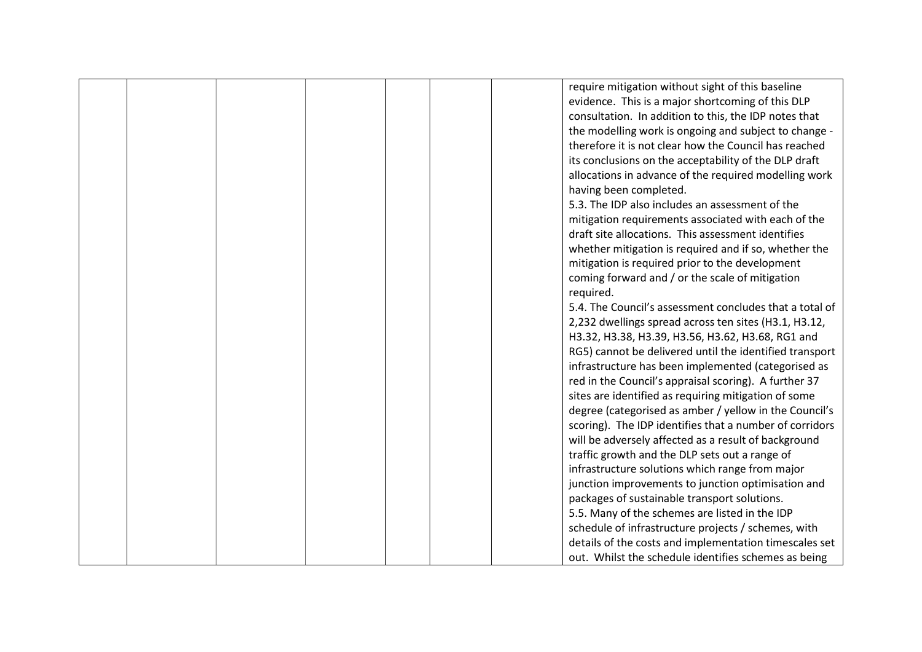|  |  |  | require mitigation without sight of this baseline       |
|--|--|--|---------------------------------------------------------|
|  |  |  | evidence. This is a major shortcoming of this DLP       |
|  |  |  | consultation. In addition to this, the IDP notes that   |
|  |  |  | the modelling work is ongoing and subject to change -   |
|  |  |  | therefore it is not clear how the Council has reached   |
|  |  |  | its conclusions on the acceptability of the DLP draft   |
|  |  |  | allocations in advance of the required modelling work   |
|  |  |  | having been completed.                                  |
|  |  |  | 5.3. The IDP also includes an assessment of the         |
|  |  |  | mitigation requirements associated with each of the     |
|  |  |  | draft site allocations. This assessment identifies      |
|  |  |  | whether mitigation is required and if so, whether the   |
|  |  |  | mitigation is required prior to the development         |
|  |  |  | coming forward and / or the scale of mitigation         |
|  |  |  | required.                                               |
|  |  |  | 5.4. The Council's assessment concludes that a total of |
|  |  |  | 2,232 dwellings spread across ten sites (H3.1, H3.12,   |
|  |  |  | H3.32, H3.38, H3.39, H3.56, H3.62, H3.68, RG1 and       |
|  |  |  | RG5) cannot be delivered until the identified transport |
|  |  |  | infrastructure has been implemented (categorised as     |
|  |  |  | red in the Council's appraisal scoring). A further 37   |
|  |  |  | sites are identified as requiring mitigation of some    |
|  |  |  | degree (categorised as amber / yellow in the Council's  |
|  |  |  | scoring). The IDP identifies that a number of corridors |
|  |  |  | will be adversely affected as a result of background    |
|  |  |  | traffic growth and the DLP sets out a range of          |
|  |  |  | infrastructure solutions which range from major         |
|  |  |  | junction improvements to junction optimisation and      |
|  |  |  | packages of sustainable transport solutions.            |
|  |  |  | 5.5. Many of the schemes are listed in the IDP          |
|  |  |  | schedule of infrastructure projects / schemes, with     |
|  |  |  | details of the costs and implementation timescales set  |
|  |  |  | out. Whilst the schedule identifies schemes as being    |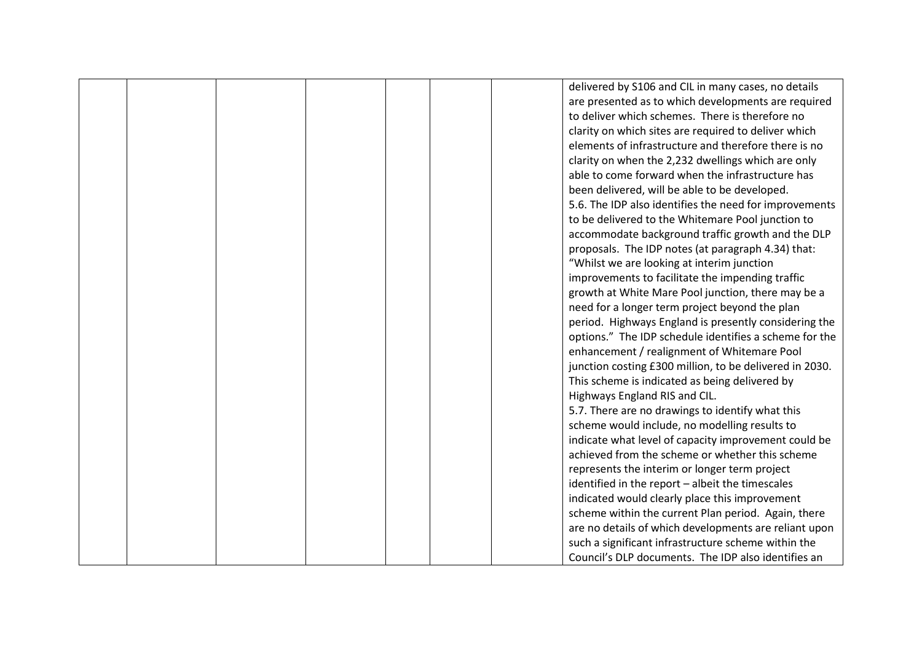|  |  |  | delivered by S106 and CIL in many cases, no details     |
|--|--|--|---------------------------------------------------------|
|  |  |  | are presented as to which developments are required     |
|  |  |  | to deliver which schemes. There is therefore no         |
|  |  |  | clarity on which sites are required to deliver which    |
|  |  |  | elements of infrastructure and therefore there is no    |
|  |  |  | clarity on when the 2,232 dwellings which are only      |
|  |  |  | able to come forward when the infrastructure has        |
|  |  |  | been delivered, will be able to be developed.           |
|  |  |  | 5.6. The IDP also identifies the need for improvements  |
|  |  |  | to be delivered to the Whitemare Pool junction to       |
|  |  |  | accommodate background traffic growth and the DLP       |
|  |  |  | proposals. The IDP notes (at paragraph 4.34) that:      |
|  |  |  | "Whilst we are looking at interim junction              |
|  |  |  | improvements to facilitate the impending traffic        |
|  |  |  | growth at White Mare Pool junction, there may be a      |
|  |  |  | need for a longer term project beyond the plan          |
|  |  |  | period. Highways England is presently considering the   |
|  |  |  | options." The IDP schedule identifies a scheme for the  |
|  |  |  | enhancement / realignment of Whitemare Pool             |
|  |  |  | junction costing £300 million, to be delivered in 2030. |
|  |  |  | This scheme is indicated as being delivered by          |
|  |  |  | Highways England RIS and CIL.                           |
|  |  |  | 5.7. There are no drawings to identify what this        |
|  |  |  | scheme would include, no modelling results to           |
|  |  |  | indicate what level of capacity improvement could be    |
|  |  |  | achieved from the scheme or whether this scheme         |
|  |  |  | represents the interim or longer term project           |
|  |  |  | identified in the report - albeit the timescales        |
|  |  |  | indicated would clearly place this improvement          |
|  |  |  | scheme within the current Plan period. Again, there     |
|  |  |  | are no details of which developments are reliant upon   |
|  |  |  | such a significant infrastructure scheme within the     |
|  |  |  | Council's DLP documents. The IDP also identifies an     |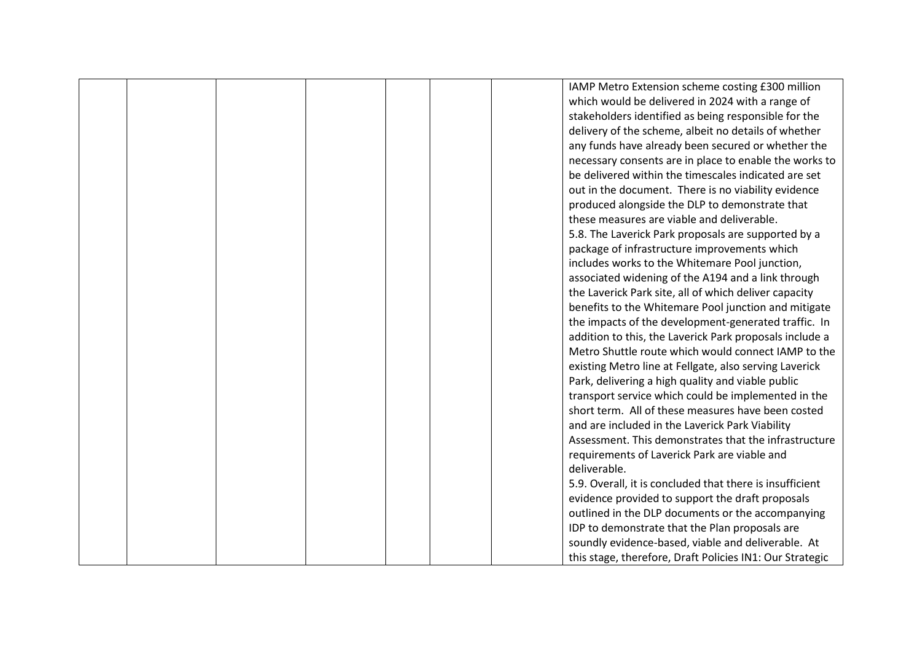|  |  |  | IAMP Metro Extension scheme costing £300 million         |
|--|--|--|----------------------------------------------------------|
|  |  |  | which would be delivered in 2024 with a range of         |
|  |  |  | stakeholders identified as being responsible for the     |
|  |  |  | delivery of the scheme, albeit no details of whether     |
|  |  |  | any funds have already been secured or whether the       |
|  |  |  | necessary consents are in place to enable the works to   |
|  |  |  | be delivered within the timescales indicated are set     |
|  |  |  | out in the document. There is no viability evidence      |
|  |  |  | produced alongside the DLP to demonstrate that           |
|  |  |  | these measures are viable and deliverable.               |
|  |  |  | 5.8. The Laverick Park proposals are supported by a      |
|  |  |  | package of infrastructure improvements which             |
|  |  |  | includes works to the Whitemare Pool junction,           |
|  |  |  | associated widening of the A194 and a link through       |
|  |  |  | the Laverick Park site, all of which deliver capacity    |
|  |  |  | benefits to the Whitemare Pool junction and mitigate     |
|  |  |  | the impacts of the development-generated traffic. In     |
|  |  |  | addition to this, the Laverick Park proposals include a  |
|  |  |  | Metro Shuttle route which would connect IAMP to the      |
|  |  |  | existing Metro line at Fellgate, also serving Laverick   |
|  |  |  | Park, delivering a high quality and viable public        |
|  |  |  | transport service which could be implemented in the      |
|  |  |  | short term. All of these measures have been costed       |
|  |  |  | and are included in the Laverick Park Viability          |
|  |  |  | Assessment. This demonstrates that the infrastructure    |
|  |  |  | requirements of Laverick Park are viable and             |
|  |  |  | deliverable.                                             |
|  |  |  | 5.9. Overall, it is concluded that there is insufficient |
|  |  |  | evidence provided to support the draft proposals         |
|  |  |  | outlined in the DLP documents or the accompanying        |
|  |  |  | IDP to demonstrate that the Plan proposals are           |
|  |  |  | soundly evidence-based, viable and deliverable. At       |
|  |  |  | this stage, therefore, Draft Policies IN1: Our Strategic |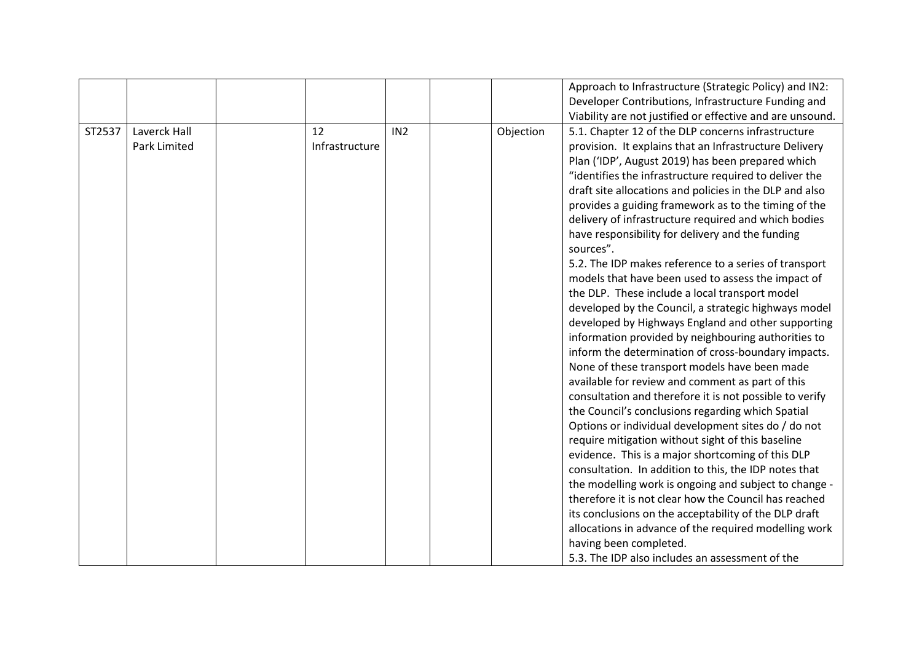|        |              |                |                 |           | Approach to Infrastructure (Strategic Policy) and IN2:    |
|--------|--------------|----------------|-----------------|-----------|-----------------------------------------------------------|
|        |              |                |                 |           | Developer Contributions, Infrastructure Funding and       |
|        |              |                |                 |           | Viability are not justified or effective and are unsound. |
| ST2537 | Laverck Hall | 12             | IN <sub>2</sub> | Objection | 5.1. Chapter 12 of the DLP concerns infrastructure        |
|        | Park Limited | Infrastructure |                 |           |                                                           |
|        |              |                |                 |           | provision. It explains that an Infrastructure Delivery    |
|        |              |                |                 |           | Plan ('IDP', August 2019) has been prepared which         |
|        |              |                |                 |           | "identifies the infrastructure required to deliver the    |
|        |              |                |                 |           | draft site allocations and policies in the DLP and also   |
|        |              |                |                 |           | provides a guiding framework as to the timing of the      |
|        |              |                |                 |           | delivery of infrastructure required and which bodies      |
|        |              |                |                 |           | have responsibility for delivery and the funding          |
|        |              |                |                 |           | sources".                                                 |
|        |              |                |                 |           | 5.2. The IDP makes reference to a series of transport     |
|        |              |                |                 |           | models that have been used to assess the impact of        |
|        |              |                |                 |           | the DLP. These include a local transport model            |
|        |              |                |                 |           | developed by the Council, a strategic highways model      |
|        |              |                |                 |           | developed by Highways England and other supporting        |
|        |              |                |                 |           | information provided by neighbouring authorities to       |
|        |              |                |                 |           | inform the determination of cross-boundary impacts.       |
|        |              |                |                 |           | None of these transport models have been made             |
|        |              |                |                 |           | available for review and comment as part of this          |
|        |              |                |                 |           | consultation and therefore it is not possible to verify   |
|        |              |                |                 |           | the Council's conclusions regarding which Spatial         |
|        |              |                |                 |           | Options or individual development sites do / do not       |
|        |              |                |                 |           | require mitigation without sight of this baseline         |
|        |              |                |                 |           | evidence. This is a major shortcoming of this DLP         |
|        |              |                |                 |           | consultation. In addition to this, the IDP notes that     |
|        |              |                |                 |           | the modelling work is ongoing and subject to change -     |
|        |              |                |                 |           | therefore it is not clear how the Council has reached     |
|        |              |                |                 |           | its conclusions on the acceptability of the DLP draft     |
|        |              |                |                 |           |                                                           |
|        |              |                |                 |           | allocations in advance of the required modelling work     |
|        |              |                |                 |           | having been completed.                                    |
|        |              |                |                 |           | 5.3. The IDP also includes an assessment of the           |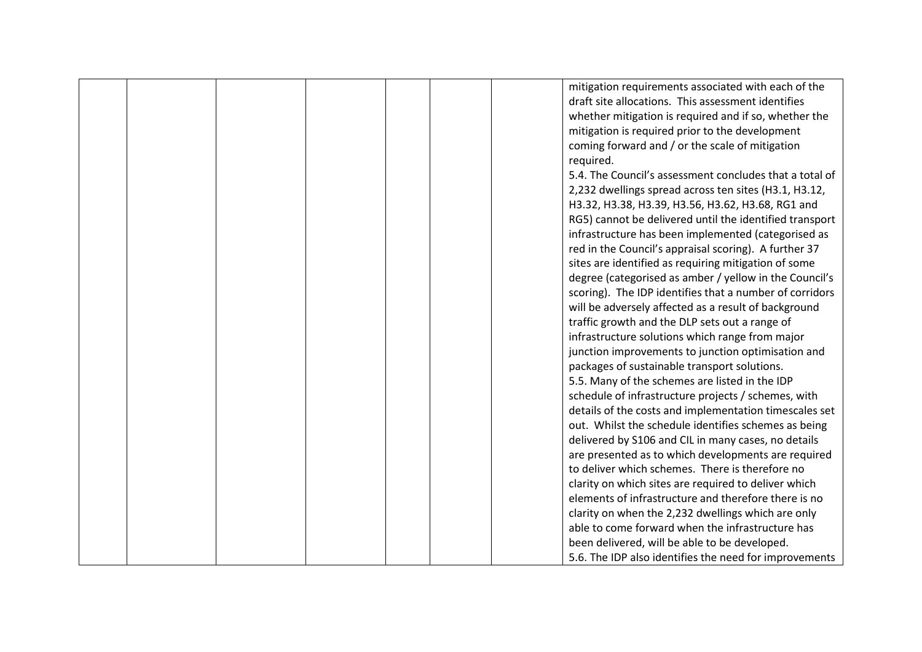|  |  |  | mitigation requirements associated with each of the     |
|--|--|--|---------------------------------------------------------|
|  |  |  | draft site allocations. This assessment identifies      |
|  |  |  | whether mitigation is required and if so, whether the   |
|  |  |  | mitigation is required prior to the development         |
|  |  |  | coming forward and / or the scale of mitigation         |
|  |  |  | required.                                               |
|  |  |  | 5.4. The Council's assessment concludes that a total of |
|  |  |  | 2,232 dwellings spread across ten sites (H3.1, H3.12,   |
|  |  |  | H3.32, H3.38, H3.39, H3.56, H3.62, H3.68, RG1 and       |
|  |  |  | RG5) cannot be delivered until the identified transport |
|  |  |  | infrastructure has been implemented (categorised as     |
|  |  |  | red in the Council's appraisal scoring). A further 37   |
|  |  |  | sites are identified as requiring mitigation of some    |
|  |  |  | degree (categorised as amber / yellow in the Council's  |
|  |  |  | scoring). The IDP identifies that a number of corridors |
|  |  |  | will be adversely affected as a result of background    |
|  |  |  | traffic growth and the DLP sets out a range of          |
|  |  |  | infrastructure solutions which range from major         |
|  |  |  | junction improvements to junction optimisation and      |
|  |  |  | packages of sustainable transport solutions.            |
|  |  |  | 5.5. Many of the schemes are listed in the IDP          |
|  |  |  | schedule of infrastructure projects / schemes, with     |
|  |  |  | details of the costs and implementation timescales set  |
|  |  |  | out. Whilst the schedule identifies schemes as being    |
|  |  |  | delivered by S106 and CIL in many cases, no details     |
|  |  |  | are presented as to which developments are required     |
|  |  |  | to deliver which schemes. There is therefore no         |
|  |  |  | clarity on which sites are required to deliver which    |
|  |  |  | elements of infrastructure and therefore there is no    |
|  |  |  | clarity on when the 2,232 dwellings which are only      |
|  |  |  | able to come forward when the infrastructure has        |
|  |  |  | been delivered, will be able to be developed.           |
|  |  |  | 5.6. The IDP also identifies the need for improvements  |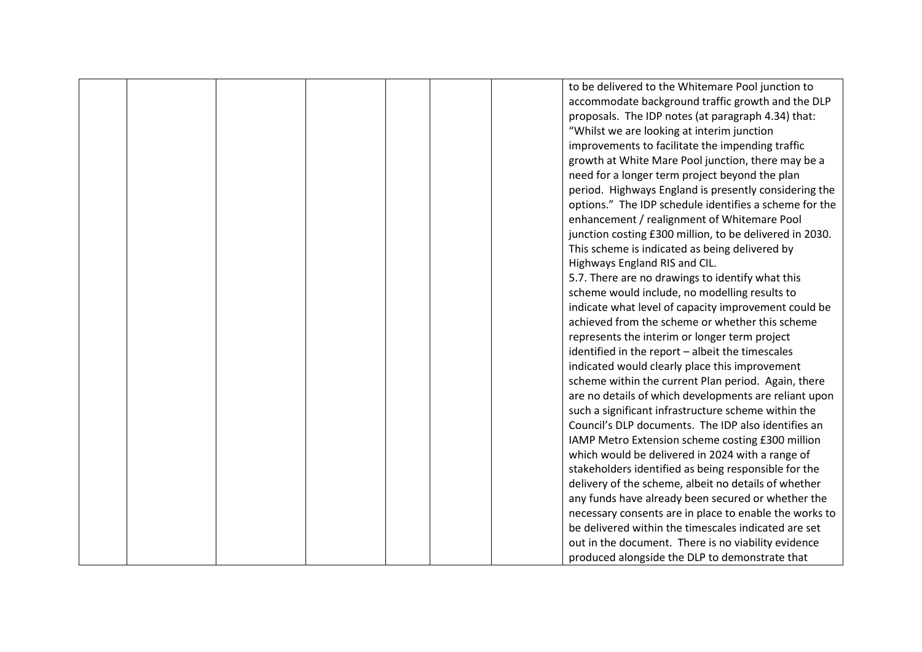|  |  |  | to be delivered to the Whitemare Pool junction to       |
|--|--|--|---------------------------------------------------------|
|  |  |  | accommodate background traffic growth and the DLP       |
|  |  |  | proposals. The IDP notes (at paragraph 4.34) that:      |
|  |  |  | "Whilst we are looking at interim junction              |
|  |  |  | improvements to facilitate the impending traffic        |
|  |  |  | growth at White Mare Pool junction, there may be a      |
|  |  |  | need for a longer term project beyond the plan          |
|  |  |  | period. Highways England is presently considering the   |
|  |  |  | options." The IDP schedule identifies a scheme for the  |
|  |  |  | enhancement / realignment of Whitemare Pool             |
|  |  |  | junction costing £300 million, to be delivered in 2030. |
|  |  |  | This scheme is indicated as being delivered by          |
|  |  |  | Highways England RIS and CIL.                           |
|  |  |  | 5.7. There are no drawings to identify what this        |
|  |  |  | scheme would include, no modelling results to           |
|  |  |  | indicate what level of capacity improvement could be    |
|  |  |  | achieved from the scheme or whether this scheme         |
|  |  |  | represents the interim or longer term project           |
|  |  |  | identified in the report - albeit the timescales        |
|  |  |  | indicated would clearly place this improvement          |
|  |  |  | scheme within the current Plan period. Again, there     |
|  |  |  | are no details of which developments are reliant upon   |
|  |  |  | such a significant infrastructure scheme within the     |
|  |  |  | Council's DLP documents. The IDP also identifies an     |
|  |  |  | IAMP Metro Extension scheme costing £300 million        |
|  |  |  | which would be delivered in 2024 with a range of        |
|  |  |  | stakeholders identified as being responsible for the    |
|  |  |  | delivery of the scheme, albeit no details of whether    |
|  |  |  | any funds have already been secured or whether the      |
|  |  |  | necessary consents are in place to enable the works to  |
|  |  |  | be delivered within the timescales indicated are set    |
|  |  |  | out in the document. There is no viability evidence     |
|  |  |  | produced alongside the DLP to demonstrate that          |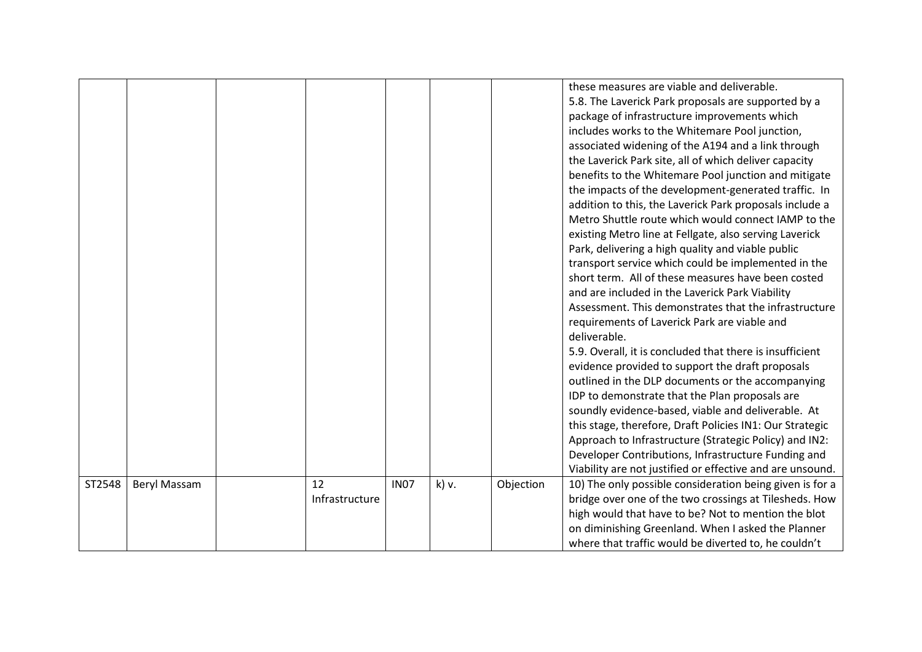|        |              |                |                  |       |           | these measures are viable and deliverable.<br>5.8. The Laverick Park proposals are supported by a |
|--------|--------------|----------------|------------------|-------|-----------|---------------------------------------------------------------------------------------------------|
|        |              |                |                  |       |           | package of infrastructure improvements which                                                      |
|        |              |                |                  |       |           | includes works to the Whitemare Pool junction,                                                    |
|        |              |                |                  |       |           | associated widening of the A194 and a link through                                                |
|        |              |                |                  |       |           | the Laverick Park site, all of which deliver capacity                                             |
|        |              |                |                  |       |           | benefits to the Whitemare Pool junction and mitigate                                              |
|        |              |                |                  |       |           | the impacts of the development-generated traffic. In                                              |
|        |              |                |                  |       |           | addition to this, the Laverick Park proposals include a                                           |
|        |              |                |                  |       |           | Metro Shuttle route which would connect IAMP to the                                               |
|        |              |                |                  |       |           | existing Metro line at Fellgate, also serving Laverick                                            |
|        |              |                |                  |       |           | Park, delivering a high quality and viable public                                                 |
|        |              |                |                  |       |           | transport service which could be implemented in the                                               |
|        |              |                |                  |       |           | short term. All of these measures have been costed                                                |
|        |              |                |                  |       |           | and are included in the Laverick Park Viability                                                   |
|        |              |                |                  |       |           | Assessment. This demonstrates that the infrastructure                                             |
|        |              |                |                  |       |           | requirements of Laverick Park are viable and                                                      |
|        |              |                |                  |       |           | deliverable.                                                                                      |
|        |              |                |                  |       |           | 5.9. Overall, it is concluded that there is insufficient                                          |
|        |              |                |                  |       |           | evidence provided to support the draft proposals                                                  |
|        |              |                |                  |       |           | outlined in the DLP documents or the accompanying                                                 |
|        |              |                |                  |       |           | IDP to demonstrate that the Plan proposals are                                                    |
|        |              |                |                  |       |           | soundly evidence-based, viable and deliverable. At                                                |
|        |              |                |                  |       |           | this stage, therefore, Draft Policies IN1: Our Strategic                                          |
|        |              |                |                  |       |           | Approach to Infrastructure (Strategic Policy) and IN2:                                            |
|        |              |                |                  |       |           | Developer Contributions, Infrastructure Funding and                                               |
|        |              |                |                  |       |           | Viability are not justified or effective and are unsound.                                         |
| ST2548 | Beryl Massam | 12             | IN <sub>07</sub> | k) v. | Objection | 10) The only possible consideration being given is for a                                          |
|        |              | Infrastructure |                  |       |           | bridge over one of the two crossings at Tilesheds. How                                            |
|        |              |                |                  |       |           | high would that have to be? Not to mention the blot                                               |
|        |              |                |                  |       |           | on diminishing Greenland. When I asked the Planner                                                |
|        |              |                |                  |       |           | where that traffic would be diverted to, he couldn't                                              |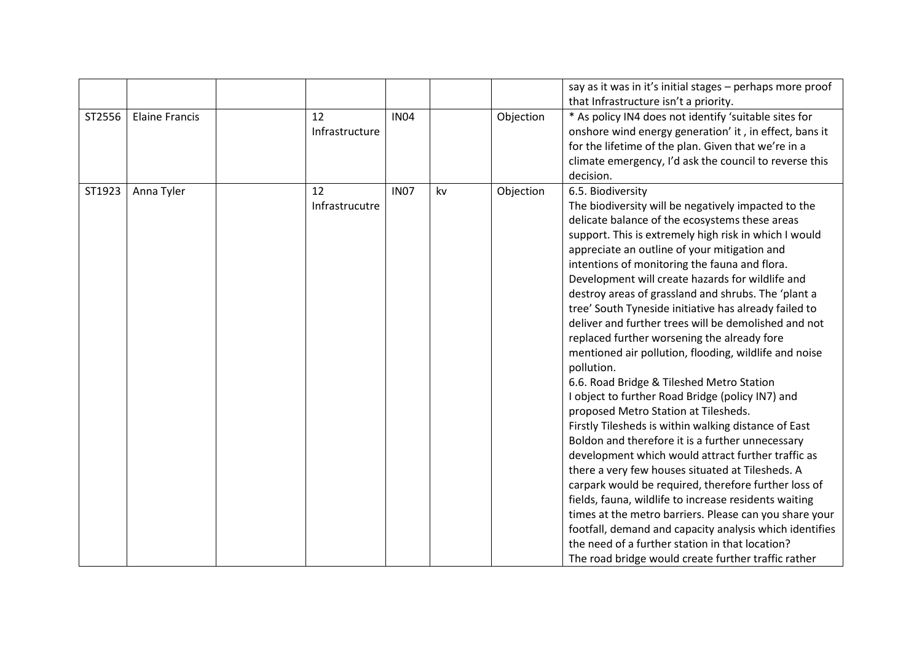|        |                       |                      |             |    |           | say as it was in it's initial stages - perhaps more proof<br>that Infrastructure isn't a priority.                                                                                                                                                                                                                                                                                                                                                                                                                                                                                                                                                                                                                                                                                                                                                                                                                                                                                                                                                                                                                                                                                                                                                                                                                                                    |
|--------|-----------------------|----------------------|-------------|----|-----------|-------------------------------------------------------------------------------------------------------------------------------------------------------------------------------------------------------------------------------------------------------------------------------------------------------------------------------------------------------------------------------------------------------------------------------------------------------------------------------------------------------------------------------------------------------------------------------------------------------------------------------------------------------------------------------------------------------------------------------------------------------------------------------------------------------------------------------------------------------------------------------------------------------------------------------------------------------------------------------------------------------------------------------------------------------------------------------------------------------------------------------------------------------------------------------------------------------------------------------------------------------------------------------------------------------------------------------------------------------|
| ST2556 | <b>Elaine Francis</b> | 12<br>Infrastructure | <b>IN04</b> |    | Objection | * As policy IN4 does not identify 'suitable sites for<br>onshore wind energy generation' it, in effect, bans it<br>for the lifetime of the plan. Given that we're in a<br>climate emergency, I'd ask the council to reverse this<br>decision.                                                                                                                                                                                                                                                                                                                                                                                                                                                                                                                                                                                                                                                                                                                                                                                                                                                                                                                                                                                                                                                                                                         |
| ST1923 | Anna Tyler            | 12<br>Infrastrucutre | <b>IN07</b> | kv | Objection | 6.5. Biodiversity<br>The biodiversity will be negatively impacted to the<br>delicate balance of the ecosystems these areas<br>support. This is extremely high risk in which I would<br>appreciate an outline of your mitigation and<br>intentions of monitoring the fauna and flora.<br>Development will create hazards for wildlife and<br>destroy areas of grassland and shrubs. The 'plant a<br>tree' South Tyneside initiative has already failed to<br>deliver and further trees will be demolished and not<br>replaced further worsening the already fore<br>mentioned air pollution, flooding, wildlife and noise<br>pollution.<br>6.6. Road Bridge & Tileshed Metro Station<br>I object to further Road Bridge (policy IN7) and<br>proposed Metro Station at Tilesheds.<br>Firstly Tilesheds is within walking distance of East<br>Boldon and therefore it is a further unnecessary<br>development which would attract further traffic as<br>there a very few houses situated at Tilesheds. A<br>carpark would be required, therefore further loss of<br>fields, fauna, wildlife to increase residents waiting<br>times at the metro barriers. Please can you share your<br>footfall, demand and capacity analysis which identifies<br>the need of a further station in that location?<br>The road bridge would create further traffic rather |